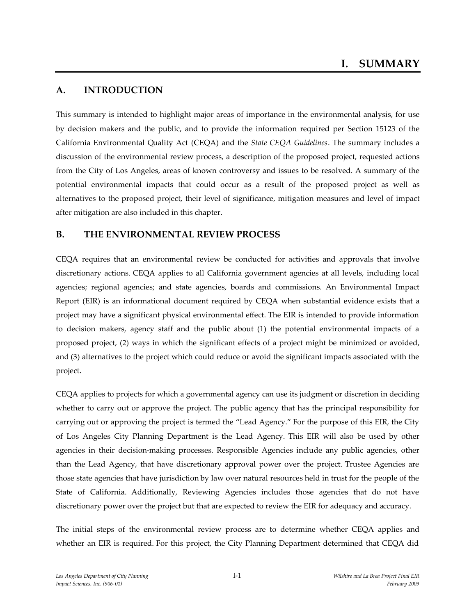# **A. INTRODUCTION**

This summary is intended to highlight major areas of importance in the environmental analysis, for use by decision makers and the public, and to provide the information required per Section 15123 of the California Environmental Quality Act (CEQA) and the *State CEQA Guidelines*. The summary includes a discussion of the environmental review process, a description of the proposed project, requested actions from the City of Los Angeles, areas of known controversy and issues to be resolved. A summary of the potential environmental impacts that could occur as a result of the proposed project as well as alternatives to the proposed project, their level of significance, mitigation measures and level of impact after mitigation are also included in this chapter.

## **B. THE ENVIRONMENTAL REVIEW PROCESS**

CEQA requires that an environmental review be conducted for activities and approvals that involve discretionary actions. CEQA applies to all California government agencies at all levels, including local agencies; regional agencies; and state agencies, boards and commissions. An Environmental Impact Report (EIR) is an informational document required by CEQA when substantial evidence exists that a project may have a significant physical environmental effect. The EIR is intended to provide information to decision makers, agency staff and the public about (1) the potential environmental impacts of a proposed project, (2) ways in which the significant effects of a project might be minimized or avoided, and (3) alternatives to the project which could reduce or avoid the significant impacts associated with the project.

CEQA applies to projects for which a governmental agency can use its judgment or discretion in deciding whether to carry out or approve the project. The public agency that has the principal responsibility for carrying out or approving the project is termed the "Lead Agency." For the purpose of this EIR, the City of Los Angeles City Planning Department is the Lead Agency. This EIR will also be used by other agencies in their decision-making processes. Responsible Agencies include any public agencies, other than the Lead Agency, that have discretionary approval power over the project. Trustee Agencies are those state agencies that have jurisdiction by law over natural resources held in trust for the people of the State of California. Additionally, Reviewing Agencies includes those agencies that do not have discretionary power over the project but that are expected to review the EIR for adequacy and accuracy.

The initial steps of the environmental review process are to determine whether CEQA applies and whether an EIR is required. For this project, the City Planning Department determined that CEQA did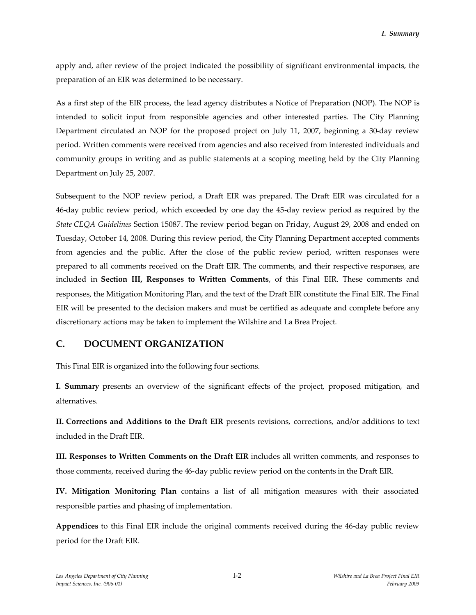apply and, after review of the project indicated the possibility of significant environmental impacts, the preparation of an EIR was determined to be necessary.

As a first step of the EIR process, the lead agency distributes a Notice of Preparation (NOP). The NOP is intended to solicit input from responsible agencies and other interested parties. The City Planning Department circulated an NOP for the proposed project on July 11, 2007, beginning a 30-day review period. Written comments were received from agencies and also received from interested individuals and community groups in writing and as public statements at a scoping meeting held by the City Planning Department on July 25, 2007.

Subsequent to the NOP review period, a Draft EIR was prepared. The Draft EIR was circulated for a 46-day public review period, which exceeded by one day the 45-day review period as required by the *State CEQA Guidelines* Section 15087. The review period began on Friday, August 29, 2008 and ended on Tuesday, October 14, 2008. During this review period, the City Planning Department accepted comments from agencies and the public. After the close of the public review period, written responses were prepared to all comments received on the Draft EIR. The comments, and their respective responses, are included in **Section III, Responses to Written Comments**, of this Final EIR. These comments and responses, the Mitigation Monitoring Plan, and the text of the Draft EIR constitute the Final EIR. The Final EIR will be presented to the decision makers and must be certified as adequate and complete before any discretionary actions may be taken to implement the Wilshire and La Brea Project.

# **C. DOCUMENT ORGANIZATION**

This Final EIR is organized into the following four sections.

**I. Summary** presents an overview of the significant effects of the project, proposed mitigation, and alternatives.

**II. Corrections and Additions to the Draft EIR** presents revisions, corrections, and/or additions to text included in the Draft EIR.

**III. Responses to Written Comments on the Draft EIR** includes all written comments, and responses to those comments, received during the 46-day public review period on the contents in the Draft EIR.

**IV. Mitigation Monitoring Plan** contains a list of all mitigation measures with their associated responsible parties and phasing of implementation.

**Appendices** to this Final EIR include the original comments received during the 46-day public review period for the Draft EIR.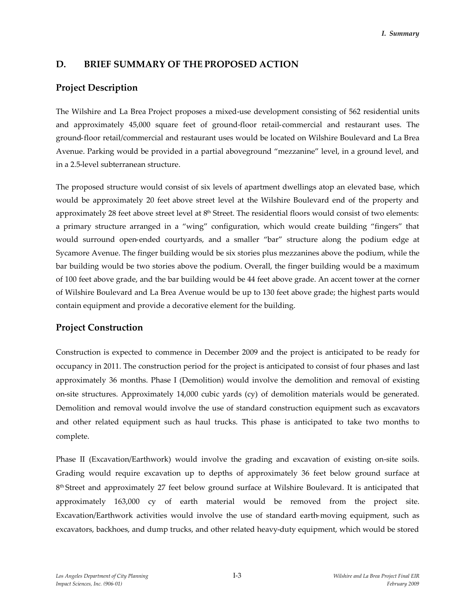## **D. BRIEF SUMMARY OF THE PROPOSED ACTION**

## **Project Description**

The Wilshire and La Brea Project proposes a mixed-use development consisting of 562 residential units and approximately 45,000 square feet of ground-floor retail-commercial and restaurant uses. The ground-floor retail/commercial and restaurant uses would be located on Wilshire Boulevard and La Brea Avenue. Parking would be provided in a partial aboveground "mezzanine" level, in a ground level, and in a 2.5-level subterranean structure.

The proposed structure would consist of six levels of apartment dwellings atop an elevated base, which would be approximately 20 feet above street level at the Wilshire Boulevard end of the property and approximately 28 feet above street level at  $8<sup>th</sup>$  Street. The residential floors would consist of two elements: a primary structure arranged in a "wing" configuration, which would create building "fingers" that would surround open-ended courtyards, and a smaller "bar" structure along the podium edge at Sycamore Avenue. The finger building would be six stories plus mezzanines above the podium, while the bar building would be two stories above the podium. Overall, the finger building would be a maximum of 100 feet above grade, and the bar building would be 44 feet above grade. An accent tower at the corner of Wilshire Boulevard and La Brea Avenue would be up to 130 feet above grade; the highest parts would contain equipment and provide a decorative element for the building.

## **Project Construction**

Construction is expected to commence in December 2009 and the project is anticipated to be ready for occupancy in 2011. The construction period for the project is anticipated to consist of four phases and last approximately 36 months. Phase I (Demolition) would involve the demolition and removal of existing on-site structures. Approximately 14,000 cubic yards (cy) of demolition materials would be generated. Demolition and removal would involve the use of standard construction equipment such as excavators and other related equipment such as haul trucks. This phase is anticipated to take two months to complete.

Phase II (Excavation/Earthwork) would involve the grading and excavation of existing on-site soils. Grading would require excavation up to depths of approximately 36 feet below ground surface at 8<sup>th</sup> Street and approximately 27 feet below ground surface at Wilshire Boulevard. It is anticipated that approximately 163,000 cy of earth material would be removed from the project site. Excavation/Earthwork activities would involve the use of standard earth-moving equipment, such as excavators, backhoes, and dump trucks, and other related heavy-duty equipment, which would be stored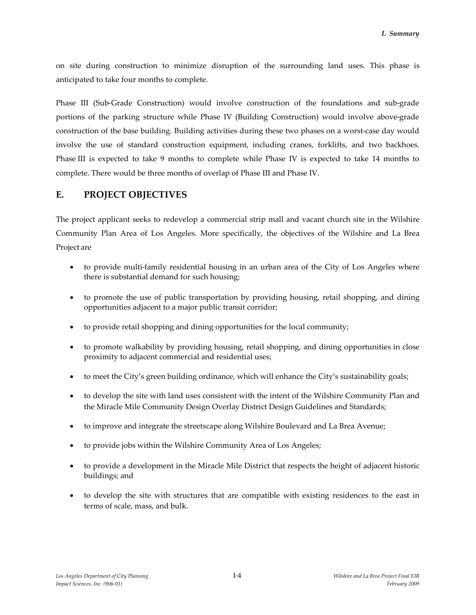on site during construction to minimize disruption of the surrounding land uses. This phase is anticipated to take four months to complete.

Phase III (Sub-Grade Construction) would involve construction of the foundations and sub-grade portions of the parking structure while Phase IV (Building Construction) would involve above-grade construction of the base building. Building activities during these two phases on a worst-case day would involve the use of standard construction equipment, including cranes, forklifts, and two backhoes. Phase III is expected to take 9 months to complete while Phase IV is expected to take 14 months to complete. There would be three months of overlap of Phase III and Phase IV.

# **E. PROJECT OBJECTIVES**

The project applicant seeks to redevelop a commercial strip mall and vacant church site in the Wilshire Community Plan Area of Los Angeles. More specifically, the objectives of the Wilshire and La Brea Project are

- to provide multi-family residential housing in an urban area of the City of Los Angeles where there is substantial demand for such housing;
- to promote the use of public transportation by providing housing, retail shopping, and dining opportunities adjacent to a major public transit corridor;
- to provide retail shopping and dining opportunities for the local community;
- to promote walkability by providing housing, retail shopping, and dining opportunities in close proximity to adjacent commercial and residential uses;
- to meet the City's green building ordinance, which will enhance the City's sustainability goals;
- to develop the site with land uses consistent with the intent of the Wilshire Community Plan and the Miracle Mile Community Design Overlay District Design Guidelines and Standards;
- to improve and integrate the streetscape along Wilshire Boulevard and La Brea Avenue;
- to provide jobs within the Wilshire Community Area of Los Angeles;
- to provide a development in the Miracle Mile District that respects the height of adjacent historic buildings; and
- to develop the site with structures that are compatible with existing residences to the east in terms of scale, mass, and bulk.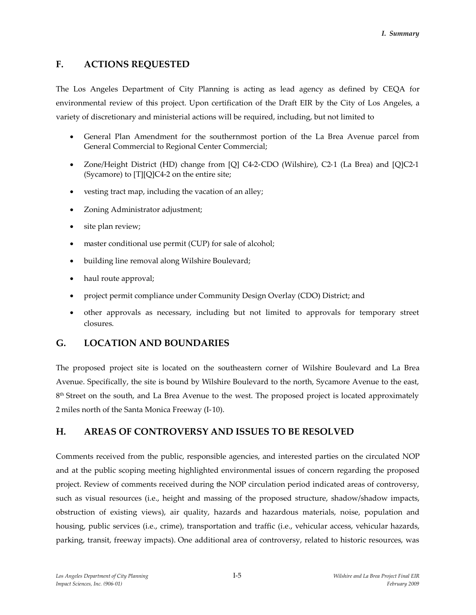# **F. ACTIONS REQUESTED**

The Los Angeles Department of City Planning is acting as lead agency as defined by CEQA for environmental review of this project. Upon certification of the Draft EIR by the City of Los Angeles, a variety of discretionary and ministerial actions will be required, including, but not limited to

- General Plan Amendment for the southernmost portion of the La Brea Avenue parcel from General Commercial to Regional Center Commercial;
- Zone/Height District (HD) change from [Q] C4-2-CDO (Wilshire), C2-1 (La Brea) and [Q]C2-1 (Sycamore) to [T][Q]C4-2 on the entire site;
- vesting tract map, including the vacation of an alley;
- Zoning Administrator adjustment;
- site plan review;
- master conditional use permit (CUP) for sale of alcohol;
- building line removal along Wilshire Boulevard;
- haul route approval;
- project permit compliance under Community Design Overlay (CDO) District; and
- other approvals as necessary, including but not limited to approvals for temporary street closures.

# **G. LOCATION AND BOUNDARIES**

The proposed project site is located on the southeastern corner of Wilshire Boulevard and La Brea Avenue. Specifically, the site is bound by Wilshire Boulevard to the north, Sycamore Avenue to the east, 8<sup>th</sup> Street on the south, and La Brea Avenue to the west. The proposed project is located approximately 2 miles north of the Santa Monica Freeway (I-10).

# **H. AREAS OF CONTROVERSY AND ISSUES TO BE RESOLVED**

Comments received from the public, responsible agencies, and interested parties on the circulated NOP and at the public scoping meeting highlighted environmental issues of concern regarding the proposed project. Review of comments received during the NOP circulation period indicated areas of controversy, such as visual resources (i.e., height and massing of the proposed structure, shadow/shadow impacts, obstruction of existing views), air quality, hazards and hazardous materials, noise, population and housing, public services (i.e., crime), transportation and traffic (i.e., vehicular access, vehicular hazards, parking, transit, freeway impacts). One additional area of controversy, related to historic resources, was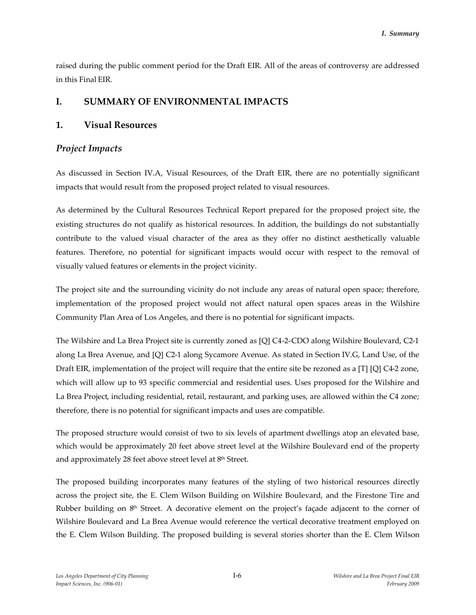raised during the public comment period for the Draft EIR. All of the areas of controversy are addressed in this Final EIR.

## **I. SUMMARY OF ENVIRONMENTAL IMPACTS**

## **1. Visual Resources**

## *Project Impacts*

As discussed in Section IV.A, Visual Resources, of the Draft EIR, there are no potentially significant impacts that would result from the proposed project related to visual resources.

As determined by the Cultural Resources Technical Report prepared for the proposed project site, the existing structures do not qualify as historical resources. In addition, the buildings do not substantially contribute to the valued visual character of the area as they offer no distinct aesthetically valuable features. Therefore, no potential for significant impacts would occur with respect to the removal of visually valued features or elements in the project vicinity.

The project site and the surrounding vicinity do not include any areas of natural open space; therefore, implementation of the proposed project would not affect natural open spaces areas in the Wilshire Community Plan Area of Los Angeles, and there is no potential for significant impacts.

The Wilshire and La Brea Project site is currently zoned as [Q] C4-2-CDO along Wilshire Boulevard, C2-1 along La Brea Avenue, and [Q] C2-1 along Sycamore Avenue. As stated in Section IV.G, Land Use, of the Draft EIR, implementation of the project will require that the entire site be rezoned as a [T] [Q] C4-2 zone, which will allow up to 93 specific commercial and residential uses. Uses proposed for the Wilshire and La Brea Project, including residential, retail, restaurant, and parking uses, are allowed within the C4 zone; therefore, there is no potential for significant impacts and uses are compatible.

The proposed structure would consist of two to six levels of apartment dwellings atop an elevated base, which would be approximately 20 feet above street level at the Wilshire Boulevard end of the property and approximately 28 feet above street level at 8th Street.

The proposed building incorporates many features of the styling of two historical resources directly across the project site, the E. Clem Wilson Building on Wilshire Boulevard, and the Firestone Tire and Rubber building on  $8<sup>th</sup>$  Street. A decorative element on the project's façade adjacent to the corner of Wilshire Boulevard and La Brea Avenue would reference the vertical decorative treatment employed on the E. Clem Wilson Building. The proposed building is several stories shorter than the E. Clem Wilson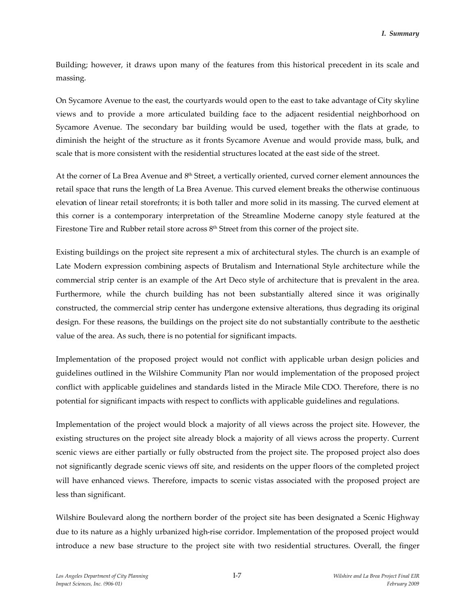Building; however, it draws upon many of the features from this historical precedent in its scale and massing.

On Sycamore Avenue to the east, the courtyards would open to the east to take advantage of City skyline views and to provide a more articulated building face to the adjacent residential neighborhood on Sycamore Avenue. The secondary bar building would be used, together with the flats at grade, to diminish the height of the structure as it fronts Sycamore Avenue and would provide mass, bulk, and scale that is more consistent with the residential structures located at the east side of the street.

At the corner of La Brea Avenue and 8<sup>th</sup> Street, a vertically oriented, curved corner element announces the retail space that runs the length of La Brea Avenue. This curved element breaks the otherwise continuous elevation of linear retail storefronts; it is both taller and more solid in its massing. The curved element at this corner is a contemporary interpretation of the Streamline Moderne canopy style featured at the Firestone Tire and Rubber retail store across 8th Street from this corner of the project site.

Existing buildings on the project site represent a mix of architectural styles. The church is an example of Late Modern expression combining aspects of Brutalism and International Style architecture while the commercial strip center is an example of the Art Deco style of architecture that is prevalent in the area. Furthermore, while the church building has not been substantially altered since it was originally constructed, the commercial strip center has undergone extensive alterations, thus degrading its original design. For these reasons, the buildings on the project site do not substantially contribute to the aesthetic value of the area. As such, there is no potential for significant impacts.

Implementation of the proposed project would not conflict with applicable urban design policies and guidelines outlined in the Wilshire Community Plan nor would implementation of the proposed project conflict with applicable guidelines and standards listed in the Miracle Mile CDO. Therefore, there is no potential for significant impacts with respect to conflicts with applicable guidelines and regulations.

Implementation of the project would block a majority of all views across the project site. However, the existing structures on the project site already block a majority of all views across the property. Current scenic views are either partially or fully obstructed from the project site. The proposed project also does not significantly degrade scenic views off site, and residents on the upper floors of the completed project will have enhanced views. Therefore, impacts to scenic vistas associated with the proposed project are less than significant.

Wilshire Boulevard along the northern border of the project site has been designated a Scenic Highway due to its nature as a highly urbanized high-rise corridor. Implementation of the proposed project would introduce a new base structure to the project site with two residential structures. Overall, the finger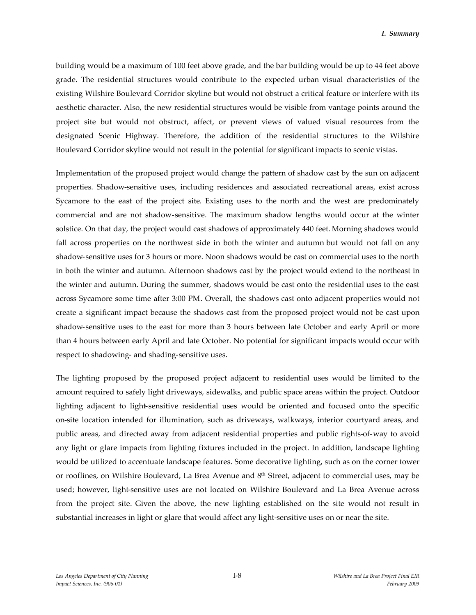building would be a maximum of 100 feet above grade, and the bar building would be up to 44 feet above grade. The residential structures would contribute to the expected urban visual characteristics of the existing Wilshire Boulevard Corridor skyline but would not obstruct a critical feature or interfere with its aesthetic character. Also, the new residential structures would be visible from vantage points around the project site but would not obstruct, affect, or prevent views of valued visual resources from the designated Scenic Highway. Therefore, the addition of the residential structures to the Wilshire Boulevard Corridor skyline would not result in the potential for significant impacts to scenic vistas.

Implementation of the proposed project would change the pattern of shadow cast by the sun on adjacent properties. Shadow-sensitive uses, including residences and associated recreational areas, exist across Sycamore to the east of the project site. Existing uses to the north and the west are predominately commercial and are not shadow-sensitive. The maximum shadow lengths would occur at the winter solstice. On that day, the project would cast shadows of approximately 440 feet. Morning shadows would fall across properties on the northwest side in both the winter and autumn but would not fall on any shadow-sensitive uses for 3 hours or more. Noon shadows would be cast on commercial uses to the north in both the winter and autumn. Afternoon shadows cast by the project would extend to the northeast in the winter and autumn. During the summer, shadows would be cast onto the residential uses to the east across Sycamore some time after 3:00 PM. Overall, the shadows cast onto adjacent properties would not create a significant impact because the shadows cast from the proposed project would not be cast upon shadow-sensitive uses to the east for more than 3 hours between late October and early April or more than 4 hours between early April and late October. No potential for significant impacts would occur with respect to shadowing- and shading-sensitive uses.

The lighting proposed by the proposed project adjacent to residential uses would be limited to the amount required to safely light driveways, sidewalks, and public space areas within the project. Outdoor lighting adjacent to light-sensitive residential uses would be oriented and focused onto the specific on-site location intended for illumination, such as driveways, walkways, interior courtyard areas, and public areas, and directed away from adjacent residential properties and public rights-of-way to avoid any light or glare impacts from lighting fixtures included in the project. In addition, landscape lighting would be utilized to accentuate landscape features. Some decorative lighting, such as on the corner tower or rooflines, on Wilshire Boulevard, La Brea Avenue and 8th Street, adjacent to commercial uses, may be used; however, light-sensitive uses are not located on Wilshire Boulevard and La Brea Avenue across from the project site. Given the above, the new lighting established on the site would not result in substantial increases in light or glare that would affect any light-sensitive uses on or near the site.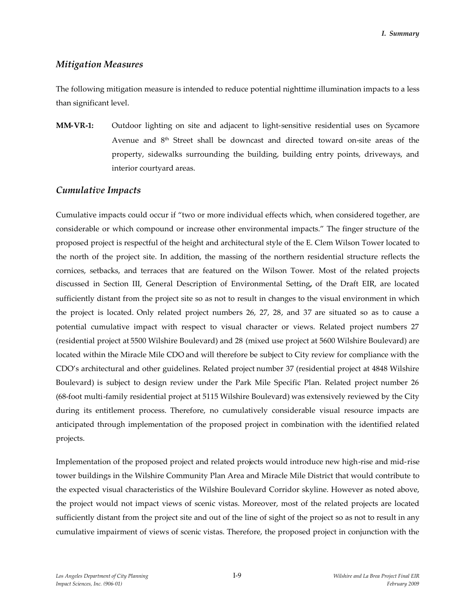## *Mitigation Measures*

The following mitigation measure is intended to reduce potential nighttime illumination impacts to a less than significant level.

**MM-VR-1:** Outdoor lighting on site and adjacent to light-sensitive residential uses on Sycamore Avenue and 8th Street shall be downcast and directed toward on-site areas of the property, sidewalks surrounding the building, building entry points, driveways, and interior courtyard areas.

### *Cumulative Impacts*

Cumulative impacts could occur if "two or more individual effects which, when considered together, are considerable or which compound or increase other environmental impacts." The finger structure of the proposed project is respectful of the height and architectural style of the E. Clem Wilson Tower located to the north of the project site. In addition, the massing of the northern residential structure reflects the cornices, setbacks, and terraces that are featured on the Wilson Tower. Most of the related projects discussed in Section III, General Description of Environmental Setting**,** of the Draft EIR, are located sufficiently distant from the project site so as not to result in changes to the visual environment in which the project is located. Only related project numbers 26, 27, 28, and 37 are situated so as to cause a potential cumulative impact with respect to visual character or views. Related project numbers 27 (residential project at 5500 Wilshire Boulevard) and 28 (mixed use project at 5600 Wilshire Boulevard) are located within the Miracle Mile CDO and will therefore be subject to City review for compliance with the CDO's architectural and other guidelines. Related project number 37 (residential project at 4848 Wilshire Boulevard) is subject to design review under the Park Mile Specific Plan. Related project number 26 (68-foot multi-family residential project at 5115 Wilshire Boulevard) was extensively reviewed by the City during its entitlement process. Therefore, no cumulatively considerable visual resource impacts are anticipated through implementation of the proposed project in combination with the identified related projects.

Implementation of the proposed project and related projects would introduce new high-rise and mid-rise tower buildings in the Wilshire Community Plan Area and Miracle Mile District that would contribute to the expected visual characteristics of the Wilshire Boulevard Corridor skyline. However as noted above, the project would not impact views of scenic vistas. Moreover, most of the related projects are located sufficiently distant from the project site and out of the line of sight of the project so as not to result in any cumulative impairment of views of scenic vistas. Therefore, the proposed project in conjunction with the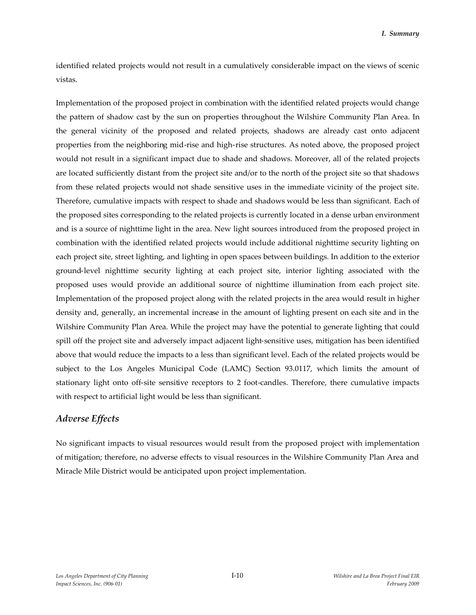identified related projects would not result in a cumulatively considerable impact on the views of scenic vistas.

Implementation of the proposed project in combination with the identified related projects would change the pattern of shadow cast by the sun on properties throughout the Wilshire Community Plan Area. In the general vicinity of the proposed and related projects, shadows are already cast onto adjacent properties from the neighboring mid-rise and high-rise structures. As noted above, the proposed project would not result in a significant impact due to shade and shadows. Moreover, all of the related projects are located sufficiently distant from the project site and/or to the north of the project site so that shadows from these related projects would not shade sensitive uses in the immediate vicinity of the project site. Therefore, cumulative impacts with respect to shade and shadows would be less than significant. Each of the proposed sites corresponding to the related projects is currently located in a dense urban environment and is a source of nighttime light in the area. New light sources introduced from the proposed project in combination with the identified related projects would include additional nighttime security lighting on each project site, street lighting, and lighting in open spaces between buildings. In addition to the exterior ground-level nighttime security lighting at each project site, interior lighting associated with the proposed uses would provide an additional source of nighttime illumination from each project site. Implementation of the proposed project along with the related projects in the area would result in higher density and, generally, an incremental increase in the amount of lighting present on each site and in the Wilshire Community Plan Area. While the project may have the potential to generate lighting that could spill off the project site and adversely impact adjacent light-sensitive uses, mitigation has been identified above that would reduce the impacts to a less than significant level. Each of the related projects would be subject to the Los Angeles Municipal Code (LAMC) Section 93.0117, which limits the amount of stationary light onto off-site sensitive receptors to 2 foot-candles. Therefore, there cumulative impacts with respect to artificial light would be less than significant.

## *Adverse Effects*

No significant impacts to visual resources would result from the proposed project with implementation of mitigation; therefore, no adverse effects to visual resources in the Wilshire Community Plan Area and Miracle Mile District would be anticipated upon project implementation.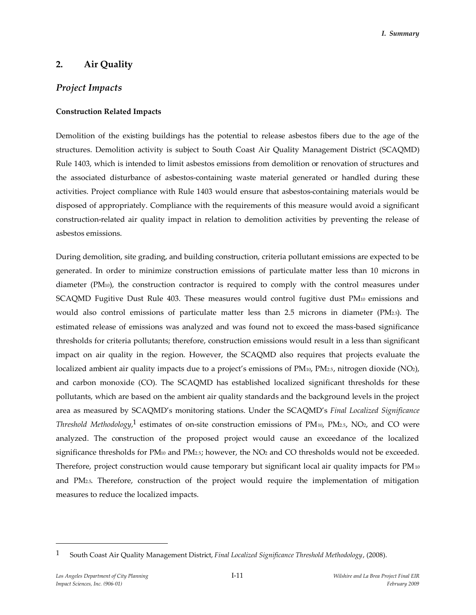## **2. Air Quality**

## *Project Impacts*

#### **Construction Related Impacts**

Demolition of the existing buildings has the potential to release asbestos fibers due to the age of the structures. Demolition activity is subject to South Coast Air Quality Management District (SCAQMD) Rule 1403, which is intended to limit asbestos emissions from demolition or renovation of structures and the associated disturbance of asbestos-containing waste material generated or handled during these activities. Project compliance with Rule 1403 would ensure that asbestos-containing materials would be disposed of appropriately. Compliance with the requirements of this measure would avoid a significant construction-related air quality impact in relation to demolition activities by preventing the release of asbestos emissions.

During demolition, site grading, and building construction, criteria pollutant emissions are expected to be generated. In order to minimize construction emissions of particulate matter less than 10 microns in diameter (PM10), the construction contractor is required to comply with the control measures under SCAQMD Fugitive Dust Rule  $403$ . These measures would control fugitive dust PM $_{10}$  emissions and would also control emissions of particulate matter less than 2.5 microns in diameter (PM2.5). The estimated release of emissions was analyzed and was found not to exceed the mass-based significance thresholds for criteria pollutants; therefore, construction emissions would result in a less than significant impact on air quality in the region. However, the SCAQMD also requires that projects evaluate the localized ambient air quality impacts due to a project's emissions of PM<sub>10</sub>, PM<sub>2.5</sub>, nitrogen dioxide (NO<sub>2</sub>), and carbon monoxide (CO). The SCAQMD has established localized significant thresholds for these pollutants, which are based on the ambient air quality standards and the background levels in the project area as measured by SCAQMD's monitoring stations. Under the SCAQMD's *Final Localized Significance Threshold Methodology*, 1 estimates of on-site construction emissions of PM10, PM2.5, NO2, and CO were analyzed. The construction of the proposed project would cause an exceedance of the localized significance thresholds for PM<sub>10</sub> and PM<sub>2.5</sub>; however, the NO<sub>2</sub> and CO thresholds would not be exceeded. Therefore, project construction would cause temporary but significant local air quality impacts for PM<sub>10</sub> and PM2.5. Therefore, construction of the project would require the implementation of mitigation measures to reduce the localized impacts.

<sup>1</sup> South Coast Air Quality Management District, *Final Localized Significance Threshold Methodology*, (2008).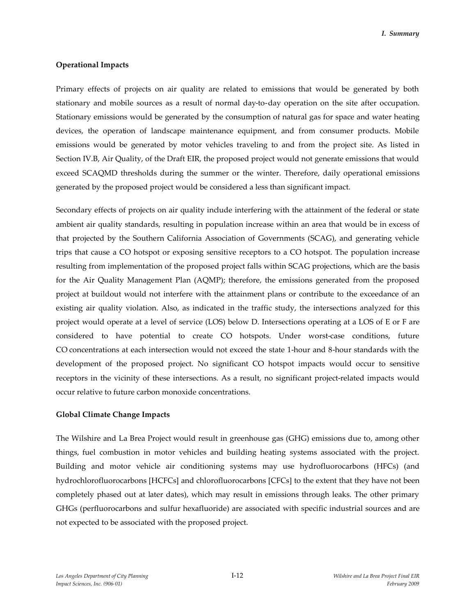#### **Operational Impacts**

Primary effects of projects on air quality are related to emissions that would be generated by both stationary and mobile sources as a result of normal day-to-day operation on the site after occupation. Stationary emissions would be generated by the consumption of natural gas for space and water heating devices, the operation of landscape maintenance equipment, and from consumer products. Mobile emissions would be generated by motor vehicles traveling to and from the project site. As listed in Section IV.B, Air Quality, of the Draft EIR, the proposed project would not generate emissions that would exceed SCAQMD thresholds during the summer or the winter. Therefore, daily operational emissions generated by the proposed project would be considered a less than significant impact.

Secondary effects of projects on air quality include interfering with the attainment of the federal or state ambient air quality standards, resulting in population increase within an area that would be in excess of that projected by the Southern California Association of Governments (SCAG), and generating vehicle trips that cause a CO hotspot or exposing sensitive receptors to a CO hotspot. The population increase resulting from implementation of the proposed project falls within SCAG projections, which are the basis for the Air Quality Management Plan (AQMP); therefore, the emissions generated from the proposed project at buildout would not interfere with the attainment plans or contribute to the exceedance of an existing air quality violation. Also, as indicated in the traffic study, the intersections analyzed for this project would operate at a level of service (LOS) below D. Intersections operating at a LOS of E or F are considered to have potential to create CO hotspots. Under worst-case conditions, future CO concentrations at each intersection would not exceed the state 1-hour and 8-hour standards with the development of the proposed project. No significant CO hotspot impacts would occur to sensitive receptors in the vicinity of these intersections. As a result, no significant project-related impacts would occur relative to future carbon monoxide concentrations.

#### **Global Climate Change Impacts**

The Wilshire and La Brea Project would result in greenhouse gas (GHG) emissions due to, among other things, fuel combustion in motor vehicles and building heating systems associated with the project. Building and motor vehicle air conditioning systems may use hydrofluorocarbons (HFCs) (and hydrochlorofluorocarbons [HCFCs] and chlorofluorocarbons [CFCs] to the extent that they have not been completely phased out at later dates), which may result in emissions through leaks. The other primary GHGs (perfluorocarbons and sulfur hexafluoride) are associated with specific industrial sources and are not expected to be associated with the proposed project.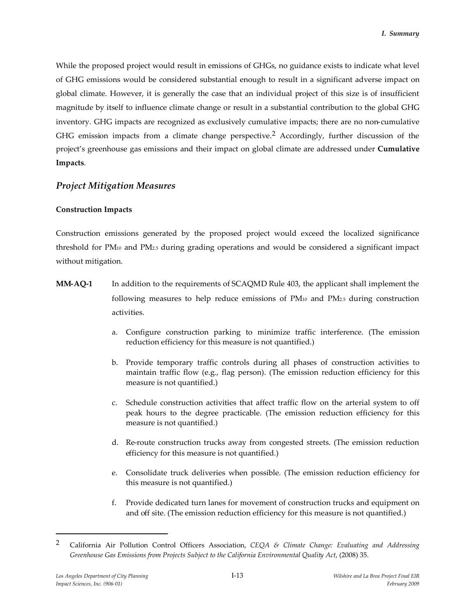While the proposed project would result in emissions of GHGs, no guidance exists to indicate what level of GHG emissions would be considered substantial enough to result in a significant adverse impact on global climate. However, it is generally the case that an individual project of this size is of insufficient magnitude by itself to influence climate change or result in a substantial contribution to the global GHG inventory. GHG impacts are recognized as exclusively cumulative impacts; there are no non-cumulative GHG emission impacts from a climate change perspective.2 Accordingly, further discussion of the project's greenhouse gas emissions and their impact on global climate are addressed under **Cumulative Impacts**.

## *Project Mitigation Measures*

### **Construction Impacts**

Construction emissions generated by the proposed project would exceed the localized significance threshold for PM<sup>10</sup> and PM2.5 during grading operations and would be considered a significant impact without mitigation.

- **MM-AQ-1** In addition to the requirements of SCAQMD Rule 403, the applicant shall implement the following measures to help reduce emissions of PM<sup>10</sup> and PM2.5 during construction activities.
	- a. Configure construction parking to minimize traffic interference. (The emission reduction efficiency for this measure is not quantified.)
	- b. Provide temporary traffic controls during all phases of construction activities to maintain traffic flow (e.g., flag person). (The emission reduction efficiency for this measure is not quantified.)
	- c. Schedule construction activities that affect traffic flow on the arterial system to off peak hours to the degree practicable. (The emission reduction efficiency for this measure is not quantified.)
	- d. Re-route construction trucks away from congested streets. (The emission reduction efficiency for this measure is not quantified.)
	- e. Consolidate truck deliveries when possible. (The emission reduction efficiency for this measure is not quantified.)
	- f. Provide dedicated turn lanes for movement of construction trucks and equipment on and off site. (The emission reduction efficiency for this measure is not quantified.)

<sup>2</sup> California Air Pollution Control Officers Association, *CEQA & Climate Change: Evaluating and Addressing Greenhouse Gas Emissions from Projects Subject to the California Environmental Quality Act*, (2008) 35.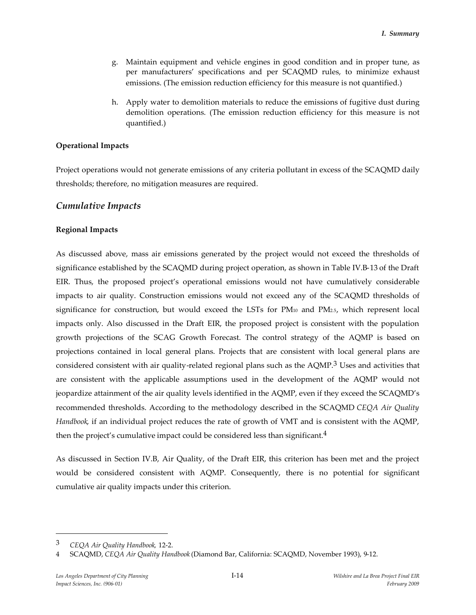- g. Maintain equipment and vehicle engines in good condition and in proper tune, as per manufacturers' specifications and per SCAQMD rules, to minimize exhaust emissions. (The emission reduction efficiency for this measure is not quantified.)
- h. Apply water to demolition materials to reduce the emissions of fugitive dust during demolition operations. (The emission reduction efficiency for this measure is not quantified.)

#### **Operational Impacts**

Project operations would not generate emissions of any criteria pollutant in excess of the SCAQMD daily thresholds; therefore, no mitigation measures are required.

### *Cumulative Impacts*

#### **Regional Impacts**

As discussed above, mass air emissions generated by the project would not exceed the thresholds of significance established by the SCAQMD during project operation, as shown in Table IV.B-13 of the Draft EIR. Thus, the proposed project's operational emissions would not have cumulatively considerable impacts to air quality. Construction emissions would not exceed any of the SCAQMD thresholds of significance for construction, but would exceed the LSTs for PM<sup>10</sup> and PM2.5, which represent local impacts only. Also discussed in the Draft EIR, the proposed project is consistent with the population growth projections of the SCAG Growth Forecast. The control strategy of the AQMP is based on projections contained in local general plans. Projects that are consistent with local general plans are considered consistent with air quality-related regional plans such as the AQMP.<sup>3</sup> Uses and activities that are consistent with the applicable assumptions used in the development of the AQMP would not jeopardize attainment of the air quality levels identified in the AQMP, even if they exceed the SCAQMD's recommended thresholds. According to the methodology described in the SCAQMD *CEQA Air Quality Handbook*, if an individual project reduces the rate of growth of VMT and is consistent with the AQMP, then the project's cumulative impact could be considered less than significant.<sup>4</sup>

As discussed in Section IV.B, Air Quality, of the Draft EIR, this criterion has been met and the project would be considered consistent with AQMP. Consequently, there is no potential for significant cumulative air quality impacts under this criterion.

<sup>3</sup> *CEQA Air Quality Handbook,* 12-2.

<sup>4</sup> SCAQMD, *CEQA Air Quality Handbook* (Diamond Bar, California: SCAQMD, November 1993), 9-12.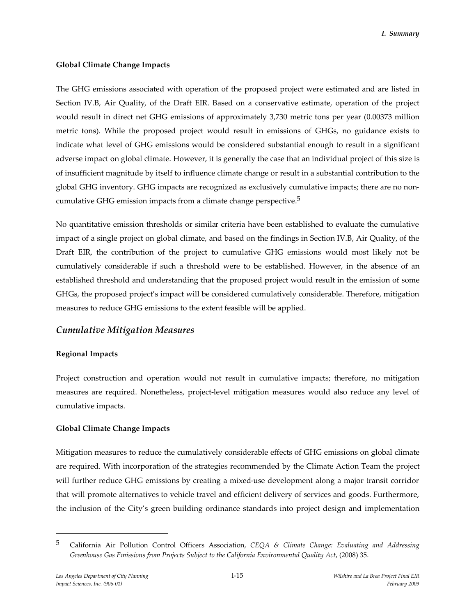#### **Global Climate Change Impacts**

The GHG emissions associated with operation of the proposed project were estimated and are listed in Section IV.B, Air Quality, of the Draft EIR. Based on a conservative estimate, operation of the project would result in direct net GHG emissions of approximately 3,730 metric tons per year (0.00373 million metric tons). While the proposed project would result in emissions of GHGs, no guidance exists to indicate what level of GHG emissions would be considered substantial enough to result in a significant adverse impact on global climate. However, it is generally the case that an individual project of this size is of insufficient magnitude by itself to influence climate change or result in a substantial contribution to the global GHG inventory. GHG impacts are recognized as exclusively cumulative impacts; there are no noncumulative GHG emission impacts from a climate change perspective.5

No quantitative emission thresholds or similar criteria have been established to evaluate the cumulative impact of a single project on global climate, and based on the findings in Section IV.B, Air Quality, of the Draft EIR, the contribution of the project to cumulative GHG emissions would most likely not be cumulatively considerable if such a threshold were to be established. However, in the absence of an established threshold and understanding that the proposed project would result in the emission of some GHGs, the proposed project's impact will be considered cumulatively considerable. Therefore, mitigation measures to reduce GHG emissions to the extent feasible will be applied.

### *Cumulative Mitigation Measures*

#### **Regional Impacts**

Project construction and operation would not result in cumulative impacts; therefore, no mitigation measures are required. Nonetheless, project-level mitigation measures would also reduce any level of cumulative impacts.

#### **Global Climate Change Impacts**

Mitigation measures to reduce the cumulatively considerable effects of GHG emissions on global climate are required. With incorporation of the strategies recommended by the Climate Action Team the project will further reduce GHG emissions by creating a mixed-use development along a major transit corridor that will promote alternatives to vehicle travel and efficient delivery of services and goods. Furthermore, the inclusion of the City's green building ordinance standards into project design and implementation

<sup>5</sup> California Air Pollution Control Officers Association, *CEQA & Climate Change: Evaluating and Addressing Greenhouse Gas Emissions from Projects Subject to the California Environmental Quality Act*, (2008) 35.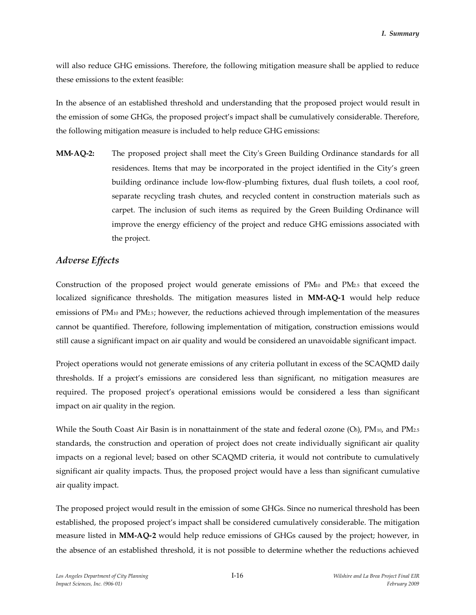will also reduce GHG emissions. Therefore, the following mitigation measure shall be applied to reduce these emissions to the extent feasible:

In the absence of an established threshold and understanding that the proposed project would result in the emission of some GHGs, the proposed project's impact shall be cumulatively considerable. Therefore, the following mitigation measure is included to help reduce GHG emissions:

**MM-AQ-2:** The proposed project shall meet the City's Green Building Ordinance standards for all residences. Items that may be incorporated in the project identified in the City's green building ordinance include low-flow-plumbing fixtures, dual flush toilets, a cool roof, separate recycling trash chutes, and recycled content in construction materials such as carpet. The inclusion of such items as required by the Green Building Ordinance will improve the energy efficiency of the project and reduce GHG emissions associated with the project.

## *Adverse Effects*

Construction of the proposed project would generate emissions of PM<sup>10</sup> and PM2.5 that exceed the localized significance thresholds. The mitigation measures listed in **MM-AQ-1** would help reduce emissions of PM<sup>10</sup> and PM2.5; however, the reductions achieved through implementation of the measures cannot be quantified. Therefore, following implementation of mitigation, construction emissions would still cause a significant impact on air quality and would be considered an unavoidable significant impact.

Project operations would not generate emissions of any criteria pollutant in excess of the SCAQMD daily thresholds. If a project's emissions are considered less than significant, no mitigation measures are required. The proposed project's operational emissions would be considered a less than significant impact on air quality in the region.

While the South Coast Air Basin is in nonattainment of the state and federal ozone  $(O_3)$ , PM<sub>10</sub>, and PM<sub>2.5</sub> standards, the construction and operation of project does not create individually significant air quality impacts on a regional level; based on other SCAQMD criteria, it would not contribute to cumulatively significant air quality impacts. Thus, the proposed project would have a less than significant cumulative air quality impact.

The proposed project would result in the emission of some GHGs. Since no numerical threshold has been established, the proposed project's impact shall be considered cumulatively considerable. The mitigation measure listed in **MM-AQ-2** would help reduce emissions of GHGs caused by the project; however, in the absence of an established threshold, it is not possible to determine whether the reductions achieved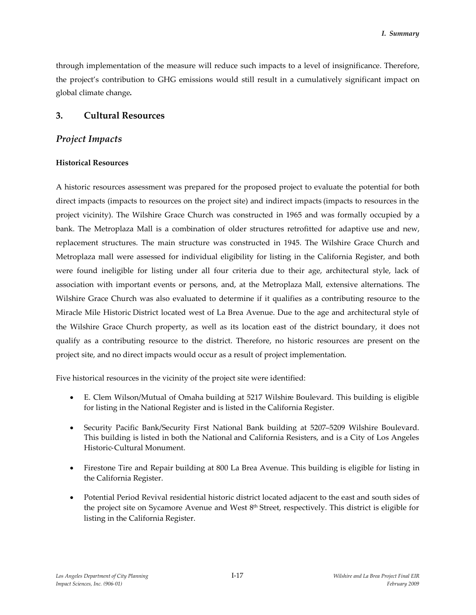through implementation of the measure will reduce such impacts to a level of insignificance. Therefore, the project's contribution to GHG emissions would still result in a cumulatively significant impact on global climate change**.**

### **3. Cultural Resources**

### *Project Impacts*

### **Historical Resources**

A historic resources assessment was prepared for the proposed project to evaluate the potential for both direct impacts (impacts to resources on the project site) and indirect impacts (impacts to resources in the project vicinity). The Wilshire Grace Church was constructed in 1965 and was formally occupied by a bank. The Metroplaza Mall is a combination of older structures retrofitted for adaptive use and new, replacement structures. The main structure was constructed in 1945. The Wilshire Grace Church and Metroplaza mall were assessed for individual eligibility for listing in the California Register, and both were found ineligible for listing under all four criteria due to their age, architectural style, lack of association with important events or persons, and, at the Metroplaza Mall, extensive alternations. The Wilshire Grace Church was also evaluated to determine if it qualifies as a contributing resource to the Miracle Mile Historic District located west of La Brea Avenue. Due to the age and architectural style of the Wilshire Grace Church property, as well as its location east of the district boundary, it does not qualify as a contributing resource to the district. Therefore, no historic resources are present on the project site, and no direct impacts would occur as a result of project implementation.

Five historical resources in the vicinity of the project site were identified:

- E. Clem Wilson/Mutual of Omaha building at 5217 Wilshire Boulevard. This building is eligible for listing in the National Register and is listed in the California Register.
- Security Pacific Bank/Security First National Bank building at 5207–5209 Wilshire Boulevard. This building is listed in both the National and California Resisters, and is a City of Los Angeles Historic-Cultural Monument.
- Firestone Tire and Repair building at 800 La Brea Avenue. This building is eligible for listing in the California Register.
- Potential Period Revival residential historic district located adjacent to the east and south sides of the project site on Sycamore Avenue and West 8<sup>th</sup> Street, respectively. This district is eligible for listing in the California Register.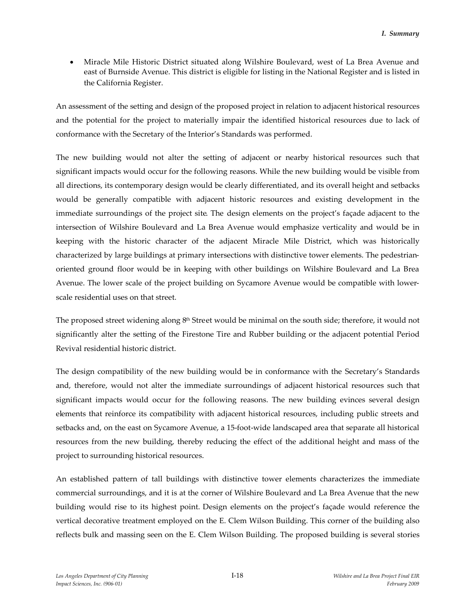Miracle Mile Historic District situated along Wilshire Boulevard, west of La Brea Avenue and east of Burnside Avenue. This district is eligible for listing in the National Register and is listed in the California Register.

An assessment of the setting and design of the proposed project in relation to adjacent historical resources and the potential for the project to materially impair the identified historical resources due to lack of conformance with the Secretary of the Interior's Standards was performed.

The new building would not alter the setting of adjacent or nearby historical resources such that significant impacts would occur for the following reasons. While the new building would be visible from all directions, its contemporary design would be clearly differentiated, and its overall height and setbacks would be generally compatible with adjacent historic resources and existing development in the immediate surroundings of the project site. The design elements on the project's façade adjacent to the intersection of Wilshire Boulevard and La Brea Avenue would emphasize verticality and would be in keeping with the historic character of the adjacent Miracle Mile District, which was historically characterized by large buildings at primary intersections with distinctive tower elements. The pedestrianoriented ground floor would be in keeping with other buildings on Wilshire Boulevard and La Brea Avenue. The lower scale of the project building on Sycamore Avenue would be compatible with lowerscale residential uses on that street.

The proposed street widening along 8<sup>th</sup> Street would be minimal on the south side; therefore, it would not significantly alter the setting of the Firestone Tire and Rubber building or the adjacent potential Period Revival residential historic district.

The design compatibility of the new building would be in conformance with the Secretary's Standards and, therefore, would not alter the immediate surroundings of adjacent historical resources such that significant impacts would occur for the following reasons. The new building evinces several design elements that reinforce its compatibility with adjacent historical resources, including public streets and setbacks and, on the east on Sycamore Avenue, a 15-foot-wide landscaped area that separate all historical resources from the new building, thereby reducing the effect of the additional height and mass of the project to surrounding historical resources.

An established pattern of tall buildings with distinctive tower elements characterizes the immediate commercial surroundings, and it is at the corner of Wilshire Boulevard and La Brea Avenue that the new building would rise to its highest point. Design elements on the project's façade would reference the vertical decorative treatment employed on the E. Clem Wilson Building. This corner of the building also reflects bulk and massing seen on the E. Clem Wilson Building. The proposed building is several stories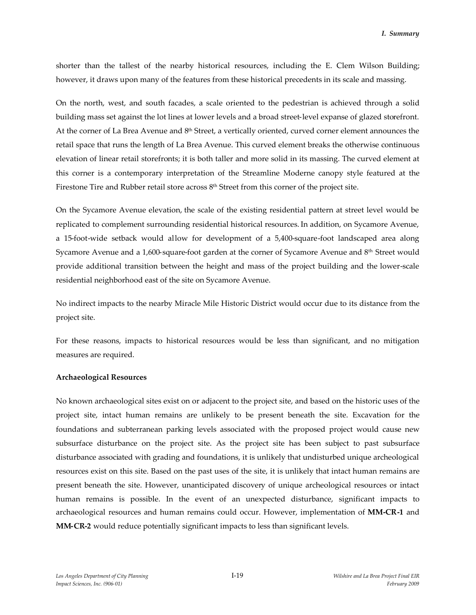shorter than the tallest of the nearby historical resources, including the E. Clem Wilson Building; however, it draws upon many of the features from these historical precedents in its scale and massing.

On the north, west, and south facades, a scale oriented to the pedestrian is achieved through a solid building mass set against the lot lines at lower levels and a broad street-level expanse of glazed storefront. At the corner of La Brea Avenue and 8<sup>th</sup> Street, a vertically oriented, curved corner element announces the retail space that runs the length of La Brea Avenue. This curved element breaks the otherwise continuous elevation of linear retail storefronts; it is both taller and more solid in its massing. The curved element at this corner is a contemporary interpretation of the Streamline Moderne canopy style featured at the Firestone Tire and Rubber retail store across 8th Street from this corner of the project site.

On the Sycamore Avenue elevation, the scale of the existing residential pattern at street level would be replicated to complement surrounding residential historical resources. In addition, on Sycamore Avenue, a 15-foot-wide setback would allow for development of a 5,400-square-foot landscaped area along Sycamore Avenue and a 1,600-square-foot garden at the corner of Sycamore Avenue and 8<sup>th</sup> Street would provide additional transition between the height and mass of the project building and the lower-scale residential neighborhood east of the site on Sycamore Avenue.

No indirect impacts to the nearby Miracle Mile Historic District would occur due to its distance from the project site.

For these reasons, impacts to historical resources would be less than significant, and no mitigation measures are required.

#### **Archaeological Resources**

No known archaeological sites exist on or adjacent to the project site, and based on the historic uses of the project site, intact human remains are unlikely to be present beneath the site. Excavation for the foundations and subterranean parking levels associated with the proposed project would cause new subsurface disturbance on the project site. As the project site has been subject to past subsurface disturbance associated with grading and foundations, it is unlikely that undisturbed unique archeological resources exist on this site. Based on the past uses of the site, it is unlikely that intact human remains are present beneath the site. However, unanticipated discovery of unique archeological resources or intact human remains is possible. In the event of an unexpected disturbance, significant impacts to archaeological resources and human remains could occur. However, implementation of **MM-CR-1** and **MM-CR-2** would reduce potentially significant impacts to less than significant levels.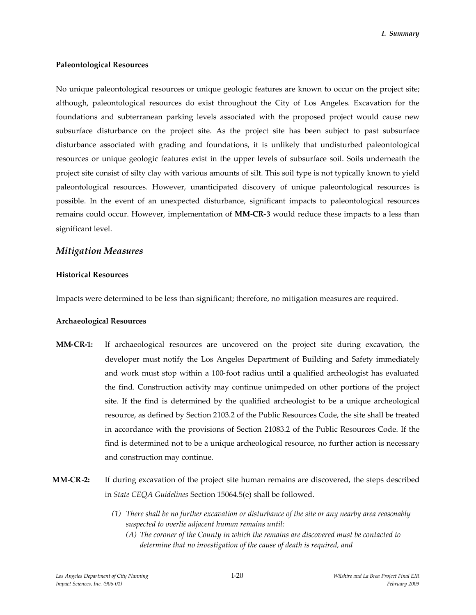#### **Paleontological Resources**

No unique paleontological resources or unique geologic features are known to occur on the project site; although, paleontological resources do exist throughout the City of Los Angeles. Excavation for the foundations and subterranean parking levels associated with the proposed project would cause new subsurface disturbance on the project site. As the project site has been subject to past subsurface disturbance associated with grading and foundations, it is unlikely that undisturbed paleontological resources or unique geologic features exist in the upper levels of subsurface soil. Soils underneath the project site consist of silty clay with various amounts of silt. This soil type is not typically known to yield paleontological resources. However, unanticipated discovery of unique paleontological resources is possible. In the event of an unexpected disturbance, significant impacts to paleontological resources remains could occur. However, implementation of **MM-CR-3** would reduce these impacts to a less than significant level.

### *Mitigation Measures*

#### **Historical Resources**

Impacts were determined to be less than significant; therefore, no mitigation measures are required.

#### **Archaeological Resources**

- **MM-CR-1:** If archaeological resources are uncovered on the project site during excavation, the developer must notify the Los Angeles Department of Building and Safety immediately and work must stop within a 100-foot radius until a qualified archeologist has evaluated the find. Construction activity may continue unimpeded on other portions of the project site. If the find is determined by the qualified archeologist to be a unique archeological resource, as defined by Section 2103.2 of the Public Resources Code, the site shall be treated in accordance with the provisions of Section 21083.2 of the Public Resources Code. If the find is determined not to be a unique archeological resource, no further action is necessary and construction may continue.
- **MM-CR-2:** If during excavation of the project site human remains are discovered, the steps described in *State CEQA Guidelines* Section 15064.5(e) shall be followed.
	- *(1) There shall be no further excavation or disturbance of the site or any nearby area reasonably suspected to overlie adjacent human remains until:*
		- *(A) The coroner of the County in which the remains are discovered must be contacted to determine that no investigation of the cause of death is required, and*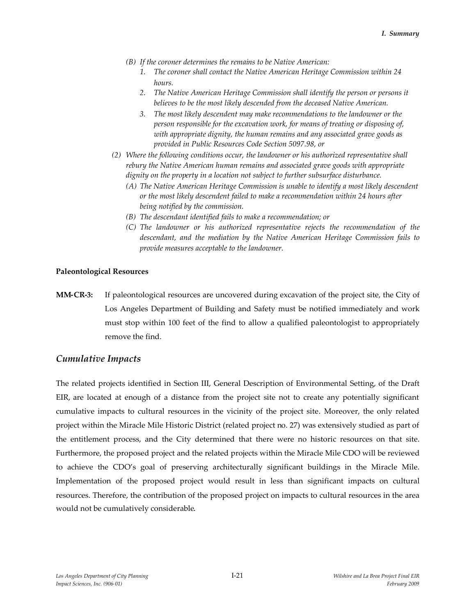- *(B) If the coroner determines the remains to be Native American:*
	- *1. The coroner shall contact the Native American Heritage Commission within 24 hours.*
	- *2. The Native American Heritage Commission shall identify the person or persons it believes to be the most likely descended from the deceased Native American.*
	- *3. The most likely descendent may make recommendations to the landowner or the person responsible for the excavation work, for means of treating or disposing of, with appropriate dignity, the human remains and any associated grave goods as provided in Public Resources Code Section 5097.98, or*
- *(2) Where the following conditions occur, the landowner or his authorized representative shall rebury the Native American human remains and associated grave goods with appropriate dignity on the property in a location not subject to further subsurface disturbance.*
	- *(A) The Native American Heritage Commission is unable to identify a most likely descendent or the most likely descendent failed to make a recommendation within 24 hours after being notified by the commission.*
	- *(B) The descendant identified fails to make a recommendation; or*
	- *(C) The landowner or his authorized representative rejects the recommendation of the descendant, and the mediation by the Native American Heritage Commission fails to provide measures acceptable to the landowner.*

#### **Paleontological Resources**

**MM-CR-3:** If paleontological resources are uncovered during excavation of the project site, the City of Los Angeles Department of Building and Safety must be notified immediately and work must stop within 100 feet of the find to allow a qualified paleontologist to appropriately remove the find.

#### *Cumulative Impacts*

The related projects identified in Section III, General Description of Environmental Setting, of the Draft EIR, are located at enough of a distance from the project site not to create any potentially significant cumulative impacts to cultural resources in the vicinity of the project site. Moreover, the only related project within the Miracle Mile Historic District (related project no. 27) was extensively studied as part of the entitlement process, and the City determined that there were no historic resources on that site. Furthermore, the proposed project and the related projects within the Miracle Mile CDO will be reviewed to achieve the CDO's goal of preserving architecturally significant buildings in the Miracle Mile. Implementation of the proposed project would result in less than significant impacts on cultural resources. Therefore, the contribution of the proposed project on impacts to cultural resources in the area would not be cumulatively considerable.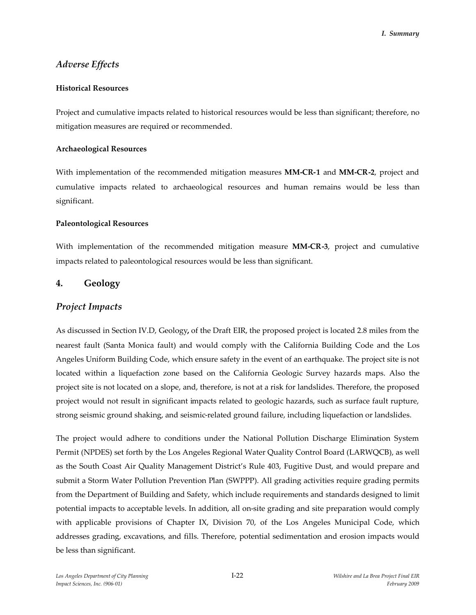# *Adverse Effects*

### **Historical Resources**

Project and cumulative impacts related to historical resources would be less than significant; therefore, no mitigation measures are required or recommended.

#### **Archaeological Resources**

With implementation of the recommended mitigation measures **MM-CR-1** and **MM-CR-2**, project and cumulative impacts related to archaeological resources and human remains would be less than significant.

### **Paleontological Resources**

With implementation of the recommended mitigation measure **MM-CR-3**, project and cumulative impacts related to paleontological resources would be less than significant.

## **4. Geology**

### *Project Impacts*

As discussed in Section IV.D, Geology**,** of the Draft EIR, the proposed project is located 2.8 miles from the nearest fault (Santa Monica fault) and would comply with the California Building Code and the Los Angeles Uniform Building Code, which ensure safety in the event of an earthquake. The project site is not located within a liquefaction zone based on the California Geologic Survey hazards maps. Also the project site is not located on a slope, and, therefore, is not at a risk for landslides. Therefore, the proposed project would not result in significant impacts related to geologic hazards, such as surface fault rupture, strong seismic ground shaking, and seismic-related ground failure, including liquefaction or landslides.

The project would adhere to conditions under the National Pollution Discharge Elimination System Permit (NPDES) set forth by the Los Angeles Regional Water Quality Control Board (LARWQCB), as well as the South Coast Air Quality Management District's Rule 403, Fugitive Dust, and would prepare and submit a Storm Water Pollution Prevention Plan (SWPPP). All grading activities require grading permits from the Department of Building and Safety, which include requirements and standards designed to limit potential impacts to acceptable levels. In addition, all on-site grading and site preparation would comply with applicable provisions of Chapter IX, Division 70, of the Los Angeles Municipal Code, which addresses grading, excavations, and fills. Therefore, potential sedimentation and erosion impacts would be less than significant.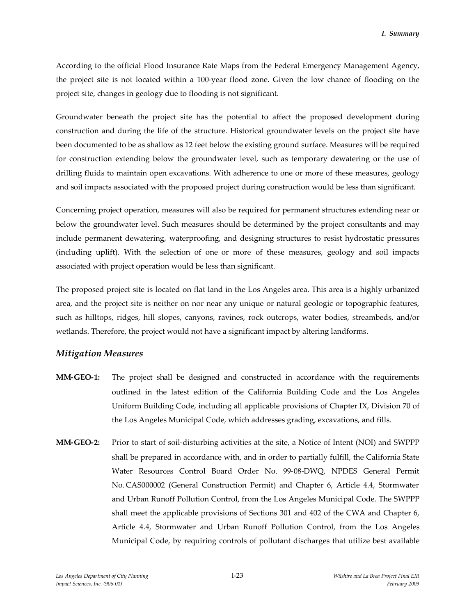According to the official Flood Insurance Rate Maps from the Federal Emergency Management Agency, the project site is not located within a 100-year flood zone. Given the low chance of flooding on the project site, changes in geology due to flooding is not significant.

Groundwater beneath the project site has the potential to affect the proposed development during construction and during the life of the structure. Historical groundwater levels on the project site have been documented to be as shallow as 12 feet below the existing ground surface. Measures will be required for construction extending below the groundwater level, such as temporary dewatering or the use of drilling fluids to maintain open excavations. With adherence to one or more of these measures, geology and soil impacts associated with the proposed project during construction would be less than significant.

Concerning project operation, measures will also be required for permanent structures extending near or below the groundwater level. Such measures should be determined by the project consultants and may include permanent dewatering, waterproofing, and designing structures to resist hydrostatic pressures (including uplift). With the selection of one or more of these measures, geology and soil impacts associated with project operation would be less than significant.

The proposed project site is located on flat land in the Los Angeles area. This area is a highly urbanized area, and the project site is neither on nor near any unique or natural geologic or topographic features, such as hilltops, ridges, hill slopes, canyons, ravines, rock outcrops, water bodies, streambeds, and/or wetlands. Therefore, the project would not have a significant impact by altering landforms.

### *Mitigation Measures*

- **MM-GEO-1:** The project shall be designed and constructed in accordance with the requirements outlined in the latest edition of the California Building Code and the Los Angeles Uniform Building Code, including all applicable provisions of Chapter IX, Division 70 of the Los Angeles Municipal Code, which addresses grading, excavations, and fills.
- **MM-GEO-2:** Prior to start of soil-disturbing activities at the site, a Notice of Intent (NOI) and SWPPP shall be prepared in accordance with, and in order to partially fulfill, the California State Water Resources Control Board Order No. 99-08-DWQ, NPDES General Permit No. CAS000002 (General Construction Permit) and Chapter 6, Article 4.4, Stormwater and Urban Runoff Pollution Control, from the Los Angeles Municipal Code. The SWPPP shall meet the applicable provisions of Sections 301 and 402 of the CWA and Chapter 6, Article 4.4, Stormwater and Urban Runoff Pollution Control, from the Los Angeles Municipal Code, by requiring controls of pollutant discharges that utilize best available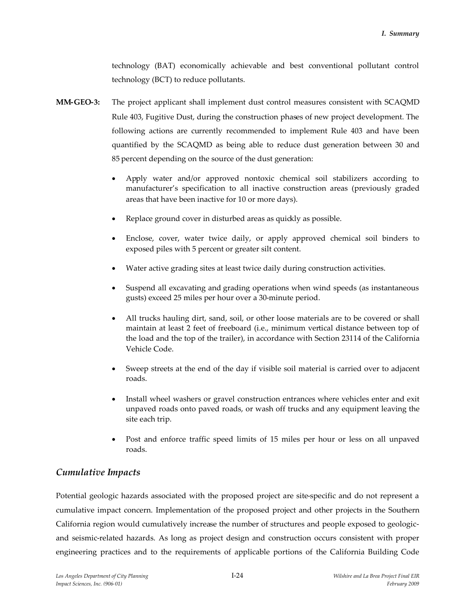technology (BAT) economically achievable and best conventional pollutant control technology (BCT) to reduce pollutants.

- **MM-GEO-3:** The project applicant shall implement dust control measures consistent with SCAQMD Rule 403, Fugitive Dust, during the construction phases of new project development. The following actions are currently recommended to implement Rule 403 and have been quantified by the SCAQMD as being able to reduce dust generation between 30 and 85 percent depending on the source of the dust generation:
	- Apply water and/or approved nontoxic chemical soil stabilizers according to manufacturer's specification to all inactive construction areas (previously graded areas that have been inactive for 10 or more days).
	- Replace ground cover in disturbed areas as quickly as possible.
	- Enclose, cover, water twice daily, or apply approved chemical soil binders to exposed piles with 5 percent or greater silt content.
	- Water active grading sites at least twice daily during construction activities.
	- Suspend all excavating and grading operations when wind speeds (as instantaneous gusts) exceed 25 miles per hour over a 30-minute period.
	- All trucks hauling dirt, sand, soil, or other loose materials are to be covered or shall maintain at least 2 feet of freeboard (i.e., minimum vertical distance between top of the load and the top of the trailer), in accordance with Section 23114 of the California Vehicle Code.
	- Sweep streets at the end of the day if visible soil material is carried over to adjacent roads.
	- Install wheel washers or gravel construction entrances where vehicles enter and exit unpaved roads onto paved roads, or wash off trucks and any equipment leaving the site each trip.
	- Post and enforce traffic speed limits of 15 miles per hour or less on all unpaved roads.

# *Cumulative Impacts*

Potential geologic hazards associated with the proposed project are site-specific and do not represent a cumulative impact concern. Implementation of the proposed project and other projects in the Southern California region would cumulatively increase the number of structures and people exposed to geologicand seismic-related hazards. As long as project design and construction occurs consistent with proper engineering practices and to the requirements of applicable portions of the California Building Code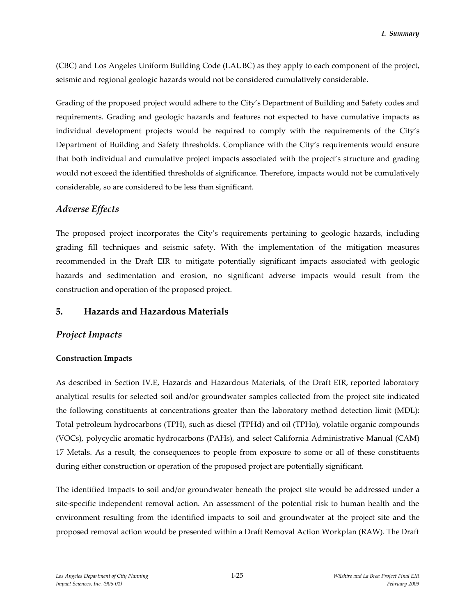(CBC) and Los Angeles Uniform Building Code (LAUBC) as they apply to each component of the project, seismic and regional geologic hazards would not be considered cumulatively considerable.

Grading of the proposed project would adhere to the City's Department of Building and Safety codes and requirements. Grading and geologic hazards and features not expected to have cumulative impacts as individual development projects would be required to comply with the requirements of the City's Department of Building and Safety thresholds. Compliance with the City's requirements would ensure that both individual and cumulative project impacts associated with the project's structure and grading would not exceed the identified thresholds of significance. Therefore, impacts would not be cumulatively considerable, so are considered to be less than significant.

## *Adverse Effects*

The proposed project incorporates the City's requirements pertaining to geologic hazards, including grading fill techniques and seismic safety. With the implementation of the mitigation measures recommended in the Draft EIR to mitigate potentially significant impacts associated with geologic hazards and sedimentation and erosion, no significant adverse impacts would result from the construction and operation of the proposed project.

## **5. Hazards and Hazardous Materials**

### *Project Impacts*

#### **Construction Impacts**

As described in Section IV.E, Hazards and Hazardous Materials, of the Draft EIR, reported laboratory analytical results for selected soil and/or groundwater samples collected from the project site indicated the following constituents at concentrations greater than the laboratory method detection limit (MDL): Total petroleum hydrocarbons (TPH), such as diesel (TPHd) and oil (TPHo), volatile organic compounds (VOCs), polycyclic aromatic hydrocarbons (PAHs), and select California Administrative Manual (CAM) 17 Metals. As a result, the consequences to people from exposure to some or all of these constituents during either construction or operation of the proposed project are potentially significant.

The identified impacts to soil and/or groundwater beneath the project site would be addressed under a site-specific independent removal action. An assessment of the potential risk to human health and the environment resulting from the identified impacts to soil and groundwater at the project site and the proposed removal action would be presented within a Draft Removal Action Workplan (RAW). The Draft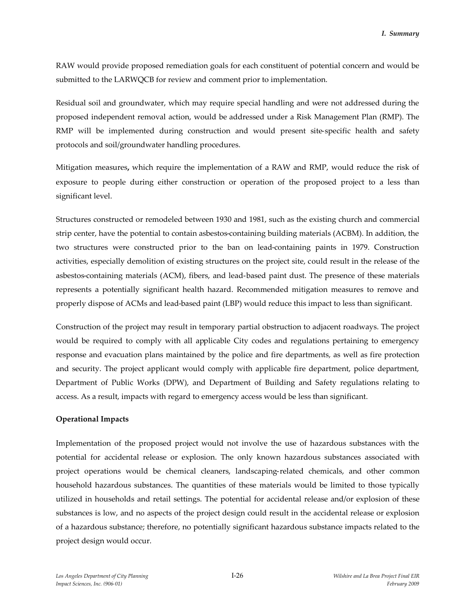RAW would provide proposed remediation goals for each constituent of potential concern and would be submitted to the LARWQCB for review and comment prior to implementation.

Residual soil and groundwater, which may require special handling and were not addressed during the proposed independent removal action, would be addressed under a Risk Management Plan (RMP). The RMP will be implemented during construction and would present site-specific health and safety protocols and soil/groundwater handling procedures.

Mitigation measures**,** which require the implementation of a RAW and RMP, would reduce the risk of exposure to people during either construction or operation of the proposed project to a less than significant level.

Structures constructed or remodeled between 1930 and 1981, such as the existing church and commercial strip center, have the potential to contain asbestos-containing building materials (ACBM). In addition, the two structures were constructed prior to the ban on lead-containing paints in 1979. Construction activities, especially demolition of existing structures on the project site, could result in the release of the asbestos-containing materials (ACM), fibers, and lead-based paint dust. The presence of these materials represents a potentially significant health hazard. Recommended mitigation measures to remove and properly dispose of ACMs and lead-based paint (LBP) would reduce this impact to less than significant.

Construction of the project may result in temporary partial obstruction to adjacent roadways. The project would be required to comply with all applicable City codes and regulations pertaining to emergency response and evacuation plans maintained by the police and fire departments, as well as fire protection and security. The project applicant would comply with applicable fire department, police department, Department of Public Works (DPW), and Department of Building and Safety regulations relating to access. As a result, impacts with regard to emergency access would be less than significant.

#### **Operational Impacts**

Implementation of the proposed project would not involve the use of hazardous substances with the potential for accidental release or explosion. The only known hazardous substances associated with project operations would be chemical cleaners, landscaping-related chemicals, and other common household hazardous substances. The quantities of these materials would be limited to those typically utilized in households and retail settings. The potential for accidental release and/or explosion of these substances is low, and no aspects of the project design could result in the accidental release or explosion of a hazardous substance; therefore, no potentially significant hazardous substance impacts related to the project design would occur.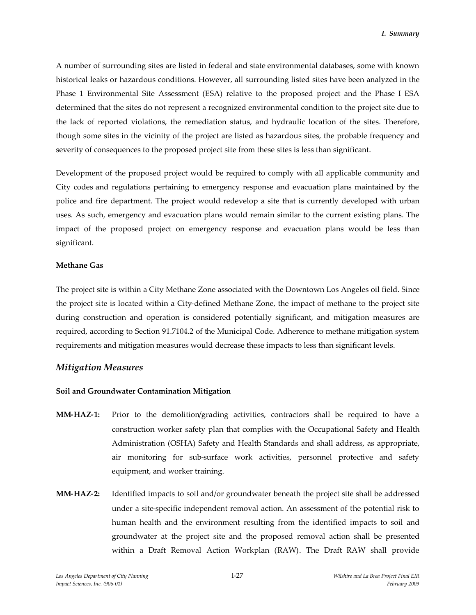A number of surrounding sites are listed in federal and state environmental databases, some with known historical leaks or hazardous conditions. However, all surrounding listed sites have been analyzed in the Phase 1 Environmental Site Assessment (ESA) relative to the proposed project and the Phase I ESA determined that the sites do not represent a recognized environmental condition to the project site due to the lack of reported violations, the remediation status, and hydraulic location of the sites. Therefore, though some sites in the vicinity of the project are listed as hazardous sites, the probable frequency and severity of consequences to the proposed project site from these sites is less than significant.

Development of the proposed project would be required to comply with all applicable community and City codes and regulations pertaining to emergency response and evacuation plans maintained by the police and fire department. The project would redevelop a site that is currently developed with urban uses. As such, emergency and evacuation plans would remain similar to the current existing plans. The impact of the proposed project on emergency response and evacuation plans would be less than significant.

#### **Methane Gas**

The project site is within a City Methane Zone associated with the Downtown Los Angeles oil field. Since the project site is located within a City-defined Methane Zone, the impact of methane to the project site during construction and operation is considered potentially significant, and mitigation measures are required, according to Section 91.7104.2 of the Municipal Code. Adherence to methane mitigation system requirements and mitigation measures would decrease these impacts to less than significant levels.

### *Mitigation Measures*

#### **Soil and Groundwater Contamination Mitigation**

- **MM-HAZ-1:** Prior to the demolition/grading activities, contractors shall be required to have a construction worker safety plan that complies with the Occupational Safety and Health Administration (OSHA) Safety and Health Standards and shall address, as appropriate, air monitoring for sub-surface work activities, personnel protective and safety equipment, and worker training.
- **MM-HAZ-2:** Identified impacts to soil and/or groundwater beneath the project site shall be addressed under a site-specific independent removal action. An assessment of the potential risk to human health and the environment resulting from the identified impacts to soil and groundwater at the project site and the proposed removal action shall be presented within a Draft Removal Action Workplan (RAW). The Draft RAW shall provide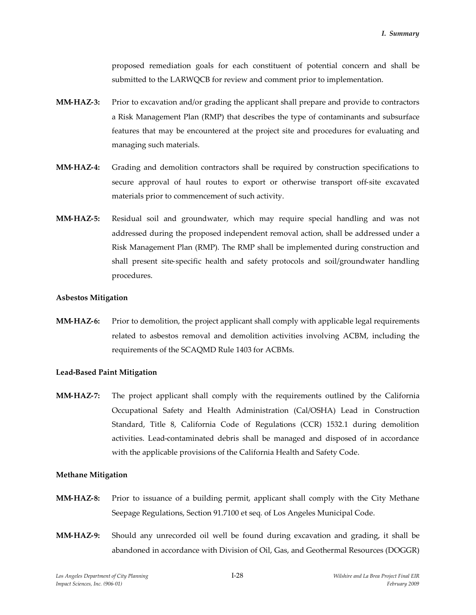proposed remediation goals for each constituent of potential concern and shall be submitted to the LARWQCB for review and comment prior to implementation.

- **MM-HAZ-3:** Prior to excavation and/or grading the applicant shall prepare and provide to contractors a Risk Management Plan (RMP) that describes the type of contaminants and subsurface features that may be encountered at the project site and procedures for evaluating and managing such materials.
- **MM-HAZ-4:** Grading and demolition contractors shall be required by construction specifications to secure approval of haul routes to export or otherwise transport off-site excavated materials prior to commencement of such activity.
- **MM-HAZ-5:** Residual soil and groundwater, which may require special handling and was not addressed during the proposed independent removal action, shall be addressed under a Risk Management Plan (RMP). The RMP shall be implemented during construction and shall present site-specific health and safety protocols and soil/groundwater handling procedures.

#### **Asbestos Mitigation**

**MM-HAZ-6:** Prior to demolition, the project applicant shall comply with applicable legal requirements related to asbestos removal and demolition activities involving ACBM, including the requirements of the SCAQMD Rule 1403 for ACBMs.

#### **Lead-Based Paint Mitigation**

**MM-HAZ-7:** The project applicant shall comply with the requirements outlined by the California Occupational Safety and Health Administration (Cal/OSHA) Lead in Construction Standard, Title 8, California Code of Regulations (CCR) 1532.1 during demolition activities. Lead-contaminated debris shall be managed and disposed of in accordance with the applicable provisions of the California Health and Safety Code.

#### **Methane Mitigation**

- **MM-HAZ-8:** Prior to issuance of a building permit, applicant shall comply with the City Methane Seepage Regulations, Section 91.7100 et seq. of Los Angeles Municipal Code.
- **MM-HAZ-9:** Should any unrecorded oil well be found during excavation and grading, it shall be abandoned in accordance with Division of Oil, Gas, and Geothermal Resources (DOGGR)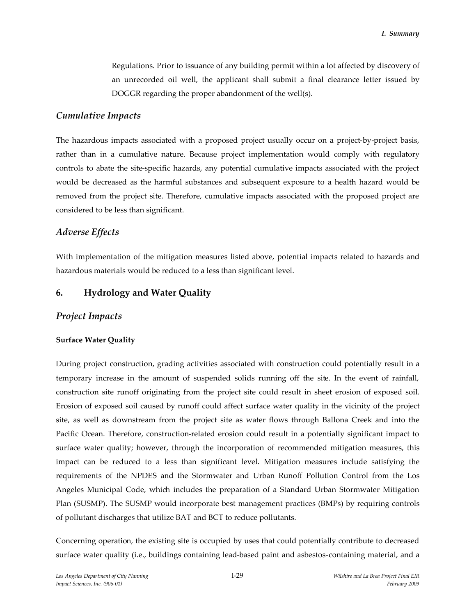Regulations. Prior to issuance of any building permit within a lot affected by discovery of an unrecorded oil well, the applicant shall submit a final clearance letter issued by DOGGR regarding the proper abandonment of the well(s).

### *Cumulative Impacts*

The hazardous impacts associated with a proposed project usually occur on a project-by-project basis, rather than in a cumulative nature. Because project implementation would comply with regulatory controls to abate the site-specific hazards, any potential cumulative impacts associated with the project would be decreased as the harmful substances and subsequent exposure to a health hazard would be removed from the project site. Therefore, cumulative impacts associated with the proposed project are considered to be less than significant.

## *Adverse Effects*

With implementation of the mitigation measures listed above, potential impacts related to hazards and hazardous materials would be reduced to a less than significant level.

## **6. Hydrology and Water Quality**

## *Project Impacts*

### **Surface Water Quality**

During project construction, grading activities associated with construction could potentially result in a temporary increase in the amount of suspended solids running off the site. In the event of rainfall, construction site runoff originating from the project site could result in sheet erosion of exposed soil. Erosion of exposed soil caused by runoff could affect surface water quality in the vicinity of the project site, as well as downstream from the project site as water flows through Ballona Creek and into the Pacific Ocean. Therefore, construction-related erosion could result in a potentially significant impact to surface water quality; however, through the incorporation of recommended mitigation measures, this impact can be reduced to a less than significant level. Mitigation measures include satisfying the requirements of the NPDES and the Stormwater and Urban Runoff Pollution Control from the Los Angeles Municipal Code, which includes the preparation of a Standard Urban Stormwater Mitigation Plan (SUSMP). The SUSMP would incorporate best management practices (BMPs) by requiring controls of pollutant discharges that utilize BAT and BCT to reduce pollutants.

Concerning operation, the existing site is occupied by uses that could potentially contribute to decreased surface water quality (i.e., buildings containing lead-based paint and asbestos-containing material, and a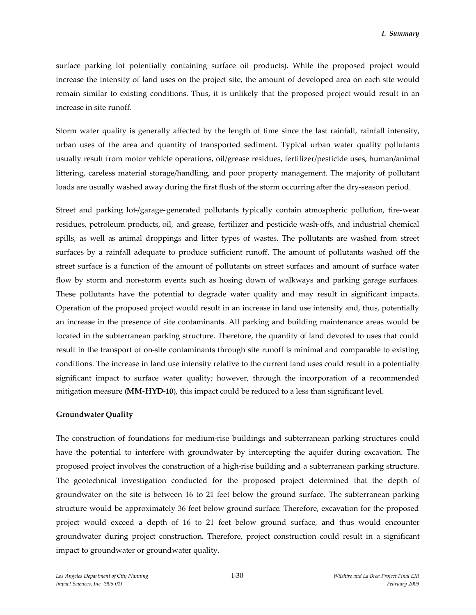surface parking lot potentially containing surface oil products). While the proposed project would increase the intensity of land uses on the project site, the amount of developed area on each site would remain similar to existing conditions. Thus, it is unlikely that the proposed project would result in an increase in site runoff.

Storm water quality is generally affected by the length of time since the last rainfall, rainfall intensity, urban uses of the area and quantity of transported sediment. Typical urban water quality pollutants usually result from motor vehicle operations, oil/grease residues, fertilizer/pesticide uses, human/animal littering, careless material storage/handling, and poor property management. The majority of pollutant loads are usually washed away during the first flush of the storm occurring after the dry-season period.

Street and parking lot-/garage-generated pollutants typically contain atmospheric pollution, tire-wear residues, petroleum products, oil, and grease, fertilizer and pesticide wash-offs, and industrial chemical spills, as well as animal droppings and litter types of wastes. The pollutants are washed from street surfaces by a rainfall adequate to produce sufficient runoff. The amount of pollutants washed off the street surface is a function of the amount of pollutants on street surfaces and amount of surface water flow by storm and non-storm events such as hosing down of walkways and parking garage surfaces. These pollutants have the potential to degrade water quality and may result in significant impacts. Operation of the proposed project would result in an increase in land use intensity and, thus, potentially an increase in the presence of site contaminants. All parking and building maintenance areas would be located in the subterranean parking structure. Therefore, the quantity of land devoted to uses that could result in the transport of on-site contaminants through site runoff is minimal and comparable to existing conditions. The increase in land use intensity relative to the current land uses could result in a potentially significant impact to surface water quality; however, through the incorporation of a recommended mitigation measure (**MM-HYD-10**), this impact could be reduced to a less than significant level.

#### **Groundwater Quality**

The construction of foundations for medium-rise buildings and subterranean parking structures could have the potential to interfere with groundwater by intercepting the aquifer during excavation. The proposed project involves the construction of a high-rise building and a subterranean parking structure. The geotechnical investigation conducted for the proposed project determined that the depth of groundwater on the site is between 16 to 21 feet below the ground surface. The subterranean parking structure would be approximately 36 feet below ground surface. Therefore, excavation for the proposed project would exceed a depth of 16 to 21 feet below ground surface, and thus would encounter groundwater during project construction. Therefore, project construction could result in a significant impact to groundwater or groundwater quality.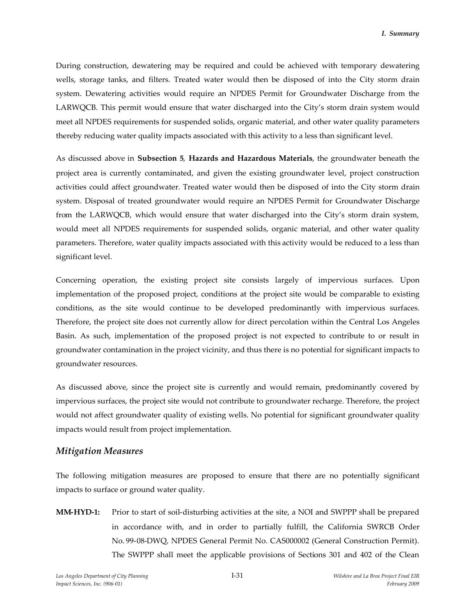During construction, dewatering may be required and could be achieved with temporary dewatering wells, storage tanks, and filters. Treated water would then be disposed of into the City storm drain system. Dewatering activities would require an NPDES Permit for Groundwater Discharge from the LARWQCB. This permit would ensure that water discharged into the City's storm drain system would meet all NPDES requirements for suspended solids, organic material, and other water quality parameters thereby reducing water quality impacts associated with this activity to a less than significant level.

As discussed above in **Subsection 5**, **Hazards and Hazardous Materials**, the groundwater beneath the project area is currently contaminated, and given the existing groundwater level, project construction activities could affect groundwater. Treated water would then be disposed of into the City storm drain system. Disposal of treated groundwater would require an NPDES Permit for Groundwater Discharge from the LARWQCB, which would ensure that water discharged into the City's storm drain system, would meet all NPDES requirements for suspended solids, organic material, and other water quality parameters. Therefore, water quality impacts associated with this activity would be reduced to a less than significant level.

Concerning operation, the existing project site consists largely of impervious surfaces. Upon implementation of the proposed project, conditions at the project site would be comparable to existing conditions, as the site would continue to be developed predominantly with impervious surfaces. Therefore, the project site does not currently allow for direct percolation within the Central Los Angeles Basin. As such, implementation of the proposed project is not expected to contribute to or result in groundwater contamination in the project vicinity, and thus there is no potential for significant impacts to groundwater resources.

As discussed above, since the project site is currently and would remain, predominantly covered by impervious surfaces, the project site would not contribute to groundwater recharge. Therefore, the project would not affect groundwater quality of existing wells. No potential for significant groundwater quality impacts would result from project implementation.

### *Mitigation Measures*

The following mitigation measures are proposed to ensure that there are no potentially significant impacts to surface or ground water quality.

**MM-HYD-1:** Prior to start of soil-disturbing activities at the site, a NOI and SWPPP shall be prepared in accordance with, and in order to partially fulfill, the California SWRCB Order No. 99-08-DWQ, NPDES General Permit No. CAS000002 (General Construction Permit). The SWPPP shall meet the applicable provisions of Sections 301 and 402 of the Clean

*Los Angeles Department of City Planning* I-31 *Wilshire and La Brea Project Final EIR Impact Sciences, Inc. (906-01) February 2009*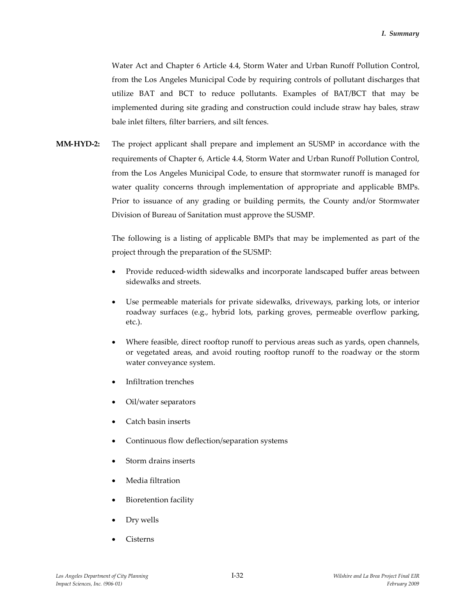Water Act and Chapter 6 Article 4.4, Storm Water and Urban Runoff Pollution Control, from the Los Angeles Municipal Code by requiring controls of pollutant discharges that utilize BAT and BCT to reduce pollutants. Examples of BAT/BCT that may be implemented during site grading and construction could include straw hay bales, straw bale inlet filters, filter barriers, and silt fences.

**MM-HYD-2:** The project applicant shall prepare and implement an SUSMP in accordance with the requirements of Chapter 6, Article 4.4, Storm Water and Urban Runoff Pollution Control, from the Los Angeles Municipal Code, to ensure that stormwater runoff is managed for water quality concerns through implementation of appropriate and applicable BMPs. Prior to issuance of any grading or building permits, the County and/or Stormwater Division of Bureau of Sanitation must approve the SUSMP.

> The following is a listing of applicable BMPs that may be implemented as part of the project through the preparation of the SUSMP:

- Provide reduced-width sidewalks and incorporate landscaped buffer areas between sidewalks and streets.
- Use permeable materials for private sidewalks, driveways, parking lots, or interior roadway surfaces (e.g., hybrid lots, parking groves, permeable overflow parking, etc.).
- Where feasible, direct rooftop runoff to pervious areas such as yards, open channels, or vegetated areas, and avoid routing rooftop runoff to the roadway or the storm water conveyance system.
- Infiltration trenches
- Oil/water separators
- Catch basin inserts
- Continuous flow deflection/separation systems
- Storm drains inserts
- Media filtration
- Bioretention facility
- Dry wells
- Cisterns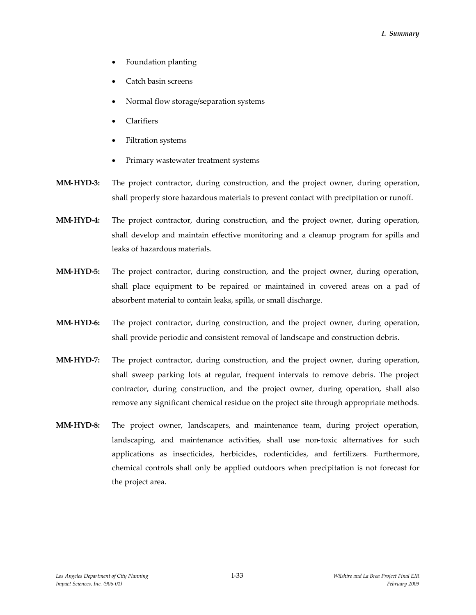- Foundation planting
- Catch basin screens
- Normal flow storage/separation systems
- Clarifiers
- Filtration systems
- Primary wastewater treatment systems
- **MM-HYD-3:** The project contractor, during construction, and the project owner, during operation, shall properly store hazardous materials to prevent contact with precipitation or runoff.
- **MM-HYD-4:** The project contractor, during construction, and the project owner, during operation, shall develop and maintain effective monitoring and a cleanup program for spills and leaks of hazardous materials.
- **MM-HYD-5:** The project contractor, during construction, and the project owner, during operation, shall place equipment to be repaired or maintained in covered areas on a pad of absorbent material to contain leaks, spills, or small discharge.
- **MM-HYD-6:** The project contractor, during construction, and the project owner, during operation, shall provide periodic and consistent removal of landscape and construction debris.
- **MM-HYD-7:** The project contractor, during construction, and the project owner, during operation, shall sweep parking lots at regular, frequent intervals to remove debris. The project contractor, during construction, and the project owner, during operation, shall also remove any significant chemical residue on the project site through appropriate methods.
- **MM-HYD-8:** The project owner, landscapers, and maintenance team, during project operation, landscaping, and maintenance activities, shall use non-toxic alternatives for such applications as insecticides, herbicides, rodenticides, and fertilizers. Furthermore, chemical controls shall only be applied outdoors when precipitation is not forecast for the project area.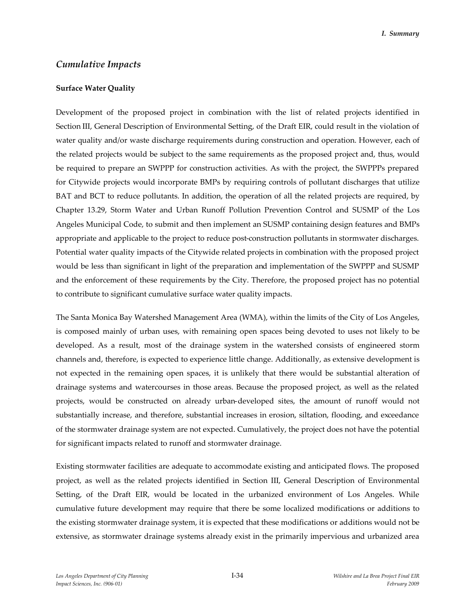### *Cumulative Impacts*

#### **Surface Water Quality**

Development of the proposed project in combination with the list of related projects identified in Section III, General Description of Environmental Setting, of the Draft EIR, could result in the violation of water quality and/or waste discharge requirements during construction and operation. However, each of the related projects would be subject to the same requirements as the proposed project and, thus, would be required to prepare an SWPPP for construction activities. As with the project, the SWPPPs prepared for Citywide projects would incorporate BMPs by requiring controls of pollutant discharges that utilize BAT and BCT to reduce pollutants. In addition, the operation of all the related projects are required, by Chapter 13.29, Storm Water and Urban Runoff Pollution Prevention Control and SUSMP of the Los Angeles Municipal Code, to submit and then implement an SUSMP containing design features and BMPs appropriate and applicable to the project to reduce post-construction pollutants in stormwater discharges. Potential water quality impacts of the Citywide related projects in combination with the proposed project would be less than significant in light of the preparation and implementation of the SWPPP and SUSMP and the enforcement of these requirements by the City. Therefore, the proposed project has no potential to contribute to significant cumulative surface water quality impacts.

The Santa Monica Bay Watershed Management Area (WMA), within the limits of the City of Los Angeles, is composed mainly of urban uses, with remaining open spaces being devoted to uses not likely to be developed. As a result, most of the drainage system in the watershed consists of engineered storm channels and, therefore, is expected to experience little change. Additionally, as extensive development is not expected in the remaining open spaces, it is unlikely that there would be substantial alteration of drainage systems and watercourses in those areas. Because the proposed project, as well as the related projects, would be constructed on already urban-developed sites, the amount of runoff would not substantially increase, and therefore, substantial increases in erosion, siltation, flooding, and exceedance of the stormwater drainage system are not expected. Cumulatively, the project does not have the potential for significant impacts related to runoff and stormwater drainage.

Existing stormwater facilities are adequate to accommodate existing and anticipated flows. The proposed project, as well as the related projects identified in Section III, General Description of Environmental Setting, of the Draft EIR, would be located in the urbanized environment of Los Angeles. While cumulative future development may require that there be some localized modifications or additions to the existing stormwater drainage system, it is expected that these modifications or additions would not be extensive, as stormwater drainage systems already exist in the primarily impervious and urbanized area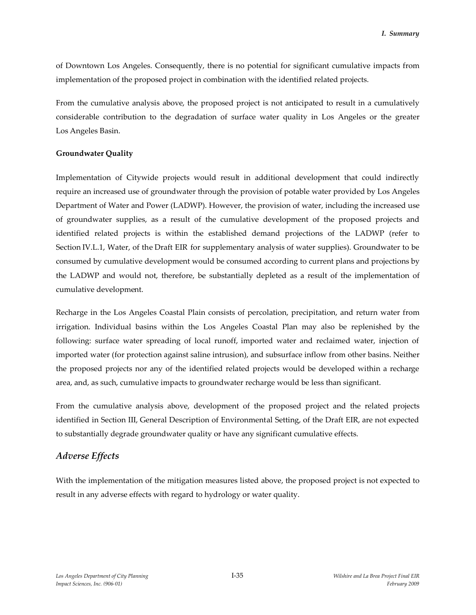of Downtown Los Angeles. Consequently, there is no potential for significant cumulative impacts from implementation of the proposed project in combination with the identified related projects.

From the cumulative analysis above, the proposed project is not anticipated to result in a cumulatively considerable contribution to the degradation of surface water quality in Los Angeles or the greater Los Angeles Basin.

### **Groundwater Quality**

Implementation of Citywide projects would result in additional development that could indirectly require an increased use of groundwater through the provision of potable water provided by Los Angeles Department of Water and Power (LADWP). However, the provision of water, including the increased use of groundwater supplies, as a result of the cumulative development of the proposed projects and identified related projects is within the established demand projections of the LADWP (refer to Section IV.L.1, Water, of the Draft EIR for supplementary analysis of water supplies). Groundwater to be consumed by cumulative development would be consumed according to current plans and projections by the LADWP and would not, therefore, be substantially depleted as a result of the implementation of cumulative development.

Recharge in the Los Angeles Coastal Plain consists of percolation, precipitation, and return water from irrigation. Individual basins within the Los Angeles Coastal Plan may also be replenished by the following: surface water spreading of local runoff, imported water and reclaimed water, injection of imported water (for protection against saline intrusion), and subsurface inflow from other basins. Neither the proposed projects nor any of the identified related projects would be developed within a recharge area, and, as such, cumulative impacts to groundwater recharge would be less than significant.

From the cumulative analysis above, development of the proposed project and the related projects identified in Section III, General Description of Environmental Setting, of the Draft EIR, are not expected to substantially degrade groundwater quality or have any significant cumulative effects.

## *Adverse Effects*

With the implementation of the mitigation measures listed above, the proposed project is not expected to result in any adverse effects with regard to hydrology or water quality.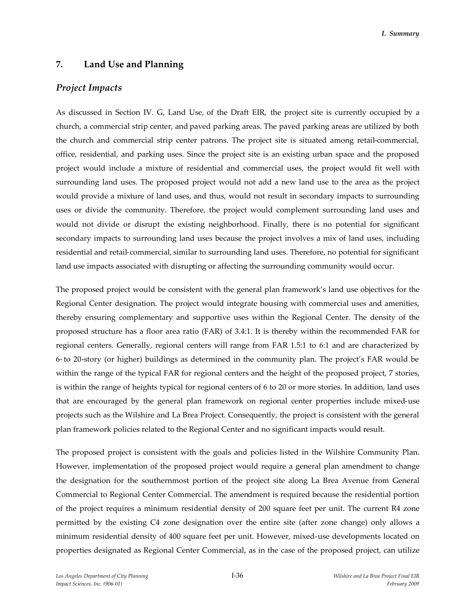## **7. Land Use and Planning**

### *Project Impacts*

As discussed in Section IV. G, Land Use, of the Draft EIR, the project site is currently occupied by a church, a commercial strip center, and paved parking areas. The paved parking areas are utilized by both the church and commercial strip center patrons. The project site is situated among retail-commercial, office, residential, and parking uses. Since the project site is an existing urban space and the proposed project would include a mixture of residential and commercial uses, the project would fit well with surrounding land uses. The proposed project would not add a new land use to the area as the project would provide a mixture of land uses, and thus, would not result in secondary impacts to surrounding uses or divide the community. Therefore, the project would complement surrounding land uses and would not divide or disrupt the existing neighborhood. Finally, there is no potential for significant secondary impacts to surrounding land uses because the project involves a mix of land uses, including residential and retail-commercial, similar to surrounding land uses. Therefore, no potential for significant land use impacts associated with disrupting or affecting the surrounding community would occur.

The proposed project would be consistent with the general plan framework's land use objectives for the Regional Center designation. The project would integrate housing with commercial uses and amenities, thereby ensuring complementary and supportive uses within the Regional Center. The density of the proposed structure has a floor area ratio (FAR) of 3.4:1. It is thereby within the recommended FAR for regional centers. Generally, regional centers will range from FAR 1.5:1 to 6:1 and are characterized by 6- to 20-story (or higher) buildings as determined in the community plan. The project's FAR would be within the range of the typical FAR for regional centers and the height of the proposed project, 7 stories, is within the range of heights typical for regional centers of 6 to 20 or more stories. In addition, land uses that are encouraged by the general plan framework on regional center properties include mixed-use projects such as the Wilshire and La Brea Project. Consequently, the project is consistent with the general plan framework policies related to the Regional Center and no significant impacts would result.

The proposed project is consistent with the goals and policies listed in the Wilshire Community Plan. However, implementation of the proposed project would require a general plan amendment to change the designation for the southernmost portion of the project site along La Brea Avenue from General Commercial to Regional Center Commercial. The amendment is required because the residential portion of the project requires a minimum residential density of 200 square feet per unit. The current R4 zone permitted by the existing C4 zone designation over the entire site (after zone change) only allows a minimum residential density of 400 square feet per unit. However, mixed-use developments located on properties designated as Regional Center Commercial, as in the case of the proposed project, can utilize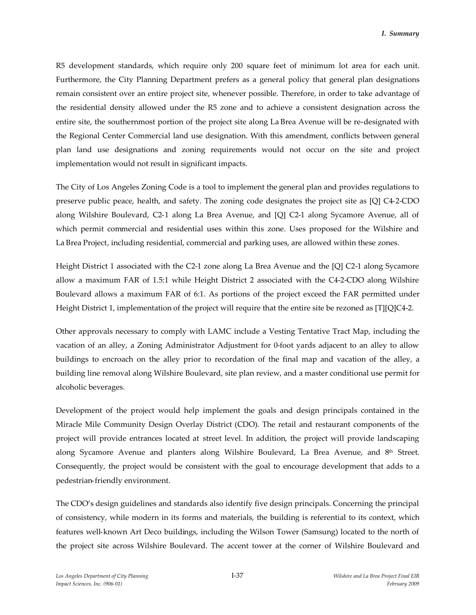R5 development standards, which require only 200 square feet of minimum lot area for each unit. Furthermore, the City Planning Department prefers as a general policy that general plan designations remain consistent over an entire project site, whenever possible. Therefore, in order to take advantage of the residential density allowed under the R5 zone and to achieve a consistent designation across the entire site, the southernmost portion of the project site along La Brea Avenue will be re-designated with the Regional Center Commercial land use designation. With this amendment, conflicts between general plan land use designations and zoning requirements would not occur on the site and project implementation would not result in significant impacts.

The City of Los Angeles Zoning Code is a tool to implement the general plan and provides regulations to preserve public peace, health, and safety. The zoning code designates the project site as [Q] C4-2-CDO along Wilshire Boulevard, C2-1 along La Brea Avenue, and [Q] C2-1 along Sycamore Avenue, all of which permit commercial and residential uses within this zone. Uses proposed for the Wilshire and La Brea Project, including residential, commercial and parking uses, are allowed within these zones.

Height District 1 associated with the C2-1 zone along La Brea Avenue and the [Q] C2-1 along Sycamore allow a maximum FAR of 1.5:1 while Height District 2 associated with the C4-2-CDO along Wilshire Boulevard allows a maximum FAR of 6:1. As portions of the project exceed the FAR permitted under Height District 1, implementation of the project will require that the entire site be rezoned as [T][Q]C4-2.

Other approvals necessary to comply with LAMC include a Vesting Tentative Tract Map, including the vacation of an alley, a Zoning Administrator Adjustment for 0-foot yards adjacent to an alley to allow buildings to encroach on the alley prior to recordation of the final map and vacation of the alley, a building line removal along Wilshire Boulevard, site plan review, and a master conditional use permit for alcoholic beverages.

Development of the project would help implement the goals and design principals contained in the Miracle Mile Community Design Overlay District (CDO). The retail and restaurant components of the project will provide entrances located at street level. In addition, the project will provide landscaping along Sycamore Avenue and planters along Wilshire Boulevard, La Brea Avenue, and 8th Street. Consequently, the project would be consistent with the goal to encourage development that adds to a pedestrian-friendly environment.

The CDO's design guidelines and standards also identify five design principals. Concerning the principal of consistency, while modern in its forms and materials, the building is referential to its context, which features well-known Art Deco buildings, including the Wilson Tower (Samsung) located to the north of the project site across Wilshire Boulevard. The accent tower at the corner of Wilshire Boulevard and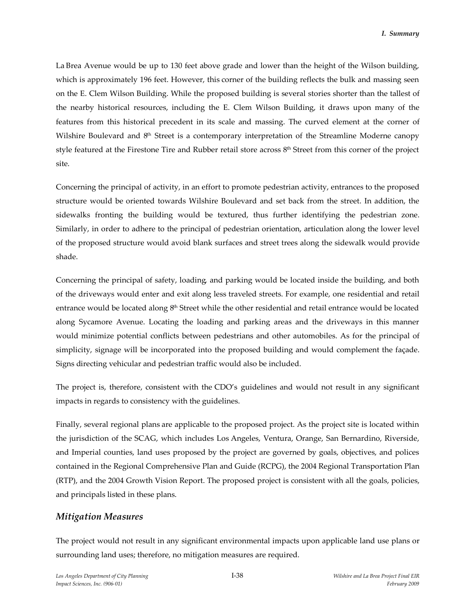La Brea Avenue would be up to 130 feet above grade and lower than the height of the Wilson building, which is approximately 196 feet. However, this corner of the building reflects the bulk and massing seen on the E. Clem Wilson Building. While the proposed building is several stories shorter than the tallest of the nearby historical resources, including the E. Clem Wilson Building, it draws upon many of the features from this historical precedent in its scale and massing. The curved element at the corner of Wilshire Boulevard and 8<sup>th</sup> Street is a contemporary interpretation of the Streamline Moderne canopy style featured at the Firestone Tire and Rubber retail store across 8<sup>th</sup> Street from this corner of the project site.

Concerning the principal of activity, in an effort to promote pedestrian activity, entrances to the proposed structure would be oriented towards Wilshire Boulevard and set back from the street. In addition, the sidewalks fronting the building would be textured, thus further identifying the pedestrian zone. Similarly, in order to adhere to the principal of pedestrian orientation, articulation along the lower level of the proposed structure would avoid blank surfaces and street trees along the sidewalk would provide shade.

Concerning the principal of safety, loading, and parking would be located inside the building, and both of the driveways would enter and exit along less traveled streets. For example, one residential and retail entrance would be located along 8<sup>th</sup> Street while the other residential and retail entrance would be located along Sycamore Avenue. Locating the loading and parking areas and the driveways in this manner would minimize potential conflicts between pedestrians and other automobiles. As for the principal of simplicity, signage will be incorporated into the proposed building and would complement the façade. Signs directing vehicular and pedestrian traffic would also be included.

The project is, therefore, consistent with the CDO's guidelines and would not result in any significant impacts in regards to consistency with the guidelines.

Finally, several regional plans are applicable to the proposed project. As the project site is located within the jurisdiction of the SCAG, which includes Los Angeles, Ventura, Orange, San Bernardino, Riverside, and Imperial counties, land uses proposed by the project are governed by goals, objectives, and polices contained in the Regional Comprehensive Plan and Guide (RCPG), the 2004 Regional Transportation Plan (RTP), and the 2004 Growth Vision Report. The proposed project is consistent with all the goals, policies, and principals listed in these plans.

## *Mitigation Measures*

The project would not result in any significant environmental impacts upon applicable land use plans or surrounding land uses; therefore, no mitigation measures are required.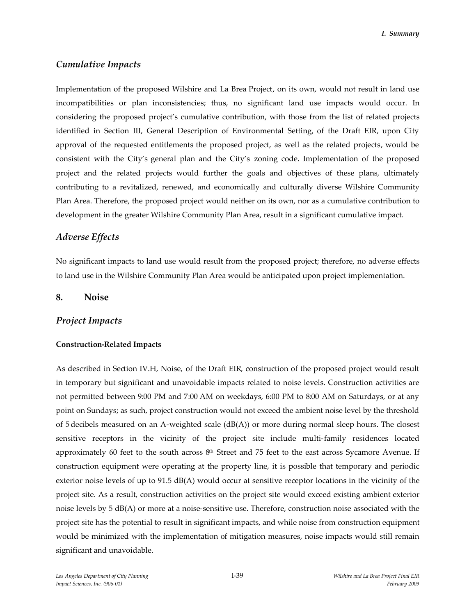## *Cumulative Impacts*

Implementation of the proposed Wilshire and La Brea Project, on its own, would not result in land use incompatibilities or plan inconsistencies; thus, no significant land use impacts would occur. In considering the proposed project's cumulative contribution, with those from the list of related projects identified in Section III, General Description of Environmental Setting, of the Draft EIR, upon City approval of the requested entitlements the proposed project, as well as the related projects, would be consistent with the City's general plan and the City's zoning code. Implementation of the proposed project and the related projects would further the goals and objectives of these plans, ultimately contributing to a revitalized, renewed, and economically and culturally diverse Wilshire Community Plan Area. Therefore, the proposed project would neither on its own, nor as a cumulative contribution to development in the greater Wilshire Community Plan Area, result in a significant cumulative impact.

## *Adverse Effects*

No significant impacts to land use would result from the proposed project; therefore, no adverse effects to land use in the Wilshire Community Plan Area would be anticipated upon project implementation.

### **8. Noise**

### *Project Impacts*

### **Construction-Related Impacts**

As described in Section IV.H, Noise, of the Draft EIR, construction of the proposed project would result in temporary but significant and unavoidable impacts related to noise levels. Construction activities are not permitted between 9:00 PM and 7:00 AM on weekdays, 6:00 PM to 8:00 AM on Saturdays, or at any point on Sundays; as such, project construction would not exceed the ambient noise level by the threshold of 5 decibels measured on an A-weighted scale  $(dB(A))$  or more during normal sleep hours. The closest sensitive receptors in the vicinity of the project site include multi-family residences located approximately 60 feet to the south across  $8<sup>th</sup>$  Street and 75 feet to the east across Sycamore Avenue. If construction equipment were operating at the property line, it is possible that temporary and periodic exterior noise levels of up to 91.5 dB(A) would occur at sensitive receptor locations in the vicinity of the project site. As a result, construction activities on the project site would exceed existing ambient exterior noise levels by 5 dB(A) or more at a noise-sensitive use. Therefore, construction noise associated with the project site has the potential to result in significant impacts, and while noise from construction equipment would be minimized with the implementation of mitigation measures, noise impacts would still remain significant and unavoidable.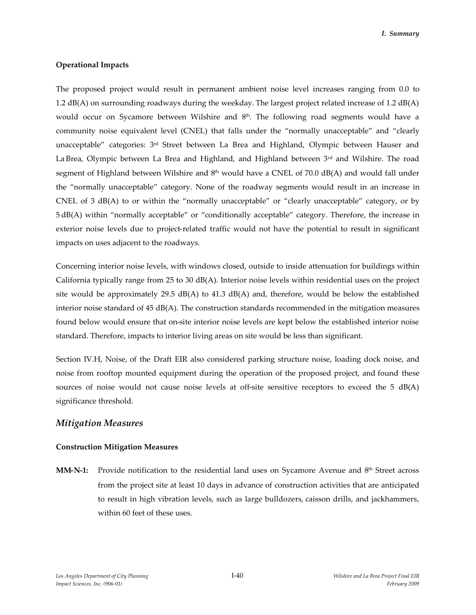#### **Operational Impacts**

The proposed project would result in permanent ambient noise level increases ranging from 0.0 to 1.2 dB(A) on surrounding roadways during the weekday. The largest project related increase of 1.2 dB(A) would occur on Sycamore between Wilshire and  $8<sup>th</sup>$ . The following road segments would have a community noise equivalent level (CNEL) that falls under the "normally unacceptable" and "clearly unacceptable" categories: 3<sup>rd</sup> Street between La Brea and Highland, Olympic between Hauser and La Brea, Olympic between La Brea and Highland, and Highland between  $3<sup>rd</sup>$  and Wilshire. The road segment of Highland between Wilshire and  $8<sup>th</sup>$  would have a CNEL of 70.0 dB(A) and would fall under the "normally unacceptable" category. None of the roadway segments would result in an increase in CNEL of 3 dB(A) to or within the "normally unacceptable" or "clearly unacceptable" category, or by 5 dB(A) within "normally acceptable" or "conditionally acceptable" category. Therefore, the increase in exterior noise levels due to project-related traffic would not have the potential to result in significant impacts on uses adjacent to the roadways.

Concerning interior noise levels, with windows closed, outside to inside attenuation for buildings within California typically range from 25 to 30 dB(A). Interior noise levels within residential uses on the project site would be approximately 29.5  $dB(A)$  to 41.3  $dB(A)$  and, therefore, would be below the established interior noise standard of 45 dB(A). The construction standards recommended in the mitigation measures found below would ensure that on-site interior noise levels are kept below the established interior noise standard. Therefore, impacts to interior living areas on site would be less than significant.

Section IV.H, Noise, of the Draft EIR also considered parking structure noise, loading dock noise, and noise from rooftop mounted equipment during the operation of the proposed project, and found these sources of noise would not cause noise levels at off-site sensitive receptors to exceed the 5 dB(A) significance threshold.

## *Mitigation Measures*

#### **Construction Mitigation Measures**

**MM-N-1:** Provide notification to the residential land uses on Sycamore Avenue and 8<sup>th</sup> Street across from the project site at least 10 days in advance of construction activities that are anticipated to result in high vibration levels, such as large bulldozers, caisson drills, and jackhammers, within 60 feet of these uses.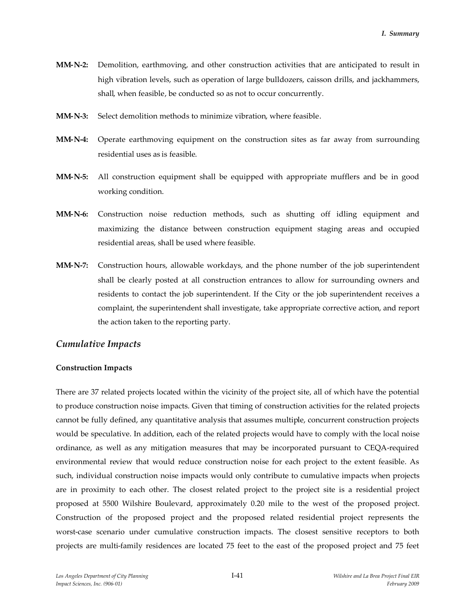- **MM-N-2:** Demolition, earthmoving, and other construction activities that are anticipated to result in high vibration levels, such as operation of large bulldozers, caisson drills, and jackhammers, shall, when feasible, be conducted so as not to occur concurrently.
- **MM-N-3:** Select demolition methods to minimize vibration, where feasible.
- **MM-N-4:** Operate earthmoving equipment on the construction sites as far away from surrounding residential uses as is feasible.
- **MM-N-5:** All construction equipment shall be equipped with appropriate mufflers and be in good working condition.
- **MM-N-6:** Construction noise reduction methods, such as shutting off idling equipment and maximizing the distance between construction equipment staging areas and occupied residential areas, shall be used where feasible.
- **MM-N-7:** Construction hours, allowable workdays, and the phone number of the job superintendent shall be clearly posted at all construction entrances to allow for surrounding owners and residents to contact the job superintendent. If the City or the job superintendent receives a complaint, the superintendent shall investigate, take appropriate corrective action, and report the action taken to the reporting party.

## *Cumulative Impacts*

### **Construction Impacts**

There are 37 related projects located within the vicinity of the project site, all of which have the potential to produce construction noise impacts. Given that timing of construction activities for the related projects cannot be fully defined, any quantitative analysis that assumes multiple, concurrent construction projects would be speculative. In addition, each of the related projects would have to comply with the local noise ordinance, as well as any mitigation measures that may be incorporated pursuant to CEQA-required environmental review that would reduce construction noise for each project to the extent feasible. As such, individual construction noise impacts would only contribute to cumulative impacts when projects are in proximity to each other. The closest related project to the project site is a residential project proposed at 5500 Wilshire Boulevard, approximately 0.20 mile to the west of the proposed project. Construction of the proposed project and the proposed related residential project represents the worst-case scenario under cumulative construction impacts. The closest sensitive receptors to both projects are multi-family residences are located 75 feet to the east of the proposed project and 75 feet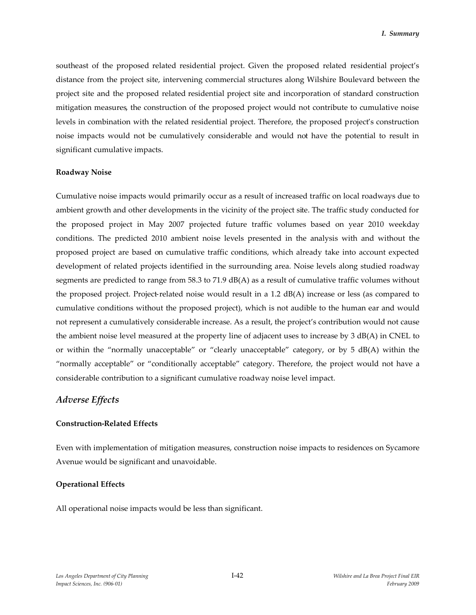southeast of the proposed related residential project. Given the proposed related residential project's distance from the project site, intervening commercial structures along Wilshire Boulevard between the project site and the proposed related residential project site and incorporation of standard construction mitigation measures, the construction of the proposed project would not contribute to cumulative noise levels in combination with the related residential project. Therefore, the proposed project's construction noise impacts would not be cumulatively considerable and would not have the potential to result in significant cumulative impacts.

#### **Roadway Noise**

Cumulative noise impacts would primarily occur as a result of increased traffic on local roadways due to ambient growth and other developments in the vicinity of the project site. The traffic study conducted for the proposed project in May 2007 projected future traffic volumes based on year 2010 weekday conditions. The predicted 2010 ambient noise levels presented in the analysis with and without the proposed project are based on cumulative traffic conditions, which already take into account expected development of related projects identified in the surrounding area. Noise levels along studied roadway segments are predicted to range from 58.3 to 71.9 dB(A) as a result of cumulative traffic volumes without the proposed project. Project-related noise would result in a 1.2 dB(A) increase or less (as compared to cumulative conditions without the proposed project), which is not audible to the human ear and would not represent a cumulatively considerable increase. As a result, the project's contribution would not cause the ambient noise level measured at the property line of adjacent uses to increase by 3 dB(A) in CNEL to or within the "normally unacceptable" or "clearly unacceptable" category, or by 5 dB(A) within the "normally acceptable" or "conditionally acceptable" category. Therefore, the project would not have a considerable contribution to a significant cumulative roadway noise level impact.

## *Adverse Effects*

#### **Construction-Related Effects**

Even with implementation of mitigation measures, construction noise impacts to residences on Sycamore Avenue would be significant and unavoidable.

### **Operational Effects**

All operational noise impacts would be less than significant.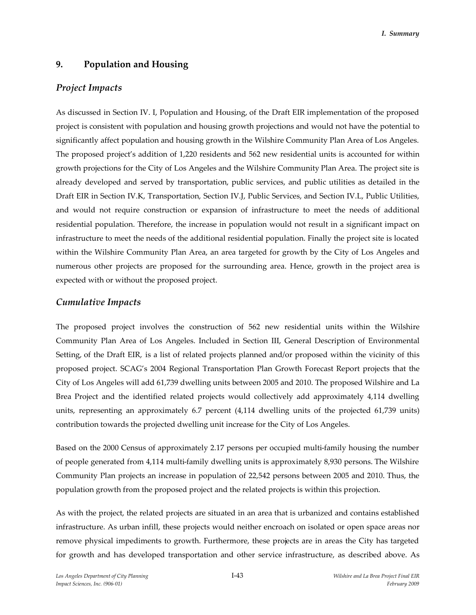# **9. Population and Housing**

## *Project Impacts*

As discussed in Section IV. I, Population and Housing, of the Draft EIR implementation of the proposed project is consistent with population and housing growth projections and would not have the potential to significantly affect population and housing growth in the Wilshire Community Plan Area of Los Angeles. The proposed project's addition of 1,220 residents and 562 new residential units is accounted for within growth projections for the City of Los Angeles and the Wilshire Community Plan Area. The project site is already developed and served by transportation, public services, and public utilities as detailed in the Draft EIR in Section IV.K, Transportation, Section IV.J, Public Services, and Section IV.L, Public Utilities, and would not require construction or expansion of infrastructure to meet the needs of additional residential population. Therefore, the increase in population would not result in a significant impact on infrastructure to meet the needs of the additional residential population. Finally the project site is located within the Wilshire Community Plan Area, an area targeted for growth by the City of Los Angeles and numerous other projects are proposed for the surrounding area. Hence, growth in the project area is expected with or without the proposed project.

## *Cumulative Impacts*

The proposed project involves the construction of 562 new residential units within the Wilshire Community Plan Area of Los Angeles. Included in Section III, General Description of Environmental Setting, of the Draft EIR, is a list of related projects planned and/or proposed within the vicinity of this proposed project. SCAG's 2004 Regional Transportation Plan Growth Forecast Report projects that the City of Los Angeles will add 61,739 dwelling units between 2005 and 2010. The proposed Wilshire and La Brea Project and the identified related projects would collectively add approximately 4,114 dwelling units, representing an approximately 6.7 percent (4,114 dwelling units of the projected 61,739 units) contribution towards the projected dwelling unit increase for the City of Los Angeles.

Based on the 2000 Census of approximately 2.17 persons per occupied multi-family housing the number of people generated from 4,114 multi-family dwelling units is approximately 8,930 persons. The Wilshire Community Plan projects an increase in population of 22,542 persons between 2005 and 2010. Thus, the population growth from the proposed project and the related projects is within this projection.

As with the project, the related projects are situated in an area that is urbanized and contains established infrastructure. As urban infill, these projects would neither encroach on isolated or open space areas nor remove physical impediments to growth. Furthermore, these projects are in areas the City has targeted for growth and has developed transportation and other service infrastructure, as described above. As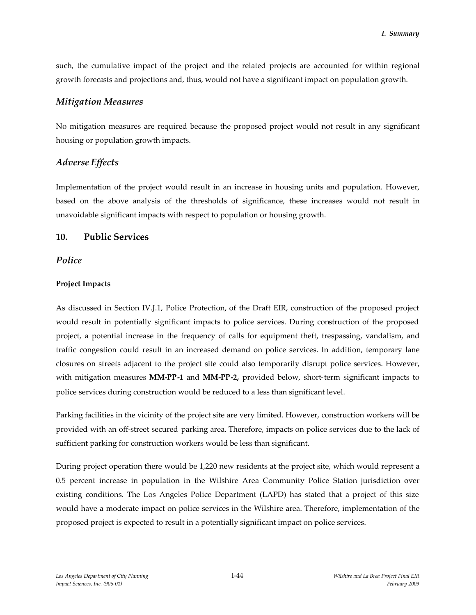such, the cumulative impact of the project and the related projects are accounted for within regional growth forecasts and projections and, thus, would not have a significant impact on population growth.

## *Mitigation Measures*

No mitigation measures are required because the proposed project would not result in any significant housing or population growth impacts.

# *Adverse Effects*

Implementation of the project would result in an increase in housing units and population. However, based on the above analysis of the thresholds of significance, these increases would not result in unavoidable significant impacts with respect to population or housing growth.

# **10. Public Services**

# *Police*

## **Project Impacts**

As discussed in Section IV.J.1, Police Protection, of the Draft EIR, construction of the proposed project would result in potentially significant impacts to police services. During construction of the proposed project, a potential increase in the frequency of calls for equipment theft, trespassing, vandalism, and traffic congestion could result in an increased demand on police services. In addition, temporary lane closures on streets adjacent to the project site could also temporarily disrupt police services. However, with mitigation measures **MM-PP-1** and **MM-PP-2,** provided below, short-term significant impacts to police services during construction would be reduced to a less than significant level.

Parking facilities in the vicinity of the project site are very limited. However, construction workers will be provided with an off-street secured parking area. Therefore, impacts on police services due to the lack of sufficient parking for construction workers would be less than significant.

During project operation there would be 1,220 new residents at the project site, which would represent a 0.5 percent increase in population in the Wilshire Area Community Police Station jurisdiction over existing conditions. The Los Angeles Police Department (LAPD) has stated that a project of this size would have a moderate impact on police services in the Wilshire area. Therefore, implementation of the proposed project is expected to result in a potentially significant impact on police services.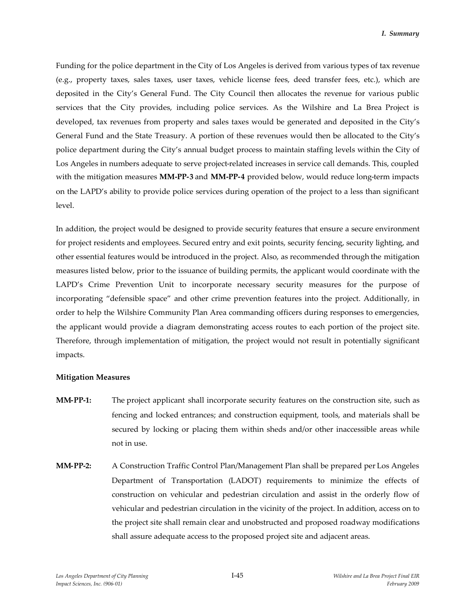Funding for the police department in the City of Los Angeles is derived from various types of tax revenue (e.g., property taxes, sales taxes, user taxes, vehicle license fees, deed transfer fees, etc.), which are deposited in the City's General Fund. The City Council then allocates the revenue for various public services that the City provides, including police services. As the Wilshire and La Brea Project is developed, tax revenues from property and sales taxes would be generated and deposited in the City's General Fund and the State Treasury. A portion of these revenues would then be allocated to the City's police department during the City's annual budget process to maintain staffing levels within the City of Los Angeles in numbers adequate to serve project-related increases in service call demands. This, coupled with the mitigation measures **MM-PP-3** and **MM-PP-4** provided below, would reduce long-term impacts on the LAPD's ability to provide police services during operation of the project to a less than significant level.

In addition, the project would be designed to provide security features that ensure a secure environment for project residents and employees. Secured entry and exit points, security fencing, security lighting, and other essential features would be introduced in the project. Also, as recommended through the mitigation measures listed below, prior to the issuance of building permits, the applicant would coordinate with the LAPD's Crime Prevention Unit to incorporate necessary security measures for the purpose of incorporating "defensible space" and other crime prevention features into the project. Additionally, in order to help the Wilshire Community Plan Area commanding officers during responses to emergencies, the applicant would provide a diagram demonstrating access routes to each portion of the project site. Therefore, through implementation of mitigation, the project would not result in potentially significant impacts.

#### **Mitigation Measures**

- **MM-PP-1:** The project applicant shall incorporate security features on the construction site, such as fencing and locked entrances; and construction equipment, tools, and materials shall be secured by locking or placing them within sheds and/or other inaccessible areas while not in use.
- **MM-PP-2:** A Construction Traffic Control Plan/Management Plan shall be prepared per Los Angeles Department of Transportation (LADOT) requirements to minimize the effects of construction on vehicular and pedestrian circulation and assist in the orderly flow of vehicular and pedestrian circulation in the vicinity of the project. In addition, access on to the project site shall remain clear and unobstructed and proposed roadway modifications shall assure adequate access to the proposed project site and adjacent areas.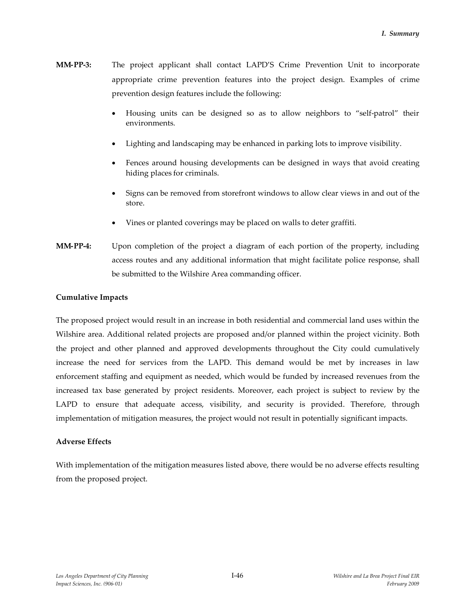- **MM-PP-3:** The project applicant shall contact LAPD'S Crime Prevention Unit to incorporate appropriate crime prevention features into the project design. Examples of crime prevention design features include the following:
	- Housing units can be designed so as to allow neighbors to "self-patrol" their environments.
	- Lighting and landscaping may be enhanced in parking lots to improve visibility.
	- Fences around housing developments can be designed in ways that avoid creating hiding places for criminals.
	- Signs can be removed from storefront windows to allow clear views in and out of the store.
	- Vines or planted coverings may be placed on walls to deter graffiti.
- **MM-PP-4:** Upon completion of the project a diagram of each portion of the property, including access routes and any additional information that might facilitate police response, shall be submitted to the Wilshire Area commanding officer.

### **Cumulative Impacts**

The proposed project would result in an increase in both residential and commercial land uses within the Wilshire area. Additional related projects are proposed and/or planned within the project vicinity. Both the project and other planned and approved developments throughout the City could cumulatively increase the need for services from the LAPD. This demand would be met by increases in law enforcement staffing and equipment as needed, which would be funded by increased revenues from the increased tax base generated by project residents. Moreover, each project is subject to review by the LAPD to ensure that adequate access, visibility, and security is provided. Therefore, through implementation of mitigation measures, the project would not result in potentially significant impacts.

#### **Adverse Effects**

With implementation of the mitigation measures listed above, there would be no adverse effects resulting from the proposed project.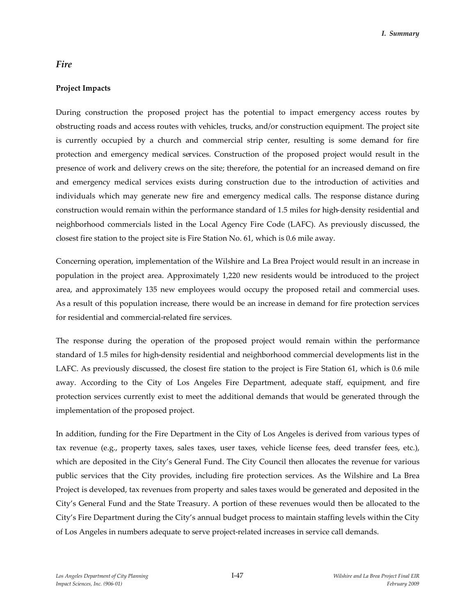## *Fire*

### **Project Impacts**

During construction the proposed project has the potential to impact emergency access routes by obstructing roads and access routes with vehicles, trucks, and/or construction equipment. The project site is currently occupied by a church and commercial strip center, resulting is some demand for fire protection and emergency medical services. Construction of the proposed project would result in the presence of work and delivery crews on the site; therefore, the potential for an increased demand on fire and emergency medical services exists during construction due to the introduction of activities and individuals which may generate new fire and emergency medical calls. The response distance during construction would remain within the performance standard of 1.5 miles for high-density residential and neighborhood commercials listed in the Local Agency Fire Code (LAFC). As previously discussed, the closest fire station to the project site is Fire Station No. 61, which is 0.6 mile away.

Concerning operation, implementation of the Wilshire and La Brea Project would result in an increase in population in the project area. Approximately 1,220 new residents would be introduced to the project area, and approximately 135 new employees would occupy the proposed retail and commercial uses. As a result of this population increase, there would be an increase in demand for fire protection services for residential and commercial-related fire services.

The response during the operation of the proposed project would remain within the performance standard of 1.5 miles for high-density residential and neighborhood commercial developments list in the LAFC. As previously discussed, the closest fire station to the project is Fire Station 61, which is 0.6 mile away. According to the City of Los Angeles Fire Department, adequate staff, equipment, and fire protection services currently exist to meet the additional demands that would be generated through the implementation of the proposed project.

In addition, funding for the Fire Department in the City of Los Angeles is derived from various types of tax revenue (e.g., property taxes, sales taxes, user taxes, vehicle license fees, deed transfer fees, etc.), which are deposited in the City's General Fund. The City Council then allocates the revenue for various public services that the City provides, including fire protection services. As the Wilshire and La Brea Project is developed, tax revenues from property and sales taxes would be generated and deposited in the City's General Fund and the State Treasury. A portion of these revenues would then be allocated to the City's Fire Department during the City's annual budget process to maintain staffing levels within the City of Los Angeles in numbers adequate to serve project-related increases in service call demands.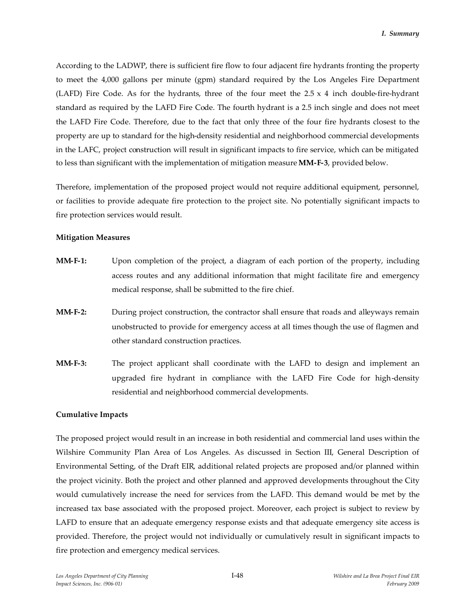According to the LADWP, there is sufficient fire flow to four adjacent fire hydrants fronting the property to meet the 4,000 gallons per minute (gpm) standard required by the Los Angeles Fire Department (LAFD) Fire Code. As for the hydrants, three of the four meet the  $2.5 \times 4$  inch double-fire-hydrant standard as required by the LAFD Fire Code. The fourth hydrant is a 2.5 inch single and does not meet the LAFD Fire Code. Therefore, due to the fact that only three of the four fire hydrants closest to the property are up to standard for the high-density residential and neighborhood commercial developments in the LAFC, project construction will result in significant impacts to fire service, which can be mitigated to less than significant with the implementation of mitigation measure **MM-F-3**, provided below.

Therefore, implementation of the proposed project would not require additional equipment, personnel, or facilities to provide adequate fire protection to the project site. No potentially significant impacts to fire protection services would result.

### **Mitigation Measures**

- **MM-F-1:** Upon completion of the project, a diagram of each portion of the property, including access routes and any additional information that might facilitate fire and emergency medical response, shall be submitted to the fire chief.
- **MM-F-2:** During project construction, the contractor shall ensure that roads and alleyways remain unobstructed to provide for emergency access at all times though the use of flagmen and other standard construction practices.
- **MM-F-3:** The project applicant shall coordinate with the LAFD to design and implement an upgraded fire hydrant in compliance with the LAFD Fire Code for high-density residential and neighborhood commercial developments.

### **Cumulative Impacts**

The proposed project would result in an increase in both residential and commercial land uses within the Wilshire Community Plan Area of Los Angeles. As discussed in Section III, General Description of Environmental Setting, of the Draft EIR, additional related projects are proposed and/or planned within the project vicinity. Both the project and other planned and approved developments throughout the City would cumulatively increase the need for services from the LAFD. This demand would be met by the increased tax base associated with the proposed project. Moreover, each project is subject to review by LAFD to ensure that an adequate emergency response exists and that adequate emergency site access is provided. Therefore, the project would not individually or cumulatively result in significant impacts to fire protection and emergency medical services.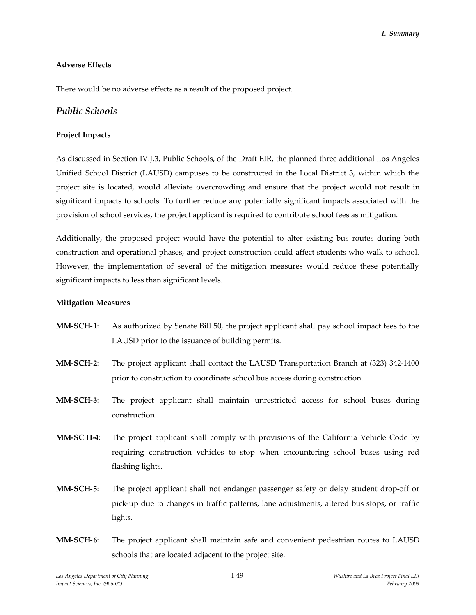### **Adverse Effects**

There would be no adverse effects as a result of the proposed project.

## *Public Schools*

### **Project Impacts**

As discussed in Section IV.J.3, Public Schools, of the Draft EIR, the planned three additional Los Angeles Unified School District (LAUSD) campuses to be constructed in the Local District 3, within which the project site is located, would alleviate overcrowding and ensure that the project would not result in significant impacts to schools. To further reduce any potentially significant impacts associated with the provision of school services, the project applicant is required to contribute school fees as mitigation.

Additionally, the proposed project would have the potential to alter existing bus routes during both construction and operational phases, and project construction could affect students who walk to school. However, the implementation of several of the mitigation measures would reduce these potentially significant impacts to less than significant levels.

### **Mitigation Measures**

- **MM-SCH-1:** As authorized by Senate Bill 50, the project applicant shall pay school impact fees to the LAUSD prior to the issuance of building permits.
- **MM-SCH-2:** The project applicant shall contact the LAUSD Transportation Branch at (323) 342-1400 prior to construction to coordinate school bus access during construction.
- **MM-SCH-3:** The project applicant shall maintain unrestricted access for school buses during construction.
- **MM-SC H-4**: The project applicant shall comply with provisions of the California Vehicle Code by requiring construction vehicles to stop when encountering school buses using red flashing lights.
- **MM-SCH-5:** The project applicant shall not endanger passenger safety or delay student drop-off or pick-up due to changes in traffic patterns, lane adjustments, altered bus stops, or traffic lights.
- **MM-SCH-6:** The project applicant shall maintain safe and convenient pedestrian routes to LAUSD schools that are located adjacent to the project site.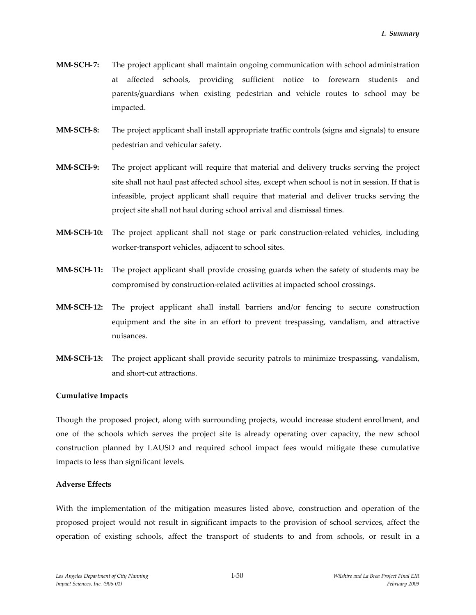- **MM-SCH-7:** The project applicant shall maintain ongoing communication with school administration at affected schools, providing sufficient notice to forewarn students and parents/guardians when existing pedestrian and vehicle routes to school may be impacted.
- **MM-SCH-8:** The project applicant shall install appropriate traffic controls (signs and signals) to ensure pedestrian and vehicular safety.
- **MM-SCH-9:** The project applicant will require that material and delivery trucks serving the project site shall not haul past affected school sites, except when school is not in session. If that is infeasible, project applicant shall require that material and deliver trucks serving the project site shall not haul during school arrival and dismissal times.
- **MM-SCH-10:** The project applicant shall not stage or park construction-related vehicles, including worker-transport vehicles, adjacent to school sites.
- **MM-SCH-11:** The project applicant shall provide crossing guards when the safety of students may be compromised by construction-related activities at impacted school crossings.
- **MM-SCH-12:** The project applicant shall install barriers and/or fencing to secure construction equipment and the site in an effort to prevent trespassing, vandalism, and attractive nuisances.
- **MM-SCH-13:** The project applicant shall provide security patrols to minimize trespassing, vandalism, and short-cut attractions.

### **Cumulative Impacts**

Though the proposed project, along with surrounding projects, would increase student enrollment, and one of the schools which serves the project site is already operating over capacity, the new school construction planned by LAUSD and required school impact fees would mitigate these cumulative impacts to less than significant levels.

### **Adverse Effects**

With the implementation of the mitigation measures listed above, construction and operation of the proposed project would not result in significant impacts to the provision of school services, affect the operation of existing schools, affect the transport of students to and from schools, or result in a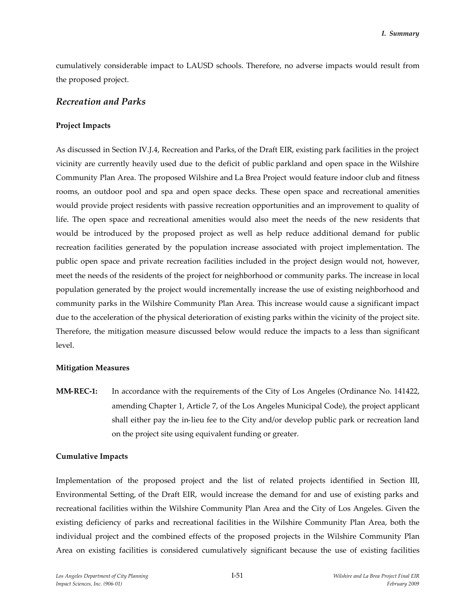cumulatively considerable impact to LAUSD schools. Therefore, no adverse impacts would result from the proposed project.

## *Recreation and Parks*

### **Project Impacts**

As discussed in Section IV.J.4, Recreation and Parks, of the Draft EIR, existing park facilities in the project vicinity are currently heavily used due to the deficit of public parkland and open space in the Wilshire Community Plan Area. The proposed Wilshire and La Brea Project would feature indoor club and fitness rooms, an outdoor pool and spa and open space decks. These open space and recreational amenities would provide project residents with passive recreation opportunities and an improvement to quality of life. The open space and recreational amenities would also meet the needs of the new residents that would be introduced by the proposed project as well as help reduce additional demand for public recreation facilities generated by the population increase associated with project implementation. The public open space and private recreation facilities included in the project design would not, however, meet the needs of the residents of the project for neighborhood or community parks. The increase in local population generated by the project would incrementally increase the use of existing neighborhood and community parks in the Wilshire Community Plan Area. This increase would cause a significant impact due to the acceleration of the physical deterioration of existing parks within the vicinity of the project site. Therefore, the mitigation measure discussed below would reduce the impacts to a less than significant level.

## **Mitigation Measures**

**MM-REC-1:** In accordance with the requirements of the City of Los Angeles (Ordinance No. 141422, amending Chapter 1, Article 7, of the Los Angeles Municipal Code), the project applicant shall either pay the in-lieu fee to the City and/or develop public park or recreation land on the project site using equivalent funding or greater.

### **Cumulative Impacts**

Implementation of the proposed project and the list of related projects identified in Section III, Environmental Setting, of the Draft EIR, would increase the demand for and use of existing parks and recreational facilities within the Wilshire Community Plan Area and the City of Los Angeles. Given the existing deficiency of parks and recreational facilities in the Wilshire Community Plan Area, both the individual project and the combined effects of the proposed projects in the Wilshire Community Plan Area on existing facilities is considered cumulatively significant because the use of existing facilities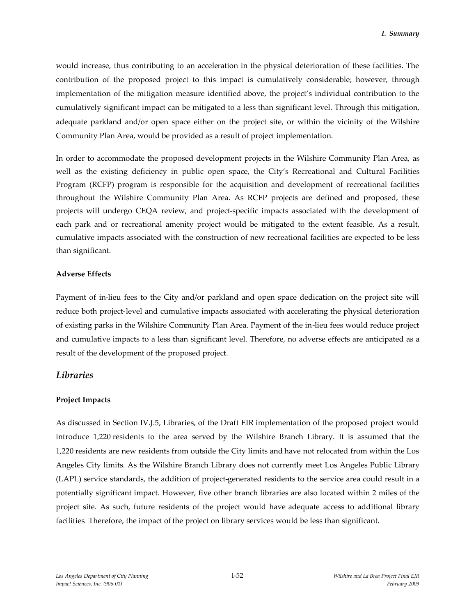would increase, thus contributing to an acceleration in the physical deterioration of these facilities. The contribution of the proposed project to this impact is cumulatively considerable; however, through implementation of the mitigation measure identified above, the project's individual contribution to the cumulatively significant impact can be mitigated to a less than significant level. Through this mitigation, adequate parkland and/or open space either on the project site, or within the vicinity of the Wilshire Community Plan Area, would be provided as a result of project implementation.

In order to accommodate the proposed development projects in the Wilshire Community Plan Area, as well as the existing deficiency in public open space, the City's Recreational and Cultural Facilities Program (RCFP) program is responsible for the acquisition and development of recreational facilities throughout the Wilshire Community Plan Area. As RCFP projects are defined and proposed, these projects will undergo CEQA review, and project-specific impacts associated with the development of each park and or recreational amenity project would be mitigated to the extent feasible. As a result, cumulative impacts associated with the construction of new recreational facilities are expected to be less than significant.

### **Adverse Effects**

Payment of in-lieu fees to the City and/or parkland and open space dedication on the project site will reduce both project-level and cumulative impacts associated with accelerating the physical deterioration of existing parks in the Wilshire Community Plan Area. Payment of the in-lieu fees would reduce project and cumulative impacts to a less than significant level. Therefore, no adverse effects are anticipated as a result of the development of the proposed project.

## *Libraries*

### **Project Impacts**

As discussed in Section IV.J.5, Libraries, of the Draft EIR implementation of the proposed project would introduce 1,220 residents to the area served by the Wilshire Branch Library. It is assumed that the 1,220 residents are new residents from outside the City limits and have not relocated from within the Los Angeles City limits. As the Wilshire Branch Library does not currently meet Los Angeles Public Library (LAPL) service standards, the addition of project-generated residents to the service area could result in a potentially significant impact. However, five other branch libraries are also located within 2 miles of the project site. As such, future residents of the project would have adequate access to additional library facilities. Therefore, the impact of the project on library services would be less than significant.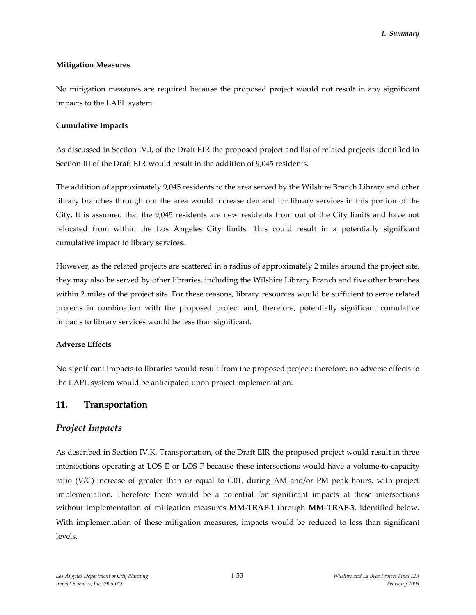### **Mitigation Measures**

No mitigation measures are required because the proposed project would not result in any significant impacts to the LAPL system.

### **Cumulative Impacts**

As discussed in Section IV.I, of the Draft EIR the proposed project and list of related projects identified in Section III of the Draft EIR would result in the addition of 9,045 residents.

The addition of approximately 9,045 residents to the area served by the Wilshire Branch Library and other library branches through out the area would increase demand for library services in this portion of the City. It is assumed that the 9,045 residents are new residents from out of the City limits and have not relocated from within the Los Angeles City limits. This could result in a potentially significant cumulative impact to library services.

However, as the related projects are scattered in a radius of approximately 2 miles around the project site, they may also be served by other libraries, including the Wilshire Library Branch and five other branches within 2 miles of the project site. For these reasons, library resources would be sufficient to serve related projects in combination with the proposed project and, therefore, potentially significant cumulative impacts to library services would be less than significant.

## **Adverse Effects**

No significant impacts to libraries would result from the proposed project; therefore, no adverse effects to the LAPL system would be anticipated upon project implementation.

# **11. Transportation**

# *Project Impacts*

As described in Section IV.K, Transportation, of the Draft EIR the proposed project would result in three intersections operating at LOS E or LOS F because these intersections would have a volume-to-capacity ratio (V/C) increase of greater than or equal to 0.01, during AM and/or PM peak hours, with project implementation. Therefore there would be a potential for significant impacts at these intersections without implementation of mitigation measures **MM-TRAF-1** through **MM-TRAF-3**, identified below. With implementation of these mitigation measures, impacts would be reduced to less than significant levels.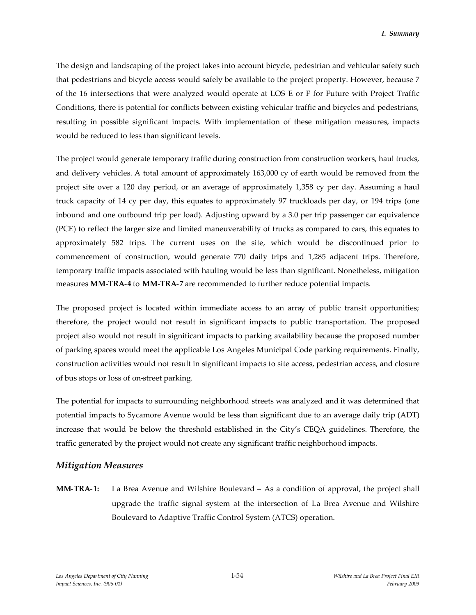The design and landscaping of the project takes into account bicycle, pedestrian and vehicular safety such that pedestrians and bicycle access would safely be available to the project property. However, because 7 of the 16 intersections that were analyzed would operate at LOS E or F for Future with Project Traffic Conditions, there is potential for conflicts between existing vehicular traffic and bicycles and pedestrians, resulting in possible significant impacts. With implementation of these mitigation measures, impacts would be reduced to less than significant levels.

The project would generate temporary traffic during construction from construction workers, haul trucks, and delivery vehicles. A total amount of approximately 163,000 cy of earth would be removed from the project site over a 120 day period, or an average of approximately 1,358 cy per day. Assuming a haul truck capacity of 14 cy per day, this equates to approximately 97 truckloads per day, or 194 trips (one inbound and one outbound trip per load). Adjusting upward by a 3.0 per trip passenger car equivalence (PCE) to reflect the larger size and limited maneuverability of trucks as compared to cars, this equates to approximately 582 trips. The current uses on the site, which would be discontinued prior to commencement of construction, would generate 770 daily trips and 1,285 adjacent trips. Therefore, temporary traffic impacts associated with hauling would be less than significant. Nonetheless, mitigation measures **MM-TRA-4** to **MM-TRA-7** are recommended to further reduce potential impacts.

The proposed project is located within immediate access to an array of public transit opportunities; therefore, the project would not result in significant impacts to public transportation. The proposed project also would not result in significant impacts to parking availability because the proposed number of parking spaces would meet the applicable Los Angeles Municipal Code parking requirements. Finally, construction activities would not result in significant impacts to site access, pedestrian access, and closure of bus stops or loss of on-street parking.

The potential for impacts to surrounding neighborhood streets was analyzed and it was determined that potential impacts to Sycamore Avenue would be less than significant due to an average daily trip (ADT) increase that would be below the threshold established in the City's CEQA guidelines. Therefore, the traffic generated by the project would not create any significant traffic neighborhood impacts.

## *Mitigation Measures*

**MM-TRA-1:** La Brea Avenue and Wilshire Boulevard – As a condition of approval, the project shall upgrade the traffic signal system at the intersection of La Brea Avenue and Wilshire Boulevard to Adaptive Traffic Control System (ATCS) operation.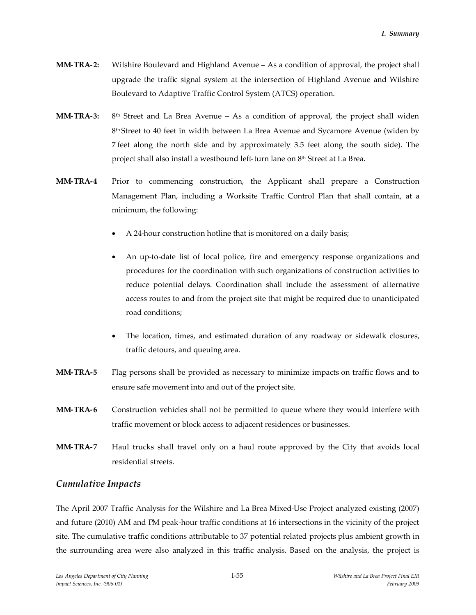- **MM-TRA-2:** Wilshire Boulevard and Highland Avenue As a condition of approval, the project shall upgrade the traffic signal system at the intersection of Highland Avenue and Wilshire Boulevard to Adaptive Traffic Control System (ATCS) operation.
- **MM-TRA-3:**  $8<sup>th</sup>$  Street and La Brea Avenue – As a condition of approval, the project shall widen 8<sup>th</sup> Street to 40 feet in width between La Brea Avenue and Sycamore Avenue (widen by 7 feet along the north side and by approximately 3.5 feet along the south side). The project shall also install a westbound left-turn lane on 8<sup>th</sup> Street at La Brea.
- **MM-TRA-4** Prior to commencing construction, the Applicant shall prepare a Construction Management Plan, including a Worksite Traffic Control Plan that shall contain, at a minimum, the following:
	- A 24-hour construction hotline that is monitored on a daily basis;
	- An up-to-date list of local police, fire and emergency response organizations and procedures for the coordination with such organizations of construction activities to reduce potential delays. Coordination shall include the assessment of alternative access routes to and from the project site that might be required due to unanticipated road conditions;
	- The location, times, and estimated duration of any roadway or sidewalk closures, traffic detours, and queuing area.
- **MM-TRA-5** Flag persons shall be provided as necessary to minimize impacts on traffic flows and to ensure safe movement into and out of the project site.
- **MM-TRA-6** Construction vehicles shall not be permitted to queue where they would interfere with traffic movement or block access to adjacent residences or businesses.
- **MM-TRA-7** Haul trucks shall travel only on a haul route approved by the City that avoids local residential streets.

## *Cumulative Impacts*

The April 2007 Traffic Analysis for the Wilshire and La Brea Mixed-Use Project analyzed existing (2007) and future (2010) AM and PM peak-hour traffic conditions at 16 intersections in the vicinity of the project site. The cumulative traffic conditions attributable to 37 potential related projects plus ambient growth in the surrounding area were also analyzed in this traffic analysis. Based on the analysis, the project is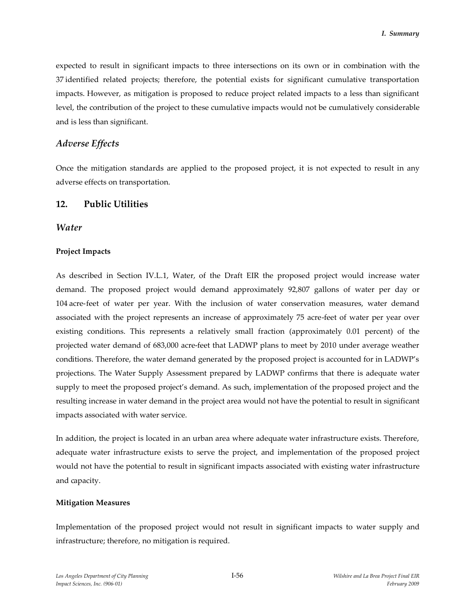expected to result in significant impacts to three intersections on its own or in combination with the 37 identified related projects; therefore, the potential exists for significant cumulative transportation impacts. However, as mitigation is proposed to reduce project related impacts to a less than significant level, the contribution of the project to these cumulative impacts would not be cumulatively considerable and is less than significant.

## *Adverse Effects*

Once the mitigation standards are applied to the proposed project, it is not expected to result in any adverse effects on transportation.

## **12. Public Utilities**

### *Water*

### **Project Impacts**

As described in Section IV.L.1, Water, of the Draft EIR the proposed project would increase water demand. The proposed project would demand approximately 92,807 gallons of water per day or 104 acre-feet of water per year. With the inclusion of water conservation measures, water demand associated with the project represents an increase of approximately 75 acre-feet of water per year over existing conditions. This represents a relatively small fraction (approximately 0.01 percent) of the projected water demand of 683,000 acre-feet that LADWP plans to meet by 2010 under average weather conditions. Therefore, the water demand generated by the proposed project is accounted for in LADWP's projections. The Water Supply Assessment prepared by LADWP confirms that there is adequate water supply to meet the proposed project's demand. As such, implementation of the proposed project and the resulting increase in water demand in the project area would not have the potential to result in significant impacts associated with water service.

In addition, the project is located in an urban area where adequate water infrastructure exists. Therefore, adequate water infrastructure exists to serve the project, and implementation of the proposed project would not have the potential to result in significant impacts associated with existing water infrastructure and capacity.

### **Mitigation Measures**

Implementation of the proposed project would not result in significant impacts to water supply and infrastructure; therefore, no mitigation is required.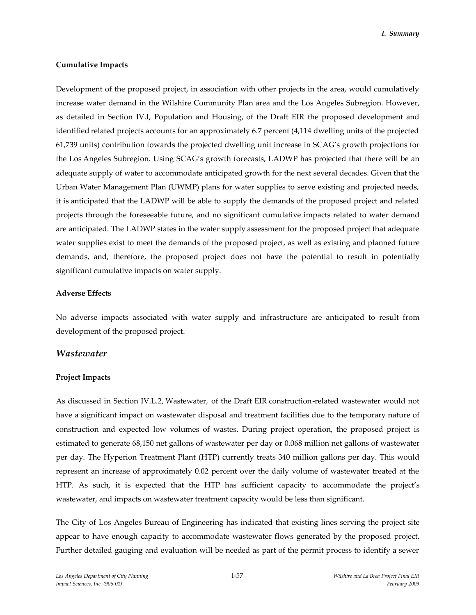#### **Cumulative Impacts**

Development of the proposed project, in association with other projects in the area, would cumulatively increase water demand in the Wilshire Community Plan area and the Los Angeles Subregion. However, as detailed in Section IV.I, Population and Housing, of the Draft EIR the proposed development and identified related projects accounts for an approximately 6.7 percent (4,114 dwelling units of the projected 61,739 units) contribution towards the projected dwelling unit increase in SCAG's growth projections for the Los Angeles Subregion. Using SCAG's growth forecasts, LADWP has projected that there will be an adequate supply of water to accommodate anticipated growth for the next several decades. Given that the Urban Water Management Plan (UWMP) plans for water supplies to serve existing and projected needs, it is anticipated that the LADWP will be able to supply the demands of the proposed project and related projects through the foreseeable future, and no significant cumulative impacts related to water demand are anticipated. The LADWP states in the water supply assessment for the proposed project that adequate water supplies exist to meet the demands of the proposed project, as well as existing and planned future demands, and, therefore, the proposed project does not have the potential to result in potentially significant cumulative impacts on water supply.

#### **Adverse Effects**

No adverse impacts associated with water supply and infrastructure are anticipated to result from development of the proposed project.

#### *Wastewater*

#### **Project Impacts**

As discussed in Section IV.L.2, Wastewater, of the Draft EIR construction-related wastewater would not have a significant impact on wastewater disposal and treatment facilities due to the temporary nature of construction and expected low volumes of wastes. During project operation, the proposed project is estimated to generate 68,150 net gallons of wastewater per day or 0.068 million net gallons of wastewater per day. The Hyperion Treatment Plant (HTP) currently treats 340 million gallons per day. This would represent an increase of approximately 0.02 percent over the daily volume of wastewater treated at the HTP. As such, it is expected that the HTP has sufficient capacity to accommodate the project's wastewater, and impacts on wastewater treatment capacity would be less than significant.

The City of Los Angeles Bureau of Engineering has indicated that existing lines serving the project site appear to have enough capacity to accommodate wastewater flows generated by the proposed project. Further detailed gauging and evaluation will be needed as part of the permit process to identify a sewer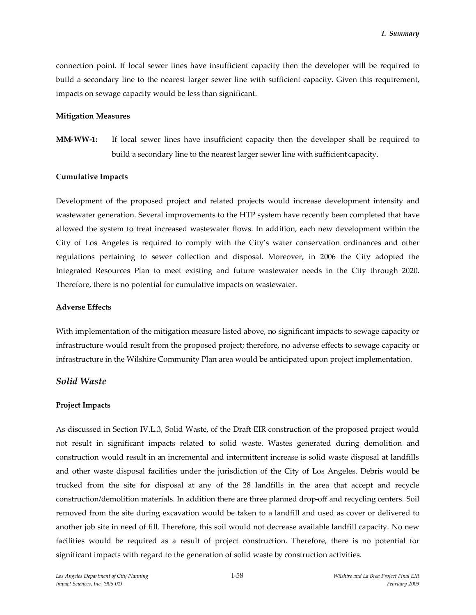connection point. If local sewer lines have insufficient capacity then the developer will be required to build a secondary line to the nearest larger sewer line with sufficient capacity. Given this requirement, impacts on sewage capacity would be less than significant.

#### **Mitigation Measures**

**MM-WW-1:** If local sewer lines have insufficient capacity then the developer shall be required to build a secondary line to the nearest larger sewer line with sufficient capacity.

#### **Cumulative Impacts**

Development of the proposed project and related projects would increase development intensity and wastewater generation. Several improvements to the HTP system have recently been completed that have allowed the system to treat increased wastewater flows. In addition, each new development within the City of Los Angeles is required to comply with the City's water conservation ordinances and other regulations pertaining to sewer collection and disposal. Moreover, in 2006 the City adopted the Integrated Resources Plan to meet existing and future wastewater needs in the City through 2020. Therefore, there is no potential for cumulative impacts on wastewater.

#### **Adverse Effects**

With implementation of the mitigation measure listed above, no significant impacts to sewage capacity or infrastructure would result from the proposed project; therefore, no adverse effects to sewage capacity or infrastructure in the Wilshire Community Plan area would be anticipated upon project implementation.

## *Solid Waste*

#### **Project Impacts**

As discussed in Section IV.L.3, Solid Waste, of the Draft EIR construction of the proposed project would not result in significant impacts related to solid waste. Wastes generated during demolition and construction would result in an incremental and intermittent increase is solid waste disposal at landfills and other waste disposal facilities under the jurisdiction of the City of Los Angeles. Debris would be trucked from the site for disposal at any of the 28 landfills in the area that accept and recycle construction/demolition materials. In addition there are three planned drop-off and recycling centers. Soil removed from the site during excavation would be taken to a landfill and used as cover or delivered to another job site in need of fill. Therefore, this soil would not decrease available landfill capacity. No new facilities would be required as a result of project construction. Therefore, there is no potential for significant impacts with regard to the generation of solid waste by construction activities.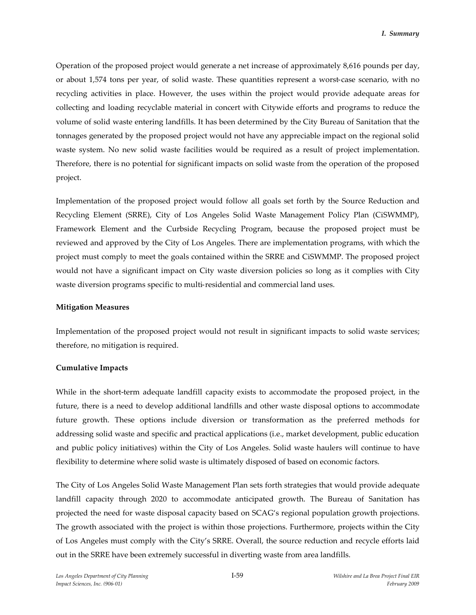Operation of the proposed project would generate a net increase of approximately 8,616 pounds per day, or about 1,574 tons per year, of solid waste. These quantities represent a worst-case scenario, with no recycling activities in place. However, the uses within the project would provide adequate areas for collecting and loading recyclable material in concert with Citywide efforts and programs to reduce the volume of solid waste entering landfills. It has been determined by the City Bureau of Sanitation that the tonnages generated by the proposed project would not have any appreciable impact on the regional solid waste system. No new solid waste facilities would be required as a result of project implementation. Therefore, there is no potential for significant impacts on solid waste from the operation of the proposed project.

Implementation of the proposed project would follow all goals set forth by the Source Reduction and Recycling Element (SRRE), City of Los Angeles Solid Waste Management Policy Plan (CiSWMMP), Framework Element and the Curbside Recycling Program, because the proposed project must be reviewed and approved by the City of Los Angeles. There are implementation programs, with which the project must comply to meet the goals contained within the SRRE and CiSWMMP. The proposed project would not have a significant impact on City waste diversion policies so long as it complies with City waste diversion programs specific to multi-residential and commercial land uses.

### **Mitigation Measures**

Implementation of the proposed project would not result in significant impacts to solid waste services; therefore, no mitigation is required.

### **Cumulative Impacts**

While in the short-term adequate landfill capacity exists to accommodate the proposed project, in the future, there is a need to develop additional landfills and other waste disposal options to accommodate future growth. These options include diversion or transformation as the preferred methods for addressing solid waste and specific and practical applications (i.e., market development, public education and public policy initiatives) within the City of Los Angeles. Solid waste haulers will continue to have flexibility to determine where solid waste is ultimately disposed of based on economic factors.

The City of Los Angeles Solid Waste Management Plan sets forth strategies that would provide adequate landfill capacity through 2020 to accommodate anticipated growth. The Bureau of Sanitation has projected the need for waste disposal capacity based on SCAG's regional population growth projections. The growth associated with the project is within those projections. Furthermore, projects within the City of Los Angeles must comply with the City's SRRE. Overall, the source reduction and recycle efforts laid out in the SRRE have been extremely successful in diverting waste from area landfills.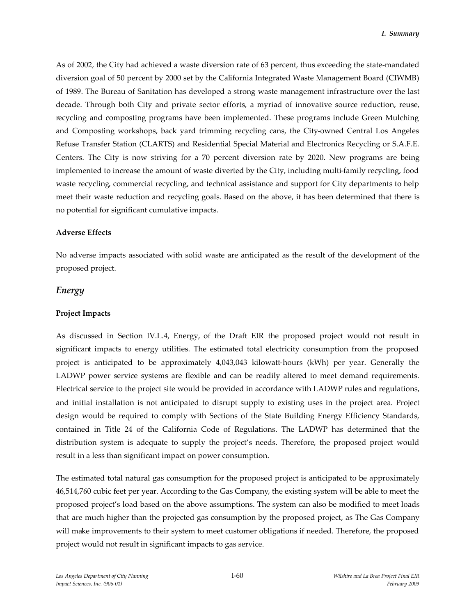As of 2002, the City had achieved a waste diversion rate of 63 percent, thus exceeding the state-mandated diversion goal of 50 percent by 2000 set by the California Integrated Waste Management Board (CIWMB) of 1989. The Bureau of Sanitation has developed a strong waste management infrastructure over the last decade. Through both City and private sector efforts, a myriad of innovative source reduction, reuse, recycling and composting programs have been implemented. These programs include Green Mulching and Composting workshops, back yard trimming recycling cans, the City-owned Central Los Angeles Refuse Transfer Station (CLARTS) and Residential Special Material and Electronics Recycling or S.A.F.E. Centers. The City is now striving for a 70 percent diversion rate by 2020. New programs are being implemented to increase the amount of waste diverted by the City, including multi-family recycling, food waste recycling, commercial recycling, and technical assistance and support for City departments to help meet their waste reduction and recycling goals. Based on the above, it has been determined that there is no potential for significant cumulative impacts.

### **Adverse Effects**

No adverse impacts associated with solid waste are anticipated as the result of the development of the proposed project.

### *Energy*

### **Project Impacts**

As discussed in Section IV.L.4, Energy, of the Draft EIR the proposed project would not result in significant impacts to energy utilities. The estimated total electricity consumption from the proposed project is anticipated to be approximately 4,043,043 kilowatt-hours (kWh) per year. Generally the LADWP power service systems are flexible and can be readily altered to meet demand requirements. Electrical service to the project site would be provided in accordance with LADWP rules and regulations, and initial installation is not anticipated to disrupt supply to existing uses in the project area. Project design would be required to comply with Sections of the State Building Energy Efficiency Standards, contained in Title 24 of the California Code of Regulations. The LADWP has determined that the distribution system is adequate to supply the project's needs. Therefore, the proposed project would result in a less than significant impact on power consumption.

The estimated total natural gas consumption for the proposed project is anticipated to be approximately 46,514,760 cubic feet per year. According to the Gas Company, the existing system will be able to meet the proposed project's load based on the above assumptions. The system can also be modified to meet loads that are much higher than the projected gas consumption by the proposed project, as The Gas Company will make improvements to their system to meet customer obligations if needed. Therefore, the proposed project would not result in significant impacts to gas service.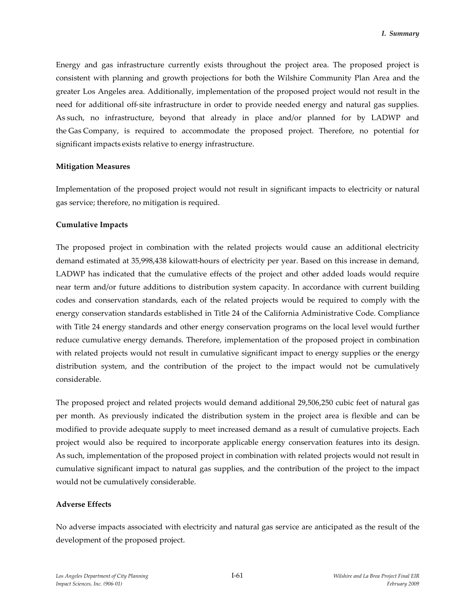Energy and gas infrastructure currently exists throughout the project area. The proposed project is consistent with planning and growth projections for both the Wilshire Community Plan Area and the greater Los Angeles area. Additionally, implementation of the proposed project would not result in the need for additional off-site infrastructure in order to provide needed energy and natural gas supplies. As such, no infrastructure, beyond that already in place and/or planned for by LADWP and the Gas Company, is required to accommodate the proposed project. Therefore, no potential for significant impacts exists relative to energy infrastructure.

#### **Mitigation Measures**

Implementation of the proposed project would not result in significant impacts to electricity or natural gas service; therefore, no mitigation is required.

#### **Cumulative Impacts**

The proposed project in combination with the related projects would cause an additional electricity demand estimated at 35,998,438 kilowatt-hours of electricity per year. Based on this increase in demand, LADWP has indicated that the cumulative effects of the project and other added loads would require near term and/or future additions to distribution system capacity. In accordance with current building codes and conservation standards, each of the related projects would be required to comply with the energy conservation standards established in Title 24 of the California Administrative Code. Compliance with Title 24 energy standards and other energy conservation programs on the local level would further reduce cumulative energy demands. Therefore, implementation of the proposed project in combination with related projects would not result in cumulative significant impact to energy supplies or the energy distribution system, and the contribution of the project to the impact would not be cumulatively considerable.

The proposed project and related projects would demand additional 29,506,250 cubic feet of natural gas per month. As previously indicated the distribution system in the project area is flexible and can be modified to provide adequate supply to meet increased demand as a result of cumulative projects. Each project would also be required to incorporate applicable energy conservation features into its design. As such, implementation of the proposed project in combination with related projects would not result in cumulative significant impact to natural gas supplies, and the contribution of the project to the impact would not be cumulatively considerable.

### **Adverse Effects**

No adverse impacts associated with electricity and natural gas service are anticipated as the result of the development of the proposed project.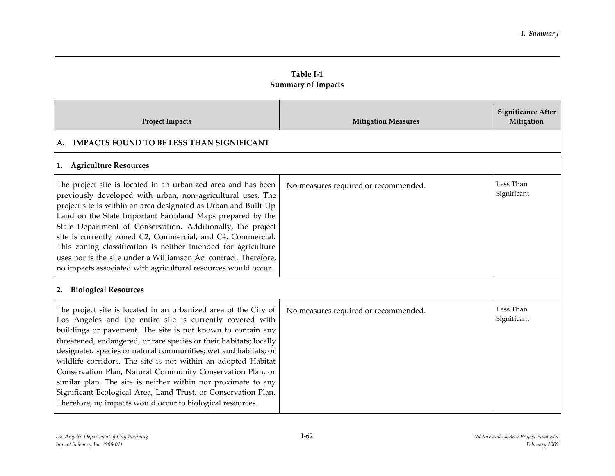| Table I-1                 |
|---------------------------|
| <b>Summary of Impacts</b> |

| <b>Project Impacts</b>                                                                                                                                                                                                                                                                                                                                                                                                                                                                                                                                                                                                                                               | <b>Mitigation Measures</b>           | <b>Significance After</b><br>Mitigation |
|----------------------------------------------------------------------------------------------------------------------------------------------------------------------------------------------------------------------------------------------------------------------------------------------------------------------------------------------------------------------------------------------------------------------------------------------------------------------------------------------------------------------------------------------------------------------------------------------------------------------------------------------------------------------|--------------------------------------|-----------------------------------------|
| <b>IMPACTS FOUND TO BE LESS THAN SIGNIFICANT</b><br>A.                                                                                                                                                                                                                                                                                                                                                                                                                                                                                                                                                                                                               |                                      |                                         |
| <b>Agriculture Resources</b><br>1.                                                                                                                                                                                                                                                                                                                                                                                                                                                                                                                                                                                                                                   |                                      |                                         |
| The project site is located in an urbanized area and has been<br>previously developed with urban, non-agricultural uses. The<br>project site is within an area designated as Urban and Built-Up<br>Land on the State Important Farmland Maps prepared by the<br>State Department of Conservation. Additionally, the project<br>site is currently zoned C2, Commercial, and C4, Commercial.<br>This zoning classification is neither intended for agriculture<br>uses nor is the site under a Williamson Act contract. Therefore,<br>no impacts associated with agricultural resources would occur.                                                                   | No measures required or recommended. | Less Than<br>Significant                |
| <b>Biological Resources</b><br>2.                                                                                                                                                                                                                                                                                                                                                                                                                                                                                                                                                                                                                                    |                                      |                                         |
| The project site is located in an urbanized area of the City of<br>Los Angeles and the entire site is currently covered with<br>buildings or pavement. The site is not known to contain any<br>threatened, endangered, or rare species or their habitats; locally<br>designated species or natural communities; wetland habitats; or<br>wildlife corridors. The site is not within an adopted Habitat<br>Conservation Plan, Natural Community Conservation Plan, or<br>similar plan. The site is neither within nor proximate to any<br>Significant Ecological Area, Land Trust, or Conservation Plan.<br>Therefore, no impacts would occur to biological resources. | No measures required or recommended. | Less Than<br>Significant                |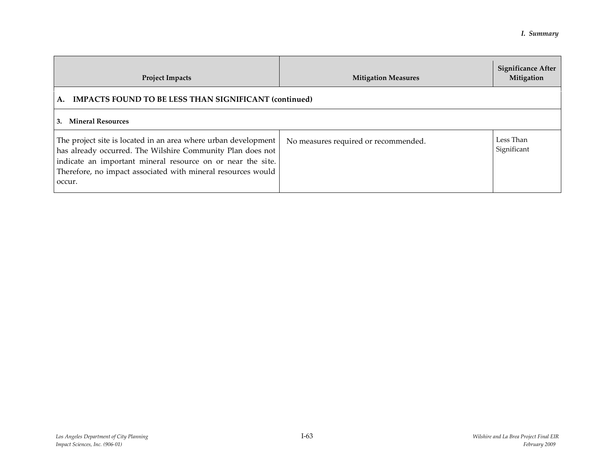| <b>Project Impacts</b>                                                                                                                                                                                                                                                | <b>Mitigation Measures</b>           | <b>Significance After</b><br>Mitigation |
|-----------------------------------------------------------------------------------------------------------------------------------------------------------------------------------------------------------------------------------------------------------------------|--------------------------------------|-----------------------------------------|
| A. IMPACTS FOUND TO BE LESS THAN SIGNIFICANT (continued)                                                                                                                                                                                                              |                                      |                                         |
| 3. Mineral Resources                                                                                                                                                                                                                                                  |                                      |                                         |
| The project site is located in an area where urban development<br>has already occurred. The Wilshire Community Plan does not<br>indicate an important mineral resource on or near the site.<br>Therefore, no impact associated with mineral resources would<br>occur. | No measures required or recommended. | Less Than<br>Significant                |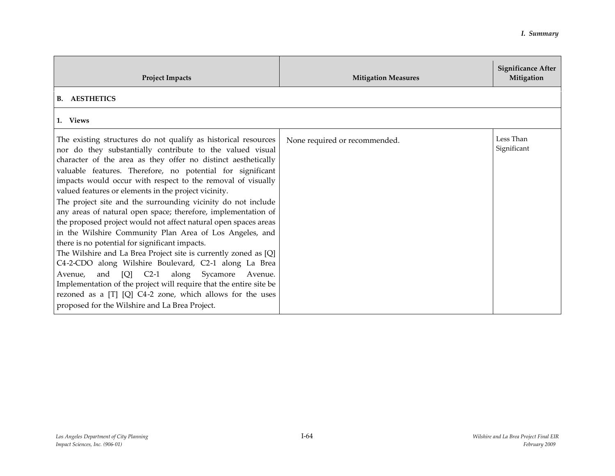| <b>Project Impacts</b>                                                                                                                                                                                                                                                                                                                                                                                                                                                                                                                                                                                                                                                                                                                                                                                                                                                                                                                                                                                                                                                | <b>Mitigation Measures</b>    | <b>Significance After</b><br>Mitigation |
|-----------------------------------------------------------------------------------------------------------------------------------------------------------------------------------------------------------------------------------------------------------------------------------------------------------------------------------------------------------------------------------------------------------------------------------------------------------------------------------------------------------------------------------------------------------------------------------------------------------------------------------------------------------------------------------------------------------------------------------------------------------------------------------------------------------------------------------------------------------------------------------------------------------------------------------------------------------------------------------------------------------------------------------------------------------------------|-------------------------------|-----------------------------------------|
| <b>B.</b> AESTHETICS                                                                                                                                                                                                                                                                                                                                                                                                                                                                                                                                                                                                                                                                                                                                                                                                                                                                                                                                                                                                                                                  |                               |                                         |
| 1. Views                                                                                                                                                                                                                                                                                                                                                                                                                                                                                                                                                                                                                                                                                                                                                                                                                                                                                                                                                                                                                                                              |                               |                                         |
| The existing structures do not qualify as historical resources<br>nor do they substantially contribute to the valued visual<br>character of the area as they offer no distinct aesthetically<br>valuable features. Therefore, no potential for significant<br>impacts would occur with respect to the removal of visually<br>valued features or elements in the project vicinity.<br>The project site and the surrounding vicinity do not include<br>any areas of natural open space; therefore, implementation of<br>the proposed project would not affect natural open spaces areas<br>in the Wilshire Community Plan Area of Los Angeles, and<br>there is no potential for significant impacts.<br>The Wilshire and La Brea Project site is currently zoned as [Q]<br>C4-2-CDO along Wilshire Boulevard, C2-1 along La Brea<br>and [Q] C2-1 along Sycamore Avenue.<br>Avenue,<br>Implementation of the project will require that the entire site be<br>rezoned as a [T] [Q] C4-2 zone, which allows for the uses<br>proposed for the Wilshire and La Brea Project. | None required or recommended. | Less Than<br>Significant                |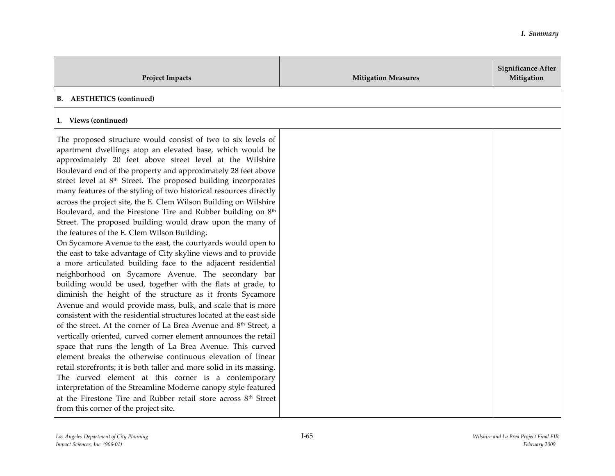| <b>Project Impacts</b>                                                                                                                                                                                                                                                                                                                                                                                                                                                                                                                                                                                                                                                                                                                                                                                                                                                                                                                                                                                                                                                                                                                                                                                                                                                                                                                                                                                                                                                                                                                                                                                                                                                                                                                                                                                      | <b>Mitigation Measures</b> | <b>Significance After</b><br>Mitigation |
|-------------------------------------------------------------------------------------------------------------------------------------------------------------------------------------------------------------------------------------------------------------------------------------------------------------------------------------------------------------------------------------------------------------------------------------------------------------------------------------------------------------------------------------------------------------------------------------------------------------------------------------------------------------------------------------------------------------------------------------------------------------------------------------------------------------------------------------------------------------------------------------------------------------------------------------------------------------------------------------------------------------------------------------------------------------------------------------------------------------------------------------------------------------------------------------------------------------------------------------------------------------------------------------------------------------------------------------------------------------------------------------------------------------------------------------------------------------------------------------------------------------------------------------------------------------------------------------------------------------------------------------------------------------------------------------------------------------------------------------------------------------------------------------------------------------|----------------------------|-----------------------------------------|
| <b>B.</b> AESTHETICS (continued)                                                                                                                                                                                                                                                                                                                                                                                                                                                                                                                                                                                                                                                                                                                                                                                                                                                                                                                                                                                                                                                                                                                                                                                                                                                                                                                                                                                                                                                                                                                                                                                                                                                                                                                                                                            |                            |                                         |
| 1. Views (continued)                                                                                                                                                                                                                                                                                                                                                                                                                                                                                                                                                                                                                                                                                                                                                                                                                                                                                                                                                                                                                                                                                                                                                                                                                                                                                                                                                                                                                                                                                                                                                                                                                                                                                                                                                                                        |                            |                                         |
| The proposed structure would consist of two to six levels of<br>apartment dwellings atop an elevated base, which would be<br>approximately 20 feet above street level at the Wilshire<br>Boulevard end of the property and approximately 28 feet above<br>street level at 8 <sup>th</sup> Street. The proposed building incorporates<br>many features of the styling of two historical resources directly<br>across the project site, the E. Clem Wilson Building on Wilshire<br>Boulevard, and the Firestone Tire and Rubber building on 8 <sup>th</sup><br>Street. The proposed building would draw upon the many of<br>the features of the E. Clem Wilson Building.<br>On Sycamore Avenue to the east, the courtyards would open to<br>the east to take advantage of City skyline views and to provide<br>a more articulated building face to the adjacent residential<br>neighborhood on Sycamore Avenue. The secondary bar<br>building would be used, together with the flats at grade, to<br>diminish the height of the structure as it fronts Sycamore<br>Avenue and would provide mass, bulk, and scale that is more<br>consistent with the residential structures located at the east side<br>of the street. At the corner of La Brea Avenue and 8 <sup>th</sup> Street, a<br>vertically oriented, curved corner element announces the retail<br>space that runs the length of La Brea Avenue. This curved<br>element breaks the otherwise continuous elevation of linear<br>retail storefronts; it is both taller and more solid in its massing.<br>The curved element at this corner is a contemporary<br>interpretation of the Streamline Moderne canopy style featured<br>at the Firestone Tire and Rubber retail store across 8 <sup>th</sup> Street<br>from this corner of the project site. |                            |                                         |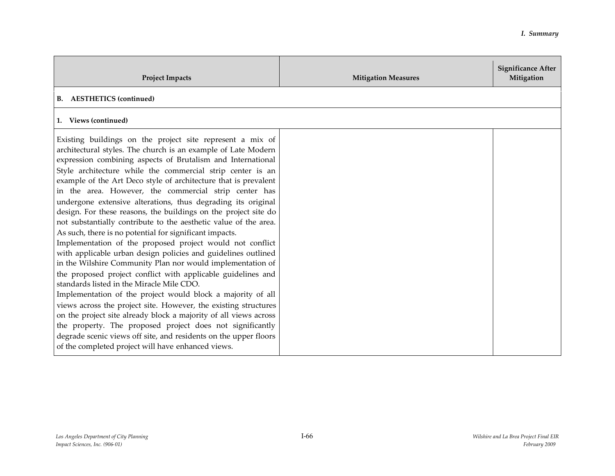| <b>Project Impacts</b>                                                                                                                                                                                                                                                                                                                                                                                                                                                                                                                                                                                                                                                                                                                                                                                                                                                                                                                                                                                                                                                                                                                                                                                                                                                                                                                                      | <b>Mitigation Measures</b> | <b>Significance After</b><br>Mitigation |
|-------------------------------------------------------------------------------------------------------------------------------------------------------------------------------------------------------------------------------------------------------------------------------------------------------------------------------------------------------------------------------------------------------------------------------------------------------------------------------------------------------------------------------------------------------------------------------------------------------------------------------------------------------------------------------------------------------------------------------------------------------------------------------------------------------------------------------------------------------------------------------------------------------------------------------------------------------------------------------------------------------------------------------------------------------------------------------------------------------------------------------------------------------------------------------------------------------------------------------------------------------------------------------------------------------------------------------------------------------------|----------------------------|-----------------------------------------|
| <b>B.</b> AESTHETICS (continued)                                                                                                                                                                                                                                                                                                                                                                                                                                                                                                                                                                                                                                                                                                                                                                                                                                                                                                                                                                                                                                                                                                                                                                                                                                                                                                                            |                            |                                         |
| 1. Views (continued)                                                                                                                                                                                                                                                                                                                                                                                                                                                                                                                                                                                                                                                                                                                                                                                                                                                                                                                                                                                                                                                                                                                                                                                                                                                                                                                                        |                            |                                         |
| Existing buildings on the project site represent a mix of<br>architectural styles. The church is an example of Late Modern<br>expression combining aspects of Brutalism and International<br>Style architecture while the commercial strip center is an<br>example of the Art Deco style of architecture that is prevalent<br>in the area. However, the commercial strip center has<br>undergone extensive alterations, thus degrading its original<br>design. For these reasons, the buildings on the project site do<br>not substantially contribute to the aesthetic value of the area.<br>As such, there is no potential for significant impacts.<br>Implementation of the proposed project would not conflict<br>with applicable urban design policies and guidelines outlined<br>in the Wilshire Community Plan nor would implementation of<br>the proposed project conflict with applicable guidelines and<br>standards listed in the Miracle Mile CDO.<br>Implementation of the project would block a majority of all<br>views across the project site. However, the existing structures<br>on the project site already block a majority of all views across<br>the property. The proposed project does not significantly<br>degrade scenic views off site, and residents on the upper floors<br>of the completed project will have enhanced views. |                            |                                         |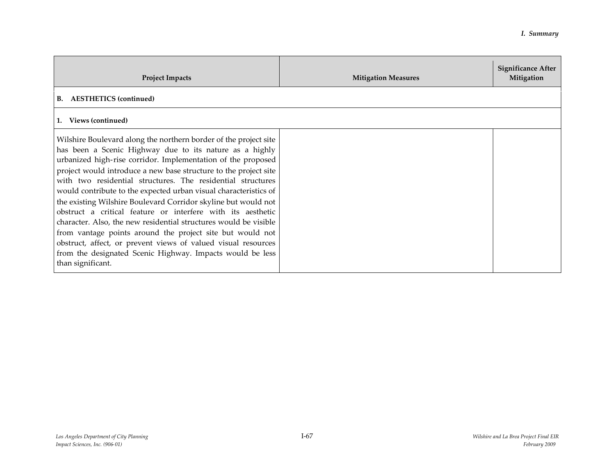| <b>Project Impacts</b>                                                                                                                                                                                                                                                                                                                                                                                                                                                                                                                                                                                                                                                                                                                                                                                                  | <b>Mitigation Measures</b> | <b>Significance After</b><br>Mitigation |
|-------------------------------------------------------------------------------------------------------------------------------------------------------------------------------------------------------------------------------------------------------------------------------------------------------------------------------------------------------------------------------------------------------------------------------------------------------------------------------------------------------------------------------------------------------------------------------------------------------------------------------------------------------------------------------------------------------------------------------------------------------------------------------------------------------------------------|----------------------------|-----------------------------------------|
| <b>B.</b> AESTHETICS (continued)                                                                                                                                                                                                                                                                                                                                                                                                                                                                                                                                                                                                                                                                                                                                                                                        |                            |                                         |
| Views (continued)<br>1.                                                                                                                                                                                                                                                                                                                                                                                                                                                                                                                                                                                                                                                                                                                                                                                                 |                            |                                         |
| Wilshire Boulevard along the northern border of the project site<br>has been a Scenic Highway due to its nature as a highly<br>urbanized high-rise corridor. Implementation of the proposed<br>project would introduce a new base structure to the project site<br>with two residential structures. The residential structures<br>would contribute to the expected urban visual characteristics of<br>the existing Wilshire Boulevard Corridor skyline but would not<br>obstruct a critical feature or interfere with its aesthetic<br>character. Also, the new residential structures would be visible<br>from vantage points around the project site but would not<br>obstruct, affect, or prevent views of valued visual resources<br>from the designated Scenic Highway. Impacts would be less<br>than significant. |                            |                                         |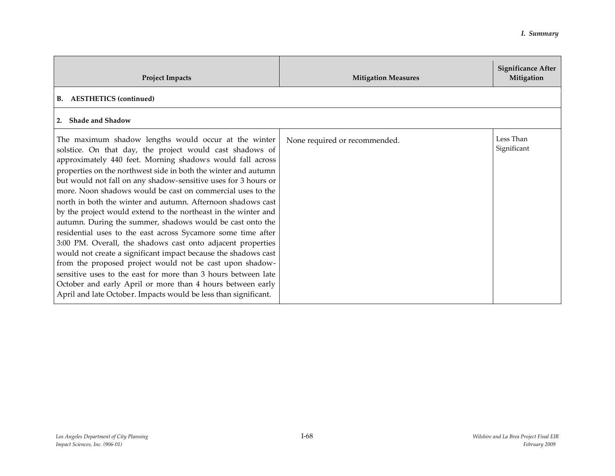| <b>Project Impacts</b>                                                                                                                                                                                                                                                                                                                                                                                                                                                                                                                                                                                                                                                                                                                                                                                                                                                                                                                                                                                                                       | <b>Mitigation Measures</b>    | <b>Significance After</b><br>Mitigation |
|----------------------------------------------------------------------------------------------------------------------------------------------------------------------------------------------------------------------------------------------------------------------------------------------------------------------------------------------------------------------------------------------------------------------------------------------------------------------------------------------------------------------------------------------------------------------------------------------------------------------------------------------------------------------------------------------------------------------------------------------------------------------------------------------------------------------------------------------------------------------------------------------------------------------------------------------------------------------------------------------------------------------------------------------|-------------------------------|-----------------------------------------|
| <b>B.</b> AESTHETICS (continued)                                                                                                                                                                                                                                                                                                                                                                                                                                                                                                                                                                                                                                                                                                                                                                                                                                                                                                                                                                                                             |                               |                                         |
| 2. Shade and Shadow                                                                                                                                                                                                                                                                                                                                                                                                                                                                                                                                                                                                                                                                                                                                                                                                                                                                                                                                                                                                                          |                               |                                         |
| The maximum shadow lengths would occur at the winter<br>solstice. On that day, the project would cast shadows of<br>approximately 440 feet. Morning shadows would fall across<br>properties on the northwest side in both the winter and autumn<br>but would not fall on any shadow-sensitive uses for 3 hours or<br>more. Noon shadows would be cast on commercial uses to the<br>north in both the winter and autumn. Afternoon shadows cast<br>by the project would extend to the northeast in the winter and<br>autumn. During the summer, shadows would be cast onto the<br>residential uses to the east across Sycamore some time after<br>3:00 PM. Overall, the shadows cast onto adjacent properties<br>would not create a significant impact because the shadows cast<br>from the proposed project would not be cast upon shadow-<br>sensitive uses to the east for more than 3 hours between late<br>October and early April or more than 4 hours between early<br>April and late October. Impacts would be less than significant. | None required or recommended. | Less Than<br>Significant                |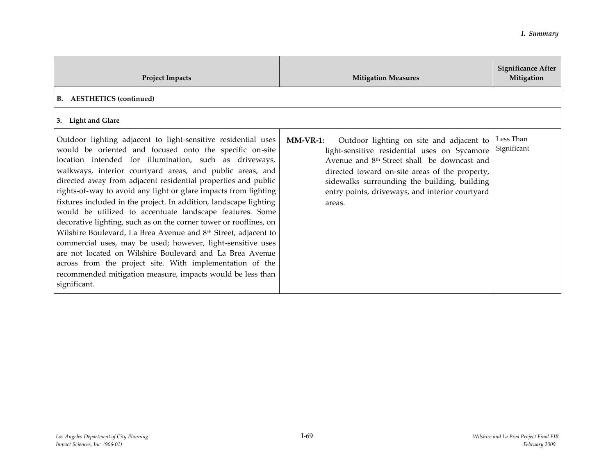| <b>Project Impacts</b>                                                                                                                                                                                                                                                                                                                                                                                                                                                                                                                                                                                                                                                                                                                                                                                                                                                                                                                       | <b>Mitigation Measures</b>                                                                                                                                                                                                                                                                                                        | <b>Significance After</b><br>Mitigation |
|----------------------------------------------------------------------------------------------------------------------------------------------------------------------------------------------------------------------------------------------------------------------------------------------------------------------------------------------------------------------------------------------------------------------------------------------------------------------------------------------------------------------------------------------------------------------------------------------------------------------------------------------------------------------------------------------------------------------------------------------------------------------------------------------------------------------------------------------------------------------------------------------------------------------------------------------|-----------------------------------------------------------------------------------------------------------------------------------------------------------------------------------------------------------------------------------------------------------------------------------------------------------------------------------|-----------------------------------------|
| <b>B.</b> AESTHETICS (continued)                                                                                                                                                                                                                                                                                                                                                                                                                                                                                                                                                                                                                                                                                                                                                                                                                                                                                                             |                                                                                                                                                                                                                                                                                                                                   |                                         |
| 3. Light and Glare                                                                                                                                                                                                                                                                                                                                                                                                                                                                                                                                                                                                                                                                                                                                                                                                                                                                                                                           |                                                                                                                                                                                                                                                                                                                                   |                                         |
| Outdoor lighting adjacent to light-sensitive residential uses<br>would be oriented and focused onto the specific on-site<br>location intended for illumination, such as driveways,<br>walkways, interior courtyard areas, and public areas, and<br>directed away from adjacent residential properties and public<br>rights-of-way to avoid any light or glare impacts from lighting<br>fixtures included in the project. In addition, landscape lighting<br>would be utilized to accentuate landscape features. Some<br>decorative lighting, such as on the corner tower or rooflines, on<br>Wilshire Boulevard, La Brea Avenue and 8 <sup>th</sup> Street, adjacent to<br>commercial uses, may be used; however, light-sensitive uses<br>are not located on Wilshire Boulevard and La Brea Avenue<br>across from the project site. With implementation of the<br>recommended mitigation measure, impacts would be less than<br>significant. | $MM-VR-1$ :<br>Outdoor lighting on site and adjacent to<br>light-sensitive residential uses on Sycamore<br>Avenue and 8 <sup>th</sup> Street shall be downcast and<br>directed toward on-site areas of the property,<br>sidewalks surrounding the building, building<br>entry points, driveways, and interior courtyard<br>areas. | Less Than<br>Significant                |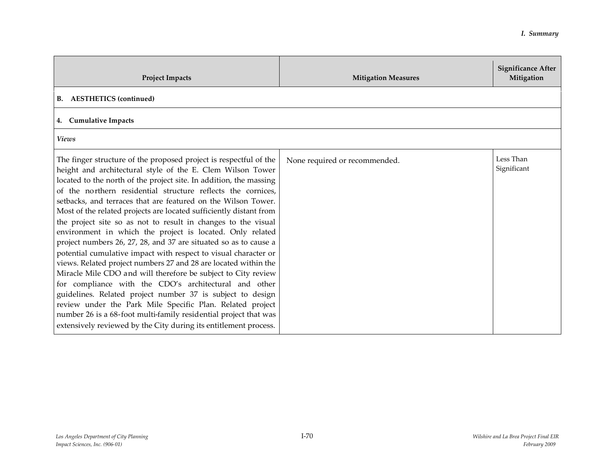| <b>Project Impacts</b>                                                                                                                                                                                                                                                                                                                                                                                                                                                                                                                                                                                                                                                                                                                                                                                                                                                                                                                                                                                                                                                                                                                            | <b>Mitigation Measures</b>    | <b>Significance After</b><br>Mitigation |
|---------------------------------------------------------------------------------------------------------------------------------------------------------------------------------------------------------------------------------------------------------------------------------------------------------------------------------------------------------------------------------------------------------------------------------------------------------------------------------------------------------------------------------------------------------------------------------------------------------------------------------------------------------------------------------------------------------------------------------------------------------------------------------------------------------------------------------------------------------------------------------------------------------------------------------------------------------------------------------------------------------------------------------------------------------------------------------------------------------------------------------------------------|-------------------------------|-----------------------------------------|
| <b>B.</b> AESTHETICS (continued)                                                                                                                                                                                                                                                                                                                                                                                                                                                                                                                                                                                                                                                                                                                                                                                                                                                                                                                                                                                                                                                                                                                  |                               |                                         |
| 4. Cumulative Impacts                                                                                                                                                                                                                                                                                                                                                                                                                                                                                                                                                                                                                                                                                                                                                                                                                                                                                                                                                                                                                                                                                                                             |                               |                                         |
| <b>Views</b>                                                                                                                                                                                                                                                                                                                                                                                                                                                                                                                                                                                                                                                                                                                                                                                                                                                                                                                                                                                                                                                                                                                                      |                               |                                         |
| The finger structure of the proposed project is respectful of the<br>height and architectural style of the E. Clem Wilson Tower<br>located to the north of the project site. In addition, the massing<br>of the northern residential structure reflects the cornices,<br>setbacks, and terraces that are featured on the Wilson Tower.<br>Most of the related projects are located sufficiently distant from<br>the project site so as not to result in changes to the visual<br>environment in which the project is located. Only related<br>project numbers 26, 27, 28, and 37 are situated so as to cause a<br>potential cumulative impact with respect to visual character or<br>views. Related project numbers 27 and 28 are located within the<br>Miracle Mile CDO and will therefore be subject to City review<br>for compliance with the CDO's architectural and other<br>guidelines. Related project number 37 is subject to design<br>review under the Park Mile Specific Plan. Related project<br>number 26 is a 68-foot multi-family residential project that was<br>extensively reviewed by the City during its entitlement process. | None required or recommended. | Less Than<br>Significant                |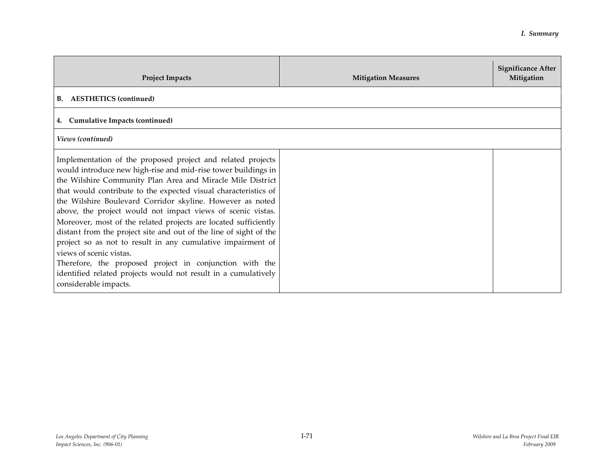| <b>Project Impacts</b>                                                                                                                                                                                                                                                                                                                                                                                                                                                                                                                                                                                                                                                                                                                                                            | <b>Mitigation Measures</b> | <b>Significance After</b><br>Mitigation |
|-----------------------------------------------------------------------------------------------------------------------------------------------------------------------------------------------------------------------------------------------------------------------------------------------------------------------------------------------------------------------------------------------------------------------------------------------------------------------------------------------------------------------------------------------------------------------------------------------------------------------------------------------------------------------------------------------------------------------------------------------------------------------------------|----------------------------|-----------------------------------------|
| B. AESTHETICS (continued)                                                                                                                                                                                                                                                                                                                                                                                                                                                                                                                                                                                                                                                                                                                                                         |                            |                                         |
| <b>Cumulative Impacts (continued)</b><br>4.                                                                                                                                                                                                                                                                                                                                                                                                                                                                                                                                                                                                                                                                                                                                       |                            |                                         |
| Views (continued)                                                                                                                                                                                                                                                                                                                                                                                                                                                                                                                                                                                                                                                                                                                                                                 |                            |                                         |
| Implementation of the proposed project and related projects<br>would introduce new high-rise and mid-rise tower buildings in<br>the Wilshire Community Plan Area and Miracle Mile District<br>that would contribute to the expected visual characteristics of<br>the Wilshire Boulevard Corridor skyline. However as noted<br>above, the project would not impact views of scenic vistas.<br>Moreover, most of the related projects are located sufficiently<br>distant from the project site and out of the line of sight of the<br>project so as not to result in any cumulative impairment of<br>views of scenic vistas.<br>Therefore, the proposed project in conjunction with the<br>identified related projects would not result in a cumulatively<br>considerable impacts. |                            |                                         |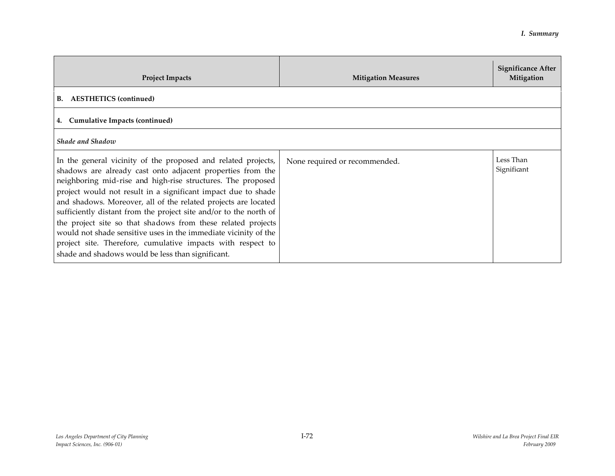| <b>Project Impacts</b>                                                                                                                                                                                                                                                                                                                                                                                                                                                                                                                                                                                                                                    | <b>Mitigation Measures</b>    | Significance After<br>Mitigation |
|-----------------------------------------------------------------------------------------------------------------------------------------------------------------------------------------------------------------------------------------------------------------------------------------------------------------------------------------------------------------------------------------------------------------------------------------------------------------------------------------------------------------------------------------------------------------------------------------------------------------------------------------------------------|-------------------------------|----------------------------------|
| <b>B.</b> AESTHETICS (continued)                                                                                                                                                                                                                                                                                                                                                                                                                                                                                                                                                                                                                          |                               |                                  |
| 4. Cumulative Impacts (continued)                                                                                                                                                                                                                                                                                                                                                                                                                                                                                                                                                                                                                         |                               |                                  |
| Shade and Shadow                                                                                                                                                                                                                                                                                                                                                                                                                                                                                                                                                                                                                                          |                               |                                  |
| In the general vicinity of the proposed and related projects,<br>shadows are already cast onto adjacent properties from the<br>neighboring mid-rise and high-rise structures. The proposed<br>project would not result in a significant impact due to shade<br>and shadows. Moreover, all of the related projects are located<br>sufficiently distant from the project site and/or to the north of<br>the project site so that shadows from these related projects<br>would not shade sensitive uses in the immediate vicinity of the<br>project site. Therefore, cumulative impacts with respect to<br>shade and shadows would be less than significant. | None required or recommended. | Less Than<br>Significant         |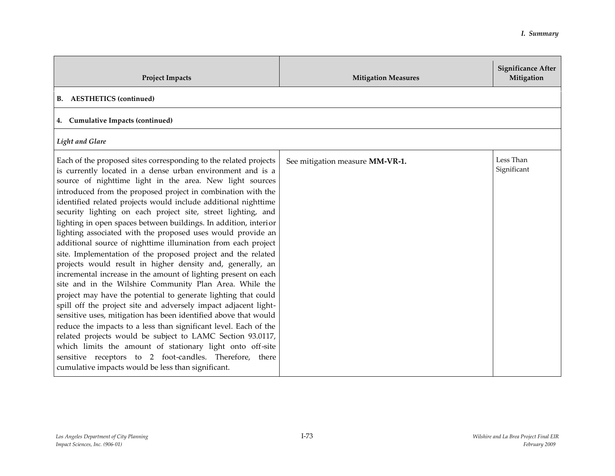| <b>Project Impacts</b>                                                                                                                                                                                                                                                                                                                                                                                                                                                                                                                                                                                                                                                                                                                                                                                                                                                                                                                                                                                                                                                                                                                                                                                                                                                                                                                                                              | <b>Mitigation Measures</b>      | <b>Significance After</b><br>Mitigation |
|-------------------------------------------------------------------------------------------------------------------------------------------------------------------------------------------------------------------------------------------------------------------------------------------------------------------------------------------------------------------------------------------------------------------------------------------------------------------------------------------------------------------------------------------------------------------------------------------------------------------------------------------------------------------------------------------------------------------------------------------------------------------------------------------------------------------------------------------------------------------------------------------------------------------------------------------------------------------------------------------------------------------------------------------------------------------------------------------------------------------------------------------------------------------------------------------------------------------------------------------------------------------------------------------------------------------------------------------------------------------------------------|---------------------------------|-----------------------------------------|
| <b>B.</b> AESTHETICS (continued)                                                                                                                                                                                                                                                                                                                                                                                                                                                                                                                                                                                                                                                                                                                                                                                                                                                                                                                                                                                                                                                                                                                                                                                                                                                                                                                                                    |                                 |                                         |
| 4. Cumulative Impacts (continued)                                                                                                                                                                                                                                                                                                                                                                                                                                                                                                                                                                                                                                                                                                                                                                                                                                                                                                                                                                                                                                                                                                                                                                                                                                                                                                                                                   |                                 |                                         |
| Light and Glare                                                                                                                                                                                                                                                                                                                                                                                                                                                                                                                                                                                                                                                                                                                                                                                                                                                                                                                                                                                                                                                                                                                                                                                                                                                                                                                                                                     |                                 |                                         |
| Each of the proposed sites corresponding to the related projects<br>is currently located in a dense urban environment and is a<br>source of nighttime light in the area. New light sources<br>introduced from the proposed project in combination with the<br>identified related projects would include additional nighttime<br>security lighting on each project site, street lighting, and<br>lighting in open spaces between buildings. In addition, interior<br>lighting associated with the proposed uses would provide an<br>additional source of nighttime illumination from each project<br>site. Implementation of the proposed project and the related<br>projects would result in higher density and, generally, an<br>incremental increase in the amount of lighting present on each<br>site and in the Wilshire Community Plan Area. While the<br>project may have the potential to generate lighting that could<br>spill off the project site and adversely impact adjacent light-<br>sensitive uses, mitigation has been identified above that would<br>reduce the impacts to a less than significant level. Each of the<br>related projects would be subject to LAMC Section 93.0117,<br>which limits the amount of stationary light onto off-site<br>sensitive receptors to 2 foot-candles. Therefore, there<br>cumulative impacts would be less than significant. | See mitigation measure MM-VR-1. | Less Than<br>Significant                |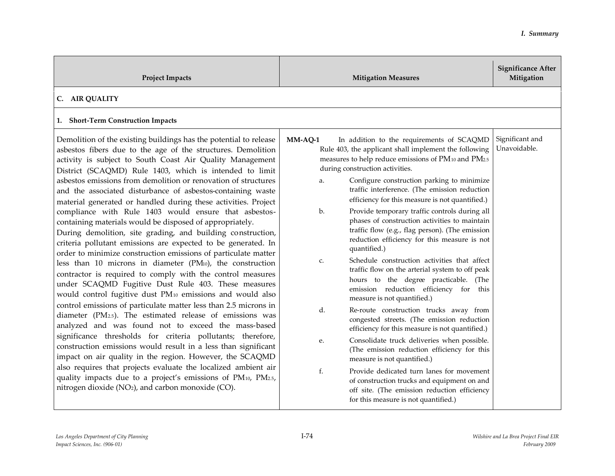| <b>Project Impacts</b>                                                                                                                                                                                                                                                                                                                                                                                                                                                                                                                                                                                                                                                                                                                                                                                                                                                                                                                                                                                                                                                                                                                                                                                                                                                                                                                                                                                                                                                                                                                                                                                                                  | <b>Mitigation Measures</b>                                                                                                                                                                                                                                                                                                                                                                                                                                                                                                                                                                                                                                                                                                                                                                                                                                                                                                                                                                                                                                                                                                                                                                                                                                                                            | <b>Significance After</b><br>Mitigation |
|-----------------------------------------------------------------------------------------------------------------------------------------------------------------------------------------------------------------------------------------------------------------------------------------------------------------------------------------------------------------------------------------------------------------------------------------------------------------------------------------------------------------------------------------------------------------------------------------------------------------------------------------------------------------------------------------------------------------------------------------------------------------------------------------------------------------------------------------------------------------------------------------------------------------------------------------------------------------------------------------------------------------------------------------------------------------------------------------------------------------------------------------------------------------------------------------------------------------------------------------------------------------------------------------------------------------------------------------------------------------------------------------------------------------------------------------------------------------------------------------------------------------------------------------------------------------------------------------------------------------------------------------|-------------------------------------------------------------------------------------------------------------------------------------------------------------------------------------------------------------------------------------------------------------------------------------------------------------------------------------------------------------------------------------------------------------------------------------------------------------------------------------------------------------------------------------------------------------------------------------------------------------------------------------------------------------------------------------------------------------------------------------------------------------------------------------------------------------------------------------------------------------------------------------------------------------------------------------------------------------------------------------------------------------------------------------------------------------------------------------------------------------------------------------------------------------------------------------------------------------------------------------------------------------------------------------------------------|-----------------------------------------|
| C. AIR QUALITY                                                                                                                                                                                                                                                                                                                                                                                                                                                                                                                                                                                                                                                                                                                                                                                                                                                                                                                                                                                                                                                                                                                                                                                                                                                                                                                                                                                                                                                                                                                                                                                                                          |                                                                                                                                                                                                                                                                                                                                                                                                                                                                                                                                                                                                                                                                                                                                                                                                                                                                                                                                                                                                                                                                                                                                                                                                                                                                                                       |                                         |
| 1. Short-Term Construction Impacts                                                                                                                                                                                                                                                                                                                                                                                                                                                                                                                                                                                                                                                                                                                                                                                                                                                                                                                                                                                                                                                                                                                                                                                                                                                                                                                                                                                                                                                                                                                                                                                                      |                                                                                                                                                                                                                                                                                                                                                                                                                                                                                                                                                                                                                                                                                                                                                                                                                                                                                                                                                                                                                                                                                                                                                                                                                                                                                                       |                                         |
| Demolition of the existing buildings has the potential to release<br>asbestos fibers due to the age of the structures. Demolition<br>activity is subject to South Coast Air Quality Management<br>District (SCAQMD) Rule 1403, which is intended to limit<br>asbestos emissions from demolition or renovation of structures<br>and the associated disturbance of asbestos-containing waste<br>material generated or handled during these activities. Project<br>compliance with Rule 1403 would ensure that asbestos-<br>containing materials would be disposed of appropriately.<br>During demolition, site grading, and building construction,<br>criteria pollutant emissions are expected to be generated. In<br>order to minimize construction emissions of particulate matter<br>less than 10 microns in diameter (PM10), the construction<br>contractor is required to comply with the control measures<br>under SCAQMD Fugitive Dust Rule 403. These measures<br>would control fugitive dust PM10 emissions and would also<br>control emissions of particulate matter less than 2.5 microns in<br>diameter (PM <sub>2.5</sub> ). The estimated release of emissions was<br>analyzed and was found not to exceed the mass-based<br>significance thresholds for criteria pollutants; therefore,<br>construction emissions would result in a less than significant<br>impact on air quality in the region. However, the SCAQMD<br>also requires that projects evaluate the localized ambient air<br>quality impacts due to a project's emissions of PM10, PM2.5,<br>nitrogen dioxide (NO <sub>2</sub> ), and carbon monoxide (CO). | $MM-AQ-1$<br>In addition to the requirements of SCAQMD<br>Rule 403, the applicant shall implement the following<br>measures to help reduce emissions of PM10 and PM2.5<br>during construction activities.<br>Configure construction parking to minimize<br>a.<br>traffic interference. (The emission reduction<br>efficiency for this measure is not quantified.)<br>Provide temporary traffic controls during all<br>b.<br>phases of construction activities to maintain<br>traffic flow (e.g., flag person). (The emission<br>reduction efficiency for this measure is not<br>quantified.)<br>Schedule construction activities that affect<br>C.<br>traffic flow on the arterial system to off peak<br>hours to the degree practicable. (The<br>emission reduction efficiency for this<br>measure is not quantified.)<br>d.<br>Re-route construction trucks away from<br>congested streets. (The emission reduction<br>efficiency for this measure is not quantified.)<br>Consolidate truck deliveries when possible.<br>е.<br>(The emission reduction efficiency for this<br>measure is not quantified.)<br>f.<br>Provide dedicated turn lanes for movement<br>of construction trucks and equipment on and<br>off site. (The emission reduction efficiency<br>for this measure is not quantified.) | Significant and<br>Unavoidable.         |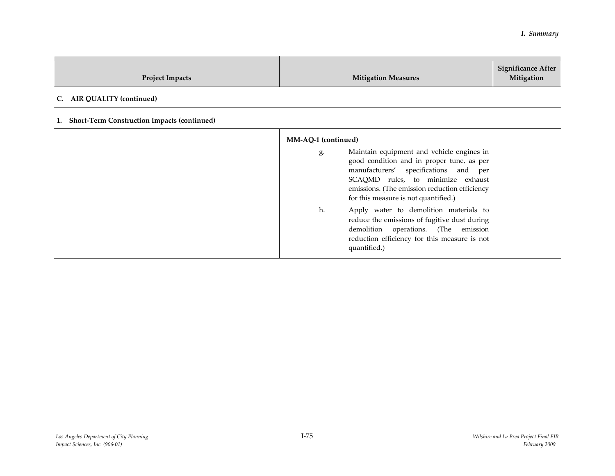| <b>Project Impacts</b>                                   | <b>Mitigation Measures</b>                                                                                                                                                                                                                                                                                                                 | <b>Significance After</b><br>Mitigation |
|----------------------------------------------------------|--------------------------------------------------------------------------------------------------------------------------------------------------------------------------------------------------------------------------------------------------------------------------------------------------------------------------------------------|-----------------------------------------|
| C. AIR QUALITY (continued)                               |                                                                                                                                                                                                                                                                                                                                            |                                         |
| <b>Short-Term Construction Impacts (continued)</b><br>1. |                                                                                                                                                                                                                                                                                                                                            |                                         |
|                                                          | MM-AQ-1 (continued)<br>Maintain equipment and vehicle engines in<br>g.<br>good condition and in proper tune, as per<br>manufacturers' specifications and per<br>SCAQMD rules, to minimize exhaust<br>emissions. (The emission reduction efficiency<br>for this measure is not quantified.)<br>Apply water to demolition materials to<br>h. |                                         |
|                                                          | reduce the emissions of fugitive dust during<br>demolition operations. (The emission<br>reduction efficiency for this measure is not<br>quantified.)                                                                                                                                                                                       |                                         |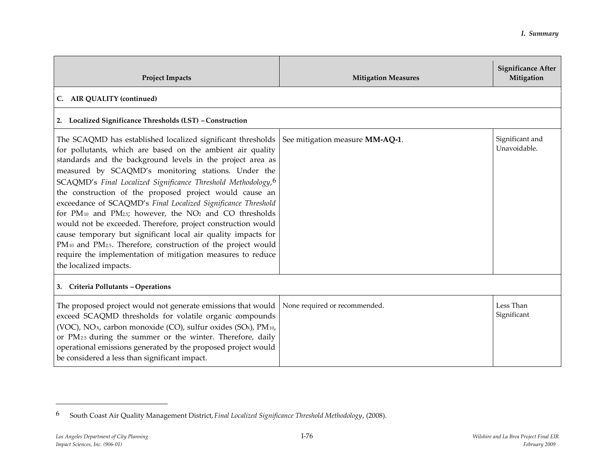| <b>Project Impacts</b>                                                                                                                                                                                                                                                                                                                                                                                                                                                                                                                                                                                                                                                                                                                                                                          | <b>Mitigation Measures</b>      | <b>Significance After</b><br>Mitigation |
|-------------------------------------------------------------------------------------------------------------------------------------------------------------------------------------------------------------------------------------------------------------------------------------------------------------------------------------------------------------------------------------------------------------------------------------------------------------------------------------------------------------------------------------------------------------------------------------------------------------------------------------------------------------------------------------------------------------------------------------------------------------------------------------------------|---------------------------------|-----------------------------------------|
| <b>AIR QUALITY (continued)</b><br>C.                                                                                                                                                                                                                                                                                                                                                                                                                                                                                                                                                                                                                                                                                                                                                            |                                 |                                         |
| 2. Localized Significance Thresholds (LST) - Construction                                                                                                                                                                                                                                                                                                                                                                                                                                                                                                                                                                                                                                                                                                                                       |                                 |                                         |
| The SCAQMD has established localized significant thresholds<br>for pollutants, which are based on the ambient air quality<br>standards and the background levels in the project area as<br>measured by SCAQMD's monitoring stations. Under the<br>SCAQMD's Final Localized Significance Threshold Methodology, 6<br>the construction of the proposed project would cause an<br>exceedance of SCAQMD's Final Localized Significance Threshold<br>for PM10 and PM25; however, the NO2 and CO thresholds<br>would not be exceeded. Therefore, project construction would<br>cause temporary but significant local air quality impacts for<br>PM10 and PM2.5. Therefore, construction of the project would<br>require the implementation of mitigation measures to reduce<br>the localized impacts. | See mitigation measure MM-AQ-1. | Significant and<br>Unavoidable.         |
| 3. Criteria Pollutants - Operations                                                                                                                                                                                                                                                                                                                                                                                                                                                                                                                                                                                                                                                                                                                                                             |                                 |                                         |
| The proposed project would not generate emissions that would<br>exceed SCAQMD thresholds for volatile organic compounds<br>(VOC), NO <sub>x</sub> , carbon monoxide (CO), sulfur oxides (SO <sub>x</sub> ), PM <sub>10</sub> ,<br>or PM <sub>2.5</sub> during the summer or the winter. Therefore, daily<br>operational emissions generated by the proposed project would<br>be considered a less than significant impact.                                                                                                                                                                                                                                                                                                                                                                      | None required or recommended.   | Less Than<br>Significant                |

<sup>6</sup> South Coast Air Quality Management District, *Final Localized Significance Threshold Methodology*, (2008).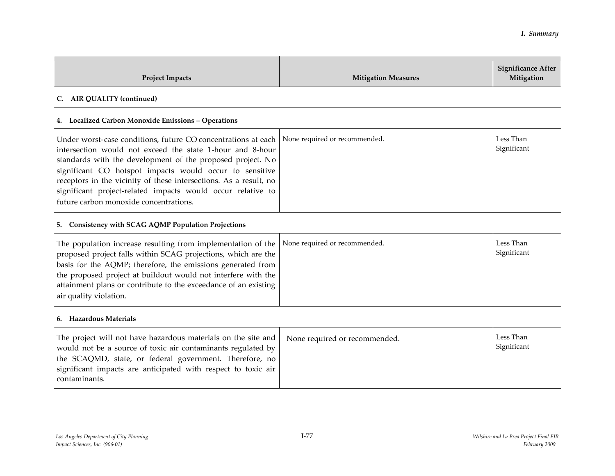| <b>Project Impacts</b>                                                                                                                                                                                                                                                                                                                                                                                                            | <b>Mitigation Measures</b>    | <b>Significance After</b><br>Mitigation |
|-----------------------------------------------------------------------------------------------------------------------------------------------------------------------------------------------------------------------------------------------------------------------------------------------------------------------------------------------------------------------------------------------------------------------------------|-------------------------------|-----------------------------------------|
| C. AIR QUALITY (continued)                                                                                                                                                                                                                                                                                                                                                                                                        |                               |                                         |
| 4. Localized Carbon Monoxide Emissions - Operations                                                                                                                                                                                                                                                                                                                                                                               |                               |                                         |
| Under worst-case conditions, future CO concentrations at each<br>intersection would not exceed the state 1-hour and 8-hour<br>standards with the development of the proposed project. No<br>significant CO hotspot impacts would occur to sensitive<br>receptors in the vicinity of these intersections. As a result, no<br>significant project-related impacts would occur relative to<br>future carbon monoxide concentrations. | None required or recommended. | Less Than<br>Significant                |
| 5. Consistency with SCAG AQMP Population Projections                                                                                                                                                                                                                                                                                                                                                                              |                               |                                         |
| The population increase resulting from implementation of the<br>proposed project falls within SCAG projections, which are the<br>basis for the AQMP; therefore, the emissions generated from<br>the proposed project at buildout would not interfere with the<br>attainment plans or contribute to the exceedance of an existing<br>air quality violation.                                                                        | None required or recommended. | Less Than<br>Significant                |
| 6. Hazardous Materials                                                                                                                                                                                                                                                                                                                                                                                                            |                               |                                         |
| The project will not have hazardous materials on the site and<br>would not be a source of toxic air contaminants regulated by<br>the SCAQMD, state, or federal government. Therefore, no<br>significant impacts are anticipated with respect to toxic air<br>contaminants.                                                                                                                                                        | None required or recommended. | Less Than<br>Significant                |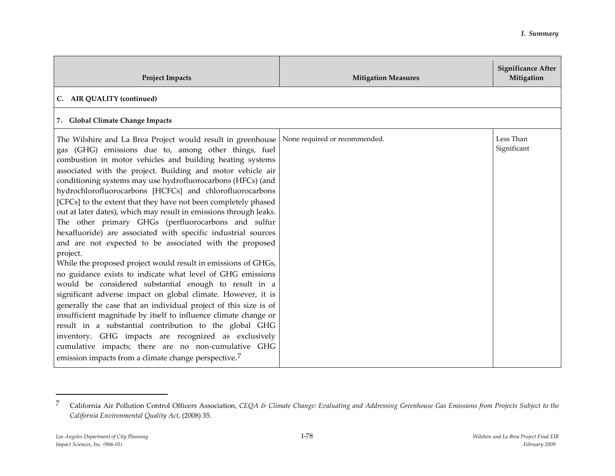| <b>Project Impacts</b>                                                                                                                                                                                                                                                                                                                                                                                                                                                                                                                                                                                                                                                                                                                                                                                                                                                                                                                                                                                                                                                                                                                                                                                                                                                                                                                                       | <b>Mitigation Measures</b>    | <b>Significance After</b><br>Mitigation |
|--------------------------------------------------------------------------------------------------------------------------------------------------------------------------------------------------------------------------------------------------------------------------------------------------------------------------------------------------------------------------------------------------------------------------------------------------------------------------------------------------------------------------------------------------------------------------------------------------------------------------------------------------------------------------------------------------------------------------------------------------------------------------------------------------------------------------------------------------------------------------------------------------------------------------------------------------------------------------------------------------------------------------------------------------------------------------------------------------------------------------------------------------------------------------------------------------------------------------------------------------------------------------------------------------------------------------------------------------------------|-------------------------------|-----------------------------------------|
| C. AIR QUALITY (continued)                                                                                                                                                                                                                                                                                                                                                                                                                                                                                                                                                                                                                                                                                                                                                                                                                                                                                                                                                                                                                                                                                                                                                                                                                                                                                                                                   |                               |                                         |
| 7. Global Climate Change Impacts                                                                                                                                                                                                                                                                                                                                                                                                                                                                                                                                                                                                                                                                                                                                                                                                                                                                                                                                                                                                                                                                                                                                                                                                                                                                                                                             |                               |                                         |
| The Wilshire and La Brea Project would result in greenhouse<br>gas (GHG) emissions due to, among other things, fuel<br>combustion in motor vehicles and building heating systems<br>associated with the project. Building and motor vehicle air<br>conditioning systems may use hydrofluorocarbons (HFCs) (and<br>hydrochlorofluorocarbons [HCFCs] and chlorofluorocarbons<br>[CFCs] to the extent that they have not been completely phased<br>out at later dates), which may result in emissions through leaks.<br>The other primary GHGs (perfluorocarbons and sulfur<br>hexafluoride) are associated with specific industrial sources<br>and are not expected to be associated with the proposed<br>project.<br>While the proposed project would result in emissions of GHGs,<br>no guidance exists to indicate what level of GHG emissions<br>would be considered substantial enough to result in a<br>significant adverse impact on global climate. However, it is<br>generally the case that an individual project of this size is of<br>insufficient magnitude by itself to influence climate change or<br>result in a substantial contribution to the global GHG<br>inventory. GHG impacts are recognized as exclusively<br>cumulative impacts; there are no non-cumulative GHG<br>emission impacts from a climate change perspective. <sup>7</sup> | None required or recommended. | Less Than<br>Significant                |

<sup>7</sup> California Air Pollution Control Officers Association, *CEQA & Climate Change: Evaluating and Addressing Greenhouse Gas Emissions from Projects Subject to the California Environmental Quality Act*, (2008) 35.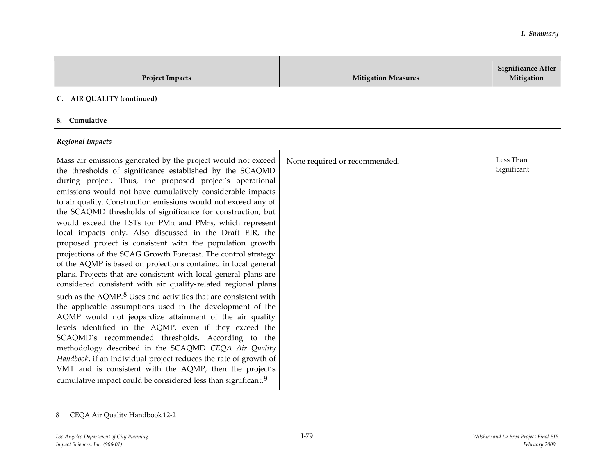| <b>Project Impacts</b>                                                                                                                                                                                                                                                                                                                                                                                                                                                                                                                                                                                                                                                                                                                                                                                                                                                                                                                                                                                                                                                                                                                                                                                                                                                                                                                                                                                                                      | <b>Mitigation Measures</b>    | <b>Significance After</b><br>Mitigation |
|---------------------------------------------------------------------------------------------------------------------------------------------------------------------------------------------------------------------------------------------------------------------------------------------------------------------------------------------------------------------------------------------------------------------------------------------------------------------------------------------------------------------------------------------------------------------------------------------------------------------------------------------------------------------------------------------------------------------------------------------------------------------------------------------------------------------------------------------------------------------------------------------------------------------------------------------------------------------------------------------------------------------------------------------------------------------------------------------------------------------------------------------------------------------------------------------------------------------------------------------------------------------------------------------------------------------------------------------------------------------------------------------------------------------------------------------|-------------------------------|-----------------------------------------|
| C. AIR QUALITY (continued)                                                                                                                                                                                                                                                                                                                                                                                                                                                                                                                                                                                                                                                                                                                                                                                                                                                                                                                                                                                                                                                                                                                                                                                                                                                                                                                                                                                                                  |                               |                                         |
| Cumulative<br>8.                                                                                                                                                                                                                                                                                                                                                                                                                                                                                                                                                                                                                                                                                                                                                                                                                                                                                                                                                                                                                                                                                                                                                                                                                                                                                                                                                                                                                            |                               |                                         |
| <b>Regional Impacts</b>                                                                                                                                                                                                                                                                                                                                                                                                                                                                                                                                                                                                                                                                                                                                                                                                                                                                                                                                                                                                                                                                                                                                                                                                                                                                                                                                                                                                                     |                               |                                         |
| Mass air emissions generated by the project would not exceed<br>the thresholds of significance established by the SCAQMD<br>during project. Thus, the proposed project's operational<br>emissions would not have cumulatively considerable impacts<br>to air quality. Construction emissions would not exceed any of<br>the SCAQMD thresholds of significance for construction, but<br>would exceed the LSTs for PM10 and PM2.5, which represent<br>local impacts only. Also discussed in the Draft EIR, the<br>proposed project is consistent with the population growth<br>projections of the SCAG Growth Forecast. The control strategy<br>of the AQMP is based on projections contained in local general<br>plans. Projects that are consistent with local general plans are<br>considered consistent with air quality-related regional plans<br>such as the AQMP. <sup>8</sup> Uses and activities that are consistent with<br>the applicable assumptions used in the development of the<br>AQMP would not jeopardize attainment of the air quality<br>levels identified in the AQMP, even if they exceed the<br>SCAQMD's recommended thresholds. According to the<br>methodology described in the SCAQMD CEQA Air Quality<br>Handbook, if an individual project reduces the rate of growth of<br>VMT and is consistent with the AQMP, then the project's<br>cumulative impact could be considered less than significant. <sup>9</sup> | None required or recommended. | Less Than<br>Significant                |

<sup>8</sup> CEQA Air Quality Handbook 12-2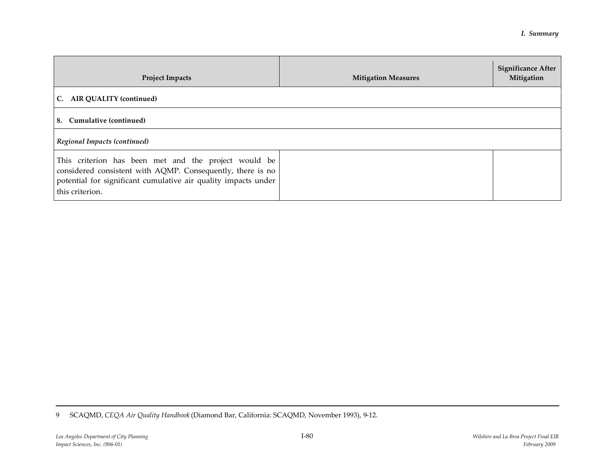| <b>Project Impacts</b>                                                                                                                                                                                  | <b>Mitigation Measures</b> | <b>Significance After</b><br>Mitigation |
|---------------------------------------------------------------------------------------------------------------------------------------------------------------------------------------------------------|----------------------------|-----------------------------------------|
| C. AIR QUALITY (continued)                                                                                                                                                                              |                            |                                         |
| 8. Cumulative (continued)                                                                                                                                                                               |                            |                                         |
| Regional Impacts (continued)                                                                                                                                                                            |                            |                                         |
| This criterion has been met and the project would be<br>considered consistent with AQMP. Consequently, there is no<br>potential for significant cumulative air quality impacts under<br>this criterion. |                            |                                         |

<sup>9</sup> SCAQMD, *CEQA Air Quality Handbook* (Diamond Bar, California: SCAQMD, November 1993), 9-12.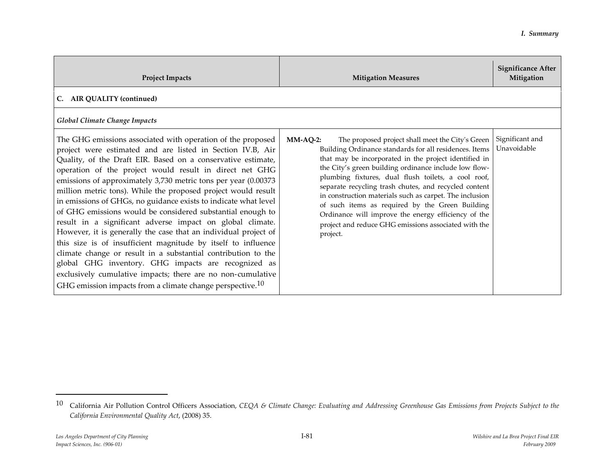| <b>Project Impacts</b>                                                                                                                                                                                                                                                                                                                                                                                                                                                                                                                                                                                                                                                                                                                                                                                                                                                                                                     | <b>Mitigation Measures</b>                                                                                                                                                                                                                                                                                                                                                                                                                                                                                                        | <b>Significance After</b><br>Mitigation |
|----------------------------------------------------------------------------------------------------------------------------------------------------------------------------------------------------------------------------------------------------------------------------------------------------------------------------------------------------------------------------------------------------------------------------------------------------------------------------------------------------------------------------------------------------------------------------------------------------------------------------------------------------------------------------------------------------------------------------------------------------------------------------------------------------------------------------------------------------------------------------------------------------------------------------|-----------------------------------------------------------------------------------------------------------------------------------------------------------------------------------------------------------------------------------------------------------------------------------------------------------------------------------------------------------------------------------------------------------------------------------------------------------------------------------------------------------------------------------|-----------------------------------------|
| C. AIR QUALITY (continued)<br><b>Global Climate Change Impacts</b><br>The GHG emissions associated with operation of the proposed                                                                                                                                                                                                                                                                                                                                                                                                                                                                                                                                                                                                                                                                                                                                                                                          | $MM-AQ-2$ :<br>The proposed project shall meet the City's Green                                                                                                                                                                                                                                                                                                                                                                                                                                                                   | Significant and                         |
| project were estimated and are listed in Section IV.B, Air<br>Quality, of the Draft EIR. Based on a conservative estimate,<br>operation of the project would result in direct net GHG<br>emissions of approximately 3,730 metric tons per year (0.00373<br>million metric tons). While the proposed project would result<br>in emissions of GHGs, no guidance exists to indicate what level<br>of GHG emissions would be considered substantial enough to<br>result in a significant adverse impact on global climate.<br>However, it is generally the case that an individual project of<br>this size is of insufficient magnitude by itself to influence<br>climate change or result in a substantial contribution to the<br>global GHG inventory. GHG impacts are recognized as<br>exclusively cumulative impacts; there are no non-cumulative<br>GHG emission impacts from a climate change perspective. <sup>10</sup> | Building Ordinance standards for all residences. Items<br>that may be incorporated in the project identified in<br>the City's green building ordinance include low flow-<br>plumbing fixtures, dual flush toilets, a cool roof,<br>separate recycling trash chutes, and recycled content<br>in construction materials such as carpet. The inclusion<br>of such items as required by the Green Building<br>Ordinance will improve the energy efficiency of the<br>project and reduce GHG emissions associated with the<br>project. | Unavoidable                             |

<sup>10</sup> California Air Pollution Control Officers Association, *CEQA & Climate Change: Evaluating and Addressing Greenhouse Gas Emissions from Projects Subject to the California Environmental Quality Act*, (2008) 35.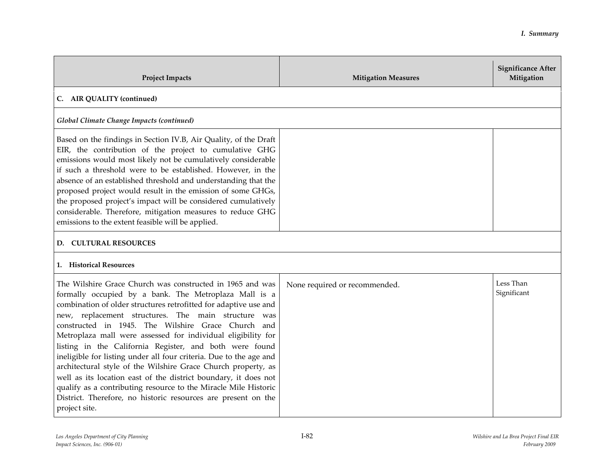| <b>Project Impacts</b>                                                                                                                                                                                                                                                                                                                                                                                                                                                                                                                                                                                                                                                                                                                                                                        | <b>Mitigation Measures</b>    | <b>Significance After</b><br>Mitigation |
|-----------------------------------------------------------------------------------------------------------------------------------------------------------------------------------------------------------------------------------------------------------------------------------------------------------------------------------------------------------------------------------------------------------------------------------------------------------------------------------------------------------------------------------------------------------------------------------------------------------------------------------------------------------------------------------------------------------------------------------------------------------------------------------------------|-------------------------------|-----------------------------------------|
| C. AIR QUALITY (continued)                                                                                                                                                                                                                                                                                                                                                                                                                                                                                                                                                                                                                                                                                                                                                                    |                               |                                         |
| Global Climate Change Impacts (continued)                                                                                                                                                                                                                                                                                                                                                                                                                                                                                                                                                                                                                                                                                                                                                     |                               |                                         |
| Based on the findings in Section IV.B, Air Quality, of the Draft<br>EIR, the contribution of the project to cumulative GHG<br>emissions would most likely not be cumulatively considerable<br>if such a threshold were to be established. However, in the<br>absence of an established threshold and understanding that the<br>proposed project would result in the emission of some GHGs,<br>the proposed project's impact will be considered cumulatively<br>considerable. Therefore, mitigation measures to reduce GHG<br>emissions to the extent feasible will be applied.                                                                                                                                                                                                                |                               |                                         |
| D. CULTURAL RESOURCES                                                                                                                                                                                                                                                                                                                                                                                                                                                                                                                                                                                                                                                                                                                                                                         |                               |                                         |
| <b>1.</b> Historical Resources                                                                                                                                                                                                                                                                                                                                                                                                                                                                                                                                                                                                                                                                                                                                                                |                               |                                         |
| The Wilshire Grace Church was constructed in 1965 and was<br>formally occupied by a bank. The Metroplaza Mall is a<br>combination of older structures retrofitted for adaptive use and<br>new, replacement structures. The main structure was<br>constructed in 1945. The Wilshire Grace Church and<br>Metroplaza mall were assessed for individual eligibility for<br>listing in the California Register, and both were found<br>ineligible for listing under all four criteria. Due to the age and<br>architectural style of the Wilshire Grace Church property, as<br>well as its location east of the district boundary, it does not<br>qualify as a contributing resource to the Miracle Mile Historic<br>District. Therefore, no historic resources are present on the<br>project site. | None required or recommended. | Less Than<br>Significant                |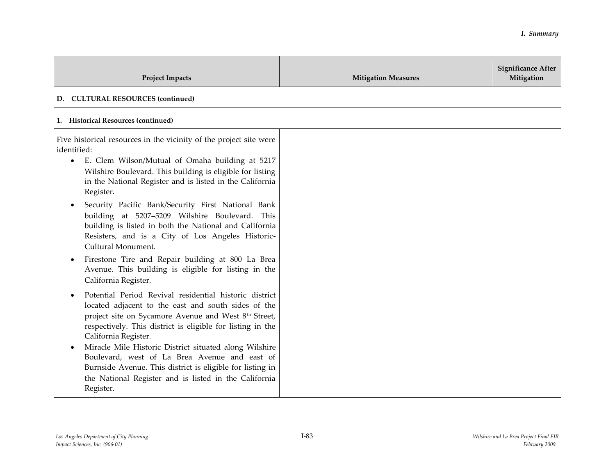| <b>Project Impacts</b>                                                                                                                                                                                                                                                                                                                                                                                                                                                                                                                                                                                                                                                                                                                                                                                                                                                                                                                                                                                                                                                                                                                                                                                          | <b>Mitigation Measures</b> | <b>Significance After</b><br>Mitigation |
|-----------------------------------------------------------------------------------------------------------------------------------------------------------------------------------------------------------------------------------------------------------------------------------------------------------------------------------------------------------------------------------------------------------------------------------------------------------------------------------------------------------------------------------------------------------------------------------------------------------------------------------------------------------------------------------------------------------------------------------------------------------------------------------------------------------------------------------------------------------------------------------------------------------------------------------------------------------------------------------------------------------------------------------------------------------------------------------------------------------------------------------------------------------------------------------------------------------------|----------------------------|-----------------------------------------|
| D. CULTURAL RESOURCES (continued)                                                                                                                                                                                                                                                                                                                                                                                                                                                                                                                                                                                                                                                                                                                                                                                                                                                                                                                                                                                                                                                                                                                                                                               |                            |                                         |
| 1. Historical Resources (continued)                                                                                                                                                                                                                                                                                                                                                                                                                                                                                                                                                                                                                                                                                                                                                                                                                                                                                                                                                                                                                                                                                                                                                                             |                            |                                         |
| Five historical resources in the vicinity of the project site were<br>identified:<br>E. Clem Wilson/Mutual of Omaha building at 5217<br>$\bullet$<br>Wilshire Boulevard. This building is eligible for listing<br>in the National Register and is listed in the California<br>Register.<br>Security Pacific Bank/Security First National Bank<br>building at 5207-5209 Wilshire Boulevard. This<br>building is listed in both the National and California<br>Resisters, and is a City of Los Angeles Historic-<br>Cultural Monument.<br>Firestone Tire and Repair building at 800 La Brea<br>$\bullet$<br>Avenue. This building is eligible for listing in the<br>California Register.<br>Potential Period Revival residential historic district<br>located adjacent to the east and south sides of the<br>project site on Sycamore Avenue and West 8 <sup>th</sup> Street,<br>respectively. This district is eligible for listing in the<br>California Register.<br>Miracle Mile Historic District situated along Wilshire<br>Boulevard, west of La Brea Avenue and east of<br>Burnside Avenue. This district is eligible for listing in<br>the National Register and is listed in the California<br>Register. |                            |                                         |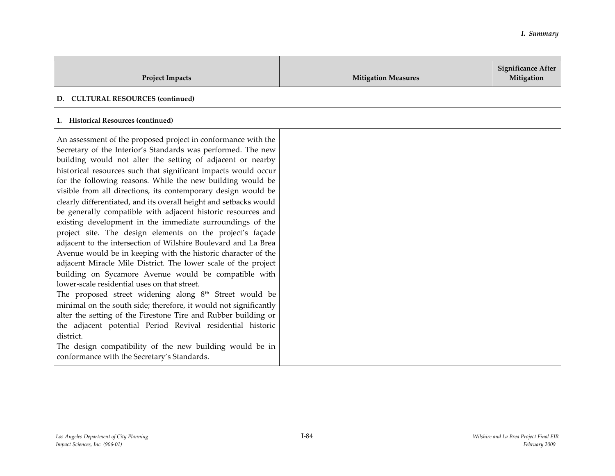| <b>Project Impacts</b>                                                                                                                                                                                                                                                                                                                                                                                                                                                                                                                                                                                                                                                                                                                                                                                                                                                                                                                                                                                                                                                                                                                                                                                                                                                                                                                                           | <b>Mitigation Measures</b> | <b>Significance After</b><br>Mitigation |
|------------------------------------------------------------------------------------------------------------------------------------------------------------------------------------------------------------------------------------------------------------------------------------------------------------------------------------------------------------------------------------------------------------------------------------------------------------------------------------------------------------------------------------------------------------------------------------------------------------------------------------------------------------------------------------------------------------------------------------------------------------------------------------------------------------------------------------------------------------------------------------------------------------------------------------------------------------------------------------------------------------------------------------------------------------------------------------------------------------------------------------------------------------------------------------------------------------------------------------------------------------------------------------------------------------------------------------------------------------------|----------------------------|-----------------------------------------|
| <b>CULTURAL RESOURCES (continued)</b><br>D.                                                                                                                                                                                                                                                                                                                                                                                                                                                                                                                                                                                                                                                                                                                                                                                                                                                                                                                                                                                                                                                                                                                                                                                                                                                                                                                      |                            |                                         |
| 1. Historical Resources (continued)                                                                                                                                                                                                                                                                                                                                                                                                                                                                                                                                                                                                                                                                                                                                                                                                                                                                                                                                                                                                                                                                                                                                                                                                                                                                                                                              |                            |                                         |
| An assessment of the proposed project in conformance with the<br>Secretary of the Interior's Standards was performed. The new<br>building would not alter the setting of adjacent or nearby<br>historical resources such that significant impacts would occur<br>for the following reasons. While the new building would be<br>visible from all directions, its contemporary design would be<br>clearly differentiated, and its overall height and setbacks would<br>be generally compatible with adjacent historic resources and<br>existing development in the immediate surroundings of the<br>project site. The design elements on the project's façade<br>adjacent to the intersection of Wilshire Boulevard and La Brea<br>Avenue would be in keeping with the historic character of the<br>adjacent Miracle Mile District. The lower scale of the project<br>building on Sycamore Avenue would be compatible with<br>lower-scale residential uses on that street.<br>The proposed street widening along $8th$ Street would be<br>minimal on the south side; therefore, it would not significantly<br>alter the setting of the Firestone Tire and Rubber building or<br>the adjacent potential Period Revival residential historic<br>district.<br>The design compatibility of the new building would be in<br>conformance with the Secretary's Standards. |                            |                                         |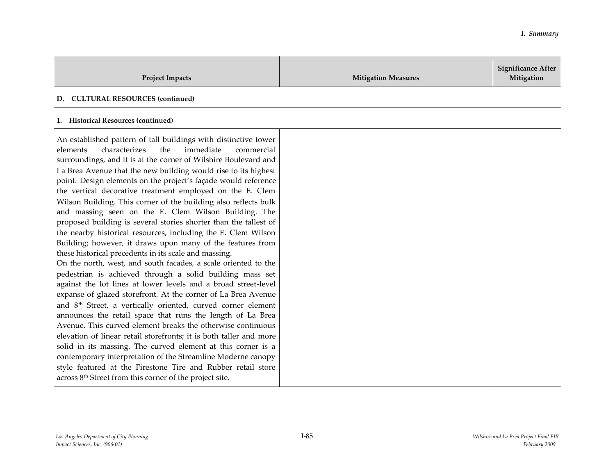| <b>Project Impacts</b>                                                                                                                                                                                                                                                                                                                                                                                                                                                                                                                                                                                                                                                                                                                                                                                                                                                                                                                                                                                                                                                                                                                                                                                                                                                                                                                                                                                                                                                                                                                                                                                           | <b>Mitigation Measures</b> | <b>Significance After</b><br>Mitigation |
|------------------------------------------------------------------------------------------------------------------------------------------------------------------------------------------------------------------------------------------------------------------------------------------------------------------------------------------------------------------------------------------------------------------------------------------------------------------------------------------------------------------------------------------------------------------------------------------------------------------------------------------------------------------------------------------------------------------------------------------------------------------------------------------------------------------------------------------------------------------------------------------------------------------------------------------------------------------------------------------------------------------------------------------------------------------------------------------------------------------------------------------------------------------------------------------------------------------------------------------------------------------------------------------------------------------------------------------------------------------------------------------------------------------------------------------------------------------------------------------------------------------------------------------------------------------------------------------------------------------|----------------------------|-----------------------------------------|
| D. CULTURAL RESOURCES (continued)                                                                                                                                                                                                                                                                                                                                                                                                                                                                                                                                                                                                                                                                                                                                                                                                                                                                                                                                                                                                                                                                                                                                                                                                                                                                                                                                                                                                                                                                                                                                                                                |                            |                                         |
| <b>Historical Resources (continued)</b><br>1.                                                                                                                                                                                                                                                                                                                                                                                                                                                                                                                                                                                                                                                                                                                                                                                                                                                                                                                                                                                                                                                                                                                                                                                                                                                                                                                                                                                                                                                                                                                                                                    |                            |                                         |
| An established pattern of tall buildings with distinctive tower<br>elements<br>characterizes<br>the<br>immediate<br>commercial<br>surroundings, and it is at the corner of Wilshire Boulevard and<br>La Brea Avenue that the new building would rise to its highest<br>point. Design elements on the project's façade would reference<br>the vertical decorative treatment employed on the E. Clem<br>Wilson Building. This corner of the building also reflects bulk<br>and massing seen on the E. Clem Wilson Building. The<br>proposed building is several stories shorter than the tallest of<br>the nearby historical resources, including the E. Clem Wilson<br>Building; however, it draws upon many of the features from<br>these historical precedents in its scale and massing.<br>On the north, west, and south facades, a scale oriented to the<br>pedestrian is achieved through a solid building mass set<br>against the lot lines at lower levels and a broad street-level<br>expanse of glazed storefront. At the corner of La Brea Avenue<br>and 8 <sup>th</sup> Street, a vertically oriented, curved corner element<br>announces the retail space that runs the length of La Brea<br>Avenue. This curved element breaks the otherwise continuous<br>elevation of linear retail storefronts; it is both taller and more<br>solid in its massing. The curved element at this corner is a<br>contemporary interpretation of the Streamline Moderne canopy<br>style featured at the Firestone Tire and Rubber retail store<br>across 8 <sup>th</sup> Street from this corner of the project site. |                            |                                         |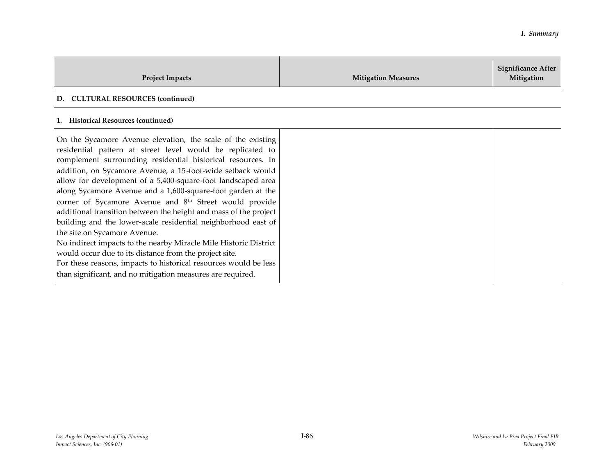| <b>Project Impacts</b>                                                                                                                                                                                                                                                                                                                                                                                                                                                                                                                                                                                                                                                                                                                                                                                                                                                                           | <b>Mitigation Measures</b> | <b>Significance After</b><br>Mitigation |
|--------------------------------------------------------------------------------------------------------------------------------------------------------------------------------------------------------------------------------------------------------------------------------------------------------------------------------------------------------------------------------------------------------------------------------------------------------------------------------------------------------------------------------------------------------------------------------------------------------------------------------------------------------------------------------------------------------------------------------------------------------------------------------------------------------------------------------------------------------------------------------------------------|----------------------------|-----------------------------------------|
| <b>CULTURAL RESOURCES (continued)</b><br>D.                                                                                                                                                                                                                                                                                                                                                                                                                                                                                                                                                                                                                                                                                                                                                                                                                                                      |                            |                                         |
| 1. Historical Resources (continued)                                                                                                                                                                                                                                                                                                                                                                                                                                                                                                                                                                                                                                                                                                                                                                                                                                                              |                            |                                         |
| On the Sycamore Avenue elevation, the scale of the existing<br>residential pattern at street level would be replicated to<br>complement surrounding residential historical resources. In<br>addition, on Sycamore Avenue, a 15-foot-wide setback would<br>allow for development of a 5,400-square-foot landscaped area<br>along Sycamore Avenue and a 1,600-square-foot garden at the<br>corner of Sycamore Avenue and 8 <sup>th</sup> Street would provide<br>additional transition between the height and mass of the project<br>building and the lower-scale residential neighborhood east of<br>the site on Sycamore Avenue.<br>No indirect impacts to the nearby Miracle Mile Historic District<br>would occur due to its distance from the project site.<br>For these reasons, impacts to historical resources would be less<br>than significant, and no mitigation measures are required. |                            |                                         |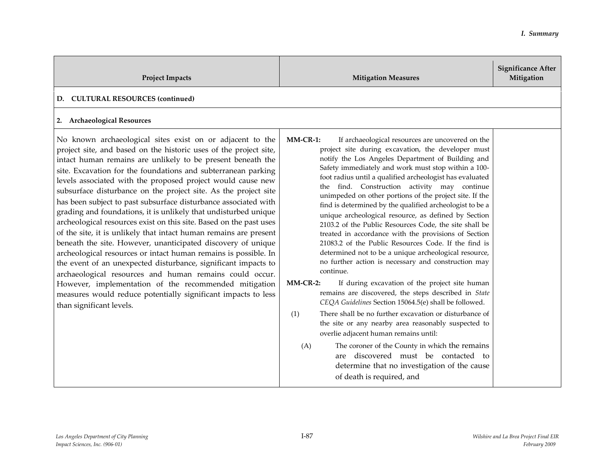| <b>Project Impacts</b>                                                                                                                                                                                                                                                                                                                                                                                                                                                                                                                                                                                                                                                                                                                                                                                                                                                                                                                                                                                                                                                                                  | <b>Mitigation Measures</b>                                                                                                                                                                                                                                                                                                                                                                                                                                                                                                                                                                                                                                                                                                                                                                                                                                                                                                                                                                                                                                                                                                                                                                                                                                                                                                                                           | <b>Significance After</b><br>Mitigation |
|---------------------------------------------------------------------------------------------------------------------------------------------------------------------------------------------------------------------------------------------------------------------------------------------------------------------------------------------------------------------------------------------------------------------------------------------------------------------------------------------------------------------------------------------------------------------------------------------------------------------------------------------------------------------------------------------------------------------------------------------------------------------------------------------------------------------------------------------------------------------------------------------------------------------------------------------------------------------------------------------------------------------------------------------------------------------------------------------------------|----------------------------------------------------------------------------------------------------------------------------------------------------------------------------------------------------------------------------------------------------------------------------------------------------------------------------------------------------------------------------------------------------------------------------------------------------------------------------------------------------------------------------------------------------------------------------------------------------------------------------------------------------------------------------------------------------------------------------------------------------------------------------------------------------------------------------------------------------------------------------------------------------------------------------------------------------------------------------------------------------------------------------------------------------------------------------------------------------------------------------------------------------------------------------------------------------------------------------------------------------------------------------------------------------------------------------------------------------------------------|-----------------------------------------|
| <b>CULTURAL RESOURCES (continued)</b><br>D.                                                                                                                                                                                                                                                                                                                                                                                                                                                                                                                                                                                                                                                                                                                                                                                                                                                                                                                                                                                                                                                             |                                                                                                                                                                                                                                                                                                                                                                                                                                                                                                                                                                                                                                                                                                                                                                                                                                                                                                                                                                                                                                                                                                                                                                                                                                                                                                                                                                      |                                         |
| 2. Archaeological Resources                                                                                                                                                                                                                                                                                                                                                                                                                                                                                                                                                                                                                                                                                                                                                                                                                                                                                                                                                                                                                                                                             |                                                                                                                                                                                                                                                                                                                                                                                                                                                                                                                                                                                                                                                                                                                                                                                                                                                                                                                                                                                                                                                                                                                                                                                                                                                                                                                                                                      |                                         |
| No known archaeological sites exist on or adjacent to the<br>project site, and based on the historic uses of the project site,<br>intact human remains are unlikely to be present beneath the<br>site. Excavation for the foundations and subterranean parking<br>levels associated with the proposed project would cause new<br>subsurface disturbance on the project site. As the project site<br>has been subject to past subsurface disturbance associated with<br>grading and foundations, it is unlikely that undisturbed unique<br>archeological resources exist on this site. Based on the past uses<br>of the site, it is unlikely that intact human remains are present<br>beneath the site. However, unanticipated discovery of unique<br>archeological resources or intact human remains is possible. In<br>the event of an unexpected disturbance, significant impacts to<br>archaeological resources and human remains could occur.<br>However, implementation of the recommended mitigation<br>measures would reduce potentially significant impacts to less<br>than significant levels. | $MMCR-1$ :<br>If archaeological resources are uncovered on the<br>project site during excavation, the developer must<br>notify the Los Angeles Department of Building and<br>Safety immediately and work must stop within a 100-<br>foot radius until a qualified archeologist has evaluated<br>the find. Construction activity may continue<br>unimpeded on other portions of the project site. If the<br>find is determined by the qualified archeologist to be a<br>unique archeological resource, as defined by Section<br>2103.2 of the Public Resources Code, the site shall be<br>treated in accordance with the provisions of Section<br>21083.2 of the Public Resources Code. If the find is<br>determined not to be a unique archeological resource,<br>no further action is necessary and construction may<br>continue.<br>$MMCR-2$ :<br>If during excavation of the project site human<br>remains are discovered, the steps described in State<br>CEQA Guidelines Section 15064.5(e) shall be followed.<br>There shall be no further excavation or disturbance of<br>(1)<br>the site or any nearby area reasonably suspected to<br>overlie adjacent human remains until:<br>The coroner of the County in which the remains<br>(A)<br>discovered must be contacted to<br>are<br>determine that no investigation of the cause<br>of death is required, and |                                         |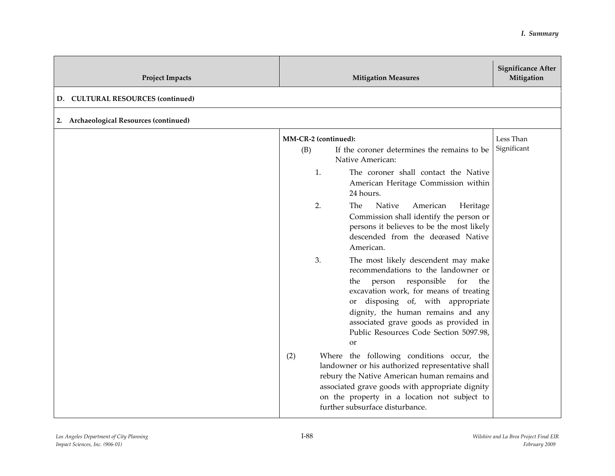| <b>Project Impacts</b>                  | <b>Mitigation Measures</b>                                                                                                                                                                                                                                                                                                                                                                                                                                                                                                                                                                                                                                                                                                                                                                                                                                                                                                                                                                                                                           | <b>Significance After</b><br>Mitigation |
|-----------------------------------------|------------------------------------------------------------------------------------------------------------------------------------------------------------------------------------------------------------------------------------------------------------------------------------------------------------------------------------------------------------------------------------------------------------------------------------------------------------------------------------------------------------------------------------------------------------------------------------------------------------------------------------------------------------------------------------------------------------------------------------------------------------------------------------------------------------------------------------------------------------------------------------------------------------------------------------------------------------------------------------------------------------------------------------------------------|-----------------------------------------|
| D. CULTURAL RESOURCES (continued)       |                                                                                                                                                                                                                                                                                                                                                                                                                                                                                                                                                                                                                                                                                                                                                                                                                                                                                                                                                                                                                                                      |                                         |
| 2. Archaeological Resources (continued) |                                                                                                                                                                                                                                                                                                                                                                                                                                                                                                                                                                                                                                                                                                                                                                                                                                                                                                                                                                                                                                                      |                                         |
|                                         | MM-CR-2 (continued):<br>(B)<br>If the coroner determines the remains to be<br>Native American:<br>1.<br>The coroner shall contact the Native<br>American Heritage Commission within<br>24 hours.<br>2.<br>Native<br>American<br>The.<br>Heritage<br>Commission shall identify the person or<br>persons it believes to be the most likely<br>descended from the deceased Native<br>American.<br>3.<br>The most likely descendent may make<br>recommendations to the landowner or<br>responsible<br>person<br>the<br>for<br>the<br>excavation work, for means of treating<br>or disposing of, with appropriate<br>dignity, the human remains and any<br>associated grave goods as provided in<br>Public Resources Code Section 5097.98,<br><sub>or</sub><br>Where the following conditions occur, the<br>(2)<br>landowner or his authorized representative shall<br>rebury the Native American human remains and<br>associated grave goods with appropriate dignity<br>on the property in a location not subject to<br>further subsurface disturbance. | Less Than<br>Significant                |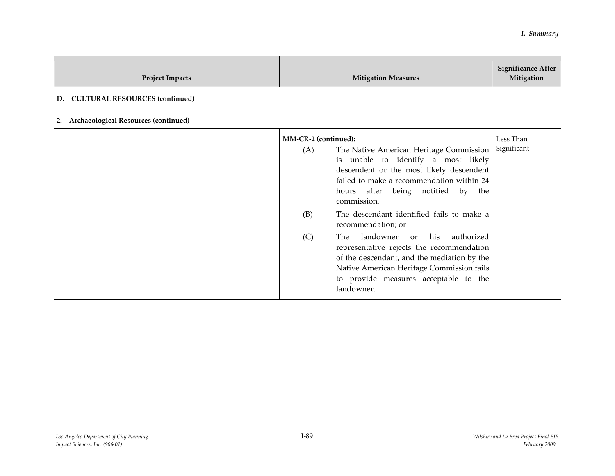| <b>Project Impacts</b>                      |                                           | <b>Mitigation Measures</b>                                                                                                                                                                                                                                                                                                                                                                                                                                                                                                                    | <b>Significance After</b><br>Mitigation |
|---------------------------------------------|-------------------------------------------|-----------------------------------------------------------------------------------------------------------------------------------------------------------------------------------------------------------------------------------------------------------------------------------------------------------------------------------------------------------------------------------------------------------------------------------------------------------------------------------------------------------------------------------------------|-----------------------------------------|
| <b>CULTURAL RESOURCES (continued)</b><br>D. |                                           |                                                                                                                                                                                                                                                                                                                                                                                                                                                                                                                                               |                                         |
| 2. Archaeological Resources (continued)     |                                           |                                                                                                                                                                                                                                                                                                                                                                                                                                                                                                                                               |                                         |
|                                             | MM-CR-2 (continued):<br>(A)<br>(B)<br>(C) | The Native American Heritage Commission<br>is unable to identify a most likely<br>descendent or the most likely descendent<br>failed to make a recommendation within 24<br>hours after being notified by<br>the<br>commission.<br>The descendant identified fails to make a<br>recommendation; or<br>landowner or<br>his<br>authorized<br>The<br>representative rejects the recommendation<br>of the descendant, and the mediation by the<br>Native American Heritage Commission fails<br>to provide measures acceptable to the<br>landowner. | Less Than<br>Significant                |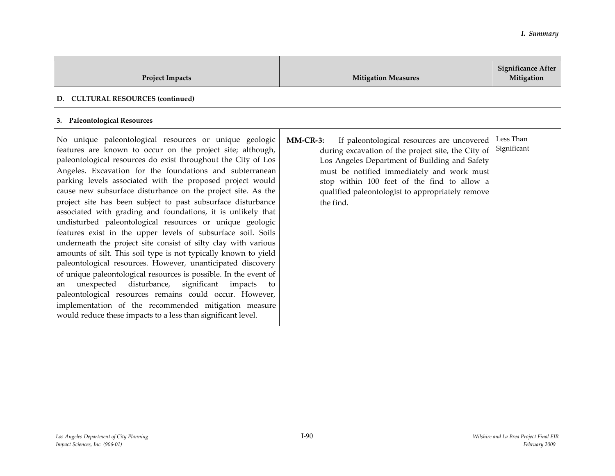| <b>Project Impacts</b>                                                                                                                                                                                                                                                                                                                                                                                                                                                                                                                                                                                                                                                                                                                                                                                                                                                                                                                                                                                                                                                                                                                                           | <b>Mitigation Measures</b>                                                                                                                                                                                                                                                                                                   | <b>Significance After</b><br>Mitigation |
|------------------------------------------------------------------------------------------------------------------------------------------------------------------------------------------------------------------------------------------------------------------------------------------------------------------------------------------------------------------------------------------------------------------------------------------------------------------------------------------------------------------------------------------------------------------------------------------------------------------------------------------------------------------------------------------------------------------------------------------------------------------------------------------------------------------------------------------------------------------------------------------------------------------------------------------------------------------------------------------------------------------------------------------------------------------------------------------------------------------------------------------------------------------|------------------------------------------------------------------------------------------------------------------------------------------------------------------------------------------------------------------------------------------------------------------------------------------------------------------------------|-----------------------------------------|
| D. CULTURAL RESOURCES (continued)                                                                                                                                                                                                                                                                                                                                                                                                                                                                                                                                                                                                                                                                                                                                                                                                                                                                                                                                                                                                                                                                                                                                |                                                                                                                                                                                                                                                                                                                              |                                         |
| 3. Paleontological Resources                                                                                                                                                                                                                                                                                                                                                                                                                                                                                                                                                                                                                                                                                                                                                                                                                                                                                                                                                                                                                                                                                                                                     |                                                                                                                                                                                                                                                                                                                              |                                         |
| No unique paleontological resources or unique geologic<br>features are known to occur on the project site; although,<br>paleontological resources do exist throughout the City of Los<br>Angeles. Excavation for the foundations and subterranean<br>parking levels associated with the proposed project would<br>cause new subsurface disturbance on the project site. As the<br>project site has been subject to past subsurface disturbance<br>associated with grading and foundations, it is unlikely that<br>undisturbed paleontological resources or unique geologic<br>features exist in the upper levels of subsurface soil. Soils<br>underneath the project site consist of silty clay with various<br>amounts of silt. This soil type is not typically known to yield<br>paleontological resources. However, unanticipated discovery<br>of unique paleontological resources is possible. In the event of<br>unexpected disturbance, significant impacts<br>to<br>an<br>paleontological resources remains could occur. However,<br>implementation of the recommended mitigation measure<br>would reduce these impacts to a less than significant level. | $MMCR-3:$<br>If paleontological resources are uncovered<br>during excavation of the project site, the City of<br>Los Angeles Department of Building and Safety<br>must be notified immediately and work must<br>stop within 100 feet of the find to allow a<br>qualified paleontologist to appropriately remove<br>the find. | Less Than<br>Significant                |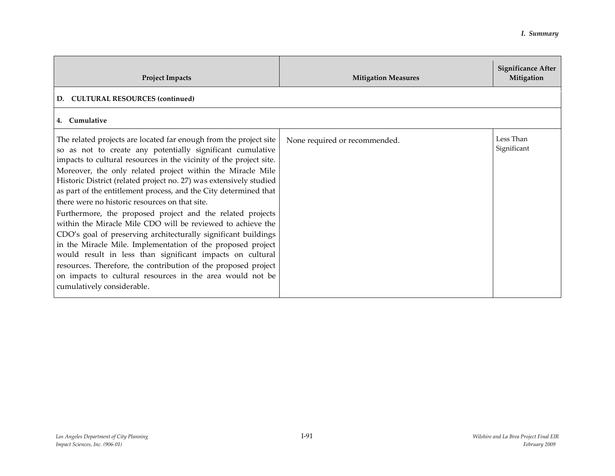| <b>Project Impacts</b>                                                                                                                                                                                                                                                                                                                                                                                                                                                                                                                                                                                                                                                                                                                                                                                                                                                                                                                                  | <b>Mitigation Measures</b>    | <b>Significance After</b><br>Mitigation |
|---------------------------------------------------------------------------------------------------------------------------------------------------------------------------------------------------------------------------------------------------------------------------------------------------------------------------------------------------------------------------------------------------------------------------------------------------------------------------------------------------------------------------------------------------------------------------------------------------------------------------------------------------------------------------------------------------------------------------------------------------------------------------------------------------------------------------------------------------------------------------------------------------------------------------------------------------------|-------------------------------|-----------------------------------------|
| <b>CULTURAL RESOURCES (continued)</b><br>D.                                                                                                                                                                                                                                                                                                                                                                                                                                                                                                                                                                                                                                                                                                                                                                                                                                                                                                             |                               |                                         |
| 4. Cumulative                                                                                                                                                                                                                                                                                                                                                                                                                                                                                                                                                                                                                                                                                                                                                                                                                                                                                                                                           |                               |                                         |
| The related projects are located far enough from the project site<br>so as not to create any potentially significant cumulative<br>impacts to cultural resources in the vicinity of the project site.<br>Moreover, the only related project within the Miracle Mile<br>Historic District (related project no. 27) was extensively studied<br>as part of the entitlement process, and the City determined that<br>there were no historic resources on that site.<br>Furthermore, the proposed project and the related projects<br>within the Miracle Mile CDO will be reviewed to achieve the<br>CDO's goal of preserving architecturally significant buildings<br>in the Miracle Mile. Implementation of the proposed project<br>would result in less than significant impacts on cultural<br>resources. Therefore, the contribution of the proposed project<br>on impacts to cultural resources in the area would not be<br>cumulatively considerable. | None required or recommended. | Less Than<br>Significant                |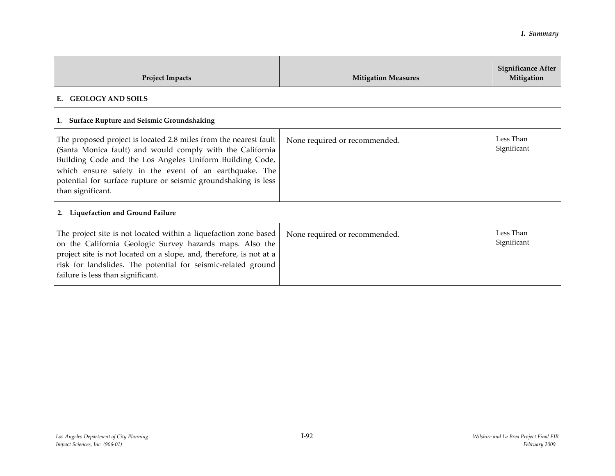| <b>Project Impacts</b>                                                                                                                                                                                                                                                                                                                     | <b>Mitigation Measures</b>    | <b>Significance After</b><br>Mitigation |  |
|--------------------------------------------------------------------------------------------------------------------------------------------------------------------------------------------------------------------------------------------------------------------------------------------------------------------------------------------|-------------------------------|-----------------------------------------|--|
| <b>GEOLOGY AND SOILS</b><br>E.                                                                                                                                                                                                                                                                                                             |                               |                                         |  |
| 1. Surface Rupture and Seismic Groundshaking                                                                                                                                                                                                                                                                                               |                               |                                         |  |
| The proposed project is located 2.8 miles from the nearest fault<br>(Santa Monica fault) and would comply with the California<br>Building Code and the Los Angeles Uniform Building Code,<br>which ensure safety in the event of an earthquake. The<br>potential for surface rupture or seismic groundshaking is less<br>than significant. | None required or recommended. | Less Than<br>Significant                |  |
| 2. Liquefaction and Ground Failure                                                                                                                                                                                                                                                                                                         |                               |                                         |  |
| The project site is not located within a liquefaction zone based<br>on the California Geologic Survey hazards maps. Also the<br>project site is not located on a slope, and, therefore, is not at a<br>risk for landslides. The potential for seismic-related ground<br>failure is less than significant.                                  | None required or recommended. | Less Than<br>Significant                |  |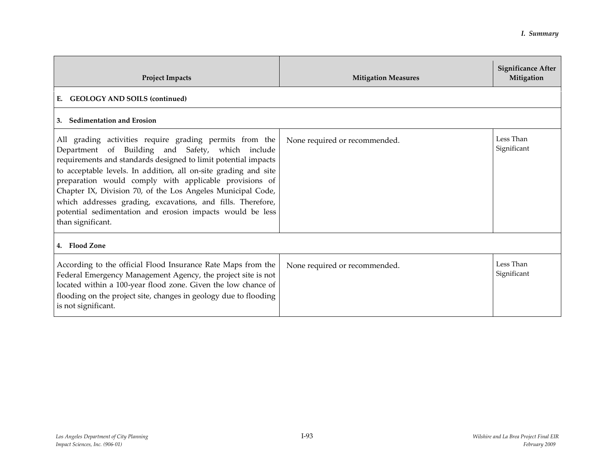| <b>Project Impacts</b>                                                                                                                                                                                                                                                                                                                                                                                                                                                                                                     | <b>Mitigation Measures</b>    | Significance After<br>Mitigation |  |
|----------------------------------------------------------------------------------------------------------------------------------------------------------------------------------------------------------------------------------------------------------------------------------------------------------------------------------------------------------------------------------------------------------------------------------------------------------------------------------------------------------------------------|-------------------------------|----------------------------------|--|
| <b>GEOLOGY AND SOILS (continued)</b><br>Е.                                                                                                                                                                                                                                                                                                                                                                                                                                                                                 |                               |                                  |  |
| 3. Sedimentation and Erosion                                                                                                                                                                                                                                                                                                                                                                                                                                                                                               |                               |                                  |  |
| All grading activities require grading permits from the<br>Department of Building and Safety, which include<br>requirements and standards designed to limit potential impacts<br>to acceptable levels. In addition, all on-site grading and site<br>preparation would comply with applicable provisions of<br>Chapter IX, Division 70, of the Los Angeles Municipal Code,<br>which addresses grading, excavations, and fills. Therefore,<br>potential sedimentation and erosion impacts would be less<br>than significant. | None required or recommended. | Less Than<br>Significant         |  |
| 4. Flood Zone                                                                                                                                                                                                                                                                                                                                                                                                                                                                                                              |                               |                                  |  |
| According to the official Flood Insurance Rate Maps from the<br>Federal Emergency Management Agency, the project site is not<br>located within a 100-year flood zone. Given the low chance of<br>flooding on the project site, changes in geology due to flooding<br>is not significant.                                                                                                                                                                                                                                   | None required or recommended. | Less Than<br>Significant         |  |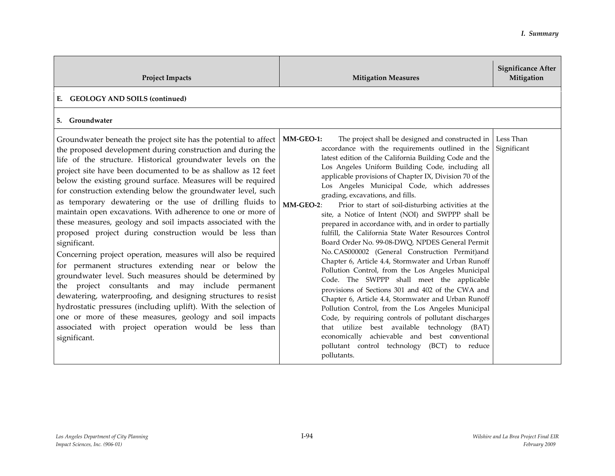| <b>Project Impacts</b>                                                                                                                                                                                                                                                                                                                                                                                                                                                                                                                                                                                                                                                                                                                                                                                                                                                                                                                                                                                                                                                                                                                                                                | <b>Mitigation Measures</b>                                                                                                                                                                                                                                                                                                                                                                                                                                                                                                                                                                                                                                                                                                                                                                                                                                                                                                                                                                                                                                                                                                                                                                                                                                                            | <b>Significance After</b><br>Mitigation |
|---------------------------------------------------------------------------------------------------------------------------------------------------------------------------------------------------------------------------------------------------------------------------------------------------------------------------------------------------------------------------------------------------------------------------------------------------------------------------------------------------------------------------------------------------------------------------------------------------------------------------------------------------------------------------------------------------------------------------------------------------------------------------------------------------------------------------------------------------------------------------------------------------------------------------------------------------------------------------------------------------------------------------------------------------------------------------------------------------------------------------------------------------------------------------------------|---------------------------------------------------------------------------------------------------------------------------------------------------------------------------------------------------------------------------------------------------------------------------------------------------------------------------------------------------------------------------------------------------------------------------------------------------------------------------------------------------------------------------------------------------------------------------------------------------------------------------------------------------------------------------------------------------------------------------------------------------------------------------------------------------------------------------------------------------------------------------------------------------------------------------------------------------------------------------------------------------------------------------------------------------------------------------------------------------------------------------------------------------------------------------------------------------------------------------------------------------------------------------------------|-----------------------------------------|
| <b>GEOLOGY AND SOILS (continued)</b><br>E.                                                                                                                                                                                                                                                                                                                                                                                                                                                                                                                                                                                                                                                                                                                                                                                                                                                                                                                                                                                                                                                                                                                                            |                                                                                                                                                                                                                                                                                                                                                                                                                                                                                                                                                                                                                                                                                                                                                                                                                                                                                                                                                                                                                                                                                                                                                                                                                                                                                       |                                         |
| 5. Groundwater                                                                                                                                                                                                                                                                                                                                                                                                                                                                                                                                                                                                                                                                                                                                                                                                                                                                                                                                                                                                                                                                                                                                                                        |                                                                                                                                                                                                                                                                                                                                                                                                                                                                                                                                                                                                                                                                                                                                                                                                                                                                                                                                                                                                                                                                                                                                                                                                                                                                                       |                                         |
| Groundwater beneath the project site has the potential to affect<br>the proposed development during construction and during the<br>life of the structure. Historical groundwater levels on the<br>project site have been documented to be as shallow as 12 feet<br>below the existing ground surface. Measures will be required<br>for construction extending below the groundwater level, such<br>as temporary dewatering or the use of drilling fluids to<br>maintain open excavations. With adherence to one or more of<br>these measures, geology and soil impacts associated with the<br>proposed project during construction would be less than<br>significant.<br>Concerning project operation, measures will also be required<br>for permanent structures extending near or below the<br>groundwater level. Such measures should be determined by<br>the project consultants and may include permanent<br>dewatering, waterproofing, and designing structures to resist<br>hydrostatic pressures (including uplift). With the selection of<br>one or more of these measures, geology and soil impacts<br>associated with project operation would be less than<br>significant. | MM-GEO-1:<br>The project shall be designed and constructed in<br>accordance with the requirements outlined in the<br>latest edition of the California Building Code and the<br>Los Angeles Uniform Building Code, including all<br>applicable provisions of Chapter IX, Division 70 of the<br>Los Angeles Municipal Code, which addresses<br>grading, excavations, and fills.<br>MM-GEO-2:<br>Prior to start of soil-disturbing activities at the<br>site, a Notice of Intent (NOI) and SWPPP shall be<br>prepared in accordance with, and in order to partially<br>fulfill, the California State Water Resources Control<br>Board Order No. 99-08-DWQ, NPDES General Permit<br>No. CAS000002 (General Construction Permit)and<br>Chapter 6, Article 4.4, Stormwater and Urban Runoff<br>Pollution Control, from the Los Angeles Municipal<br>Code. The SWPPP shall meet the applicable<br>provisions of Sections 301 and 402 of the CWA and<br>Chapter 6, Article 4.4, Stormwater and Urban Runoff<br>Pollution Control, from the Los Angeles Municipal<br>Code, by requiring controls of pollutant discharges<br>that utilize best available<br>technology (BAT)<br>economically achievable and best conventional<br>pollutant control technology<br>(BCT) to reduce<br>pollutants. | Less Than<br>Significant                |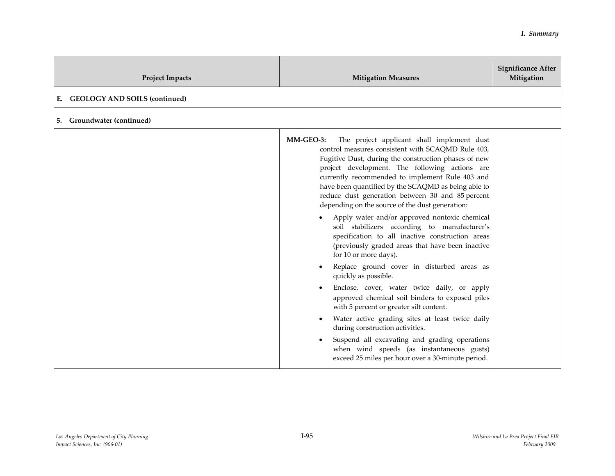| <b>Project Impacts</b>                     | <b>Mitigation Measures</b>                                                                                                                                                                                                                                                                                                                                                                                                                                                                                                                                                                                                                                                                                                                                                                                                                                                                                                                                                                                                                                                                                                            | <b>Significance After</b><br>Mitigation |
|--------------------------------------------|---------------------------------------------------------------------------------------------------------------------------------------------------------------------------------------------------------------------------------------------------------------------------------------------------------------------------------------------------------------------------------------------------------------------------------------------------------------------------------------------------------------------------------------------------------------------------------------------------------------------------------------------------------------------------------------------------------------------------------------------------------------------------------------------------------------------------------------------------------------------------------------------------------------------------------------------------------------------------------------------------------------------------------------------------------------------------------------------------------------------------------------|-----------------------------------------|
| <b>GEOLOGY AND SOILS (continued)</b><br>Е. |                                                                                                                                                                                                                                                                                                                                                                                                                                                                                                                                                                                                                                                                                                                                                                                                                                                                                                                                                                                                                                                                                                                                       |                                         |
| <b>Groundwater (continued)</b><br>5.       |                                                                                                                                                                                                                                                                                                                                                                                                                                                                                                                                                                                                                                                                                                                                                                                                                                                                                                                                                                                                                                                                                                                                       |                                         |
|                                            | The project applicant shall implement dust<br>MM-GEO-3:<br>control measures consistent with SCAQMD Rule 403,<br>Fugitive Dust, during the construction phases of new<br>project development. The following actions are<br>currently recommended to implement Rule 403 and<br>have been quantified by the SCAQMD as being able to<br>reduce dust generation between 30 and 85 percent<br>depending on the source of the dust generation:<br>Apply water and/or approved nontoxic chemical<br>soil stabilizers according to manufacturer's<br>specification to all inactive construction areas<br>(previously graded areas that have been inactive<br>for 10 or more days).<br>Replace ground cover in disturbed areas as<br>quickly as possible.<br>Enclose, cover, water twice daily, or apply<br>approved chemical soil binders to exposed piles<br>with 5 percent or greater silt content.<br>Water active grading sites at least twice daily<br>during construction activities.<br>Suspend all excavating and grading operations<br>when wind speeds (as instantaneous gusts)<br>exceed 25 miles per hour over a 30-minute period. |                                         |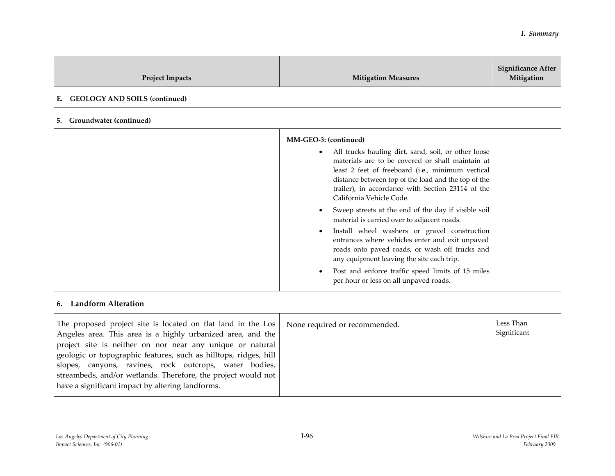| <b>Project Impacts</b>                                                                                                                                                                                                                                                                                                                                                                                                                      | <b>Mitigation Measures</b>                                                                                                                                                                                                                                                                                                                                                                                                                                                                                                                                                                                                                                                                                                                                                               | <b>Significance After</b><br>Mitigation |
|---------------------------------------------------------------------------------------------------------------------------------------------------------------------------------------------------------------------------------------------------------------------------------------------------------------------------------------------------------------------------------------------------------------------------------------------|------------------------------------------------------------------------------------------------------------------------------------------------------------------------------------------------------------------------------------------------------------------------------------------------------------------------------------------------------------------------------------------------------------------------------------------------------------------------------------------------------------------------------------------------------------------------------------------------------------------------------------------------------------------------------------------------------------------------------------------------------------------------------------------|-----------------------------------------|
| <b>GEOLOGY AND SOILS (continued)</b><br>Е.                                                                                                                                                                                                                                                                                                                                                                                                  |                                                                                                                                                                                                                                                                                                                                                                                                                                                                                                                                                                                                                                                                                                                                                                                          |                                         |
| Groundwater (continued)<br>5.                                                                                                                                                                                                                                                                                                                                                                                                               |                                                                                                                                                                                                                                                                                                                                                                                                                                                                                                                                                                                                                                                                                                                                                                                          |                                         |
| <b>Landform Alteration</b><br>6.                                                                                                                                                                                                                                                                                                                                                                                                            | MM-GEO-3: (continued)<br>All trucks hauling dirt, sand, soil, or other loose<br>$\bullet$<br>materials are to be covered or shall maintain at<br>least 2 feet of freeboard (i.e., minimum vertical<br>distance between top of the load and the top of the<br>trailer), in accordance with Section 23114 of the<br>California Vehicle Code.<br>Sweep streets at the end of the day if visible soil<br>$\bullet$<br>material is carried over to adjacent roads.<br>Install wheel washers or gravel construction<br>$\bullet$<br>entrances where vehicles enter and exit unpaved<br>roads onto paved roads, or wash off trucks and<br>any equipment leaving the site each trip.<br>Post and enforce traffic speed limits of 15 miles<br>$\bullet$<br>per hour or less on all unpaved roads. |                                         |
| The proposed project site is located on flat land in the Los<br>Angeles area. This area is a highly urbanized area, and the<br>project site is neither on nor near any unique or natural<br>geologic or topographic features, such as hilltops, ridges, hill<br>slopes, canyons, ravines, rock outcrops, water bodies,<br>streambeds, and/or wetlands. Therefore, the project would not<br>have a significant impact by altering landforms. | None required or recommended.                                                                                                                                                                                                                                                                                                                                                                                                                                                                                                                                                                                                                                                                                                                                                            | Less Than<br>Significant                |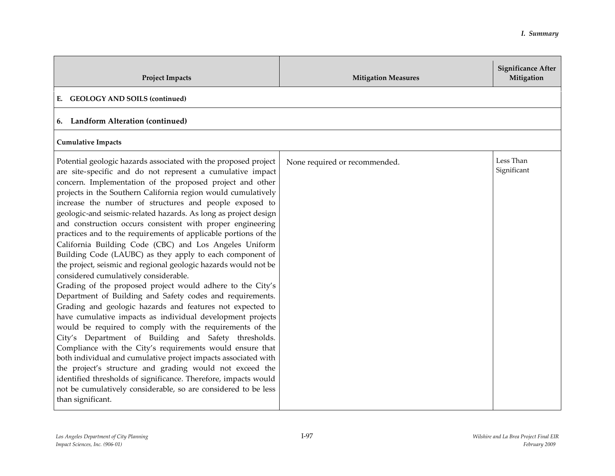| <b>Project Impacts</b>                                                                                                                                                                                                                                                                                                                                                                                                                                                                                                                                                                                                                                                                                                                                                                                                                                                                                                                                                                                                                                                                                                                                                                                                                                                                                                                                                                                                                                                                      | <b>Mitigation Measures</b>    | <b>Significance After</b><br>Mitigation |
|---------------------------------------------------------------------------------------------------------------------------------------------------------------------------------------------------------------------------------------------------------------------------------------------------------------------------------------------------------------------------------------------------------------------------------------------------------------------------------------------------------------------------------------------------------------------------------------------------------------------------------------------------------------------------------------------------------------------------------------------------------------------------------------------------------------------------------------------------------------------------------------------------------------------------------------------------------------------------------------------------------------------------------------------------------------------------------------------------------------------------------------------------------------------------------------------------------------------------------------------------------------------------------------------------------------------------------------------------------------------------------------------------------------------------------------------------------------------------------------------|-------------------------------|-----------------------------------------|
| <b>GEOLOGY AND SOILS (continued)</b><br>Е.                                                                                                                                                                                                                                                                                                                                                                                                                                                                                                                                                                                                                                                                                                                                                                                                                                                                                                                                                                                                                                                                                                                                                                                                                                                                                                                                                                                                                                                  |                               |                                         |
| 6. Landform Alteration (continued)                                                                                                                                                                                                                                                                                                                                                                                                                                                                                                                                                                                                                                                                                                                                                                                                                                                                                                                                                                                                                                                                                                                                                                                                                                                                                                                                                                                                                                                          |                               |                                         |
| <b>Cumulative Impacts</b>                                                                                                                                                                                                                                                                                                                                                                                                                                                                                                                                                                                                                                                                                                                                                                                                                                                                                                                                                                                                                                                                                                                                                                                                                                                                                                                                                                                                                                                                   |                               |                                         |
| Potential geologic hazards associated with the proposed project<br>are site-specific and do not represent a cumulative impact<br>concern. Implementation of the proposed project and other<br>projects in the Southern California region would cumulatively<br>increase the number of structures and people exposed to<br>geologic-and seismic-related hazards. As long as project design<br>and construction occurs consistent with proper engineering<br>practices and to the requirements of applicable portions of the<br>California Building Code (CBC) and Los Angeles Uniform<br>Building Code (LAUBC) as they apply to each component of<br>the project, seismic and regional geologic hazards would not be<br>considered cumulatively considerable.<br>Grading of the proposed project would adhere to the City's<br>Department of Building and Safety codes and requirements.<br>Grading and geologic hazards and features not expected to<br>have cumulative impacts as individual development projects<br>would be required to comply with the requirements of the<br>City's Department of Building and Safety thresholds.<br>Compliance with the City's requirements would ensure that<br>both individual and cumulative project impacts associated with<br>the project's structure and grading would not exceed the<br>identified thresholds of significance. Therefore, impacts would<br>not be cumulatively considerable, so are considered to be less<br>than significant. | None required or recommended. | Less Than<br>Significant                |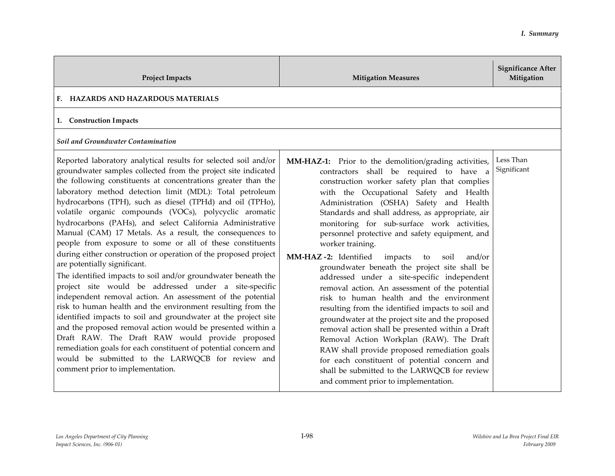| <b>Project Impacts</b>                                                                                                                                                                                                                                                                                                                                                                                                                                                                                                                                                                                                                                                                                                                                                                                                                                                                                                                                                                                                                                                                                                                                                                                                                                                              | <b>Mitigation Measures</b>                                                                                                                                                                                                                                                                                                                                                                                                                                                                                                                                                                                                                                                                                                                                                                                                                                                                                                                                                                                                                                                  | <b>Significance After</b><br>Mitigation |
|-------------------------------------------------------------------------------------------------------------------------------------------------------------------------------------------------------------------------------------------------------------------------------------------------------------------------------------------------------------------------------------------------------------------------------------------------------------------------------------------------------------------------------------------------------------------------------------------------------------------------------------------------------------------------------------------------------------------------------------------------------------------------------------------------------------------------------------------------------------------------------------------------------------------------------------------------------------------------------------------------------------------------------------------------------------------------------------------------------------------------------------------------------------------------------------------------------------------------------------------------------------------------------------|-----------------------------------------------------------------------------------------------------------------------------------------------------------------------------------------------------------------------------------------------------------------------------------------------------------------------------------------------------------------------------------------------------------------------------------------------------------------------------------------------------------------------------------------------------------------------------------------------------------------------------------------------------------------------------------------------------------------------------------------------------------------------------------------------------------------------------------------------------------------------------------------------------------------------------------------------------------------------------------------------------------------------------------------------------------------------------|-----------------------------------------|
| F. HAZARDS AND HAZARDOUS MATERIALS                                                                                                                                                                                                                                                                                                                                                                                                                                                                                                                                                                                                                                                                                                                                                                                                                                                                                                                                                                                                                                                                                                                                                                                                                                                  |                                                                                                                                                                                                                                                                                                                                                                                                                                                                                                                                                                                                                                                                                                                                                                                                                                                                                                                                                                                                                                                                             |                                         |
| 1. Construction Impacts                                                                                                                                                                                                                                                                                                                                                                                                                                                                                                                                                                                                                                                                                                                                                                                                                                                                                                                                                                                                                                                                                                                                                                                                                                                             |                                                                                                                                                                                                                                                                                                                                                                                                                                                                                                                                                                                                                                                                                                                                                                                                                                                                                                                                                                                                                                                                             |                                         |
| Soil and Groundwater Contamination                                                                                                                                                                                                                                                                                                                                                                                                                                                                                                                                                                                                                                                                                                                                                                                                                                                                                                                                                                                                                                                                                                                                                                                                                                                  |                                                                                                                                                                                                                                                                                                                                                                                                                                                                                                                                                                                                                                                                                                                                                                                                                                                                                                                                                                                                                                                                             |                                         |
| Reported laboratory analytical results for selected soil and/or<br>groundwater samples collected from the project site indicated<br>the following constituents at concentrations greater than the<br>laboratory method detection limit (MDL): Total petroleum<br>hydrocarbons (TPH), such as diesel (TPHd) and oil (TPHo),<br>volatile organic compounds (VOCs), polycyclic aromatic<br>hydrocarbons (PAHs), and select California Administrative<br>Manual (CAM) 17 Metals. As a result, the consequences to<br>people from exposure to some or all of these constituents<br>during either construction or operation of the proposed project<br>are potentially significant.<br>The identified impacts to soil and/or groundwater beneath the<br>project site would be addressed under a site-specific<br>independent removal action. An assessment of the potential<br>risk to human health and the environment resulting from the<br>identified impacts to soil and groundwater at the project site<br>and the proposed removal action would be presented within a<br>Draft RAW. The Draft RAW would provide proposed<br>remediation goals for each constituent of potential concern and<br>would be submitted to the LARWQCB for review and<br>comment prior to implementation. | MM-HAZ-1: Prior to the demolition/grading activities,<br>contractors shall be required to have a<br>construction worker safety plan that complies<br>with the Occupational Safety and Health<br>Administration (OSHA) Safety and Health<br>Standards and shall address, as appropriate, air<br>monitoring for sub-surface work activities,<br>personnel protective and safety equipment, and<br>worker training.<br>MM-HAZ-2: Identified<br>impacts<br>soil<br>and/or<br>to<br>groundwater beneath the project site shall be<br>addressed under a site-specific independent<br>removal action. An assessment of the potential<br>risk to human health and the environment<br>resulting from the identified impacts to soil and<br>groundwater at the project site and the proposed<br>removal action shall be presented within a Draft<br>Removal Action Workplan (RAW). The Draft<br>RAW shall provide proposed remediation goals<br>for each constituent of potential concern and<br>shall be submitted to the LARWQCB for review<br>and comment prior to implementation. | Less Than<br>Significant                |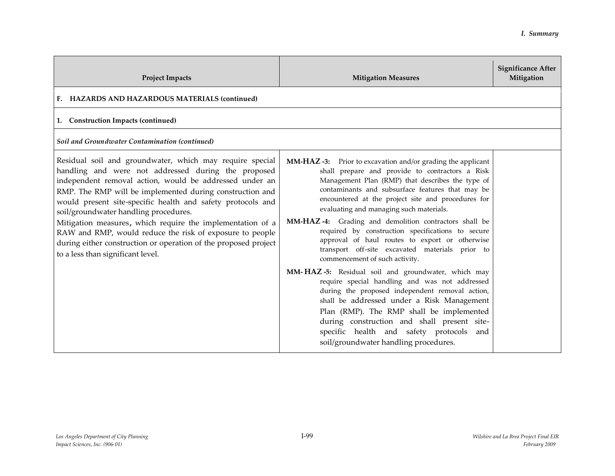| <b>Project Impacts</b>                                                                                                                                                                                                                                                                                                                                                                                                                                                                                                                                                           | <b>Mitigation Measures</b>                                                                                                                                                                                                                                                                                                                                                                                                                                                                                                                                                         | <b>Significance After</b><br>Mitigation |
|----------------------------------------------------------------------------------------------------------------------------------------------------------------------------------------------------------------------------------------------------------------------------------------------------------------------------------------------------------------------------------------------------------------------------------------------------------------------------------------------------------------------------------------------------------------------------------|------------------------------------------------------------------------------------------------------------------------------------------------------------------------------------------------------------------------------------------------------------------------------------------------------------------------------------------------------------------------------------------------------------------------------------------------------------------------------------------------------------------------------------------------------------------------------------|-----------------------------------------|
| F. HAZARDS AND HAZARDOUS MATERIALS (continued)                                                                                                                                                                                                                                                                                                                                                                                                                                                                                                                                   |                                                                                                                                                                                                                                                                                                                                                                                                                                                                                                                                                                                    |                                         |
| 1. Construction Impacts (continued)                                                                                                                                                                                                                                                                                                                                                                                                                                                                                                                                              |                                                                                                                                                                                                                                                                                                                                                                                                                                                                                                                                                                                    |                                         |
| Soil and Groundwater Contamination (continued)                                                                                                                                                                                                                                                                                                                                                                                                                                                                                                                                   |                                                                                                                                                                                                                                                                                                                                                                                                                                                                                                                                                                                    |                                         |
| Residual soil and groundwater, which may require special<br>handling and were not addressed during the proposed<br>independent removal action, would be addressed under an<br>RMP. The RMP will be implemented during construction and<br>would present site-specific health and safety protocols and<br>soil/groundwater handling procedures.<br>Mitigation measures, which require the implementation of a<br>RAW and RMP, would reduce the risk of exposure to people<br>during either construction or operation of the proposed project<br>to a less than significant level. | <b>MM-HAZ-3:</b> Prior to excavation and/or grading the applicant<br>shall prepare and provide to contractors a Risk<br>Management Plan (RMP) that describes the type of<br>contaminants and subsurface features that may be<br>encountered at the project site and procedures for<br>evaluating and managing such materials.<br>MM-HAZ-4: Grading and demolition contractors shall be<br>required by construction specifications to secure<br>approval of haul routes to export or otherwise<br>transport off-site excavated materials prior to<br>commencement of such activity. |                                         |
|                                                                                                                                                                                                                                                                                                                                                                                                                                                                                                                                                                                  | MM-HAZ-5: Residual soil and groundwater, which may<br>require special handling and was not addressed<br>during the proposed independent removal action,<br>shall be addressed under a Risk Management<br>Plan (RMP). The RMP shall be implemented<br>during construction and shall present site-<br>specific health and safety protocols and<br>soil/groundwater handling procedures.                                                                                                                                                                                              |                                         |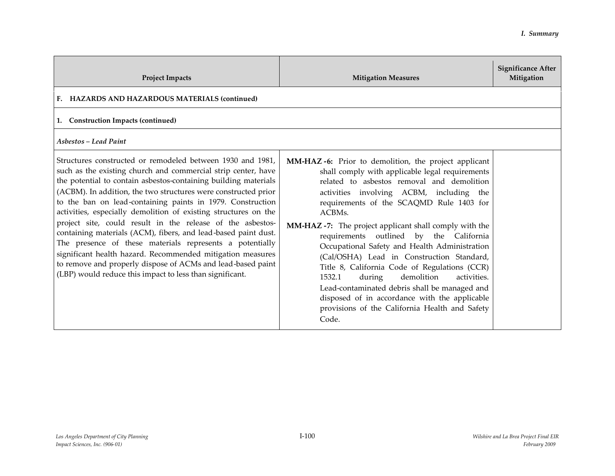| <b>Project Impacts</b>                                                                                                                                                                                                                                                                                                                                                                                                                                                                                                                                                                                                                                                                                                                                                                 | <b>Mitigation Measures</b>                                                                                                                                                                                                                                                                                                                                                                                                                                                                                                                                                                                                                                                                                               | <b>Significance After</b><br>Mitigation |
|----------------------------------------------------------------------------------------------------------------------------------------------------------------------------------------------------------------------------------------------------------------------------------------------------------------------------------------------------------------------------------------------------------------------------------------------------------------------------------------------------------------------------------------------------------------------------------------------------------------------------------------------------------------------------------------------------------------------------------------------------------------------------------------|--------------------------------------------------------------------------------------------------------------------------------------------------------------------------------------------------------------------------------------------------------------------------------------------------------------------------------------------------------------------------------------------------------------------------------------------------------------------------------------------------------------------------------------------------------------------------------------------------------------------------------------------------------------------------------------------------------------------------|-----------------------------------------|
| F. HAZARDS AND HAZARDOUS MATERIALS (continued)                                                                                                                                                                                                                                                                                                                                                                                                                                                                                                                                                                                                                                                                                                                                         |                                                                                                                                                                                                                                                                                                                                                                                                                                                                                                                                                                                                                                                                                                                          |                                         |
| 1. Construction Impacts (continued)                                                                                                                                                                                                                                                                                                                                                                                                                                                                                                                                                                                                                                                                                                                                                    |                                                                                                                                                                                                                                                                                                                                                                                                                                                                                                                                                                                                                                                                                                                          |                                         |
| <b>Asbestos - Lead Paint</b>                                                                                                                                                                                                                                                                                                                                                                                                                                                                                                                                                                                                                                                                                                                                                           |                                                                                                                                                                                                                                                                                                                                                                                                                                                                                                                                                                                                                                                                                                                          |                                         |
| Structures constructed or remodeled between 1930 and 1981,<br>such as the existing church and commercial strip center, have<br>the potential to contain asbestos-containing building materials<br>(ACBM). In addition, the two structures were constructed prior<br>to the ban on lead-containing paints in 1979. Construction<br>activities, especially demolition of existing structures on the<br>project site, could result in the release of the asbestos-<br>containing materials (ACM), fibers, and lead-based paint dust.<br>The presence of these materials represents a potentially<br>significant health hazard. Recommended mitigation measures<br>to remove and properly dispose of ACMs and lead-based paint<br>(LBP) would reduce this impact to less than significant. | MM-HAZ-6: Prior to demolition, the project applicant<br>shall comply with applicable legal requirements<br>related to asbestos removal and demolition<br>activities involving ACBM, including the<br>requirements of the SCAQMD Rule 1403 for<br>ACBMs.<br>MM-HAZ-7: The project applicant shall comply with the<br>requirements outlined by the California<br>Occupational Safety and Health Administration<br>(Cal/OSHA) Lead in Construction Standard,<br>Title 8, California Code of Regulations (CCR)<br>1532.1<br>demolition<br>during<br>activities.<br>Lead-contaminated debris shall be managed and<br>disposed of in accordance with the applicable<br>provisions of the California Health and Safety<br>Code. |                                         |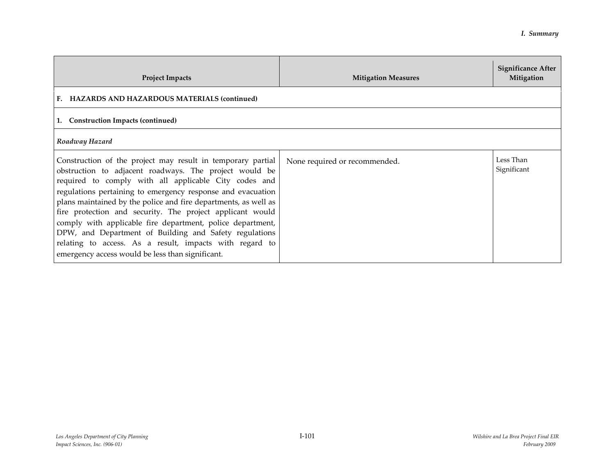| <b>Project Impacts</b>                                                                                                                                                                                                                                                                                                                                                                                                                                                                                                                                                                                               | <b>Mitigation Measures</b>    | <b>Significance After</b><br>Mitigation |
|----------------------------------------------------------------------------------------------------------------------------------------------------------------------------------------------------------------------------------------------------------------------------------------------------------------------------------------------------------------------------------------------------------------------------------------------------------------------------------------------------------------------------------------------------------------------------------------------------------------------|-------------------------------|-----------------------------------------|
| F. HAZARDS AND HAZARDOUS MATERIALS (continued)                                                                                                                                                                                                                                                                                                                                                                                                                                                                                                                                                                       |                               |                                         |
| 1. Construction Impacts (continued)                                                                                                                                                                                                                                                                                                                                                                                                                                                                                                                                                                                  |                               |                                         |
| Roadway Hazard                                                                                                                                                                                                                                                                                                                                                                                                                                                                                                                                                                                                       |                               |                                         |
| Construction of the project may result in temporary partial<br>obstruction to adjacent roadways. The project would be<br>required to comply with all applicable City codes and<br>regulations pertaining to emergency response and evacuation<br>plans maintained by the police and fire departments, as well as<br>fire protection and security. The project applicant would<br>comply with applicable fire department, police department,<br>DPW, and Department of Building and Safety regulations<br>relating to access. As a result, impacts with regard to<br>emergency access would be less than significant. | None required or recommended. | Less Than<br>Significant                |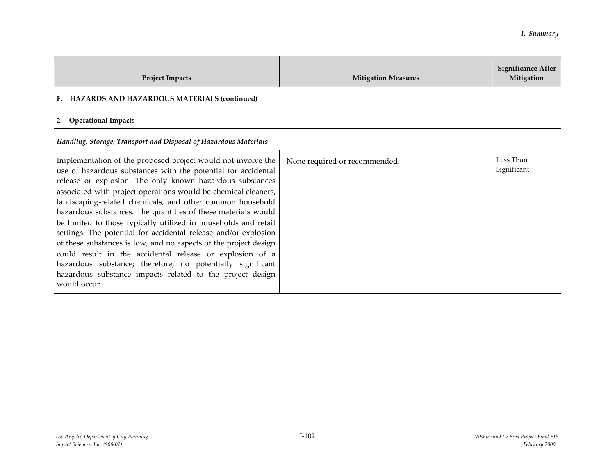| <b>Project Impacts</b>                                                                                                                                                                                                                                                                                                                                                                                                                                                                                                                                                                                                                                                                                                                                                                                      | <b>Mitigation Measures</b>    | <b>Significance After</b><br>Mitigation |
|-------------------------------------------------------------------------------------------------------------------------------------------------------------------------------------------------------------------------------------------------------------------------------------------------------------------------------------------------------------------------------------------------------------------------------------------------------------------------------------------------------------------------------------------------------------------------------------------------------------------------------------------------------------------------------------------------------------------------------------------------------------------------------------------------------------|-------------------------------|-----------------------------------------|
| F. HAZARDS AND HAZARDOUS MATERIALS (continued)                                                                                                                                                                                                                                                                                                                                                                                                                                                                                                                                                                                                                                                                                                                                                              |                               |                                         |
| 2. Operational Impacts                                                                                                                                                                                                                                                                                                                                                                                                                                                                                                                                                                                                                                                                                                                                                                                      |                               |                                         |
| Handling, Storage, Transport and Disposal of Hazardous Materials                                                                                                                                                                                                                                                                                                                                                                                                                                                                                                                                                                                                                                                                                                                                            |                               |                                         |
| Implementation of the proposed project would not involve the<br>use of hazardous substances with the potential for accidental<br>release or explosion. The only known hazardous substances<br>associated with project operations would be chemical cleaners,<br>landscaping-related chemicals, and other common household<br>hazardous substances. The quantities of these materials would<br>be limited to those typically utilized in households and retail<br>settings. The potential for accidental release and/or explosion<br>of these substances is low, and no aspects of the project design<br>could result in the accidental release or explosion of a<br>hazardous substance; therefore, no potentially significant<br>hazardous substance impacts related to the project design<br>would occur. | None required or recommended. | Less Than<br>Significant                |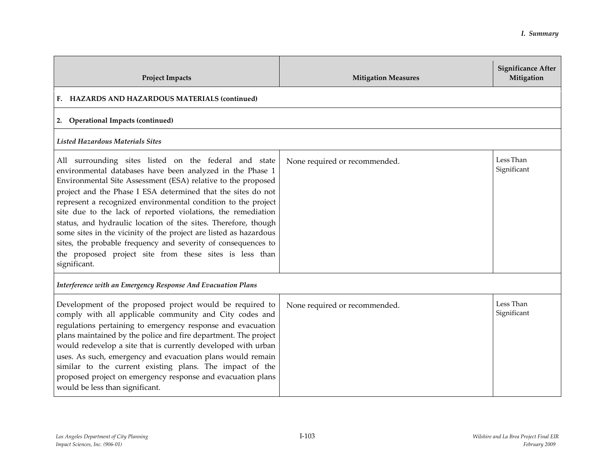| <b>Project Impacts</b>                                                                                                                                                                                                                                                                                                                                                                                                                                                                                                                                                                                                                                                 | <b>Mitigation Measures</b>    | <b>Significance After</b><br>Mitigation |
|------------------------------------------------------------------------------------------------------------------------------------------------------------------------------------------------------------------------------------------------------------------------------------------------------------------------------------------------------------------------------------------------------------------------------------------------------------------------------------------------------------------------------------------------------------------------------------------------------------------------------------------------------------------------|-------------------------------|-----------------------------------------|
| F. HAZARDS AND HAZARDOUS MATERIALS (continued)                                                                                                                                                                                                                                                                                                                                                                                                                                                                                                                                                                                                                         |                               |                                         |
| 2. Operational Impacts (continued)                                                                                                                                                                                                                                                                                                                                                                                                                                                                                                                                                                                                                                     |                               |                                         |
| Listed Hazardous Materials Sites                                                                                                                                                                                                                                                                                                                                                                                                                                                                                                                                                                                                                                       |                               |                                         |
| All surrounding sites listed on the federal and state<br>environmental databases have been analyzed in the Phase 1<br>Environmental Site Assessment (ESA) relative to the proposed<br>project and the Phase I ESA determined that the sites do not<br>represent a recognized environmental condition to the project<br>site due to the lack of reported violations, the remediation<br>status, and hydraulic location of the sites. Therefore, though<br>some sites in the vicinity of the project are listed as hazardous<br>sites, the probable frequency and severity of consequences to<br>the proposed project site from these sites is less than<br>significant. | None required or recommended. | Less Than<br>Significant                |
| Interference with an Emergency Response And Evacuation Plans                                                                                                                                                                                                                                                                                                                                                                                                                                                                                                                                                                                                           |                               |                                         |
| Development of the proposed project would be required to<br>comply with all applicable community and City codes and<br>regulations pertaining to emergency response and evacuation<br>plans maintained by the police and fire department. The project<br>would redevelop a site that is currently developed with urban<br>uses. As such, emergency and evacuation plans would remain<br>similar to the current existing plans. The impact of the<br>proposed project on emergency response and evacuation plans<br>would be less than significant.                                                                                                                     | None required or recommended. | Less Than<br>Significant                |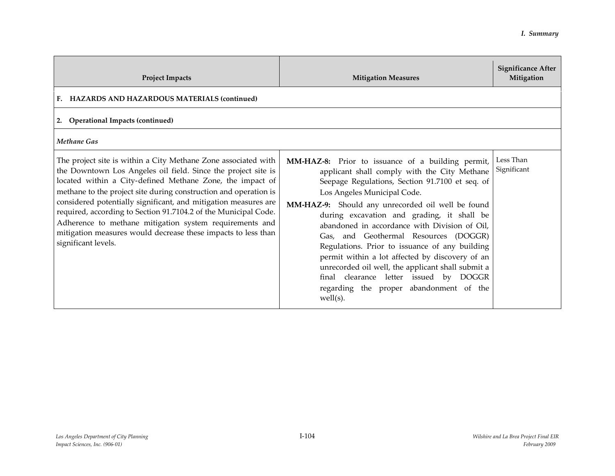| <b>Project Impacts</b>                                                                                                                                                                                                                                                                                                                                                                                                                                                                                                                                    | <b>Mitigation Measures</b>                                                                                                                                                                                                                                                                                                                                                                                                                                                                                                                                                                                                                     | <b>Significance After</b><br>Mitigation |
|-----------------------------------------------------------------------------------------------------------------------------------------------------------------------------------------------------------------------------------------------------------------------------------------------------------------------------------------------------------------------------------------------------------------------------------------------------------------------------------------------------------------------------------------------------------|------------------------------------------------------------------------------------------------------------------------------------------------------------------------------------------------------------------------------------------------------------------------------------------------------------------------------------------------------------------------------------------------------------------------------------------------------------------------------------------------------------------------------------------------------------------------------------------------------------------------------------------------|-----------------------------------------|
| F. HAZARDS AND HAZARDOUS MATERIALS (continued)                                                                                                                                                                                                                                                                                                                                                                                                                                                                                                            |                                                                                                                                                                                                                                                                                                                                                                                                                                                                                                                                                                                                                                                |                                         |
| 2. Operational Impacts (continued)                                                                                                                                                                                                                                                                                                                                                                                                                                                                                                                        |                                                                                                                                                                                                                                                                                                                                                                                                                                                                                                                                                                                                                                                |                                         |
| <b>Methane Gas</b>                                                                                                                                                                                                                                                                                                                                                                                                                                                                                                                                        |                                                                                                                                                                                                                                                                                                                                                                                                                                                                                                                                                                                                                                                |                                         |
| The project site is within a City Methane Zone associated with<br>the Downtown Los Angeles oil field. Since the project site is<br>located within a City-defined Methane Zone, the impact of<br>methane to the project site during construction and operation is<br>considered potentially significant, and mitigation measures are<br>required, according to Section 91.7104.2 of the Municipal Code.<br>Adherence to methane mitigation system requirements and<br>mitigation measures would decrease these impacts to less than<br>significant levels. | MM-HAZ-8: Prior to issuance of a building permit,<br>applicant shall comply with the City Methane<br>Seepage Regulations, Section 91.7100 et seq. of<br>Los Angeles Municipal Code.<br>MM-HAZ-9: Should any unrecorded oil well be found<br>during excavation and grading, it shall be<br>abandoned in accordance with Division of Oil,<br>Gas, and Geothermal Resources (DOGGR)<br>Regulations. Prior to issuance of any building<br>permit within a lot affected by discovery of an<br>unrecorded oil well, the applicant shall submit a<br>final clearance letter issued by DOGGR<br>regarding the proper abandonment of the<br>$well(s)$ . | Less Than<br>Significant                |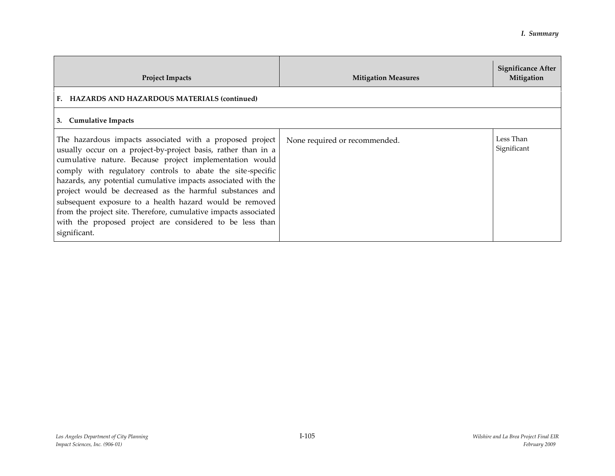| <b>Project Impacts</b>                                                                                                                                                                                                                                                                                                                                                                                                                                                                                                                                                                    | <b>Mitigation Measures</b>    | Significance After<br>Mitigation |
|-------------------------------------------------------------------------------------------------------------------------------------------------------------------------------------------------------------------------------------------------------------------------------------------------------------------------------------------------------------------------------------------------------------------------------------------------------------------------------------------------------------------------------------------------------------------------------------------|-------------------------------|----------------------------------|
| F. HAZARDS AND HAZARDOUS MATERIALS (continued)                                                                                                                                                                                                                                                                                                                                                                                                                                                                                                                                            |                               |                                  |
| 3. Cumulative Impacts                                                                                                                                                                                                                                                                                                                                                                                                                                                                                                                                                                     |                               |                                  |
| The hazardous impacts associated with a proposed project<br>usually occur on a project-by-project basis, rather than in a<br>cumulative nature. Because project implementation would<br>comply with regulatory controls to abate the site-specific<br>hazards, any potential cumulative impacts associated with the<br>project would be decreased as the harmful substances and<br>subsequent exposure to a health hazard would be removed<br>from the project site. Therefore, cumulative impacts associated<br>with the proposed project are considered to be less than<br>significant. | None required or recommended. | Less Than<br>Significant         |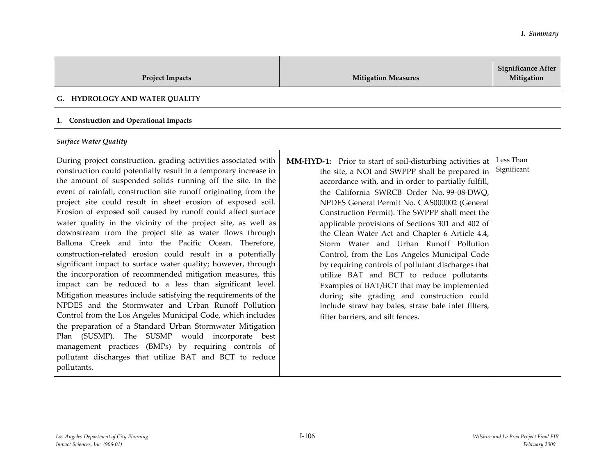| <b>Project Impacts</b>                                                                                                                                                                                                                                                                                                                                                                                                                                                                                                                                                                                                                                                                                                                                                                                                                                                                                                                                                                                                                                                                                                                                                                                                                                                                      | <b>Mitigation Measures</b>                                                                                                                                                                                                                                                                                                                                                                                                                                                                                                                                                                                                                                                                                                                                                                                  | <b>Significance After</b><br>Mitigation |
|---------------------------------------------------------------------------------------------------------------------------------------------------------------------------------------------------------------------------------------------------------------------------------------------------------------------------------------------------------------------------------------------------------------------------------------------------------------------------------------------------------------------------------------------------------------------------------------------------------------------------------------------------------------------------------------------------------------------------------------------------------------------------------------------------------------------------------------------------------------------------------------------------------------------------------------------------------------------------------------------------------------------------------------------------------------------------------------------------------------------------------------------------------------------------------------------------------------------------------------------------------------------------------------------|-------------------------------------------------------------------------------------------------------------------------------------------------------------------------------------------------------------------------------------------------------------------------------------------------------------------------------------------------------------------------------------------------------------------------------------------------------------------------------------------------------------------------------------------------------------------------------------------------------------------------------------------------------------------------------------------------------------------------------------------------------------------------------------------------------------|-----------------------------------------|
| G. HYDROLOGY AND WATER QUALITY                                                                                                                                                                                                                                                                                                                                                                                                                                                                                                                                                                                                                                                                                                                                                                                                                                                                                                                                                                                                                                                                                                                                                                                                                                                              |                                                                                                                                                                                                                                                                                                                                                                                                                                                                                                                                                                                                                                                                                                                                                                                                             |                                         |
| 1. Construction and Operational Impacts                                                                                                                                                                                                                                                                                                                                                                                                                                                                                                                                                                                                                                                                                                                                                                                                                                                                                                                                                                                                                                                                                                                                                                                                                                                     |                                                                                                                                                                                                                                                                                                                                                                                                                                                                                                                                                                                                                                                                                                                                                                                                             |                                         |
| <b>Surface Water Quality</b>                                                                                                                                                                                                                                                                                                                                                                                                                                                                                                                                                                                                                                                                                                                                                                                                                                                                                                                                                                                                                                                                                                                                                                                                                                                                |                                                                                                                                                                                                                                                                                                                                                                                                                                                                                                                                                                                                                                                                                                                                                                                                             |                                         |
| During project construction, grading activities associated with<br>construction could potentially result in a temporary increase in<br>the amount of suspended solids running off the site. In the<br>event of rainfall, construction site runoff originating from the<br>project site could result in sheet erosion of exposed soil.<br>Erosion of exposed soil caused by runoff could affect surface<br>water quality in the vicinity of the project site, as well as<br>downstream from the project site as water flows through<br>Ballona Creek and into the Pacific Ocean. Therefore,<br>construction-related erosion could result in a potentially<br>significant impact to surface water quality; however, through<br>the incorporation of recommended mitigation measures, this<br>impact can be reduced to a less than significant level.<br>Mitigation measures include satisfying the requirements of the<br>NPDES and the Stormwater and Urban Runoff Pollution<br>Control from the Los Angeles Municipal Code, which includes<br>the preparation of a Standard Urban Stormwater Mitigation<br>Plan (SUSMP). The SUSMP would incorporate best<br>management practices (BMPs) by requiring controls of<br>pollutant discharges that utilize BAT and BCT to reduce<br>pollutants. | MM-HYD-1: Prior to start of soil-disturbing activities at<br>the site, a NOI and SWPPP shall be prepared in<br>accordance with, and in order to partially fulfill,<br>the California SWRCB Order No. 99-08-DWQ,<br>NPDES General Permit No. CAS000002 (General<br>Construction Permit). The SWPPP shall meet the<br>applicable provisions of Sections 301 and 402 of<br>the Clean Water Act and Chapter 6 Article 4.4,<br>Storm Water and Urban Runoff Pollution<br>Control, from the Los Angeles Municipal Code<br>by requiring controls of pollutant discharges that<br>utilize BAT and BCT to reduce pollutants.<br>Examples of BAT/BCT that may be implemented<br>during site grading and construction could<br>include straw hay bales, straw bale inlet filters,<br>filter barriers, and silt fences. | Less Than<br>Significant                |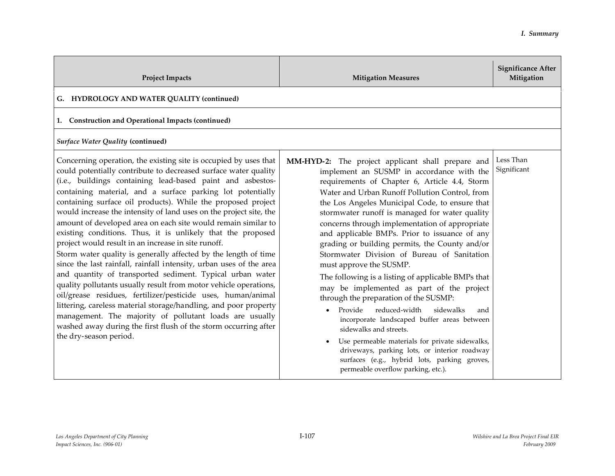| <b>Project Impacts</b>                                                                                                                                                                                                                                                                                                                                                                                                                                                                                                                                                                                                                                                                                                                                                                                                                                                                                                                                                                                                                                                                                                                                              | <b>Mitigation Measures</b>                                                                                                                                                                                                                                                                                                                                                                                                                                                                                                                                                                                                                                                                                                                                                                                                                                                                                                                                                                        | <b>Significance After</b><br>Mitigation |
|---------------------------------------------------------------------------------------------------------------------------------------------------------------------------------------------------------------------------------------------------------------------------------------------------------------------------------------------------------------------------------------------------------------------------------------------------------------------------------------------------------------------------------------------------------------------------------------------------------------------------------------------------------------------------------------------------------------------------------------------------------------------------------------------------------------------------------------------------------------------------------------------------------------------------------------------------------------------------------------------------------------------------------------------------------------------------------------------------------------------------------------------------------------------|---------------------------------------------------------------------------------------------------------------------------------------------------------------------------------------------------------------------------------------------------------------------------------------------------------------------------------------------------------------------------------------------------------------------------------------------------------------------------------------------------------------------------------------------------------------------------------------------------------------------------------------------------------------------------------------------------------------------------------------------------------------------------------------------------------------------------------------------------------------------------------------------------------------------------------------------------------------------------------------------------|-----------------------------------------|
| G. HYDROLOGY AND WATER QUALITY (continued)                                                                                                                                                                                                                                                                                                                                                                                                                                                                                                                                                                                                                                                                                                                                                                                                                                                                                                                                                                                                                                                                                                                          |                                                                                                                                                                                                                                                                                                                                                                                                                                                                                                                                                                                                                                                                                                                                                                                                                                                                                                                                                                                                   |                                         |
| 1. Construction and Operational Impacts (continued)                                                                                                                                                                                                                                                                                                                                                                                                                                                                                                                                                                                                                                                                                                                                                                                                                                                                                                                                                                                                                                                                                                                 |                                                                                                                                                                                                                                                                                                                                                                                                                                                                                                                                                                                                                                                                                                                                                                                                                                                                                                                                                                                                   |                                         |
| <b>Surface Water Quality (continued)</b>                                                                                                                                                                                                                                                                                                                                                                                                                                                                                                                                                                                                                                                                                                                                                                                                                                                                                                                                                                                                                                                                                                                            |                                                                                                                                                                                                                                                                                                                                                                                                                                                                                                                                                                                                                                                                                                                                                                                                                                                                                                                                                                                                   |                                         |
| Concerning operation, the existing site is occupied by uses that<br>could potentially contribute to decreased surface water quality<br>(i.e., buildings containing lead-based paint and asbestos-<br>containing material, and a surface parking lot potentially<br>containing surface oil products). While the proposed project<br>would increase the intensity of land uses on the project site, the<br>amount of developed area on each site would remain similar to<br>existing conditions. Thus, it is unlikely that the proposed<br>project would result in an increase in site runoff.<br>Storm water quality is generally affected by the length of time<br>since the last rainfall, rainfall intensity, urban uses of the area<br>and quantity of transported sediment. Typical urban water<br>quality pollutants usually result from motor vehicle operations,<br>oil/grease residues, fertilizer/pesticide uses, human/animal<br>littering, careless material storage/handling, and poor property<br>management. The majority of pollutant loads are usually<br>washed away during the first flush of the storm occurring after<br>the dry-season period. | MM-HYD-2: The project applicant shall prepare and<br>implement an SUSMP in accordance with the<br>requirements of Chapter 6, Article 4.4, Storm<br>Water and Urban Runoff Pollution Control, from<br>the Los Angeles Municipal Code, to ensure that<br>stormwater runoff is managed for water quality<br>concerns through implementation of appropriate<br>and applicable BMPs. Prior to issuance of any<br>grading or building permits, the County and/or<br>Stormwater Division of Bureau of Sanitation<br>must approve the SUSMP.<br>The following is a listing of applicable BMPs that<br>may be implemented as part of the project<br>through the preparation of the SUSMP:<br>Provide<br>reduced-width<br>sidewalks<br>and<br>incorporate landscaped buffer areas between<br>sidewalks and streets.<br>Use permeable materials for private sidewalks,<br>driveways, parking lots, or interior roadway<br>surfaces (e.g., hybrid lots, parking groves,<br>permeable overflow parking, etc.). | Less Than<br>Significant                |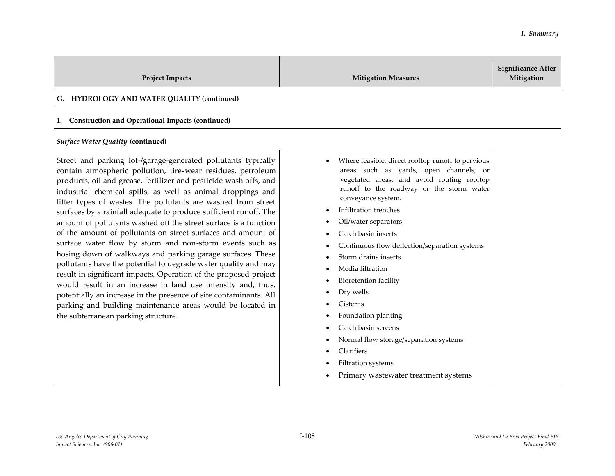| <b>Project Impacts</b>                                                                                                                                                                                                                                                                                                                                                                                                                                                                                                                                                                                                                                                                                                                                                                                                                                                                                                                                                                                                                                | <b>Mitigation Measures</b>                                                                                                                                                                                                                                                                                                                                                                                                                                                                                                                                                                             | <b>Significance After</b><br>Mitigation |
|-------------------------------------------------------------------------------------------------------------------------------------------------------------------------------------------------------------------------------------------------------------------------------------------------------------------------------------------------------------------------------------------------------------------------------------------------------------------------------------------------------------------------------------------------------------------------------------------------------------------------------------------------------------------------------------------------------------------------------------------------------------------------------------------------------------------------------------------------------------------------------------------------------------------------------------------------------------------------------------------------------------------------------------------------------|--------------------------------------------------------------------------------------------------------------------------------------------------------------------------------------------------------------------------------------------------------------------------------------------------------------------------------------------------------------------------------------------------------------------------------------------------------------------------------------------------------------------------------------------------------------------------------------------------------|-----------------------------------------|
| G. HYDROLOGY AND WATER QUALITY (continued)                                                                                                                                                                                                                                                                                                                                                                                                                                                                                                                                                                                                                                                                                                                                                                                                                                                                                                                                                                                                            |                                                                                                                                                                                                                                                                                                                                                                                                                                                                                                                                                                                                        |                                         |
| 1. Construction and Operational Impacts (continued)<br><b>Surface Water Quality (continued)</b>                                                                                                                                                                                                                                                                                                                                                                                                                                                                                                                                                                                                                                                                                                                                                                                                                                                                                                                                                       |                                                                                                                                                                                                                                                                                                                                                                                                                                                                                                                                                                                                        |                                         |
| Street and parking lot-/garage-generated pollutants typically<br>contain atmospheric pollution, tire-wear residues, petroleum<br>products, oil and grease, fertilizer and pesticide wash-offs, and<br>industrial chemical spills, as well as animal droppings and<br>litter types of wastes. The pollutants are washed from street<br>surfaces by a rainfall adequate to produce sufficient runoff. The<br>amount of pollutants washed off the street surface is a function<br>of the amount of pollutants on street surfaces and amount of<br>surface water flow by storm and non-storm events such as<br>hosing down of walkways and parking garage surfaces. These<br>pollutants have the potential to degrade water quality and may<br>result in significant impacts. Operation of the proposed project<br>would result in an increase in land use intensity and, thus,<br>potentially an increase in the presence of site contaminants. All<br>parking and building maintenance areas would be located in<br>the subterranean parking structure. | Where feasible, direct rooftop runoff to pervious<br>areas such as yards, open channels, or<br>vegetated areas, and avoid routing rooftop<br>runoff to the roadway or the storm water<br>conveyance system.<br>Infiltration trenches<br>Oil/water separators<br>Catch basin inserts<br>Continuous flow deflection/separation systems<br>Storm drains inserts<br>Media filtration<br>Bioretention facility<br>Dry wells<br>Cisterns<br>Foundation planting<br>Catch basin screens<br>Normal flow storage/separation systems<br>Clarifiers<br>Filtration systems<br>Primary wastewater treatment systems |                                         |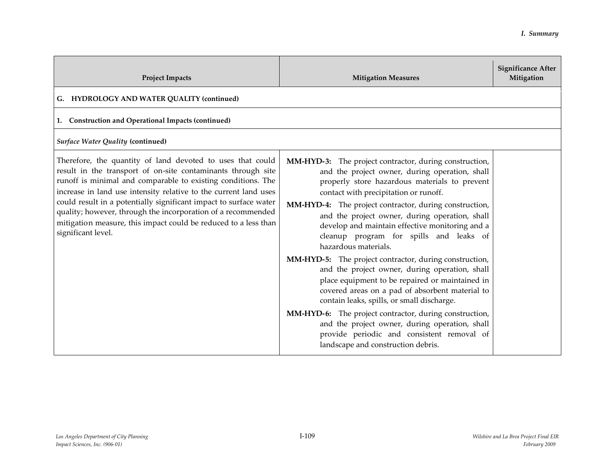| <b>Project Impacts</b>                                                                                                                                                                                                                                                                                                                                                                                                                                                                       | <b>Mitigation Measures</b>                                                                                                                                                                                                                                                                                                                                                                                                                                                                                                                                                                                                                                                                                                                                                                                                                                                                                  | <b>Significance After</b><br>Mitigation |
|----------------------------------------------------------------------------------------------------------------------------------------------------------------------------------------------------------------------------------------------------------------------------------------------------------------------------------------------------------------------------------------------------------------------------------------------------------------------------------------------|-------------------------------------------------------------------------------------------------------------------------------------------------------------------------------------------------------------------------------------------------------------------------------------------------------------------------------------------------------------------------------------------------------------------------------------------------------------------------------------------------------------------------------------------------------------------------------------------------------------------------------------------------------------------------------------------------------------------------------------------------------------------------------------------------------------------------------------------------------------------------------------------------------------|-----------------------------------------|
| G. HYDROLOGY AND WATER QUALITY (continued)                                                                                                                                                                                                                                                                                                                                                                                                                                                   |                                                                                                                                                                                                                                                                                                                                                                                                                                                                                                                                                                                                                                                                                                                                                                                                                                                                                                             |                                         |
| 1. Construction and Operational Impacts (continued)                                                                                                                                                                                                                                                                                                                                                                                                                                          |                                                                                                                                                                                                                                                                                                                                                                                                                                                                                                                                                                                                                                                                                                                                                                                                                                                                                                             |                                         |
| Surface Water Quality (continued)                                                                                                                                                                                                                                                                                                                                                                                                                                                            |                                                                                                                                                                                                                                                                                                                                                                                                                                                                                                                                                                                                                                                                                                                                                                                                                                                                                                             |                                         |
| Therefore, the quantity of land devoted to uses that could<br>result in the transport of on-site contaminants through site<br>runoff is minimal and comparable to existing conditions. The<br>increase in land use intensity relative to the current land uses<br>could result in a potentially significant impact to surface water<br>quality; however, through the incorporation of a recommended<br>mitigation measure, this impact could be reduced to a less than<br>significant level. | MM-HYD-3: The project contractor, during construction,<br>and the project owner, during operation, shall<br>properly store hazardous materials to prevent<br>contact with precipitation or runoff.<br>MM-HYD-4: The project contractor, during construction,<br>and the project owner, during operation, shall<br>develop and maintain effective monitoring and a<br>cleanup program for spills and leaks of<br>hazardous materials.<br><b>MM-HYD-5:</b> The project contractor, during construction,<br>and the project owner, during operation, shall<br>place equipment to be repaired or maintained in<br>covered areas on a pad of absorbent material to<br>contain leaks, spills, or small discharge.<br>MM-HYD-6: The project contractor, during construction,<br>and the project owner, during operation, shall<br>provide periodic and consistent removal of<br>landscape and construction debris. |                                         |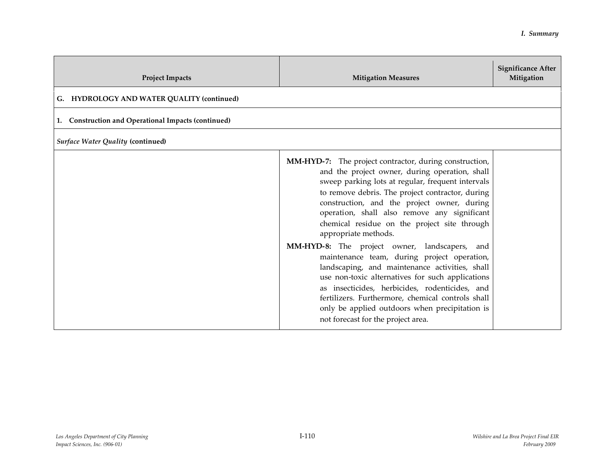| <b>Project Impacts</b>                              | <b>Mitigation Measures</b>                                                                                                                                                                                                                                                                                                                                                                                                                                                                                                                                                                                                                                                                                                                                                                           | <b>Significance After</b><br>Mitigation |
|-----------------------------------------------------|------------------------------------------------------------------------------------------------------------------------------------------------------------------------------------------------------------------------------------------------------------------------------------------------------------------------------------------------------------------------------------------------------------------------------------------------------------------------------------------------------------------------------------------------------------------------------------------------------------------------------------------------------------------------------------------------------------------------------------------------------------------------------------------------------|-----------------------------------------|
| G. HYDROLOGY AND WATER QUALITY (continued)          |                                                                                                                                                                                                                                                                                                                                                                                                                                                                                                                                                                                                                                                                                                                                                                                                      |                                         |
| 1. Construction and Operational Impacts (continued) |                                                                                                                                                                                                                                                                                                                                                                                                                                                                                                                                                                                                                                                                                                                                                                                                      |                                         |
| Surface Water Quality (continued)                   |                                                                                                                                                                                                                                                                                                                                                                                                                                                                                                                                                                                                                                                                                                                                                                                                      |                                         |
|                                                     | <b>MM-HYD-7:</b> The project contractor, during construction,<br>and the project owner, during operation, shall<br>sweep parking lots at regular, frequent intervals<br>to remove debris. The project contractor, during<br>construction, and the project owner, during<br>operation, shall also remove any significant<br>chemical residue on the project site through<br>appropriate methods.<br>MM-HYD-8: The project owner, landscapers, and<br>maintenance team, during project operation,<br>landscaping, and maintenance activities, shall<br>use non-toxic alternatives for such applications<br>as insecticides, herbicides, rodenticides, and<br>fertilizers. Furthermore, chemical controls shall<br>only be applied outdoors when precipitation is<br>not forecast for the project area. |                                         |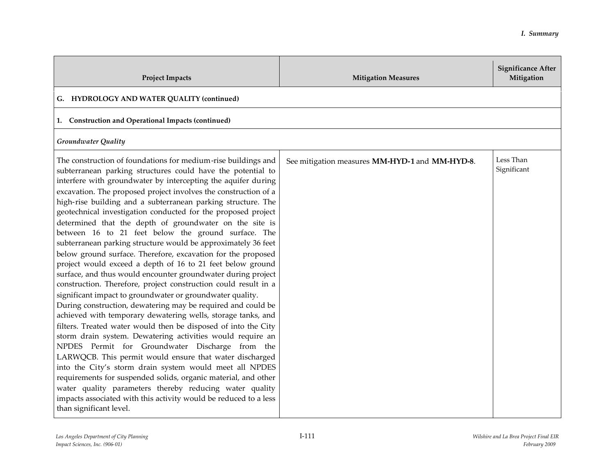| <b>Project Impacts</b>                                                                                                                                                                                                                                                                                                                                                                                                                                                                                                                                                                                                                                                                                                                                                                                                                                                                                                                                                                                                                                                                                                                                                                                                                                                                                                                                                                                                                                                                                                                                                                  | <b>Mitigation Measures</b>                     | <b>Significance After</b><br>Mitigation |
|-----------------------------------------------------------------------------------------------------------------------------------------------------------------------------------------------------------------------------------------------------------------------------------------------------------------------------------------------------------------------------------------------------------------------------------------------------------------------------------------------------------------------------------------------------------------------------------------------------------------------------------------------------------------------------------------------------------------------------------------------------------------------------------------------------------------------------------------------------------------------------------------------------------------------------------------------------------------------------------------------------------------------------------------------------------------------------------------------------------------------------------------------------------------------------------------------------------------------------------------------------------------------------------------------------------------------------------------------------------------------------------------------------------------------------------------------------------------------------------------------------------------------------------------------------------------------------------------|------------------------------------------------|-----------------------------------------|
| G. HYDROLOGY AND WATER QUALITY (continued)                                                                                                                                                                                                                                                                                                                                                                                                                                                                                                                                                                                                                                                                                                                                                                                                                                                                                                                                                                                                                                                                                                                                                                                                                                                                                                                                                                                                                                                                                                                                              |                                                |                                         |
| 1. Construction and Operational Impacts (continued)                                                                                                                                                                                                                                                                                                                                                                                                                                                                                                                                                                                                                                                                                                                                                                                                                                                                                                                                                                                                                                                                                                                                                                                                                                                                                                                                                                                                                                                                                                                                     |                                                |                                         |
| <b>Groundwater Quality</b>                                                                                                                                                                                                                                                                                                                                                                                                                                                                                                                                                                                                                                                                                                                                                                                                                                                                                                                                                                                                                                                                                                                                                                                                                                                                                                                                                                                                                                                                                                                                                              |                                                |                                         |
| The construction of foundations for medium-rise buildings and<br>subterranean parking structures could have the potential to<br>interfere with groundwater by intercepting the aquifer during<br>excavation. The proposed project involves the construction of a<br>high-rise building and a subterranean parking structure. The<br>geotechnical investigation conducted for the proposed project<br>determined that the depth of groundwater on the site is<br>between 16 to 21 feet below the ground surface. The<br>subterranean parking structure would be approximately 36 feet<br>below ground surface. Therefore, excavation for the proposed<br>project would exceed a depth of 16 to 21 feet below ground<br>surface, and thus would encounter groundwater during project<br>construction. Therefore, project construction could result in a<br>significant impact to groundwater or groundwater quality.<br>During construction, dewatering may be required and could be<br>achieved with temporary dewatering wells, storage tanks, and<br>filters. Treated water would then be disposed of into the City<br>storm drain system. Dewatering activities would require an<br>NPDES Permit for Groundwater Discharge from the<br>LARWQCB. This permit would ensure that water discharged<br>into the City's storm drain system would meet all NPDES<br>requirements for suspended solids, organic material, and other<br>water quality parameters thereby reducing water quality<br>impacts associated with this activity would be reduced to a less<br>than significant level. | See mitigation measures MM-HYD-1 and MM-HYD-8. | Less Than<br>Significant                |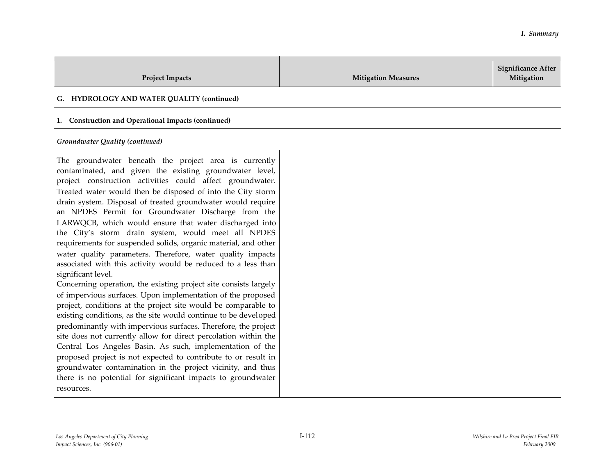| <b>Project Impacts</b>                                                                                                                                                                                                                                                                                                                                                                                                                                                                                                                                                                                                                                                                                                                                                                                                                                                                                                                                                                                                                                                                                                                                                                                                                                                                                                                                                                             | <b>Mitigation Measures</b> | <b>Significance After</b><br>Mitigation |
|----------------------------------------------------------------------------------------------------------------------------------------------------------------------------------------------------------------------------------------------------------------------------------------------------------------------------------------------------------------------------------------------------------------------------------------------------------------------------------------------------------------------------------------------------------------------------------------------------------------------------------------------------------------------------------------------------------------------------------------------------------------------------------------------------------------------------------------------------------------------------------------------------------------------------------------------------------------------------------------------------------------------------------------------------------------------------------------------------------------------------------------------------------------------------------------------------------------------------------------------------------------------------------------------------------------------------------------------------------------------------------------------------|----------------------------|-----------------------------------------|
| G. HYDROLOGY AND WATER QUALITY (continued)                                                                                                                                                                                                                                                                                                                                                                                                                                                                                                                                                                                                                                                                                                                                                                                                                                                                                                                                                                                                                                                                                                                                                                                                                                                                                                                                                         |                            |                                         |
| 1. Construction and Operational Impacts (continued)                                                                                                                                                                                                                                                                                                                                                                                                                                                                                                                                                                                                                                                                                                                                                                                                                                                                                                                                                                                                                                                                                                                                                                                                                                                                                                                                                |                            |                                         |
| Groundwater Quality (continued)                                                                                                                                                                                                                                                                                                                                                                                                                                                                                                                                                                                                                                                                                                                                                                                                                                                                                                                                                                                                                                                                                                                                                                                                                                                                                                                                                                    |                            |                                         |
| The groundwater beneath the project area is currently<br>contaminated, and given the existing groundwater level,<br>project construction activities could affect groundwater.<br>Treated water would then be disposed of into the City storm<br>drain system. Disposal of treated groundwater would require<br>an NPDES Permit for Groundwater Discharge from the<br>LARWQCB, which would ensure that water discharged into<br>the City's storm drain system, would meet all NPDES<br>requirements for suspended solids, organic material, and other<br>water quality parameters. Therefore, water quality impacts<br>associated with this activity would be reduced to a less than<br>significant level.<br>Concerning operation, the existing project site consists largely<br>of impervious surfaces. Upon implementation of the proposed<br>project, conditions at the project site would be comparable to<br>existing conditions, as the site would continue to be developed<br>predominantly with impervious surfaces. Therefore, the project<br>site does not currently allow for direct percolation within the<br>Central Los Angeles Basin. As such, implementation of the<br>proposed project is not expected to contribute to or result in<br>groundwater contamination in the project vicinity, and thus<br>there is no potential for significant impacts to groundwater<br>resources. |                            |                                         |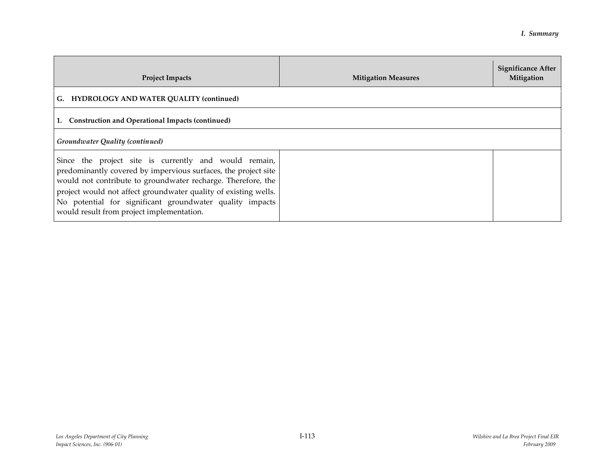| <b>Project Impacts</b>                                                                                                                                                                                                                                                                                                                                              | <b>Mitigation Measures</b> | <b>Significance After</b><br>Mitigation |
|---------------------------------------------------------------------------------------------------------------------------------------------------------------------------------------------------------------------------------------------------------------------------------------------------------------------------------------------------------------------|----------------------------|-----------------------------------------|
| G. HYDROLOGY AND WATER QUALITY (continued)                                                                                                                                                                                                                                                                                                                          |                            |                                         |
| Construction and Operational Impacts (continued)                                                                                                                                                                                                                                                                                                                    |                            |                                         |
| Groundwater Quality (continued)                                                                                                                                                                                                                                                                                                                                     |                            |                                         |
| Since the project site is currently and would remain,<br>predominantly covered by impervious surfaces, the project site<br>would not contribute to groundwater recharge. Therefore, the<br>project would not affect groundwater quality of existing wells.<br>No potential for significant groundwater quality impacts<br>would result from project implementation. |                            |                                         |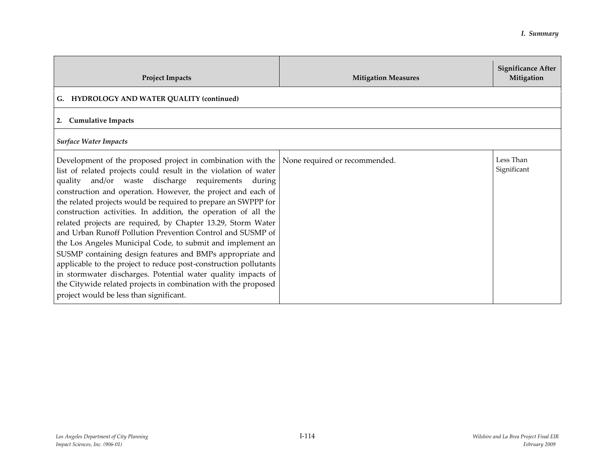| <b>Project Impacts</b>                                                                                                                                                                                                                                                                                                                                                                                                                                                                                                                                                                                                                                                                                                                                                                                                                                                                             | <b>Mitigation Measures</b>    | <b>Significance After</b><br>Mitigation |
|----------------------------------------------------------------------------------------------------------------------------------------------------------------------------------------------------------------------------------------------------------------------------------------------------------------------------------------------------------------------------------------------------------------------------------------------------------------------------------------------------------------------------------------------------------------------------------------------------------------------------------------------------------------------------------------------------------------------------------------------------------------------------------------------------------------------------------------------------------------------------------------------------|-------------------------------|-----------------------------------------|
| G. HYDROLOGY AND WATER OUALITY (continued)                                                                                                                                                                                                                                                                                                                                                                                                                                                                                                                                                                                                                                                                                                                                                                                                                                                         |                               |                                         |
| 2. Cumulative Impacts                                                                                                                                                                                                                                                                                                                                                                                                                                                                                                                                                                                                                                                                                                                                                                                                                                                                              |                               |                                         |
| <b>Surface Water Impacts</b>                                                                                                                                                                                                                                                                                                                                                                                                                                                                                                                                                                                                                                                                                                                                                                                                                                                                       |                               |                                         |
| Development of the proposed project in combination with the<br>list of related projects could result in the violation of water<br>quality and/or waste discharge requirements during<br>construction and operation. However, the project and each of<br>the related projects would be required to prepare an SWPPP for<br>construction activities. In addition, the operation of all the<br>related projects are required, by Chapter 13.29, Storm Water<br>and Urban Runoff Pollution Prevention Control and SUSMP of<br>the Los Angeles Municipal Code, to submit and implement an<br>SUSMP containing design features and BMPs appropriate and<br>applicable to the project to reduce post-construction pollutants<br>in stormwater discharges. Potential water quality impacts of<br>the Citywide related projects in combination with the proposed<br>project would be less than significant. | None required or recommended. | Less Than<br>Significant                |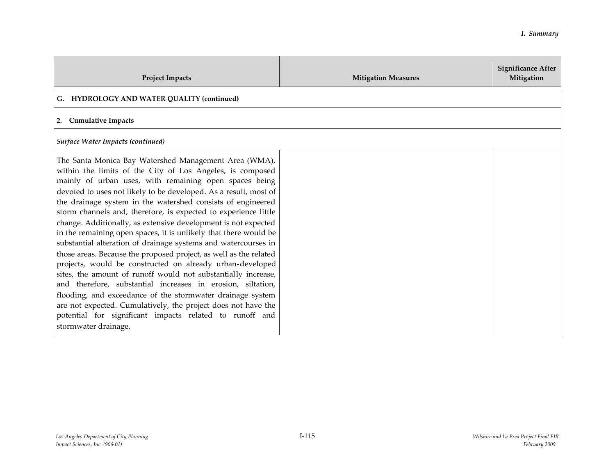| <b>Project Impacts</b>                                                                                                                                                                                                                                                                                                                                                                                                                                                                                                                                                                                                                                                                                                                                                                                                                                                                                                                                                                                                                                                         | <b>Mitigation Measures</b> | <b>Significance After</b><br>Mitigation |
|--------------------------------------------------------------------------------------------------------------------------------------------------------------------------------------------------------------------------------------------------------------------------------------------------------------------------------------------------------------------------------------------------------------------------------------------------------------------------------------------------------------------------------------------------------------------------------------------------------------------------------------------------------------------------------------------------------------------------------------------------------------------------------------------------------------------------------------------------------------------------------------------------------------------------------------------------------------------------------------------------------------------------------------------------------------------------------|----------------------------|-----------------------------------------|
| G. HYDROLOGY AND WATER QUALITY (continued)                                                                                                                                                                                                                                                                                                                                                                                                                                                                                                                                                                                                                                                                                                                                                                                                                                                                                                                                                                                                                                     |                            |                                         |
| 2. Cumulative Impacts                                                                                                                                                                                                                                                                                                                                                                                                                                                                                                                                                                                                                                                                                                                                                                                                                                                                                                                                                                                                                                                          |                            |                                         |
| Surface Water Impacts (continued)                                                                                                                                                                                                                                                                                                                                                                                                                                                                                                                                                                                                                                                                                                                                                                                                                                                                                                                                                                                                                                              |                            |                                         |
| The Santa Monica Bay Watershed Management Area (WMA),<br>within the limits of the City of Los Angeles, is composed<br>mainly of urban uses, with remaining open spaces being<br>devoted to uses not likely to be developed. As a result, most of<br>the drainage system in the watershed consists of engineered<br>storm channels and, therefore, is expected to experience little<br>change. Additionally, as extensive development is not expected<br>in the remaining open spaces, it is unlikely that there would be<br>substantial alteration of drainage systems and watercourses in<br>those areas. Because the proposed project, as well as the related<br>projects, would be constructed on already urban-developed<br>sites, the amount of runoff would not substantially increase,<br>and therefore, substantial increases in erosion, siltation,<br>flooding, and exceedance of the stormwater drainage system<br>are not expected. Cumulatively, the project does not have the<br>potential for significant impacts related to runoff and<br>stormwater drainage. |                            |                                         |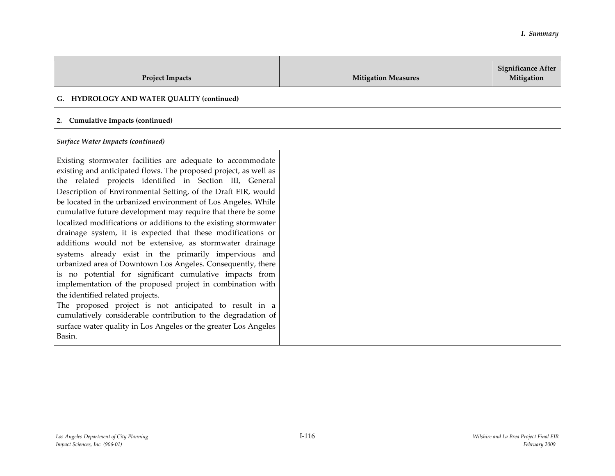| <b>Project Impacts</b>                                                                                                                                                                                                                                                                                                                                                                                                                                                                                                                                                                                                                                                                                                                                                                                                                                                                                                                                                                                                                                                                | <b>Mitigation Measures</b> | <b>Significance After</b><br>Mitigation |
|---------------------------------------------------------------------------------------------------------------------------------------------------------------------------------------------------------------------------------------------------------------------------------------------------------------------------------------------------------------------------------------------------------------------------------------------------------------------------------------------------------------------------------------------------------------------------------------------------------------------------------------------------------------------------------------------------------------------------------------------------------------------------------------------------------------------------------------------------------------------------------------------------------------------------------------------------------------------------------------------------------------------------------------------------------------------------------------|----------------------------|-----------------------------------------|
| G. HYDROLOGY AND WATER QUALITY (continued)                                                                                                                                                                                                                                                                                                                                                                                                                                                                                                                                                                                                                                                                                                                                                                                                                                                                                                                                                                                                                                            |                            |                                         |
| 2. Cumulative Impacts (continued)                                                                                                                                                                                                                                                                                                                                                                                                                                                                                                                                                                                                                                                                                                                                                                                                                                                                                                                                                                                                                                                     |                            |                                         |
| <b>Surface Water Impacts (continued)</b>                                                                                                                                                                                                                                                                                                                                                                                                                                                                                                                                                                                                                                                                                                                                                                                                                                                                                                                                                                                                                                              |                            |                                         |
| Existing stormwater facilities are adequate to accommodate<br>existing and anticipated flows. The proposed project, as well as<br>the related projects identified in Section III, General<br>Description of Environmental Setting, of the Draft EIR, would<br>be located in the urbanized environment of Los Angeles. While<br>cumulative future development may require that there be some<br>localized modifications or additions to the existing stormwater<br>drainage system, it is expected that these modifications or<br>additions would not be extensive, as stormwater drainage<br>systems already exist in the primarily impervious and<br>urbanized area of Downtown Los Angeles. Consequently, there<br>is no potential for significant cumulative impacts from<br>implementation of the proposed project in combination with<br>the identified related projects.<br>The proposed project is not anticipated to result in a<br>cumulatively considerable contribution to the degradation of<br>surface water quality in Los Angeles or the greater Los Angeles<br>Basin. |                            |                                         |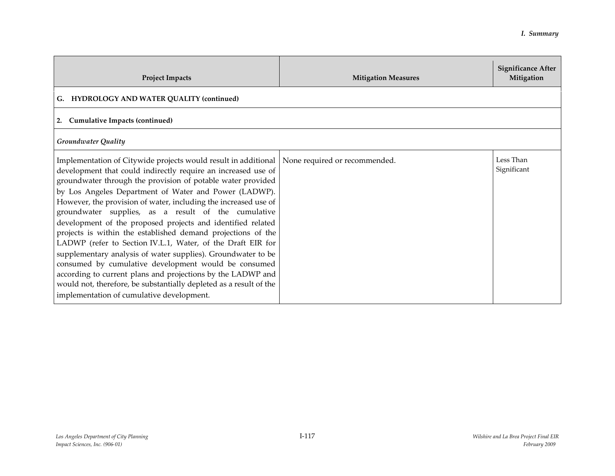| <b>Project Impacts</b>                                                                                                                                                                                                                                                                                                                                                                                                                                                                                                                                                                                                                                                                                                                                                                                                                                                                    | <b>Mitigation Measures</b>    | <b>Significance After</b><br>Mitigation |
|-------------------------------------------------------------------------------------------------------------------------------------------------------------------------------------------------------------------------------------------------------------------------------------------------------------------------------------------------------------------------------------------------------------------------------------------------------------------------------------------------------------------------------------------------------------------------------------------------------------------------------------------------------------------------------------------------------------------------------------------------------------------------------------------------------------------------------------------------------------------------------------------|-------------------------------|-----------------------------------------|
| G. HYDROLOGY AND WATER QUALITY (continued)                                                                                                                                                                                                                                                                                                                                                                                                                                                                                                                                                                                                                                                                                                                                                                                                                                                |                               |                                         |
| 2. Cumulative Impacts (continued)                                                                                                                                                                                                                                                                                                                                                                                                                                                                                                                                                                                                                                                                                                                                                                                                                                                         |                               |                                         |
| <b>Groundwater Quality</b>                                                                                                                                                                                                                                                                                                                                                                                                                                                                                                                                                                                                                                                                                                                                                                                                                                                                |                               |                                         |
| Implementation of Citywide projects would result in additional<br>development that could indirectly require an increased use of<br>groundwater through the provision of potable water provided<br>by Los Angeles Department of Water and Power (LADWP).<br>However, the provision of water, including the increased use of<br>groundwater supplies, as a result of the cumulative<br>development of the proposed projects and identified related<br>projects is within the established demand projections of the<br>LADWP (refer to Section IV.L.1, Water, of the Draft EIR for<br>supplementary analysis of water supplies). Groundwater to be<br>consumed by cumulative development would be consumed<br>according to current plans and projections by the LADWP and<br>would not, therefore, be substantially depleted as a result of the<br>implementation of cumulative development. | None required or recommended. | Less Than<br>Significant                |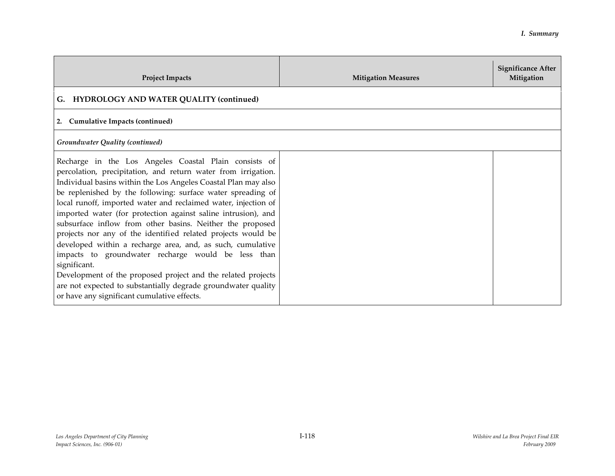| <b>Project Impacts</b>                                                                                                                                                                                                                                                                                                                                                                                                                                                                                                                                                                                                                                                                                                                                                                                                                      | <b>Mitigation Measures</b> | <b>Significance After</b><br>Mitigation |
|---------------------------------------------------------------------------------------------------------------------------------------------------------------------------------------------------------------------------------------------------------------------------------------------------------------------------------------------------------------------------------------------------------------------------------------------------------------------------------------------------------------------------------------------------------------------------------------------------------------------------------------------------------------------------------------------------------------------------------------------------------------------------------------------------------------------------------------------|----------------------------|-----------------------------------------|
| G. HYDROLOGY AND WATER QUALITY (continued)                                                                                                                                                                                                                                                                                                                                                                                                                                                                                                                                                                                                                                                                                                                                                                                                  |                            |                                         |
| <b>Cumulative Impacts (continued)</b><br>2.                                                                                                                                                                                                                                                                                                                                                                                                                                                                                                                                                                                                                                                                                                                                                                                                 |                            |                                         |
| Groundwater Quality (continued)                                                                                                                                                                                                                                                                                                                                                                                                                                                                                                                                                                                                                                                                                                                                                                                                             |                            |                                         |
| Recharge in the Los Angeles Coastal Plain consists of<br>percolation, precipitation, and return water from irrigation.<br>Individual basins within the Los Angeles Coastal Plan may also<br>be replenished by the following: surface water spreading of<br>local runoff, imported water and reclaimed water, injection of<br>imported water (for protection against saline intrusion), and<br>subsurface inflow from other basins. Neither the proposed<br>projects nor any of the identified related projects would be<br>developed within a recharge area, and, as such, cumulative<br>impacts to groundwater recharge would be less than<br>significant.<br>Development of the proposed project and the related projects<br>are not expected to substantially degrade groundwater quality<br>or have any significant cumulative effects. |                            |                                         |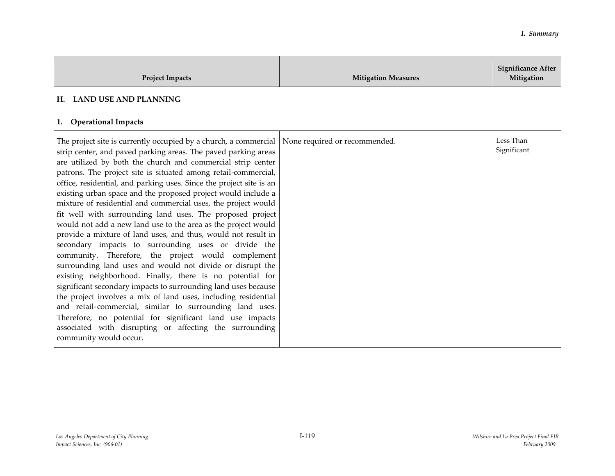| <b>Project Impacts</b>                                                                                                                                                                                                                                                                                                                                                                                                                                                                                                                                                                                                                                                                                                                                                                                                                                                                                                                                                                                                                                                                                                                                                                                                                                              | <b>Mitigation Measures</b>    | <b>Significance After</b><br>Mitigation |
|---------------------------------------------------------------------------------------------------------------------------------------------------------------------------------------------------------------------------------------------------------------------------------------------------------------------------------------------------------------------------------------------------------------------------------------------------------------------------------------------------------------------------------------------------------------------------------------------------------------------------------------------------------------------------------------------------------------------------------------------------------------------------------------------------------------------------------------------------------------------------------------------------------------------------------------------------------------------------------------------------------------------------------------------------------------------------------------------------------------------------------------------------------------------------------------------------------------------------------------------------------------------|-------------------------------|-----------------------------------------|
| H. LAND USE AND PLANNING                                                                                                                                                                                                                                                                                                                                                                                                                                                                                                                                                                                                                                                                                                                                                                                                                                                                                                                                                                                                                                                                                                                                                                                                                                            |                               |                                         |
| <b>Operational Impacts</b><br>1.                                                                                                                                                                                                                                                                                                                                                                                                                                                                                                                                                                                                                                                                                                                                                                                                                                                                                                                                                                                                                                                                                                                                                                                                                                    |                               |                                         |
| The project site is currently occupied by a church, a commercial<br>strip center, and paved parking areas. The paved parking areas<br>are utilized by both the church and commercial strip center<br>patrons. The project site is situated among retail-commercial,<br>office, residential, and parking uses. Since the project site is an<br>existing urban space and the proposed project would include a<br>mixture of residential and commercial uses, the project would<br>fit well with surrounding land uses. The proposed project<br>would not add a new land use to the area as the project would<br>provide a mixture of land uses, and thus, would not result in<br>secondary impacts to surrounding uses or divide the<br>community. Therefore, the project would complement<br>surrounding land uses and would not divide or disrupt the<br>existing neighborhood. Finally, there is no potential for<br>significant secondary impacts to surrounding land uses because<br>the project involves a mix of land uses, including residential<br>and retail-commercial, similar to surrounding land uses.<br>Therefore, no potential for significant land use impacts<br>associated with disrupting or affecting the surrounding<br>community would occur. | None required or recommended. | Less Than<br>Significant                |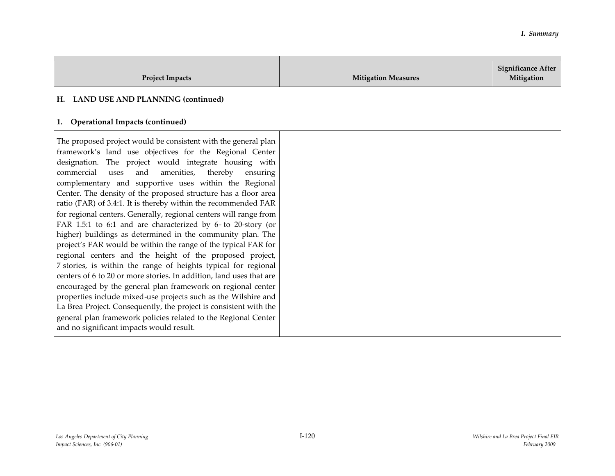| <b>Project Impacts</b>                                                                                                                                                                                                                                                                                                                                                                                                                                                                                                                                                                                                                                                                                                                                                                                                                                                                                                                                                                                                                                                                                                                                                                                                                         | <b>Mitigation Measures</b> | <b>Significance After</b><br>Mitigation |
|------------------------------------------------------------------------------------------------------------------------------------------------------------------------------------------------------------------------------------------------------------------------------------------------------------------------------------------------------------------------------------------------------------------------------------------------------------------------------------------------------------------------------------------------------------------------------------------------------------------------------------------------------------------------------------------------------------------------------------------------------------------------------------------------------------------------------------------------------------------------------------------------------------------------------------------------------------------------------------------------------------------------------------------------------------------------------------------------------------------------------------------------------------------------------------------------------------------------------------------------|----------------------------|-----------------------------------------|
| H. LAND USE AND PLANNING (continued)                                                                                                                                                                                                                                                                                                                                                                                                                                                                                                                                                                                                                                                                                                                                                                                                                                                                                                                                                                                                                                                                                                                                                                                                           |                            |                                         |
| 1. Operational Impacts (continued)                                                                                                                                                                                                                                                                                                                                                                                                                                                                                                                                                                                                                                                                                                                                                                                                                                                                                                                                                                                                                                                                                                                                                                                                             |                            |                                         |
| The proposed project would be consistent with the general plan<br>framework's land use objectives for the Regional Center<br>designation. The project would integrate housing with<br>commercial<br>and<br>amenities,<br>thereby<br>uses<br>ensuring<br>complementary and supportive uses within the Regional<br>Center. The density of the proposed structure has a floor area<br>ratio (FAR) of 3.4:1. It is thereby within the recommended FAR<br>for regional centers. Generally, regional centers will range from<br>FAR 1.5:1 to 6:1 and are characterized by 6-to 20-story (or<br>higher) buildings as determined in the community plan. The<br>project's FAR would be within the range of the typical FAR for<br>regional centers and the height of the proposed project,<br>7 stories, is within the range of heights typical for regional<br>centers of 6 to 20 or more stories. In addition, land uses that are<br>encouraged by the general plan framework on regional center<br>properties include mixed-use projects such as the Wilshire and<br>La Brea Project. Consequently, the project is consistent with the<br>general plan framework policies related to the Regional Center<br>and no significant impacts would result. |                            |                                         |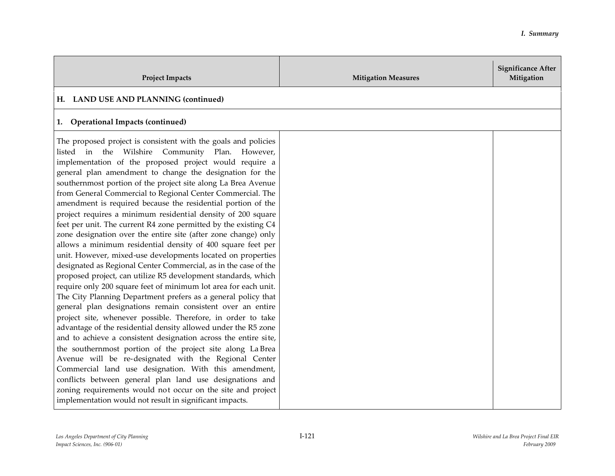| <b>Project Impacts</b>                                                                                                                                                                                                                                                                                                                                                                                                                                                                                                                                                                                                                                                                                                                                                                                                                                                                                                                                                                                                                                                                                                                                                                                                                                                                                                                                                                                                                                                                                                                                                                                                                                                                    | <b>Mitigation Measures</b> | <b>Significance After</b><br>Mitigation |
|-------------------------------------------------------------------------------------------------------------------------------------------------------------------------------------------------------------------------------------------------------------------------------------------------------------------------------------------------------------------------------------------------------------------------------------------------------------------------------------------------------------------------------------------------------------------------------------------------------------------------------------------------------------------------------------------------------------------------------------------------------------------------------------------------------------------------------------------------------------------------------------------------------------------------------------------------------------------------------------------------------------------------------------------------------------------------------------------------------------------------------------------------------------------------------------------------------------------------------------------------------------------------------------------------------------------------------------------------------------------------------------------------------------------------------------------------------------------------------------------------------------------------------------------------------------------------------------------------------------------------------------------------------------------------------------------|----------------------------|-----------------------------------------|
| H. LAND USE AND PLANNING (continued)                                                                                                                                                                                                                                                                                                                                                                                                                                                                                                                                                                                                                                                                                                                                                                                                                                                                                                                                                                                                                                                                                                                                                                                                                                                                                                                                                                                                                                                                                                                                                                                                                                                      |                            |                                         |
| 1. Operational Impacts (continued)                                                                                                                                                                                                                                                                                                                                                                                                                                                                                                                                                                                                                                                                                                                                                                                                                                                                                                                                                                                                                                                                                                                                                                                                                                                                                                                                                                                                                                                                                                                                                                                                                                                        |                            |                                         |
| The proposed project is consistent with the goals and policies<br>listed in the Wilshire Community Plan. However,<br>implementation of the proposed project would require a<br>general plan amendment to change the designation for the<br>southernmost portion of the project site along La Brea Avenue<br>from General Commercial to Regional Center Commercial. The<br>amendment is required because the residential portion of the<br>project requires a minimum residential density of 200 square<br>feet per unit. The current R4 zone permitted by the existing C4<br>zone designation over the entire site (after zone change) only<br>allows a minimum residential density of 400 square feet per<br>unit. However, mixed-use developments located on properties<br>designated as Regional Center Commercial, as in the case of the<br>proposed project, can utilize R5 development standards, which<br>require only 200 square feet of minimum lot area for each unit.<br>The City Planning Department prefers as a general policy that<br>general plan designations remain consistent over an entire<br>project site, whenever possible. Therefore, in order to take<br>advantage of the residential density allowed under the R5 zone<br>and to achieve a consistent designation across the entire site,<br>the southernmost portion of the project site along LaBrea<br>Avenue will be re-designated with the Regional Center<br>Commercial land use designation. With this amendment,<br>conflicts between general plan land use designations and<br>zoning requirements would not occur on the site and project<br>implementation would not result in significant impacts. |                            |                                         |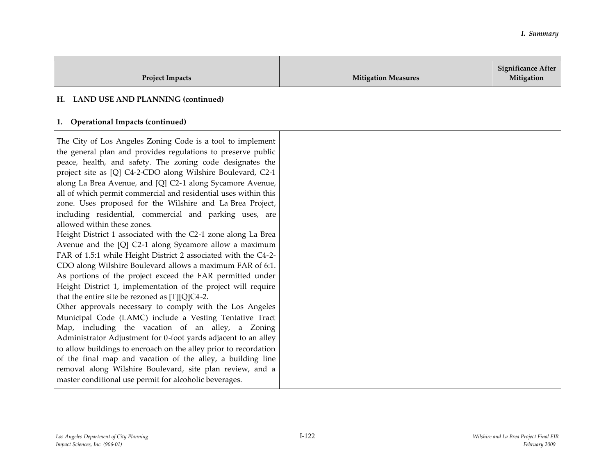| <b>Project Impacts</b>                                                                                                                                                                                                                                                                                                                                                                                                                                                                                                                                                                                                                                                                                                                                                                                                                                                                                                                                                                                                                                                                                                                                                                                                                                                                                                                                                                                                                                                                          | <b>Mitigation Measures</b> | <b>Significance After</b><br>Mitigation |
|-------------------------------------------------------------------------------------------------------------------------------------------------------------------------------------------------------------------------------------------------------------------------------------------------------------------------------------------------------------------------------------------------------------------------------------------------------------------------------------------------------------------------------------------------------------------------------------------------------------------------------------------------------------------------------------------------------------------------------------------------------------------------------------------------------------------------------------------------------------------------------------------------------------------------------------------------------------------------------------------------------------------------------------------------------------------------------------------------------------------------------------------------------------------------------------------------------------------------------------------------------------------------------------------------------------------------------------------------------------------------------------------------------------------------------------------------------------------------------------------------|----------------------------|-----------------------------------------|
| H. LAND USE AND PLANNING (continued)                                                                                                                                                                                                                                                                                                                                                                                                                                                                                                                                                                                                                                                                                                                                                                                                                                                                                                                                                                                                                                                                                                                                                                                                                                                                                                                                                                                                                                                            |                            |                                         |
| 1. Operational Impacts (continued)                                                                                                                                                                                                                                                                                                                                                                                                                                                                                                                                                                                                                                                                                                                                                                                                                                                                                                                                                                                                                                                                                                                                                                                                                                                                                                                                                                                                                                                              |                            |                                         |
| The City of Los Angeles Zoning Code is a tool to implement<br>the general plan and provides regulations to preserve public<br>peace, health, and safety. The zoning code designates the<br>project site as [Q] C4-2-CDO along Wilshire Boulevard, C2-1<br>along La Brea Avenue, and [Q] C2-1 along Sycamore Avenue,<br>all of which permit commercial and residential uses within this<br>zone. Uses proposed for the Wilshire and La Brea Project,<br>including residential, commercial and parking uses, are<br>allowed within these zones.<br>Height District 1 associated with the C2-1 zone along La Brea<br>Avenue and the [Q] C2-1 along Sycamore allow a maximum<br>FAR of 1.5:1 while Height District 2 associated with the C4-2-<br>CDO along Wilshire Boulevard allows a maximum FAR of 6:1.<br>As portions of the project exceed the FAR permitted under<br>Height District 1, implementation of the project will require<br>that the entire site be rezoned as [T][Q]C4-2.<br>Other approvals necessary to comply with the Los Angeles<br>Municipal Code (LAMC) include a Vesting Tentative Tract<br>Map, including the vacation of an alley, a Zoning<br>Administrator Adjustment for 0-foot yards adjacent to an alley<br>to allow buildings to encroach on the alley prior to recordation<br>of the final map and vacation of the alley, a building line<br>removal along Wilshire Boulevard, site plan review, and a<br>master conditional use permit for alcoholic beverages. |                            |                                         |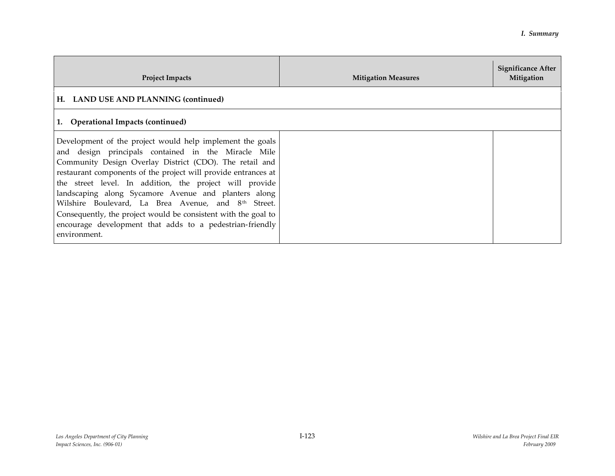| <b>Project Impacts</b>                                                                                                                                                                                                                                                                                                                                                                                                                                                                                                                                                            | <b>Mitigation Measures</b> | <b>Significance After</b><br>Mitigation |
|-----------------------------------------------------------------------------------------------------------------------------------------------------------------------------------------------------------------------------------------------------------------------------------------------------------------------------------------------------------------------------------------------------------------------------------------------------------------------------------------------------------------------------------------------------------------------------------|----------------------------|-----------------------------------------|
| H. LAND USE AND PLANNING (continued)                                                                                                                                                                                                                                                                                                                                                                                                                                                                                                                                              |                            |                                         |
| 1. Operational Impacts (continued)                                                                                                                                                                                                                                                                                                                                                                                                                                                                                                                                                |                            |                                         |
| Development of the project would help implement the goals<br>and design principals contained in the Miracle Mile<br>Community Design Overlay District (CDO). The retail and<br>restaurant components of the project will provide entrances at<br>the street level. In addition, the project will provide<br>landscaping along Sycamore Avenue and planters along<br>Wilshire Boulevard, La Brea Avenue, and 8 <sup>th</sup> Street.<br>Consequently, the project would be consistent with the goal to<br>encourage development that adds to a pedestrian-friendly<br>environment. |                            |                                         |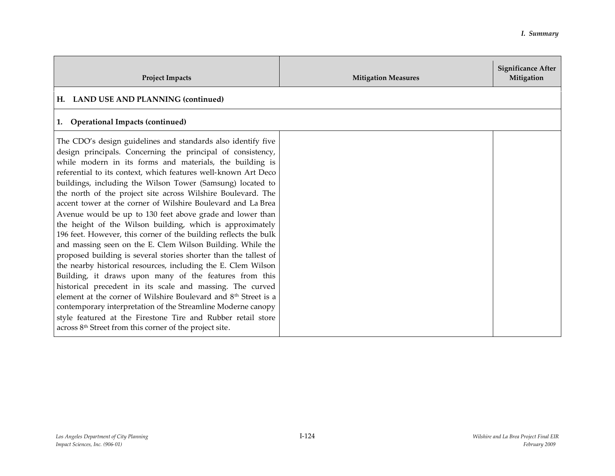| <b>Project Impacts</b>                                                                                                                                                                                                                                                                                                                                                                                                                                                                                                                                                                                                                                                                                                                                                                                                                                                                                                                                                                                                                                                                                                                                                                                                                                                | <b>Mitigation Measures</b> | <b>Significance After</b><br>Mitigation |
|-----------------------------------------------------------------------------------------------------------------------------------------------------------------------------------------------------------------------------------------------------------------------------------------------------------------------------------------------------------------------------------------------------------------------------------------------------------------------------------------------------------------------------------------------------------------------------------------------------------------------------------------------------------------------------------------------------------------------------------------------------------------------------------------------------------------------------------------------------------------------------------------------------------------------------------------------------------------------------------------------------------------------------------------------------------------------------------------------------------------------------------------------------------------------------------------------------------------------------------------------------------------------|----------------------------|-----------------------------------------|
| H. LAND USE AND PLANNING (continued)                                                                                                                                                                                                                                                                                                                                                                                                                                                                                                                                                                                                                                                                                                                                                                                                                                                                                                                                                                                                                                                                                                                                                                                                                                  |                            |                                         |
| <b>Operational Impacts (continued)</b><br>1.                                                                                                                                                                                                                                                                                                                                                                                                                                                                                                                                                                                                                                                                                                                                                                                                                                                                                                                                                                                                                                                                                                                                                                                                                          |                            |                                         |
| The CDO's design guidelines and standards also identify five<br>design principals. Concerning the principal of consistency,<br>while modern in its forms and materials, the building is<br>referential to its context, which features well-known Art Deco<br>buildings, including the Wilson Tower (Samsung) located to<br>the north of the project site across Wilshire Boulevard. The<br>accent tower at the corner of Wilshire Boulevard and La Brea<br>Avenue would be up to 130 feet above grade and lower than<br>the height of the Wilson building, which is approximately<br>196 feet. However, this corner of the building reflects the bulk<br>and massing seen on the E. Clem Wilson Building. While the<br>proposed building is several stories shorter than the tallest of<br>the nearby historical resources, including the E. Clem Wilson<br>Building, it draws upon many of the features from this<br>historical precedent in its scale and massing. The curved<br>element at the corner of Wilshire Boulevard and 8 <sup>th</sup> Street is a<br>contemporary interpretation of the Streamline Moderne canopy<br>style featured at the Firestone Tire and Rubber retail store<br>across 8 <sup>th</sup> Street from this corner of the project site. |                            |                                         |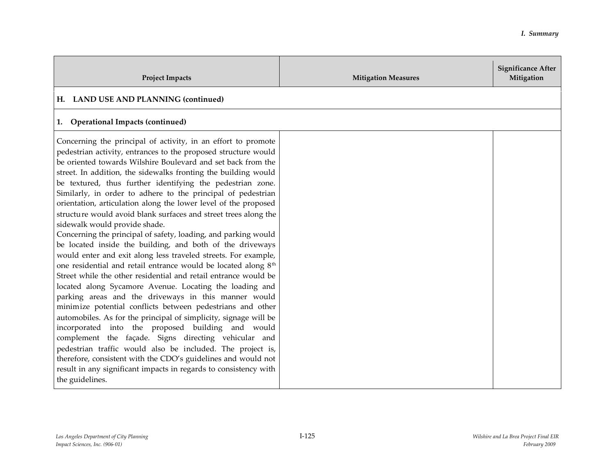| <b>Project Impacts</b>                                                                                                                                                                                                                                                                                                                                                                                                                                                                                                                                                                                                                                                                                                                                                                                                                                                                                                                                                                                                                                                                                                                                                                                                                                                                                                                                                                                                                                                                                           | <b>Mitigation Measures</b> | <b>Significance After</b><br>Mitigation |
|------------------------------------------------------------------------------------------------------------------------------------------------------------------------------------------------------------------------------------------------------------------------------------------------------------------------------------------------------------------------------------------------------------------------------------------------------------------------------------------------------------------------------------------------------------------------------------------------------------------------------------------------------------------------------------------------------------------------------------------------------------------------------------------------------------------------------------------------------------------------------------------------------------------------------------------------------------------------------------------------------------------------------------------------------------------------------------------------------------------------------------------------------------------------------------------------------------------------------------------------------------------------------------------------------------------------------------------------------------------------------------------------------------------------------------------------------------------------------------------------------------------|----------------------------|-----------------------------------------|
| H. LAND USE AND PLANNING (continued)                                                                                                                                                                                                                                                                                                                                                                                                                                                                                                                                                                                                                                                                                                                                                                                                                                                                                                                                                                                                                                                                                                                                                                                                                                                                                                                                                                                                                                                                             |                            |                                         |
| 1. Operational Impacts (continued)                                                                                                                                                                                                                                                                                                                                                                                                                                                                                                                                                                                                                                                                                                                                                                                                                                                                                                                                                                                                                                                                                                                                                                                                                                                                                                                                                                                                                                                                               |                            |                                         |
| Concerning the principal of activity, in an effort to promote<br>pedestrian activity, entrances to the proposed structure would<br>be oriented towards Wilshire Boulevard and set back from the<br>street. In addition, the sidewalks fronting the building would<br>be textured, thus further identifying the pedestrian zone.<br>Similarly, in order to adhere to the principal of pedestrian<br>orientation, articulation along the lower level of the proposed<br>structure would avoid blank surfaces and street trees along the<br>sidewalk would provide shade.<br>Concerning the principal of safety, loading, and parking would<br>be located inside the building, and both of the driveways<br>would enter and exit along less traveled streets. For example,<br>one residential and retail entrance would be located along 8 <sup>th</sup><br>Street while the other residential and retail entrance would be<br>located along Sycamore Avenue. Locating the loading and<br>parking areas and the driveways in this manner would<br>minimize potential conflicts between pedestrians and other<br>automobiles. As for the principal of simplicity, signage will be<br>incorporated into the proposed building and would<br>complement the façade. Signs directing vehicular and<br>pedestrian traffic would also be included. The project is,<br>therefore, consistent with the CDO's guidelines and would not<br>result in any significant impacts in regards to consistency with<br>the guidelines. |                            |                                         |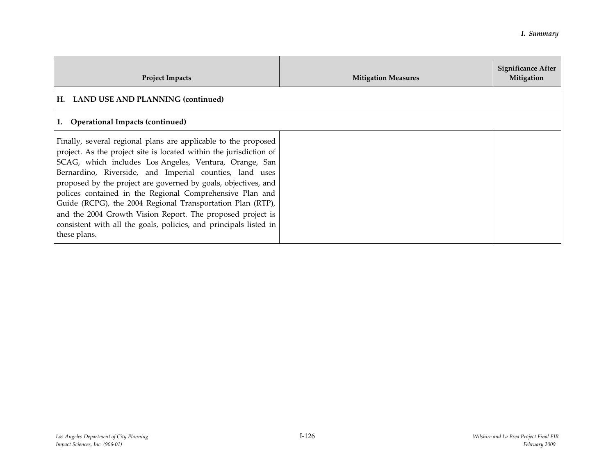| <b>Project Impacts</b>                                                                                                                                                                                                                                                                                                                                                                                                                                                                                                                                                                                   | <b>Mitigation Measures</b> | <b>Significance After</b><br>Mitigation |
|----------------------------------------------------------------------------------------------------------------------------------------------------------------------------------------------------------------------------------------------------------------------------------------------------------------------------------------------------------------------------------------------------------------------------------------------------------------------------------------------------------------------------------------------------------------------------------------------------------|----------------------------|-----------------------------------------|
| H. LAND USE AND PLANNING (continued)                                                                                                                                                                                                                                                                                                                                                                                                                                                                                                                                                                     |                            |                                         |
| 1. Operational Impacts (continued)                                                                                                                                                                                                                                                                                                                                                                                                                                                                                                                                                                       |                            |                                         |
| Finally, several regional plans are applicable to the proposed<br>project. As the project site is located within the jurisdiction of<br>SCAG, which includes Los Angeles, Ventura, Orange, San<br>Bernardino, Riverside, and Imperial counties, land uses<br>proposed by the project are governed by goals, objectives, and<br>polices contained in the Regional Comprehensive Plan and<br>Guide (RCPG), the 2004 Regional Transportation Plan (RTP),<br>and the 2004 Growth Vision Report. The proposed project is<br>consistent with all the goals, policies, and principals listed in<br>these plans. |                            |                                         |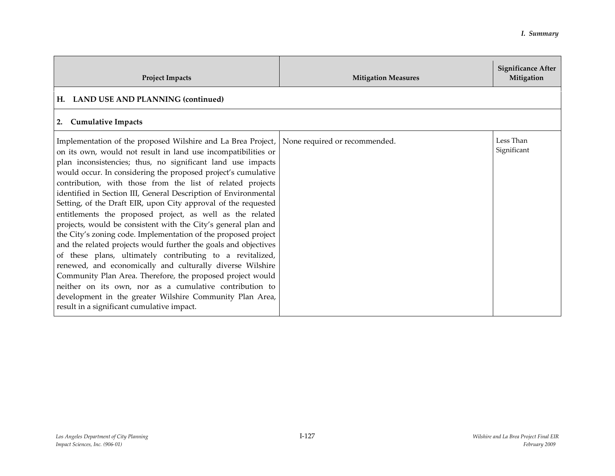| <b>Project Impacts</b>                                                                                                                                                                                                                                                                                                                                                                                                                                                                                                                                                                                                                                                                                                                                                                                                                                                                                                                                                                                                                                                                            | <b>Mitigation Measures</b>    | <b>Significance After</b><br>Mitigation |
|---------------------------------------------------------------------------------------------------------------------------------------------------------------------------------------------------------------------------------------------------------------------------------------------------------------------------------------------------------------------------------------------------------------------------------------------------------------------------------------------------------------------------------------------------------------------------------------------------------------------------------------------------------------------------------------------------------------------------------------------------------------------------------------------------------------------------------------------------------------------------------------------------------------------------------------------------------------------------------------------------------------------------------------------------------------------------------------------------|-------------------------------|-----------------------------------------|
| H. LAND USE AND PLANNING (continued)                                                                                                                                                                                                                                                                                                                                                                                                                                                                                                                                                                                                                                                                                                                                                                                                                                                                                                                                                                                                                                                              |                               |                                         |
| <b>Cumulative Impacts</b><br>2.                                                                                                                                                                                                                                                                                                                                                                                                                                                                                                                                                                                                                                                                                                                                                                                                                                                                                                                                                                                                                                                                   |                               |                                         |
| Implementation of the proposed Wilshire and La Brea Project,<br>on its own, would not result in land use incompatibilities or<br>plan inconsistencies; thus, no significant land use impacts<br>would occur. In considering the proposed project's cumulative<br>contribution, with those from the list of related projects<br>identified in Section III, General Description of Environmental<br>Setting, of the Draft EIR, upon City approval of the requested<br>entitlements the proposed project, as well as the related<br>projects, would be consistent with the City's general plan and<br>the City's zoning code. Implementation of the proposed project<br>and the related projects would further the goals and objectives<br>of these plans, ultimately contributing to a revitalized,<br>renewed, and economically and culturally diverse Wilshire<br>Community Plan Area. Therefore, the proposed project would<br>neither on its own, nor as a cumulative contribution to<br>development in the greater Wilshire Community Plan Area,<br>result in a significant cumulative impact. | None required or recommended. | Less Than<br>Significant                |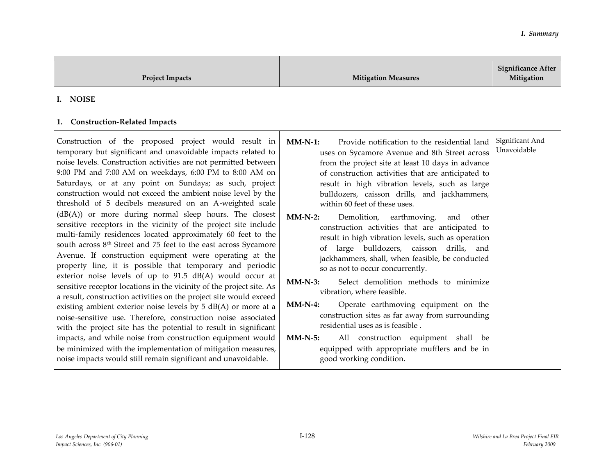| <b>Project Impacts</b>                                                                                                                                                                                                                                                                                                                                                                                                                                                                                                                                                                                                                                                                                                                                                                                                                                                                                                                                                                                                                                                                                                                                                                                                                                                                                                                                                                                                                                        | <b>Mitigation Measures</b>                                                                                                                                                                                                                                                                                                                                                                                                                                                                                                                                                                                                                                                                                                                                                                                                                                                                                                                                                                                                        | <b>Significance After</b><br>Mitigation |
|---------------------------------------------------------------------------------------------------------------------------------------------------------------------------------------------------------------------------------------------------------------------------------------------------------------------------------------------------------------------------------------------------------------------------------------------------------------------------------------------------------------------------------------------------------------------------------------------------------------------------------------------------------------------------------------------------------------------------------------------------------------------------------------------------------------------------------------------------------------------------------------------------------------------------------------------------------------------------------------------------------------------------------------------------------------------------------------------------------------------------------------------------------------------------------------------------------------------------------------------------------------------------------------------------------------------------------------------------------------------------------------------------------------------------------------------------------------|-----------------------------------------------------------------------------------------------------------------------------------------------------------------------------------------------------------------------------------------------------------------------------------------------------------------------------------------------------------------------------------------------------------------------------------------------------------------------------------------------------------------------------------------------------------------------------------------------------------------------------------------------------------------------------------------------------------------------------------------------------------------------------------------------------------------------------------------------------------------------------------------------------------------------------------------------------------------------------------------------------------------------------------|-----------------------------------------|
| I. NOISE<br>1. Construction-Related Impacts                                                                                                                                                                                                                                                                                                                                                                                                                                                                                                                                                                                                                                                                                                                                                                                                                                                                                                                                                                                                                                                                                                                                                                                                                                                                                                                                                                                                                   |                                                                                                                                                                                                                                                                                                                                                                                                                                                                                                                                                                                                                                                                                                                                                                                                                                                                                                                                                                                                                                   |                                         |
| Construction of the proposed project would result in<br>temporary but significant and unavoidable impacts related to<br>noise levels. Construction activities are not permitted between<br>9:00 PM and 7:00 AM on weekdays, 6:00 PM to 8:00 AM on<br>Saturdays, or at any point on Sundays; as such, project<br>construction would not exceed the ambient noise level by the<br>threshold of 5 decibels measured on an A-weighted scale<br>$(dB(A))$ or more during normal sleep hours. The closest<br>sensitive receptors in the vicinity of the project site include<br>multi-family residences located approximately 60 feet to the<br>south across 8 <sup>th</sup> Street and 75 feet to the east across Sycamore<br>Avenue. If construction equipment were operating at the<br>property line, it is possible that temporary and periodic<br>exterior noise levels of up to 91.5 dB(A) would occur at<br>sensitive receptor locations in the vicinity of the project site. As<br>a result, construction activities on the project site would exceed<br>existing ambient exterior noise levels by 5 dB(A) or more at a<br>noise-sensitive use. Therefore, construction noise associated<br>with the project site has the potential to result in significant<br>impacts, and while noise from construction equipment would<br>be minimized with the implementation of mitigation measures,<br>noise impacts would still remain significant and unavoidable. | $MM-N-1$ :<br>Provide notification to the residential land<br>uses on Sycamore Avenue and 8th Street across<br>from the project site at least 10 days in advance<br>of construction activities that are anticipated to<br>result in high vibration levels, such as large<br>bulldozers, caisson drills, and jackhammers,<br>within 60 feet of these uses.<br>$MM-N-2$ :<br>Demolition, earthmoving,<br>and other<br>construction activities that are anticipated to<br>result in high vibration levels, such as operation<br>large bulldozers, caisson drills, and<br>of<br>jackhammers, shall, when feasible, be conducted<br>so as not to occur concurrently.<br>Select demolition methods to minimize<br>$MM-N-3$ :<br>vibration, where feasible.<br>$MM-N-4$ :<br>Operate earthmoving equipment on the<br>construction sites as far away from surrounding<br>residential uses as is feasible.<br>$MM-N-5$ :<br>All construction equipment shall be<br>equipped with appropriate mufflers and be in<br>good working condition. | Significant And<br>Unavoidable          |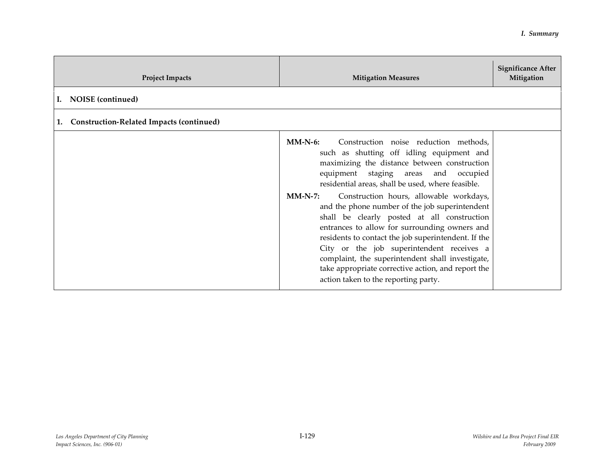| <b>Project Impacts</b>                                | <b>Mitigation Measures</b>                                                                                                                                                                                                                                                                                                                                                                                                                                                                                                                                                                                                                                                                                    | <b>Significance After</b><br>Mitigation |
|-------------------------------------------------------|---------------------------------------------------------------------------------------------------------------------------------------------------------------------------------------------------------------------------------------------------------------------------------------------------------------------------------------------------------------------------------------------------------------------------------------------------------------------------------------------------------------------------------------------------------------------------------------------------------------------------------------------------------------------------------------------------------------|-----------------------------------------|
| NOISE (continued)<br>Ι.                               |                                                                                                                                                                                                                                                                                                                                                                                                                                                                                                                                                                                                                                                                                                               |                                         |
| <b>Construction-Related Impacts (continued)</b><br>1. |                                                                                                                                                                                                                                                                                                                                                                                                                                                                                                                                                                                                                                                                                                               |                                         |
|                                                       | $MM-N-6$ :<br>Construction noise reduction methods,<br>such as shutting off idling equipment and<br>maximizing the distance between construction<br>equipment staging areas and occupied<br>residential areas, shall be used, where feasible.<br>Construction hours, allowable workdays,<br>$MM-N-7:$<br>and the phone number of the job superintendent<br>shall be clearly posted at all construction<br>entrances to allow for surrounding owners and<br>residents to contact the job superintendent. If the<br>City or the job superintendent receives a<br>complaint, the superintendent shall investigate,<br>take appropriate corrective action, and report the<br>action taken to the reporting party. |                                         |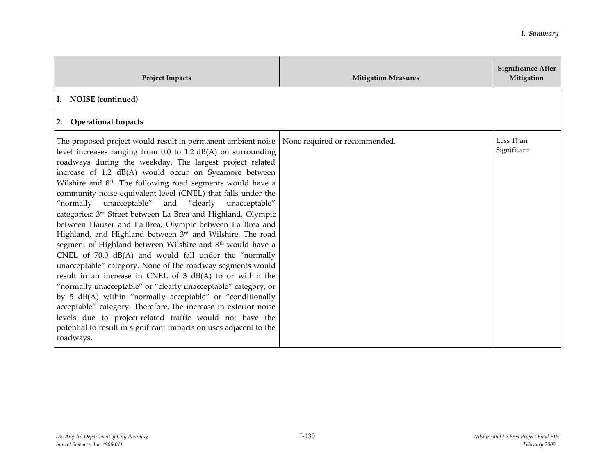| <b>Project Impacts</b>                                                                                                                                                                                                                                                                                                                                                                                                                                                                                                                                                                                                                                                                                                                                                                                                                                                                                                                                                                                                                                                                                                                                                                                                                                                   | <b>Mitigation Measures</b>    | <b>Significance After</b><br>Mitigation |
|--------------------------------------------------------------------------------------------------------------------------------------------------------------------------------------------------------------------------------------------------------------------------------------------------------------------------------------------------------------------------------------------------------------------------------------------------------------------------------------------------------------------------------------------------------------------------------------------------------------------------------------------------------------------------------------------------------------------------------------------------------------------------------------------------------------------------------------------------------------------------------------------------------------------------------------------------------------------------------------------------------------------------------------------------------------------------------------------------------------------------------------------------------------------------------------------------------------------------------------------------------------------------|-------------------------------|-----------------------------------------|
| I. NOISE (continued)                                                                                                                                                                                                                                                                                                                                                                                                                                                                                                                                                                                                                                                                                                                                                                                                                                                                                                                                                                                                                                                                                                                                                                                                                                                     |                               |                                         |
| 2. Operational Impacts                                                                                                                                                                                                                                                                                                                                                                                                                                                                                                                                                                                                                                                                                                                                                                                                                                                                                                                                                                                                                                                                                                                                                                                                                                                   |                               |                                         |
| The proposed project would result in permanent ambient noise<br>level increases ranging from $0.0$ to $1.2$ dB(A) on surrounding<br>roadways during the weekday. The largest project related<br>increase of 1.2 dB(A) would occur on Sycamore between<br>Wilshire and 8 <sup>th</sup> . The following road segments would have a<br>community noise equivalent level (CNEL) that falls under the<br>"normally unacceptable" and "clearly unacceptable"<br>categories: 3 <sup>rd</sup> Street between La Brea and Highland, Olympic<br>between Hauser and La Brea, Olympic between La Brea and<br>Highland, and Highland between 3rd and Wilshire. The road<br>segment of Highland between Wilshire and 8 <sup>th</sup> would have a<br>CNEL of 70.0 dB(A) and would fall under the "normally<br>unacceptable" category. None of the roadway segments would<br>result in an increase in CNEL of 3 dB(A) to or within the<br>"normally unacceptable" or "clearly unacceptable" category, or<br>by 5 dB(A) within "normally acceptable" or "conditionally<br>acceptable" category. Therefore, the increase in exterior noise<br>levels due to project-related traffic would not have the<br>potential to result in significant impacts on uses adjacent to the<br>roadways. | None required or recommended. | Less Than<br>Significant                |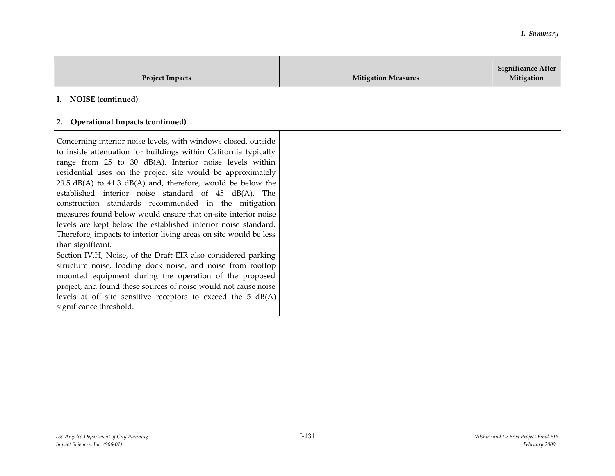| <b>Project Impacts</b>                                                                                                                                                                                                                                                                                                                                                                                                                                                                                                                                                                                                                                                                                                                                                                                                                                                                                                                                                                                                              | <b>Mitigation Measures</b> | <b>Significance After</b><br>Mitigation |
|-------------------------------------------------------------------------------------------------------------------------------------------------------------------------------------------------------------------------------------------------------------------------------------------------------------------------------------------------------------------------------------------------------------------------------------------------------------------------------------------------------------------------------------------------------------------------------------------------------------------------------------------------------------------------------------------------------------------------------------------------------------------------------------------------------------------------------------------------------------------------------------------------------------------------------------------------------------------------------------------------------------------------------------|----------------------------|-----------------------------------------|
| NOISE (continued)<br>$\mathbf{I}$ .                                                                                                                                                                                                                                                                                                                                                                                                                                                                                                                                                                                                                                                                                                                                                                                                                                                                                                                                                                                                 |                            |                                         |
| <b>Operational Impacts (continued)</b><br>2.                                                                                                                                                                                                                                                                                                                                                                                                                                                                                                                                                                                                                                                                                                                                                                                                                                                                                                                                                                                        |                            |                                         |
| Concerning interior noise levels, with windows closed, outside<br>to inside attenuation for buildings within California typically<br>range from 25 to 30 dB(A). Interior noise levels within<br>residential uses on the project site would be approximately<br>$29.5$ dB(A) to 41.3 dB(A) and, therefore, would be below the<br>established interior noise standard of 45 dB(A). The<br>construction standards recommended in the mitigation<br>measures found below would ensure that on-site interior noise<br>levels are kept below the established interior noise standard.<br>Therefore, impacts to interior living areas on site would be less<br>than significant.<br>Section IV.H, Noise, of the Draft EIR also considered parking<br>structure noise, loading dock noise, and noise from rooftop<br>mounted equipment during the operation of the proposed<br>project, and found these sources of noise would not cause noise<br>levels at off-site sensitive receptors to exceed the $5$ dB(A)<br>significance threshold. |                            |                                         |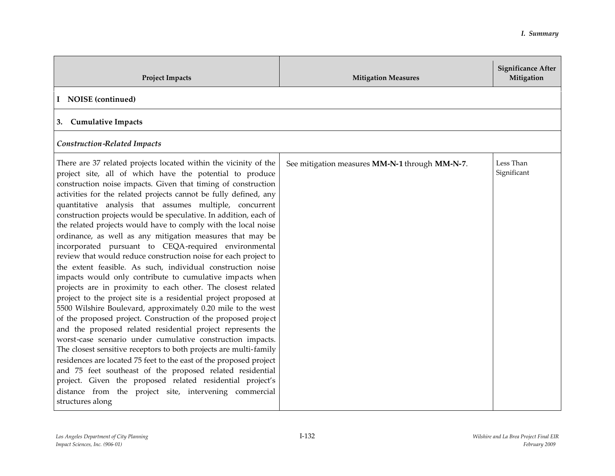| <b>Project Impacts</b>                                                                                                                                                                                                                                                                                                                                                                                                                                                                                                                                                                                                                                                                                                                                                                                                                                                                                                                                                                                                                                                                                                                                                                                                                                                                                                                                                                                                                                                                                                                     | <b>Mitigation Measures</b>                     | <b>Significance After</b><br>Mitigation |
|--------------------------------------------------------------------------------------------------------------------------------------------------------------------------------------------------------------------------------------------------------------------------------------------------------------------------------------------------------------------------------------------------------------------------------------------------------------------------------------------------------------------------------------------------------------------------------------------------------------------------------------------------------------------------------------------------------------------------------------------------------------------------------------------------------------------------------------------------------------------------------------------------------------------------------------------------------------------------------------------------------------------------------------------------------------------------------------------------------------------------------------------------------------------------------------------------------------------------------------------------------------------------------------------------------------------------------------------------------------------------------------------------------------------------------------------------------------------------------------------------------------------------------------------|------------------------------------------------|-----------------------------------------|
| I NOISE (continued)                                                                                                                                                                                                                                                                                                                                                                                                                                                                                                                                                                                                                                                                                                                                                                                                                                                                                                                                                                                                                                                                                                                                                                                                                                                                                                                                                                                                                                                                                                                        |                                                |                                         |
| 3. Cumulative Impacts                                                                                                                                                                                                                                                                                                                                                                                                                                                                                                                                                                                                                                                                                                                                                                                                                                                                                                                                                                                                                                                                                                                                                                                                                                                                                                                                                                                                                                                                                                                      |                                                |                                         |
| <b>Construction-Related Impacts</b>                                                                                                                                                                                                                                                                                                                                                                                                                                                                                                                                                                                                                                                                                                                                                                                                                                                                                                                                                                                                                                                                                                                                                                                                                                                                                                                                                                                                                                                                                                        |                                                |                                         |
| There are 37 related projects located within the vicinity of the<br>project site, all of which have the potential to produce<br>construction noise impacts. Given that timing of construction<br>activities for the related projects cannot be fully defined, any<br>quantitative analysis that assumes multiple, concurrent<br>construction projects would be speculative. In addition, each of<br>the related projects would have to comply with the local noise<br>ordinance, as well as any mitigation measures that may be<br>incorporated pursuant to CEQA-required environmental<br>review that would reduce construction noise for each project to<br>the extent feasible. As such, individual construction noise<br>impacts would only contribute to cumulative impacts when<br>projects are in proximity to each other. The closest related<br>project to the project site is a residential project proposed at<br>5500 Wilshire Boulevard, approximately 0.20 mile to the west<br>of the proposed project. Construction of the proposed project<br>and the proposed related residential project represents the<br>worst-case scenario under cumulative construction impacts.<br>The closest sensitive receptors to both projects are multi-family<br>residences are located 75 feet to the east of the proposed project<br>and 75 feet southeast of the proposed related residential<br>project. Given the proposed related residential project's<br>distance from the project site, intervening commercial<br>structures along | See mitigation measures MM-N-1 through MM-N-7. | Less Than<br>Significant                |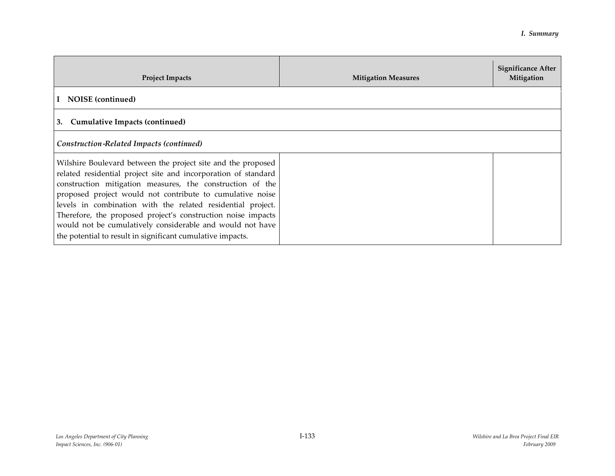| <b>Project Impacts</b>                                                                                                                                                                                                                                                                                                                                                                                                                                                                                             | <b>Mitigation Measures</b> | <b>Significance After</b><br>Mitigation |
|--------------------------------------------------------------------------------------------------------------------------------------------------------------------------------------------------------------------------------------------------------------------------------------------------------------------------------------------------------------------------------------------------------------------------------------------------------------------------------------------------------------------|----------------------------|-----------------------------------------|
| NOISE (continued)                                                                                                                                                                                                                                                                                                                                                                                                                                                                                                  |                            |                                         |
| <b>Cumulative Impacts (continued)</b><br>3.                                                                                                                                                                                                                                                                                                                                                                                                                                                                        |                            |                                         |
| Construction-Related Impacts (continued)                                                                                                                                                                                                                                                                                                                                                                                                                                                                           |                            |                                         |
| Wilshire Boulevard between the project site and the proposed<br>related residential project site and incorporation of standard<br>construction mitigation measures, the construction of the<br>proposed project would not contribute to cumulative noise<br>levels in combination with the related residential project.<br>Therefore, the proposed project's construction noise impacts<br>would not be cumulatively considerable and would not have<br>the potential to result in significant cumulative impacts. |                            |                                         |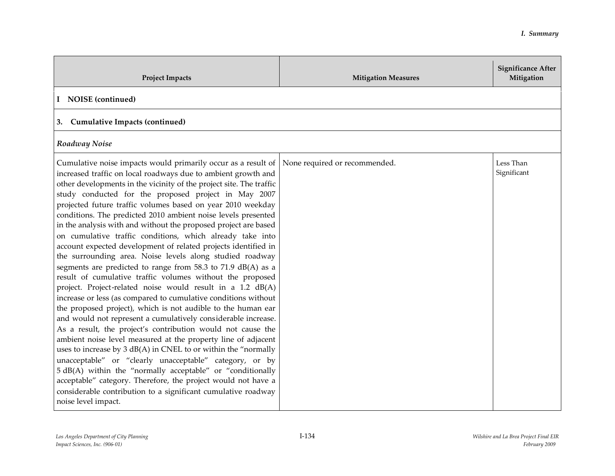| <b>Project Impacts</b>                                                                                                                                                                                                                                                                                                                                                                                                                                                                                                                                                                                                                                                                                                                                                                                                                                                                                                                                                                                                                                                                                                                                                                                                                                                                                                                                                                                                                                                                                                                        | <b>Mitigation Measures</b>    | <b>Significance After</b><br>Mitigation |
|-----------------------------------------------------------------------------------------------------------------------------------------------------------------------------------------------------------------------------------------------------------------------------------------------------------------------------------------------------------------------------------------------------------------------------------------------------------------------------------------------------------------------------------------------------------------------------------------------------------------------------------------------------------------------------------------------------------------------------------------------------------------------------------------------------------------------------------------------------------------------------------------------------------------------------------------------------------------------------------------------------------------------------------------------------------------------------------------------------------------------------------------------------------------------------------------------------------------------------------------------------------------------------------------------------------------------------------------------------------------------------------------------------------------------------------------------------------------------------------------------------------------------------------------------|-------------------------------|-----------------------------------------|
| I NOISE (continued)                                                                                                                                                                                                                                                                                                                                                                                                                                                                                                                                                                                                                                                                                                                                                                                                                                                                                                                                                                                                                                                                                                                                                                                                                                                                                                                                                                                                                                                                                                                           |                               |                                         |
| 3. Cumulative Impacts (continued)                                                                                                                                                                                                                                                                                                                                                                                                                                                                                                                                                                                                                                                                                                                                                                                                                                                                                                                                                                                                                                                                                                                                                                                                                                                                                                                                                                                                                                                                                                             |                               |                                         |
| Roadway Noise                                                                                                                                                                                                                                                                                                                                                                                                                                                                                                                                                                                                                                                                                                                                                                                                                                                                                                                                                                                                                                                                                                                                                                                                                                                                                                                                                                                                                                                                                                                                 |                               |                                         |
| Cumulative noise impacts would primarily occur as a result of<br>increased traffic on local roadways due to ambient growth and<br>other developments in the vicinity of the project site. The traffic<br>study conducted for the proposed project in May 2007<br>projected future traffic volumes based on year 2010 weekday<br>conditions. The predicted 2010 ambient noise levels presented<br>in the analysis with and without the proposed project are based<br>on cumulative traffic conditions, which already take into<br>account expected development of related projects identified in<br>the surrounding area. Noise levels along studied roadway<br>segments are predicted to range from 58.3 to 71.9 dB(A) as a<br>result of cumulative traffic volumes without the proposed<br>project. Project-related noise would result in a 1.2 dB(A)<br>increase or less (as compared to cumulative conditions without<br>the proposed project), which is not audible to the human ear<br>and would not represent a cumulatively considerable increase.<br>As a result, the project's contribution would not cause the<br>ambient noise level measured at the property line of adjacent<br>uses to increase by 3 dB(A) in CNEL to or within the "normally<br>unacceptable" or "clearly unacceptable" category, or by<br>5 dB(A) within the "normally acceptable" or "conditionally<br>acceptable" category. Therefore, the project would not have a<br>considerable contribution to a significant cumulative roadway<br>noise level impact. | None required or recommended. | Less Than<br>Significant                |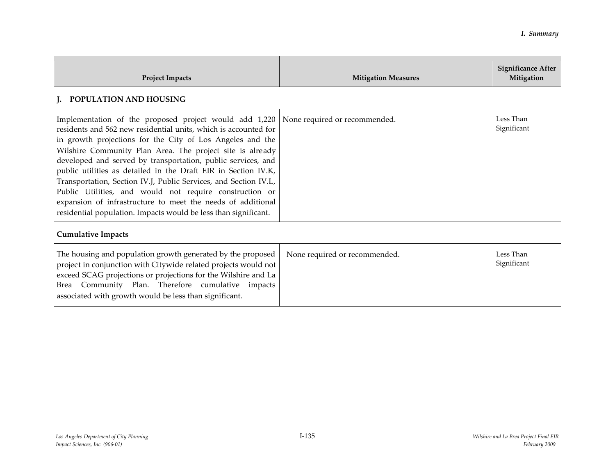| <b>Project Impacts</b>                                                                                                                                                                                                                                                                                                                                                                                                                                                                                                                                                                                                                                 | <b>Mitigation Measures</b>    | <b>Significance After</b><br>Mitigation |
|--------------------------------------------------------------------------------------------------------------------------------------------------------------------------------------------------------------------------------------------------------------------------------------------------------------------------------------------------------------------------------------------------------------------------------------------------------------------------------------------------------------------------------------------------------------------------------------------------------------------------------------------------------|-------------------------------|-----------------------------------------|
| J. POPULATION AND HOUSING                                                                                                                                                                                                                                                                                                                                                                                                                                                                                                                                                                                                                              |                               |                                         |
| Implementation of the proposed project would add 1,220<br>residents and 562 new residential units, which is accounted for<br>in growth projections for the City of Los Angeles and the<br>Wilshire Community Plan Area. The project site is already<br>developed and served by transportation, public services, and<br>public utilities as detailed in the Draft EIR in Section IV.K,<br>Transportation, Section IV.J, Public Services, and Section IV.L,<br>Public Utilities, and would not require construction or<br>expansion of infrastructure to meet the needs of additional<br>residential population. Impacts would be less than significant. | None required or recommended. | Less Than<br>Significant                |
| <b>Cumulative Impacts</b>                                                                                                                                                                                                                                                                                                                                                                                                                                                                                                                                                                                                                              |                               |                                         |
| The housing and population growth generated by the proposed<br>project in conjunction with Citywide related projects would not<br>exceed SCAG projections or projections for the Wilshire and La<br>Brea Community Plan. Therefore cumulative impacts<br>associated with growth would be less than significant.                                                                                                                                                                                                                                                                                                                                        | None required or recommended. | Less Than<br>Significant                |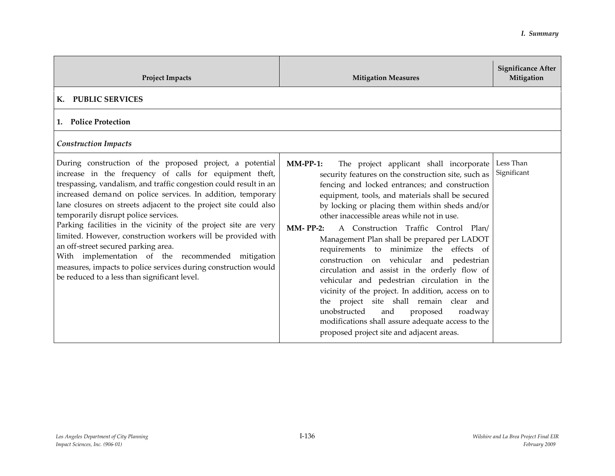| <b>Project Impacts</b>                                                                                                                                                                                                                                                                                                                                                                                                                                                                                                                                                                                                                                                                                               | <b>Mitigation Measures</b>                                                                                                                                                                                                                                                                                                                                                                                                                                                                                                                                                                                                                                                                                                                                                                                                                                            | <b>Significance After</b><br>Mitigation |
|----------------------------------------------------------------------------------------------------------------------------------------------------------------------------------------------------------------------------------------------------------------------------------------------------------------------------------------------------------------------------------------------------------------------------------------------------------------------------------------------------------------------------------------------------------------------------------------------------------------------------------------------------------------------------------------------------------------------|-----------------------------------------------------------------------------------------------------------------------------------------------------------------------------------------------------------------------------------------------------------------------------------------------------------------------------------------------------------------------------------------------------------------------------------------------------------------------------------------------------------------------------------------------------------------------------------------------------------------------------------------------------------------------------------------------------------------------------------------------------------------------------------------------------------------------------------------------------------------------|-----------------------------------------|
| <b>PUBLIC SERVICES</b><br>К.                                                                                                                                                                                                                                                                                                                                                                                                                                                                                                                                                                                                                                                                                         |                                                                                                                                                                                                                                                                                                                                                                                                                                                                                                                                                                                                                                                                                                                                                                                                                                                                       |                                         |
| <b>Police Protection</b><br>1.                                                                                                                                                                                                                                                                                                                                                                                                                                                                                                                                                                                                                                                                                       |                                                                                                                                                                                                                                                                                                                                                                                                                                                                                                                                                                                                                                                                                                                                                                                                                                                                       |                                         |
| <b>Construction Impacts</b>                                                                                                                                                                                                                                                                                                                                                                                                                                                                                                                                                                                                                                                                                          |                                                                                                                                                                                                                                                                                                                                                                                                                                                                                                                                                                                                                                                                                                                                                                                                                                                                       |                                         |
| During construction of the proposed project, a potential<br>increase in the frequency of calls for equipment theft,<br>trespassing, vandalism, and traffic congestion could result in an<br>increased demand on police services. In addition, temporary<br>lane closures on streets adjacent to the project site could also<br>temporarily disrupt police services.<br>Parking facilities in the vicinity of the project site are very<br>limited. However, construction workers will be provided with<br>an off-street secured parking area.<br>With implementation of the recommended mitigation<br>measures, impacts to police services during construction would<br>be reduced to a less than significant level. | $MM-PP-1$ :<br>The project applicant shall incorporate<br>security features on the construction site, such as<br>fencing and locked entrances; and construction<br>equipment, tools, and materials shall be secured<br>by locking or placing them within sheds and/or<br>other inaccessible areas while not in use.<br><b>MM-PP-2:</b><br>A Construction Traffic Control Plan/<br>Management Plan shall be prepared per LADOT<br>requirements to minimize the effects of<br>construction on vehicular and pedestrian<br>circulation and assist in the orderly flow of<br>vehicular and pedestrian circulation in the<br>vicinity of the project. In addition, access on to<br>the project site shall remain clear and<br>unobstructed<br>and<br>proposed<br>roadway<br>modifications shall assure adequate access to the<br>proposed project site and adjacent areas. | Less Than<br>Significant                |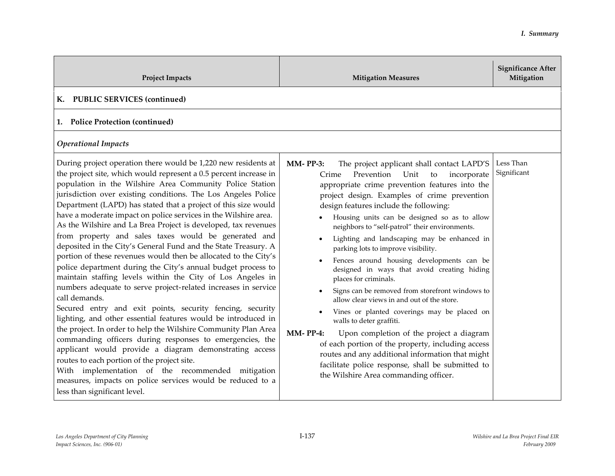| <b>Project Impacts</b>                                                                                                                                                                                                                                                                                                                                                                                                                                                                                                                                                                                                                                                                                                                                                                                                                                                                                                                                                                                                                                                                                                                                                                                                                                                                                                                                                        | <b>Mitigation Measures</b>                                                                                                                                                                                                                                                                                                                                                                                                                                                                                                                                                                                                                                                                                                                                                                                                                                                                                                                                                                                                   | <b>Significance After</b><br>Mitigation |
|-------------------------------------------------------------------------------------------------------------------------------------------------------------------------------------------------------------------------------------------------------------------------------------------------------------------------------------------------------------------------------------------------------------------------------------------------------------------------------------------------------------------------------------------------------------------------------------------------------------------------------------------------------------------------------------------------------------------------------------------------------------------------------------------------------------------------------------------------------------------------------------------------------------------------------------------------------------------------------------------------------------------------------------------------------------------------------------------------------------------------------------------------------------------------------------------------------------------------------------------------------------------------------------------------------------------------------------------------------------------------------|------------------------------------------------------------------------------------------------------------------------------------------------------------------------------------------------------------------------------------------------------------------------------------------------------------------------------------------------------------------------------------------------------------------------------------------------------------------------------------------------------------------------------------------------------------------------------------------------------------------------------------------------------------------------------------------------------------------------------------------------------------------------------------------------------------------------------------------------------------------------------------------------------------------------------------------------------------------------------------------------------------------------------|-----------------------------------------|
| <b>PUBLIC SERVICES (continued)</b><br>К.                                                                                                                                                                                                                                                                                                                                                                                                                                                                                                                                                                                                                                                                                                                                                                                                                                                                                                                                                                                                                                                                                                                                                                                                                                                                                                                                      |                                                                                                                                                                                                                                                                                                                                                                                                                                                                                                                                                                                                                                                                                                                                                                                                                                                                                                                                                                                                                              |                                         |
| 1. Police Protection (continued)                                                                                                                                                                                                                                                                                                                                                                                                                                                                                                                                                                                                                                                                                                                                                                                                                                                                                                                                                                                                                                                                                                                                                                                                                                                                                                                                              |                                                                                                                                                                                                                                                                                                                                                                                                                                                                                                                                                                                                                                                                                                                                                                                                                                                                                                                                                                                                                              |                                         |
| <b>Operational Impacts</b>                                                                                                                                                                                                                                                                                                                                                                                                                                                                                                                                                                                                                                                                                                                                                                                                                                                                                                                                                                                                                                                                                                                                                                                                                                                                                                                                                    |                                                                                                                                                                                                                                                                                                                                                                                                                                                                                                                                                                                                                                                                                                                                                                                                                                                                                                                                                                                                                              |                                         |
| During project operation there would be 1,220 new residents at<br>the project site, which would represent a 0.5 percent increase in<br>population in the Wilshire Area Community Police Station<br>jurisdiction over existing conditions. The Los Angeles Police<br>Department (LAPD) has stated that a project of this size would<br>have a moderate impact on police services in the Wilshire area.<br>As the Wilshire and La Brea Project is developed, tax revenues<br>from property and sales taxes would be generated and<br>deposited in the City's General Fund and the State Treasury. A<br>portion of these revenues would then be allocated to the City's<br>police department during the City's annual budget process to<br>maintain staffing levels within the City of Los Angeles in<br>numbers adequate to serve project-related increases in service<br>call demands.<br>Secured entry and exit points, security fencing, security<br>lighting, and other essential features would be introduced in<br>the project. In order to help the Wilshire Community Plan Area<br>commanding officers during responses to emergencies, the<br>applicant would provide a diagram demonstrating access<br>routes to each portion of the project site.<br>With implementation of the recommended mitigation<br>measures, impacts on police services would be reduced to a | <b>MM-PP-3:</b><br>The project applicant shall contact LAPD'S<br>Prevention<br>Unit<br>Crime<br>to<br>incorporate<br>appropriate crime prevention features into the<br>project design. Examples of crime prevention<br>design features include the following:<br>Housing units can be designed so as to allow<br>neighbors to "self-patrol" their environments.<br>Lighting and landscaping may be enhanced in<br>parking lots to improve visibility.<br>Fences around housing developments can be<br>designed in ways that avoid creating hiding<br>places for criminals.<br>Signs can be removed from storefront windows to<br>allow clear views in and out of the store.<br>Vines or planted coverings may be placed on<br>walls to deter graffiti.<br><b>MM-PP-4:</b><br>Upon completion of the project a diagram<br>of each portion of the property, including access<br>routes and any additional information that might<br>facilitate police response, shall be submitted to<br>the Wilshire Area commanding officer. | Less Than<br>Significant                |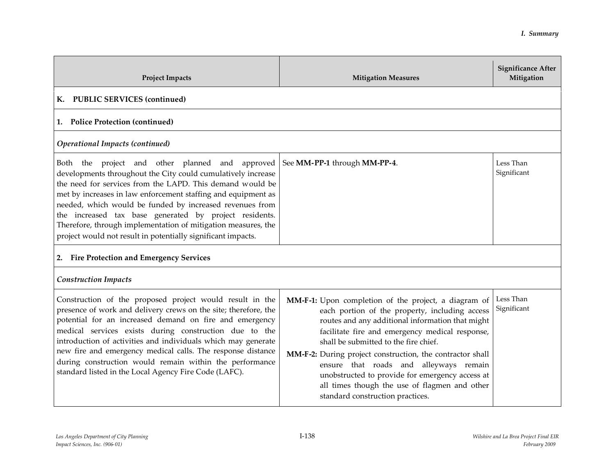| <b>Project Impacts</b>                                                                                                                                                                                                                                                                                                                                                                                                                                                                               | <b>Mitigation Measures</b>                                                                                                                                                                                                                                                                                                                                                                                                                                                                            | <b>Significance After</b><br>Mitigation |
|------------------------------------------------------------------------------------------------------------------------------------------------------------------------------------------------------------------------------------------------------------------------------------------------------------------------------------------------------------------------------------------------------------------------------------------------------------------------------------------------------|-------------------------------------------------------------------------------------------------------------------------------------------------------------------------------------------------------------------------------------------------------------------------------------------------------------------------------------------------------------------------------------------------------------------------------------------------------------------------------------------------------|-----------------------------------------|
| <b>PUBLIC SERVICES (continued)</b><br>К.                                                                                                                                                                                                                                                                                                                                                                                                                                                             |                                                                                                                                                                                                                                                                                                                                                                                                                                                                                                       |                                         |
| 1. Police Protection (continued)                                                                                                                                                                                                                                                                                                                                                                                                                                                                     |                                                                                                                                                                                                                                                                                                                                                                                                                                                                                                       |                                         |
| <b>Operational Impacts (continued)</b>                                                                                                                                                                                                                                                                                                                                                                                                                                                               |                                                                                                                                                                                                                                                                                                                                                                                                                                                                                                       |                                         |
| Both the project and other planned and approved<br>developments throughout the City could cumulatively increase<br>the need for services from the LAPD. This demand would be<br>met by increases in law enforcement staffing and equipment as<br>needed, which would be funded by increased revenues from<br>the increased tax base generated by project residents.<br>Therefore, through implementation of mitigation measures, the<br>project would not result in potentially significant impacts. | See MM-PP-1 through MM-PP-4.                                                                                                                                                                                                                                                                                                                                                                                                                                                                          | Less Than<br>Significant                |
| 2. Fire Protection and Emergency Services                                                                                                                                                                                                                                                                                                                                                                                                                                                            |                                                                                                                                                                                                                                                                                                                                                                                                                                                                                                       |                                         |
| <b>Construction Impacts</b>                                                                                                                                                                                                                                                                                                                                                                                                                                                                          |                                                                                                                                                                                                                                                                                                                                                                                                                                                                                                       |                                         |
| Construction of the proposed project would result in the<br>presence of work and delivery crews on the site; therefore, the<br>potential for an increased demand on fire and emergency<br>medical services exists during construction due to the<br>introduction of activities and individuals which may generate<br>new fire and emergency medical calls. The response distance<br>during construction would remain within the performance<br>standard listed in the Local Agency Fire Code (LAFC). | MM-F-1: Upon completion of the project, a diagram of<br>each portion of the property, including access<br>routes and any additional information that might<br>facilitate fire and emergency medical response,<br>shall be submitted to the fire chief.<br>MM-F-2: During project construction, the contractor shall<br>ensure that roads and alleyways remain<br>unobstructed to provide for emergency access at<br>all times though the use of flagmen and other<br>standard construction practices. | Less Than<br>Significant                |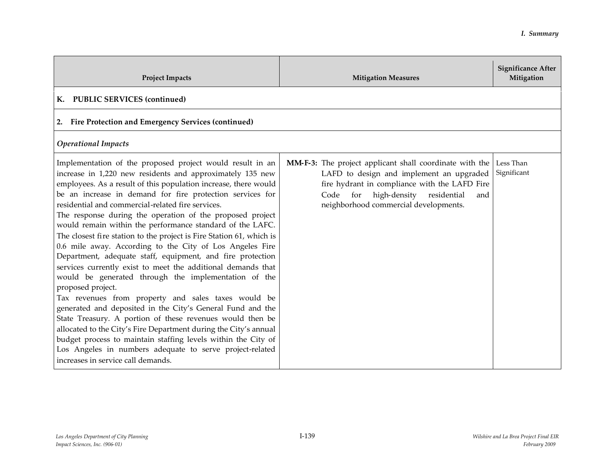| <b>Project Impacts</b>                                                                                                                                                                                                                                                                                                                                                                                                                                                                                                                                                                                                                                                                                                                                                                                                                                                                                                                                                                                                                                                                                                                                                                                        | <b>Mitigation Measures</b>                                                                                                                                                                                                                   | <b>Significance After</b><br>Mitigation |
|---------------------------------------------------------------------------------------------------------------------------------------------------------------------------------------------------------------------------------------------------------------------------------------------------------------------------------------------------------------------------------------------------------------------------------------------------------------------------------------------------------------------------------------------------------------------------------------------------------------------------------------------------------------------------------------------------------------------------------------------------------------------------------------------------------------------------------------------------------------------------------------------------------------------------------------------------------------------------------------------------------------------------------------------------------------------------------------------------------------------------------------------------------------------------------------------------------------|----------------------------------------------------------------------------------------------------------------------------------------------------------------------------------------------------------------------------------------------|-----------------------------------------|
| <b>PUBLIC SERVICES (continued)</b><br>К.                                                                                                                                                                                                                                                                                                                                                                                                                                                                                                                                                                                                                                                                                                                                                                                                                                                                                                                                                                                                                                                                                                                                                                      |                                                                                                                                                                                                                                              |                                         |
| <b>Fire Protection and Emergency Services (continued)</b><br>2.                                                                                                                                                                                                                                                                                                                                                                                                                                                                                                                                                                                                                                                                                                                                                                                                                                                                                                                                                                                                                                                                                                                                               |                                                                                                                                                                                                                                              |                                         |
| <b>Operational Impacts</b>                                                                                                                                                                                                                                                                                                                                                                                                                                                                                                                                                                                                                                                                                                                                                                                                                                                                                                                                                                                                                                                                                                                                                                                    |                                                                                                                                                                                                                                              |                                         |
| Implementation of the proposed project would result in an<br>increase in 1,220 new residents and approximately 135 new<br>employees. As a result of this population increase, there would<br>be an increase in demand for fire protection services for<br>residential and commercial-related fire services.<br>The response during the operation of the proposed project<br>would remain within the performance standard of the LAFC.<br>The closest fire station to the project is Fire Station 61, which is<br>0.6 mile away. According to the City of Los Angeles Fire<br>Department, adequate staff, equipment, and fire protection<br>services currently exist to meet the additional demands that<br>would be generated through the implementation of the<br>proposed project.<br>Tax revenues from property and sales taxes would be<br>generated and deposited in the City's General Fund and the<br>State Treasury. A portion of these revenues would then be<br>allocated to the City's Fire Department during the City's annual<br>budget process to maintain staffing levels within the City of<br>Los Angeles in numbers adequate to serve project-related<br>increases in service call demands. | MM-F-3: The project applicant shall coordinate with the<br>LAFD to design and implement an upgraded<br>fire hydrant in compliance with the LAFD Fire<br>high-density residential<br>Code for<br>and<br>neighborhood commercial developments. | Less Than<br>Significant                |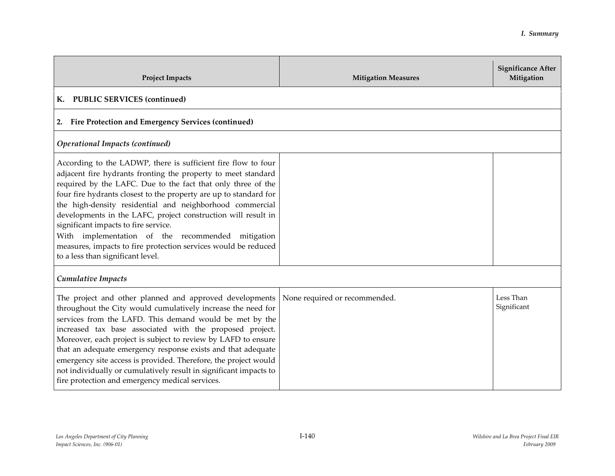| <b>Project Impacts</b>                                                                                                                                                                                                                                                                                                                                                                                                                                                                                                                                                                               | <b>Mitigation Measures</b>    | <b>Significance After</b><br>Mitigation |
|------------------------------------------------------------------------------------------------------------------------------------------------------------------------------------------------------------------------------------------------------------------------------------------------------------------------------------------------------------------------------------------------------------------------------------------------------------------------------------------------------------------------------------------------------------------------------------------------------|-------------------------------|-----------------------------------------|
| <b>PUBLIC SERVICES (continued)</b><br>К.                                                                                                                                                                                                                                                                                                                                                                                                                                                                                                                                                             |                               |                                         |
| <b>Fire Protection and Emergency Services (continued)</b><br>2.                                                                                                                                                                                                                                                                                                                                                                                                                                                                                                                                      |                               |                                         |
| <b>Operational Impacts (continued)</b>                                                                                                                                                                                                                                                                                                                                                                                                                                                                                                                                                               |                               |                                         |
| According to the LADWP, there is sufficient fire flow to four<br>adjacent fire hydrants fronting the property to meet standard<br>required by the LAFC. Due to the fact that only three of the<br>four fire hydrants closest to the property are up to standard for<br>the high-density residential and neighborhood commercial<br>developments in the LAFC, project construction will result in<br>significant impacts to fire service.<br>With implementation of the recommended mitigation<br>measures, impacts to fire protection services would be reduced<br>to a less than significant level. |                               |                                         |
| <b>Cumulative Impacts</b>                                                                                                                                                                                                                                                                                                                                                                                                                                                                                                                                                                            |                               |                                         |
| The project and other planned and approved developments<br>throughout the City would cumulatively increase the need for<br>services from the LAFD. This demand would be met by the<br>increased tax base associated with the proposed project.<br>Moreover, each project is subject to review by LAFD to ensure<br>that an adequate emergency response exists and that adequate<br>emergency site access is provided. Therefore, the project would<br>not individually or cumulatively result in significant impacts to<br>fire protection and emergency medical services.                           | None required or recommended. | Less Than<br>Significant                |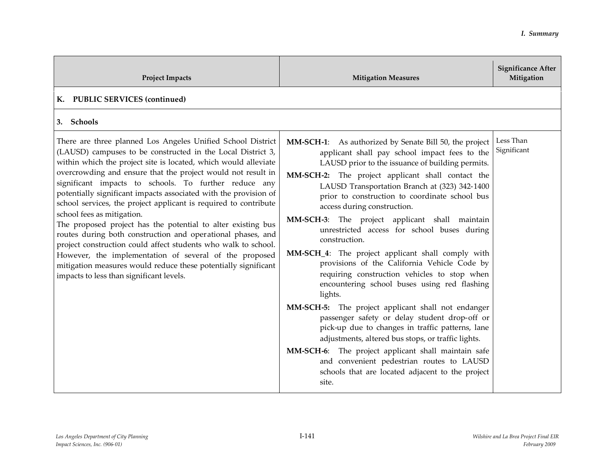| <b>Project Impacts</b>                                                                                                                                                                                                                                                                                                                                                                                                                                                                                                                                                                                                                                                                                                                                                                                                                                                | <b>Mitigation Measures</b>                                                                                                                                                                                                                                                                                                                                                                                                                                                                                                                                                                                                                                                                  | <b>Significance After</b><br>Mitigation |
|-----------------------------------------------------------------------------------------------------------------------------------------------------------------------------------------------------------------------------------------------------------------------------------------------------------------------------------------------------------------------------------------------------------------------------------------------------------------------------------------------------------------------------------------------------------------------------------------------------------------------------------------------------------------------------------------------------------------------------------------------------------------------------------------------------------------------------------------------------------------------|---------------------------------------------------------------------------------------------------------------------------------------------------------------------------------------------------------------------------------------------------------------------------------------------------------------------------------------------------------------------------------------------------------------------------------------------------------------------------------------------------------------------------------------------------------------------------------------------------------------------------------------------------------------------------------------------|-----------------------------------------|
| K. PUBLIC SERVICES (continued)                                                                                                                                                                                                                                                                                                                                                                                                                                                                                                                                                                                                                                                                                                                                                                                                                                        |                                                                                                                                                                                                                                                                                                                                                                                                                                                                                                                                                                                                                                                                                             |                                         |
| 3. Schools                                                                                                                                                                                                                                                                                                                                                                                                                                                                                                                                                                                                                                                                                                                                                                                                                                                            |                                                                                                                                                                                                                                                                                                                                                                                                                                                                                                                                                                                                                                                                                             |                                         |
| There are three planned Los Angeles Unified School District<br>(LAUSD) campuses to be constructed in the Local District 3,<br>within which the project site is located, which would alleviate<br>overcrowding and ensure that the project would not result in<br>significant impacts to schools. To further reduce any<br>potentially significant impacts associated with the provision of<br>school services, the project applicant is required to contribute<br>school fees as mitigation.<br>The proposed project has the potential to alter existing bus<br>routes during both construction and operational phases, and<br>project construction could affect students who walk to school.<br>However, the implementation of several of the proposed<br>mitigation measures would reduce these potentially significant<br>impacts to less than significant levels. | <b>MM-SCH-1:</b> As authorized by Senate Bill 50, the project<br>applicant shall pay school impact fees to the<br>LAUSD prior to the issuance of building permits.<br>MM-SCH-2: The project applicant shall contact the<br>LAUSD Transportation Branch at (323) 342-1400<br>prior to construction to coordinate school bus<br>access during construction.<br>MM-SCH-3: The project applicant shall maintain<br>unrestricted access for school buses during<br>construction.<br>MM-SCH_4: The project applicant shall comply with<br>provisions of the California Vehicle Code by<br>requiring construction vehicles to stop when<br>encountering school buses using red flashing<br>lights. | Less Than<br>Significant                |
|                                                                                                                                                                                                                                                                                                                                                                                                                                                                                                                                                                                                                                                                                                                                                                                                                                                                       | MM-SCH-5: The project applicant shall not endanger<br>passenger safety or delay student drop-off or<br>pick-up due to changes in traffic patterns, lane<br>adjustments, altered bus stops, or traffic lights.                                                                                                                                                                                                                                                                                                                                                                                                                                                                               |                                         |
|                                                                                                                                                                                                                                                                                                                                                                                                                                                                                                                                                                                                                                                                                                                                                                                                                                                                       | MM-SCH-6: The project applicant shall maintain safe<br>and convenient pedestrian routes to LAUSD<br>schools that are located adjacent to the project<br>site.                                                                                                                                                                                                                                                                                                                                                                                                                                                                                                                               |                                         |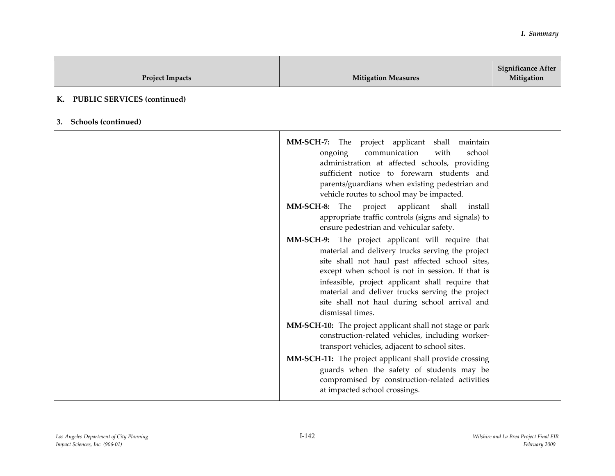| <b>Project Impacts</b>                   | <b>Mitigation Measures</b>                                                                                                                                                                                                                                                                                                                                                                                                                                                                                                                                                                                                                                                                                                                                                                                                                                                                                                                                                                                                                                                                                                                                                                                     | <b>Significance After</b><br>Mitigation |
|------------------------------------------|----------------------------------------------------------------------------------------------------------------------------------------------------------------------------------------------------------------------------------------------------------------------------------------------------------------------------------------------------------------------------------------------------------------------------------------------------------------------------------------------------------------------------------------------------------------------------------------------------------------------------------------------------------------------------------------------------------------------------------------------------------------------------------------------------------------------------------------------------------------------------------------------------------------------------------------------------------------------------------------------------------------------------------------------------------------------------------------------------------------------------------------------------------------------------------------------------------------|-----------------------------------------|
| <b>PUBLIC SERVICES (continued)</b><br>К. |                                                                                                                                                                                                                                                                                                                                                                                                                                                                                                                                                                                                                                                                                                                                                                                                                                                                                                                                                                                                                                                                                                                                                                                                                |                                         |
| <b>Schools (continued)</b><br>3.         |                                                                                                                                                                                                                                                                                                                                                                                                                                                                                                                                                                                                                                                                                                                                                                                                                                                                                                                                                                                                                                                                                                                                                                                                                |                                         |
|                                          | MM-SCH-7:<br>The project applicant<br>shall maintain<br>communication<br>with<br>school<br>ongoing<br>administration at affected schools, providing<br>sufficient notice to forewarn students and<br>parents/guardians when existing pedestrian and<br>vehicle routes to school may be impacted.<br>MM-SCH-8: The project applicant shall<br>install<br>appropriate traffic controls (signs and signals) to<br>ensure pedestrian and vehicular safety.<br>MM-SCH-9: The project applicant will require that<br>material and delivery trucks serving the project<br>site shall not haul past affected school sites,<br>except when school is not in session. If that is<br>infeasible, project applicant shall require that<br>material and deliver trucks serving the project<br>site shall not haul during school arrival and<br>dismissal times.<br>MM-SCH-10: The project applicant shall not stage or park<br>construction-related vehicles, including worker-<br>transport vehicles, adjacent to school sites.<br>MM-SCH-11: The project applicant shall provide crossing<br>guards when the safety of students may be<br>compromised by construction-related activities<br>at impacted school crossings. |                                         |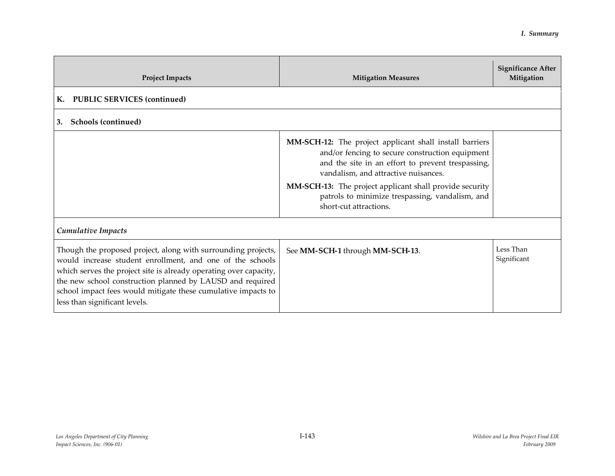| <b>Project Impacts</b>                                                                                                                                                                                                                                                                                                                                         | <b>Mitigation Measures</b>                                                                                                                                                                                                                                                                                                                             | <b>Significance After</b><br>Mitigation |
|----------------------------------------------------------------------------------------------------------------------------------------------------------------------------------------------------------------------------------------------------------------------------------------------------------------------------------------------------------------|--------------------------------------------------------------------------------------------------------------------------------------------------------------------------------------------------------------------------------------------------------------------------------------------------------------------------------------------------------|-----------------------------------------|
| <b>PUBLIC SERVICES (continued)</b><br>К.                                                                                                                                                                                                                                                                                                                       |                                                                                                                                                                                                                                                                                                                                                        |                                         |
| Schools (continued)<br>3.                                                                                                                                                                                                                                                                                                                                      |                                                                                                                                                                                                                                                                                                                                                        |                                         |
|                                                                                                                                                                                                                                                                                                                                                                | MM-SCH-12: The project applicant shall install barriers<br>and/or fencing to secure construction equipment<br>and the site in an effort to prevent trespassing,<br>vandalism, and attractive nuisances.<br><b>MM-SCH-13:</b> The project applicant shall provide security<br>patrols to minimize trespassing, vandalism, and<br>short-cut attractions. |                                         |
| Cumulative Impacts                                                                                                                                                                                                                                                                                                                                             |                                                                                                                                                                                                                                                                                                                                                        |                                         |
| Though the proposed project, along with surrounding projects,<br>would increase student enrollment, and one of the schools<br>which serves the project site is already operating over capacity,<br>the new school construction planned by LAUSD and required<br>school impact fees would mitigate these cumulative impacts to<br>less than significant levels. | See MM-SCH-1 through MM-SCH-13.                                                                                                                                                                                                                                                                                                                        | Less Than<br>Significant                |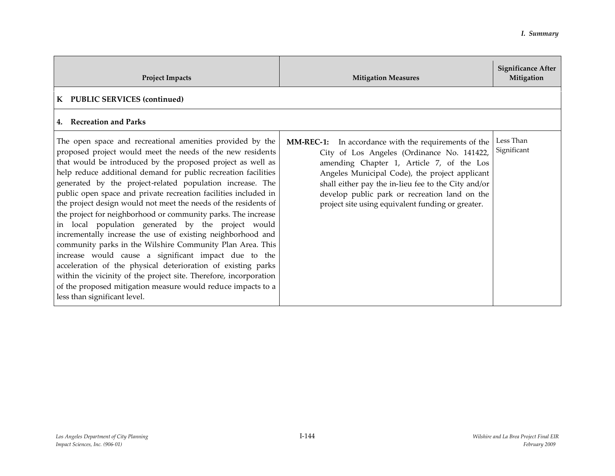| <b>Project Impacts</b>                                                                                                                                                                                                                                                                                                                                                                                                                                                                                                                                                                                                                                                                                                                                                                                                                                                                                                                                                                                      | <b>Mitigation Measures</b>                                                                                                                                                                                                                                                                                                                                            | <b>Significance After</b><br>Mitigation |
|-------------------------------------------------------------------------------------------------------------------------------------------------------------------------------------------------------------------------------------------------------------------------------------------------------------------------------------------------------------------------------------------------------------------------------------------------------------------------------------------------------------------------------------------------------------------------------------------------------------------------------------------------------------------------------------------------------------------------------------------------------------------------------------------------------------------------------------------------------------------------------------------------------------------------------------------------------------------------------------------------------------|-----------------------------------------------------------------------------------------------------------------------------------------------------------------------------------------------------------------------------------------------------------------------------------------------------------------------------------------------------------------------|-----------------------------------------|
| K PUBLIC SERVICES (continued)                                                                                                                                                                                                                                                                                                                                                                                                                                                                                                                                                                                                                                                                                                                                                                                                                                                                                                                                                                               |                                                                                                                                                                                                                                                                                                                                                                       |                                         |
| 4. Recreation and Parks                                                                                                                                                                                                                                                                                                                                                                                                                                                                                                                                                                                                                                                                                                                                                                                                                                                                                                                                                                                     |                                                                                                                                                                                                                                                                                                                                                                       |                                         |
| The open space and recreational amenities provided by the<br>proposed project would meet the needs of the new residents<br>that would be introduced by the proposed project as well as<br>help reduce additional demand for public recreation facilities<br>generated by the project-related population increase. The<br>public open space and private recreation facilities included in<br>the project design would not meet the needs of the residents of<br>the project for neighborhood or community parks. The increase<br>in local population generated by the project would<br>incrementally increase the use of existing neighborhood and<br>community parks in the Wilshire Community Plan Area. This<br>increase would cause a significant impact due to the<br>acceleration of the physical deterioration of existing parks<br>within the vicinity of the project site. Therefore, incorporation<br>of the proposed mitigation measure would reduce impacts to a<br>less than significant level. | <b>MM-REC-1:</b> In accordance with the requirements of the<br>City of Los Angeles (Ordinance No. 141422,<br>amending Chapter 1, Article 7, of the Los<br>Angeles Municipal Code), the project applicant<br>shall either pay the in-lieu fee to the City and/or<br>develop public park or recreation land on the<br>project site using equivalent funding or greater. | Less Than<br>Significant                |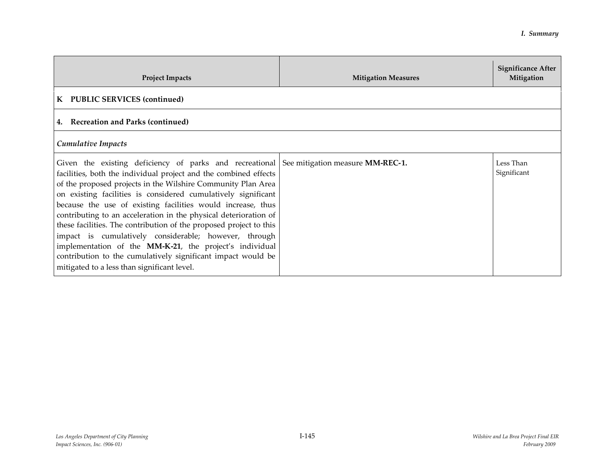| <b>Project Impacts</b>                                                                                                                                                                                                                                                                                                                                                                                                                                                                                                                                                                                                                                                                                                                    | <b>Mitigation Measures</b> | Significance After<br>Mitigation |
|-------------------------------------------------------------------------------------------------------------------------------------------------------------------------------------------------------------------------------------------------------------------------------------------------------------------------------------------------------------------------------------------------------------------------------------------------------------------------------------------------------------------------------------------------------------------------------------------------------------------------------------------------------------------------------------------------------------------------------------------|----------------------------|----------------------------------|
| K PUBLIC SERVICES (continued)                                                                                                                                                                                                                                                                                                                                                                                                                                                                                                                                                                                                                                                                                                             |                            |                                  |
| <b>Recreation and Parks (continued)</b>                                                                                                                                                                                                                                                                                                                                                                                                                                                                                                                                                                                                                                                                                                   |                            |                                  |
| Cumulative Impacts                                                                                                                                                                                                                                                                                                                                                                                                                                                                                                                                                                                                                                                                                                                        |                            |                                  |
| Given the existing deficiency of parks and recreational See mitigation measure MM-REC-1.<br>facilities, both the individual project and the combined effects<br>of the proposed projects in the Wilshire Community Plan Area<br>on existing facilities is considered cumulatively significant<br>because the use of existing facilities would increase, thus<br>contributing to an acceleration in the physical deterioration of<br>these facilities. The contribution of the proposed project to this<br>impact is cumulatively considerable; however, through<br>implementation of the MM-K-21, the project's individual<br>contribution to the cumulatively significant impact would be<br>mitigated to a less than significant level. |                            | Less Than<br>Significant         |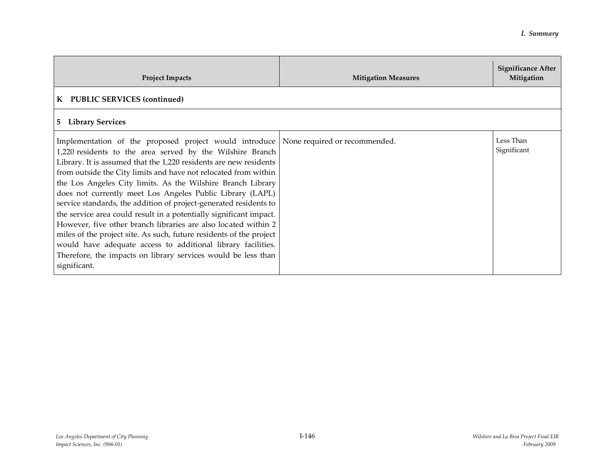| <b>Project Impacts</b>                                                                                                                                                                                                                                                                                                                                                                                                                                                                                                                                                                                                                                                                                                                                                                                                                                     | <b>Mitigation Measures</b> | Significance After<br>Mitigation |
|------------------------------------------------------------------------------------------------------------------------------------------------------------------------------------------------------------------------------------------------------------------------------------------------------------------------------------------------------------------------------------------------------------------------------------------------------------------------------------------------------------------------------------------------------------------------------------------------------------------------------------------------------------------------------------------------------------------------------------------------------------------------------------------------------------------------------------------------------------|----------------------------|----------------------------------|
| K PUBLIC SERVICES (continued)                                                                                                                                                                                                                                                                                                                                                                                                                                                                                                                                                                                                                                                                                                                                                                                                                              |                            |                                  |
| 5 Library Services                                                                                                                                                                                                                                                                                                                                                                                                                                                                                                                                                                                                                                                                                                                                                                                                                                         |                            |                                  |
| Implementation of the proposed project would introduce None required or recommended.<br>1,220 residents to the area served by the Wilshire Branch<br>Library. It is assumed that the 1,220 residents are new residents<br>from outside the City limits and have not relocated from within<br>the Los Angeles City limits. As the Wilshire Branch Library<br>does not currently meet Los Angeles Public Library (LAPL)<br>service standards, the addition of project-generated residents to<br>the service area could result in a potentially significant impact.<br>However, five other branch libraries are also located within 2<br>miles of the project site. As such, future residents of the project<br>would have adequate access to additional library facilities.<br>Therefore, the impacts on library services would be less than<br>significant. |                            | Less Than<br>Significant         |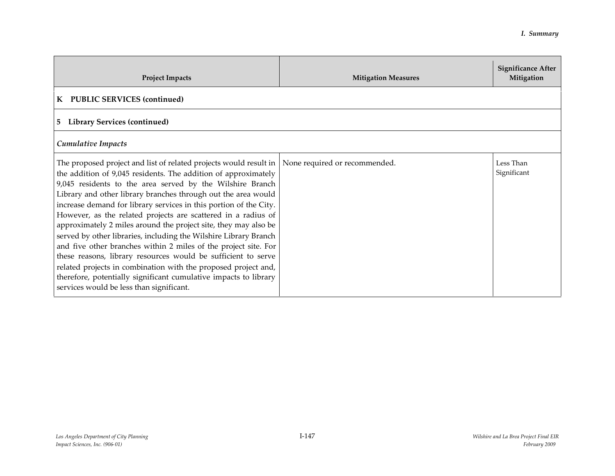| <b>Project Impacts</b>                                                                                                                                                                                                                                                                                                                                                                                                                                                                                                                                                                                                                                                                                                                                                                                                                                               | <b>Mitigation Measures</b>    | <b>Significance After</b><br>Mitigation |
|----------------------------------------------------------------------------------------------------------------------------------------------------------------------------------------------------------------------------------------------------------------------------------------------------------------------------------------------------------------------------------------------------------------------------------------------------------------------------------------------------------------------------------------------------------------------------------------------------------------------------------------------------------------------------------------------------------------------------------------------------------------------------------------------------------------------------------------------------------------------|-------------------------------|-----------------------------------------|
| K PUBLIC SERVICES (continued)                                                                                                                                                                                                                                                                                                                                                                                                                                                                                                                                                                                                                                                                                                                                                                                                                                        |                               |                                         |
| <b>Library Services (continued)</b><br>5                                                                                                                                                                                                                                                                                                                                                                                                                                                                                                                                                                                                                                                                                                                                                                                                                             |                               |                                         |
| Cumulative Impacts                                                                                                                                                                                                                                                                                                                                                                                                                                                                                                                                                                                                                                                                                                                                                                                                                                                   |                               |                                         |
| The proposed project and list of related projects would result in<br>the addition of 9,045 residents. The addition of approximately<br>9,045 residents to the area served by the Wilshire Branch<br>Library and other library branches through out the area would<br>increase demand for library services in this portion of the City.<br>However, as the related projects are scattered in a radius of<br>approximately 2 miles around the project site, they may also be<br>served by other libraries, including the Wilshire Library Branch<br>and five other branches within 2 miles of the project site. For<br>these reasons, library resources would be sufficient to serve<br>related projects in combination with the proposed project and,<br>therefore, potentially significant cumulative impacts to library<br>services would be less than significant. | None required or recommended. | Less Than<br>Significant                |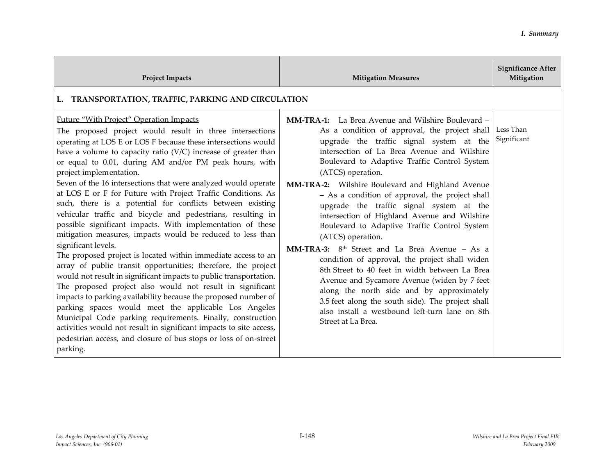| <b>Project Impacts</b>                                                                                                                                                                                                                                                                                                                                                                                                                                                                                                                                                                                                                                                                                                                                                                                                                                                                                                                                                                                                                                                                                                                                                                                                                                                                                                                                           | <b>Mitigation Measures</b>                                                                                                                                                                                                                                                                                                                                                                                                                                                                                                                                                                                                                                                                                                                                                                                                                                                                                                                   | <b>Significance After</b><br>Mitigation |
|------------------------------------------------------------------------------------------------------------------------------------------------------------------------------------------------------------------------------------------------------------------------------------------------------------------------------------------------------------------------------------------------------------------------------------------------------------------------------------------------------------------------------------------------------------------------------------------------------------------------------------------------------------------------------------------------------------------------------------------------------------------------------------------------------------------------------------------------------------------------------------------------------------------------------------------------------------------------------------------------------------------------------------------------------------------------------------------------------------------------------------------------------------------------------------------------------------------------------------------------------------------------------------------------------------------------------------------------------------------|----------------------------------------------------------------------------------------------------------------------------------------------------------------------------------------------------------------------------------------------------------------------------------------------------------------------------------------------------------------------------------------------------------------------------------------------------------------------------------------------------------------------------------------------------------------------------------------------------------------------------------------------------------------------------------------------------------------------------------------------------------------------------------------------------------------------------------------------------------------------------------------------------------------------------------------------|-----------------------------------------|
| TRANSPORTATION, TRAFFIC, PARKING AND CIRCULATION<br>L.                                                                                                                                                                                                                                                                                                                                                                                                                                                                                                                                                                                                                                                                                                                                                                                                                                                                                                                                                                                                                                                                                                                                                                                                                                                                                                           |                                                                                                                                                                                                                                                                                                                                                                                                                                                                                                                                                                                                                                                                                                                                                                                                                                                                                                                                              |                                         |
| Future "With Project" Operation Impacts<br>The proposed project would result in three intersections<br>operating at LOS E or LOS F because these intersections would<br>have a volume to capacity ratio $(V/C)$ increase of greater than<br>or equal to 0.01, during AM and/or PM peak hours, with<br>project implementation.<br>Seven of the 16 intersections that were analyzed would operate<br>at LOS E or F for Future with Project Traffic Conditions. As<br>such, there is a potential for conflicts between existing<br>vehicular traffic and bicycle and pedestrians, resulting in<br>possible significant impacts. With implementation of these<br>mitigation measures, impacts would be reduced to less than<br>significant levels.<br>The proposed project is located within immediate access to an<br>array of public transit opportunities; therefore, the project<br>would not result in significant impacts to public transportation.<br>The proposed project also would not result in significant<br>impacts to parking availability because the proposed number of<br>parking spaces would meet the applicable Los Angeles<br>Municipal Code parking requirements. Finally, construction<br>activities would not result in significant impacts to site access,<br>pedestrian access, and closure of bus stops or loss of on-street<br>parking. | <b>MM-TRA-1:</b> La Brea Avenue and Wilshire Boulevard –<br>As a condition of approval, the project shall<br>upgrade the traffic signal system at the<br>intersection of La Brea Avenue and Wilshire<br>Boulevard to Adaptive Traffic Control System<br>(ATCS) operation.<br>MM-TRA-2: Wilshire Boulevard and Highland Avenue<br>- As a condition of approval, the project shall<br>upgrade the traffic signal system at the<br>intersection of Highland Avenue and Wilshire<br>Boulevard to Adaptive Traffic Control System<br>(ATCS) operation.<br>MM-TRA-3: 8 <sup>th</sup> Street and La Brea Avenue - As a<br>condition of approval, the project shall widen<br>8th Street to 40 feet in width between La Brea<br>Avenue and Sycamore Avenue (widen by 7 feet<br>along the north side and by approximately<br>3.5 feet along the south side). The project shall<br>also install a westbound left-turn lane on 8th<br>Street at La Brea. | Less Than<br>Significant                |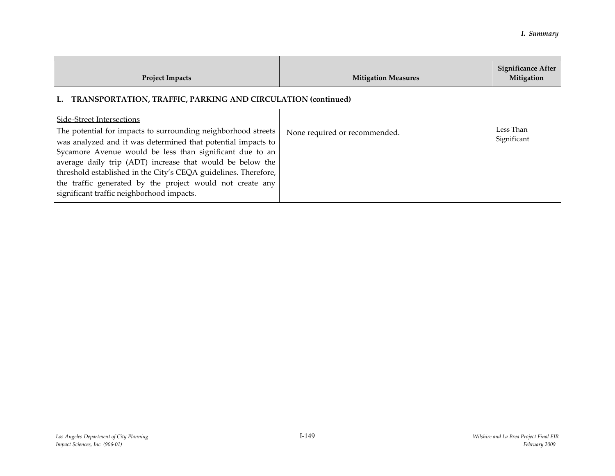| <b>Project Impacts</b>                                                                                                                                                                                                                                                                                                                                                                                                                                           | <b>Mitigation Measures</b>    | <b>Significance After</b><br>Mitigation |
|------------------------------------------------------------------------------------------------------------------------------------------------------------------------------------------------------------------------------------------------------------------------------------------------------------------------------------------------------------------------------------------------------------------------------------------------------------------|-------------------------------|-----------------------------------------|
| <b>TRANSPORTATION, TRAFFIC, PARKING AND CIRCULATION (continued)</b><br>L.                                                                                                                                                                                                                                                                                                                                                                                        |                               |                                         |
| Side-Street Intersections<br>The potential for impacts to surrounding neighborhood streets<br>was analyzed and it was determined that potential impacts to<br>Sycamore Avenue would be less than significant due to an<br>average daily trip (ADT) increase that would be below the<br>threshold established in the City's CEQA guidelines. Therefore,<br>the traffic generated by the project would not create any<br>significant traffic neighborhood impacts. | None required or recommended. | Less Than<br>Significant                |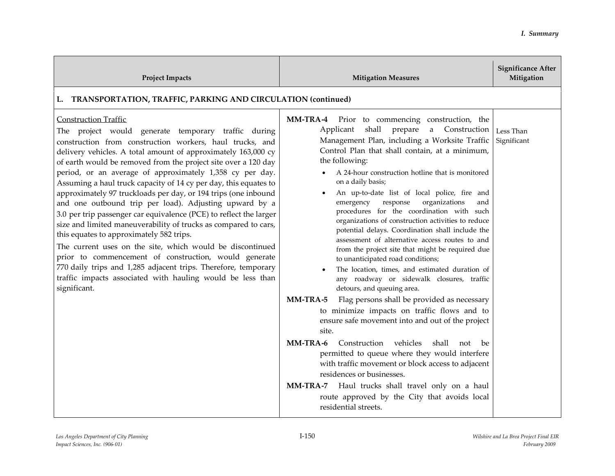| <b>Project Impacts</b>                                                                                                                                                                                                                                                                                                                                                                                                                                                                                                                                                                                                                                                                                                                                                                                                                                                                                                                                                                                   | <b>Mitigation Measures</b>                                                                                                                                                                                                                                                                                                                                                                                                                                                                                                                                                                                                                                                                                                                                                                                                                                                                                                                                                                                                                                                                                                                                                                                                                                                                                                                        | <b>Significance After</b><br>Mitigation |
|----------------------------------------------------------------------------------------------------------------------------------------------------------------------------------------------------------------------------------------------------------------------------------------------------------------------------------------------------------------------------------------------------------------------------------------------------------------------------------------------------------------------------------------------------------------------------------------------------------------------------------------------------------------------------------------------------------------------------------------------------------------------------------------------------------------------------------------------------------------------------------------------------------------------------------------------------------------------------------------------------------|---------------------------------------------------------------------------------------------------------------------------------------------------------------------------------------------------------------------------------------------------------------------------------------------------------------------------------------------------------------------------------------------------------------------------------------------------------------------------------------------------------------------------------------------------------------------------------------------------------------------------------------------------------------------------------------------------------------------------------------------------------------------------------------------------------------------------------------------------------------------------------------------------------------------------------------------------------------------------------------------------------------------------------------------------------------------------------------------------------------------------------------------------------------------------------------------------------------------------------------------------------------------------------------------------------------------------------------------------|-----------------------------------------|
| TRANSPORTATION, TRAFFIC, PARKING AND CIRCULATION (continued)<br>L.                                                                                                                                                                                                                                                                                                                                                                                                                                                                                                                                                                                                                                                                                                                                                                                                                                                                                                                                       |                                                                                                                                                                                                                                                                                                                                                                                                                                                                                                                                                                                                                                                                                                                                                                                                                                                                                                                                                                                                                                                                                                                                                                                                                                                                                                                                                   |                                         |
| <b>Construction Traffic</b><br>The project would generate temporary traffic during<br>construction from construction workers, haul trucks, and<br>delivery vehicles. A total amount of approximately 163,000 cy<br>of earth would be removed from the project site over a 120 day<br>period, or an average of approximately 1,358 cy per day.<br>Assuming a haul truck capacity of 14 cy per day, this equates to<br>approximately 97 truckloads per day, or 194 trips (one inbound<br>and one outbound trip per load). Adjusting upward by a<br>3.0 per trip passenger car equivalence (PCE) to reflect the larger<br>size and limited maneuverability of trucks as compared to cars,<br>this equates to approximately 582 trips.<br>The current uses on the site, which would be discontinued<br>prior to commencement of construction, would generate<br>770 daily trips and 1,285 adjacent trips. Therefore, temporary<br>traffic impacts associated with hauling would be less than<br>significant. | MM-TRA-4 Prior to commencing construction, the<br>shall<br>Applicant<br>a Construction<br>prepare<br>Management Plan, including a Worksite Traffic<br>Control Plan that shall contain, at a minimum,<br>the following:<br>A 24-hour construction hotline that is monitored<br>on a daily basis;<br>An up-to-date list of local police, fire and<br>organizations<br>emergency<br>response<br>and<br>procedures for the coordination with such<br>organizations of construction activities to reduce<br>potential delays. Coordination shall include the<br>assessment of alternative access routes to and<br>from the project site that might be required due<br>to unanticipated road conditions;<br>The location, times, and estimated duration of<br>any roadway or sidewalk closures, traffic<br>detours, and queuing area.<br>MM-TRA-5<br>Flag persons shall be provided as necessary<br>to minimize impacts on traffic flows and to<br>ensure safe movement into and out of the project<br>site.<br>Construction vehicles<br><b>MM-TRA-6</b><br>shall<br>not<br>be<br>permitted to queue where they would interfere<br>with traffic movement or block access to adjacent<br>residences or businesses.<br>Haul trucks shall travel only on a haul<br><b>MM-TRA-7</b><br>route approved by the City that avoids local<br>residential streets. | Less Than<br>Significant                |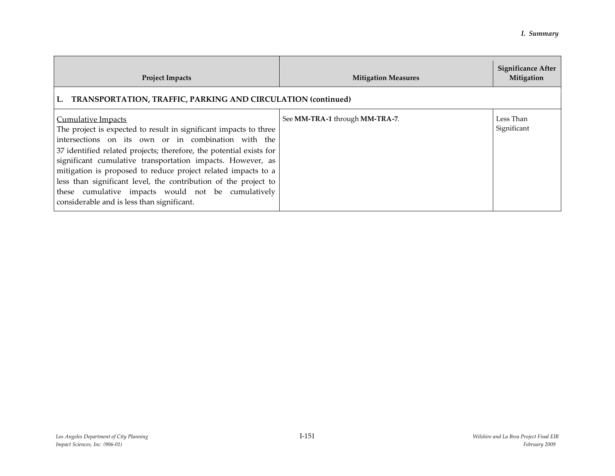| <b>Project Impacts</b>                                                                                                                                                                                                                                                                                                                                                                                                                                                                                                             | <b>Mitigation Measures</b>     | <b>Significance After</b><br>Mitigation |
|------------------------------------------------------------------------------------------------------------------------------------------------------------------------------------------------------------------------------------------------------------------------------------------------------------------------------------------------------------------------------------------------------------------------------------------------------------------------------------------------------------------------------------|--------------------------------|-----------------------------------------|
| <b>TRANSPORTATION, TRAFFIC, PARKING AND CIRCULATION (continued)</b><br>L.                                                                                                                                                                                                                                                                                                                                                                                                                                                          |                                |                                         |
| <b>Cumulative Impacts</b><br>The project is expected to result in significant impacts to three<br>intersections on its own or in combination with the<br>37 identified related projects; therefore, the potential exists for<br>significant cumulative transportation impacts. However, as<br>mitigation is proposed to reduce project related impacts to a<br>less than significant level, the contribution of the project to<br>these cumulative impacts would not be cumulatively<br>considerable and is less than significant. | See MM-TRA-1 through MM-TRA-7. | Less Than<br>Significant                |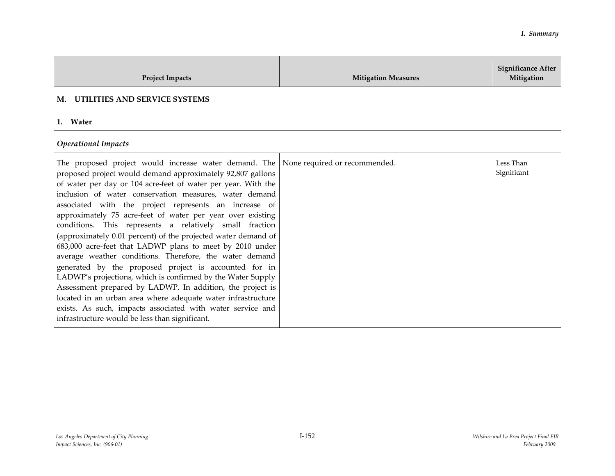| <b>Project Impacts</b>                                                                                                                                                                                                                                                                                                                                                                                                                                                                                                                                                                                                                                                                                                                                                                                                                                                                                                                                                                                                      | <b>Mitigation Measures</b> | <b>Significance After</b><br>Mitigation |
|-----------------------------------------------------------------------------------------------------------------------------------------------------------------------------------------------------------------------------------------------------------------------------------------------------------------------------------------------------------------------------------------------------------------------------------------------------------------------------------------------------------------------------------------------------------------------------------------------------------------------------------------------------------------------------------------------------------------------------------------------------------------------------------------------------------------------------------------------------------------------------------------------------------------------------------------------------------------------------------------------------------------------------|----------------------------|-----------------------------------------|
| M. UTILITIES AND SERVICE SYSTEMS                                                                                                                                                                                                                                                                                                                                                                                                                                                                                                                                                                                                                                                                                                                                                                                                                                                                                                                                                                                            |                            |                                         |
| 1. Water                                                                                                                                                                                                                                                                                                                                                                                                                                                                                                                                                                                                                                                                                                                                                                                                                                                                                                                                                                                                                    |                            |                                         |
| <b>Operational Impacts</b>                                                                                                                                                                                                                                                                                                                                                                                                                                                                                                                                                                                                                                                                                                                                                                                                                                                                                                                                                                                                  |                            |                                         |
| The proposed project would increase water demand. The None required or recommended.<br>proposed project would demand approximately 92,807 gallons<br>of water per day or 104 acre-feet of water per year. With the<br>inclusion of water conservation measures, water demand<br>associated with the project represents an increase of<br>approximately 75 acre-feet of water per year over existing<br>conditions. This represents a relatively small fraction<br>(approximately 0.01 percent) of the projected water demand of<br>683,000 acre-feet that LADWP plans to meet by 2010 under<br>average weather conditions. Therefore, the water demand<br>generated by the proposed project is accounted for in<br>LADWP's projections, which is confirmed by the Water Supply<br>Assessment prepared by LADWP. In addition, the project is<br>located in an urban area where adequate water infrastructure<br>exists. As such, impacts associated with water service and<br>infrastructure would be less than significant. |                            | Less Than<br>Significant                |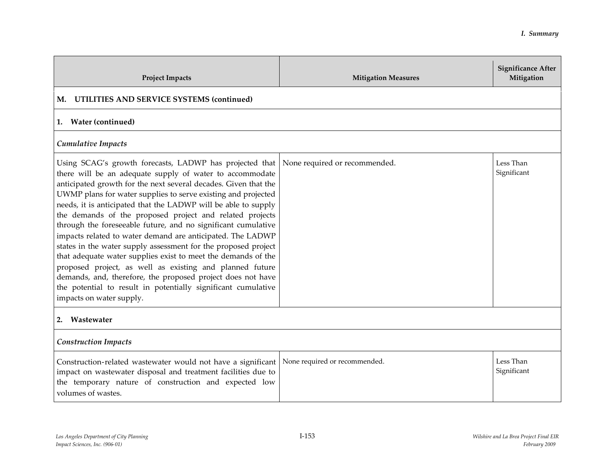| <b>Project Impacts</b>                                                                                                                                                                                                                                                                                                                                                                                                                                                                                                                                                                                                                                                                                                                                                                                                                                                          | <b>Mitigation Measures</b>    | <b>Significance After</b><br>Mitigation |
|---------------------------------------------------------------------------------------------------------------------------------------------------------------------------------------------------------------------------------------------------------------------------------------------------------------------------------------------------------------------------------------------------------------------------------------------------------------------------------------------------------------------------------------------------------------------------------------------------------------------------------------------------------------------------------------------------------------------------------------------------------------------------------------------------------------------------------------------------------------------------------|-------------------------------|-----------------------------------------|
| UTILITIES AND SERVICE SYSTEMS (continued)<br>М.                                                                                                                                                                                                                                                                                                                                                                                                                                                                                                                                                                                                                                                                                                                                                                                                                                 |                               |                                         |
| <b>Water (continued)</b><br>1.                                                                                                                                                                                                                                                                                                                                                                                                                                                                                                                                                                                                                                                                                                                                                                                                                                                  |                               |                                         |
| Cumulative Impacts                                                                                                                                                                                                                                                                                                                                                                                                                                                                                                                                                                                                                                                                                                                                                                                                                                                              |                               |                                         |
| Using SCAG's growth forecasts, LADWP has projected that<br>there will be an adequate supply of water to accommodate<br>anticipated growth for the next several decades. Given that the<br>UWMP plans for water supplies to serve existing and projected<br>needs, it is anticipated that the LADWP will be able to supply<br>the demands of the proposed project and related projects<br>through the foreseeable future, and no significant cumulative<br>impacts related to water demand are anticipated. The LADWP<br>states in the water supply assessment for the proposed project<br>that adequate water supplies exist to meet the demands of the<br>proposed project, as well as existing and planned future<br>demands, and, therefore, the proposed project does not have<br>the potential to result in potentially significant cumulative<br>impacts on water supply. | None required or recommended. | Less Than<br>Significant                |
| Wastewater<br>2.                                                                                                                                                                                                                                                                                                                                                                                                                                                                                                                                                                                                                                                                                                                                                                                                                                                                |                               |                                         |
| <b>Construction Impacts</b>                                                                                                                                                                                                                                                                                                                                                                                                                                                                                                                                                                                                                                                                                                                                                                                                                                                     |                               |                                         |
| Construction-related wastewater would not have a significant<br>impact on wastewater disposal and treatment facilities due to<br>the temporary nature of construction and expected low<br>volumes of wastes.                                                                                                                                                                                                                                                                                                                                                                                                                                                                                                                                                                                                                                                                    | None required or recommended. | Less Than<br>Significant                |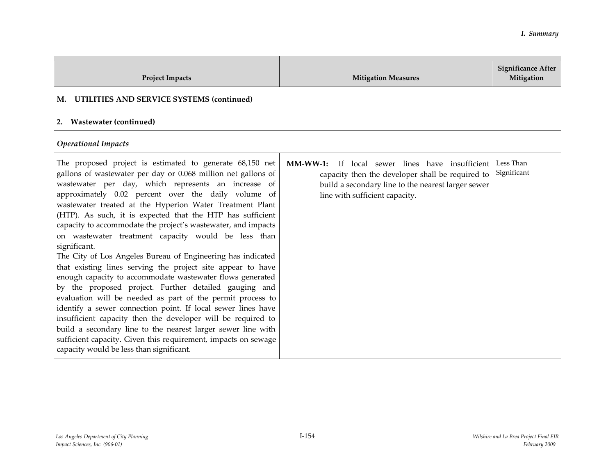| <b>Project Impacts</b>                                                                                                                                                                                                                                                                                                                                                                                                                                                                                                                                                                                                                                                                                                                                                                                                                                                                                                                                                                                                                                                                                                                    | <b>Mitigation Measures</b>                                                                                                                                                                       | <b>Significance After</b><br>Mitigation |
|-------------------------------------------------------------------------------------------------------------------------------------------------------------------------------------------------------------------------------------------------------------------------------------------------------------------------------------------------------------------------------------------------------------------------------------------------------------------------------------------------------------------------------------------------------------------------------------------------------------------------------------------------------------------------------------------------------------------------------------------------------------------------------------------------------------------------------------------------------------------------------------------------------------------------------------------------------------------------------------------------------------------------------------------------------------------------------------------------------------------------------------------|--------------------------------------------------------------------------------------------------------------------------------------------------------------------------------------------------|-----------------------------------------|
| M. UTILITIES AND SERVICE SYSTEMS (continued)                                                                                                                                                                                                                                                                                                                                                                                                                                                                                                                                                                                                                                                                                                                                                                                                                                                                                                                                                                                                                                                                                              |                                                                                                                                                                                                  |                                         |
| <b>Wastewater (continued)</b><br>2.                                                                                                                                                                                                                                                                                                                                                                                                                                                                                                                                                                                                                                                                                                                                                                                                                                                                                                                                                                                                                                                                                                       |                                                                                                                                                                                                  |                                         |
| <b>Operational Impacts</b>                                                                                                                                                                                                                                                                                                                                                                                                                                                                                                                                                                                                                                                                                                                                                                                                                                                                                                                                                                                                                                                                                                                |                                                                                                                                                                                                  |                                         |
| The proposed project is estimated to generate 68,150 net<br>gallons of wastewater per day or 0.068 million net gallons of<br>wastewater per day, which represents an increase of<br>approximately 0.02 percent over the daily volume of<br>wastewater treated at the Hyperion Water Treatment Plant<br>(HTP). As such, it is expected that the HTP has sufficient<br>capacity to accommodate the project's wastewater, and impacts<br>on wastewater treatment capacity would be less than<br>significant.<br>The City of Los Angeles Bureau of Engineering has indicated<br>that existing lines serving the project site appear to have<br>enough capacity to accommodate wastewater flows generated<br>by the proposed project. Further detailed gauging and<br>evaluation will be needed as part of the permit process to<br>identify a sewer connection point. If local sewer lines have<br>insufficient capacity then the developer will be required to<br>build a secondary line to the nearest larger sewer line with<br>sufficient capacity. Given this requirement, impacts on sewage<br>capacity would be less than significant. | If local sewer lines have insufficient<br>$MM-WW-1:$<br>capacity then the developer shall be required to<br>build a secondary line to the nearest larger sewer<br>line with sufficient capacity. | Less Than<br>Significant                |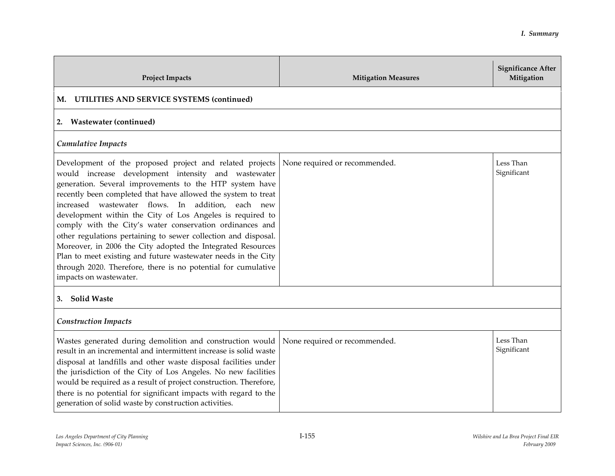| <b>Project Impacts</b>                                                                                                                                                                                                                                                                                                                                                                                                                                                                                                                                                                                                                                                                                                 | <b>Mitigation Measures</b>    | <b>Significance After</b><br>Mitigation |
|------------------------------------------------------------------------------------------------------------------------------------------------------------------------------------------------------------------------------------------------------------------------------------------------------------------------------------------------------------------------------------------------------------------------------------------------------------------------------------------------------------------------------------------------------------------------------------------------------------------------------------------------------------------------------------------------------------------------|-------------------------------|-----------------------------------------|
| UTILITIES AND SERVICE SYSTEMS (continued)<br>М.                                                                                                                                                                                                                                                                                                                                                                                                                                                                                                                                                                                                                                                                        |                               |                                         |
| <b>Wastewater (continued)</b><br>2.                                                                                                                                                                                                                                                                                                                                                                                                                                                                                                                                                                                                                                                                                    |                               |                                         |
| <b>Cumulative Impacts</b>                                                                                                                                                                                                                                                                                                                                                                                                                                                                                                                                                                                                                                                                                              |                               |                                         |
| Development of the proposed project and related projects<br>would increase development intensity and wastewater<br>generation. Several improvements to the HTP system have<br>recently been completed that have allowed the system to treat<br>increased wastewater flows. In addition, each new<br>development within the City of Los Angeles is required to<br>comply with the City's water conservation ordinances and<br>other regulations pertaining to sewer collection and disposal.<br>Moreover, in 2006 the City adopted the Integrated Resources<br>Plan to meet existing and future wastewater needs in the City<br>through 2020. Therefore, there is no potential for cumulative<br>impacts on wastewater. | None required or recommended. | Less Than<br>Significant                |
| 3. Solid Waste                                                                                                                                                                                                                                                                                                                                                                                                                                                                                                                                                                                                                                                                                                         |                               |                                         |
| <b>Construction Impacts</b>                                                                                                                                                                                                                                                                                                                                                                                                                                                                                                                                                                                                                                                                                            |                               |                                         |
| Wastes generated during demolition and construction would<br>result in an incremental and intermittent increase is solid waste<br>disposal at landfills and other waste disposal facilities under<br>the jurisdiction of the City of Los Angeles. No new facilities<br>would be required as a result of project construction. Therefore,<br>there is no potential for significant impacts with regard to the<br>generation of solid waste by construction activities.                                                                                                                                                                                                                                                  | None required or recommended. | Less Than<br>Significant                |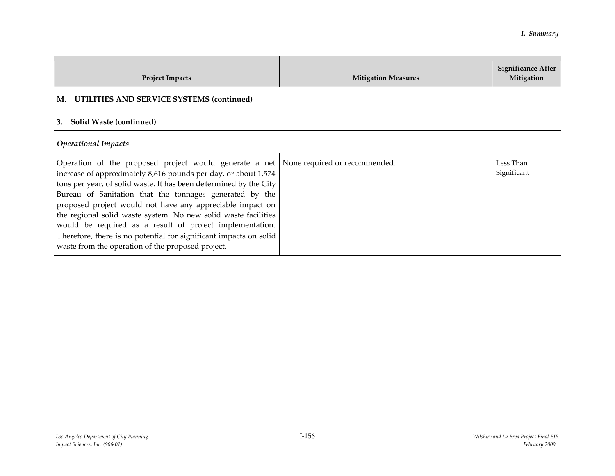| <b>Project Impacts</b>                                                                                                                                                                                                                                                                                                                                                                                                                                                                                                                                                                                        | <b>Mitigation Measures</b> | Significance After<br>Mitigation |
|---------------------------------------------------------------------------------------------------------------------------------------------------------------------------------------------------------------------------------------------------------------------------------------------------------------------------------------------------------------------------------------------------------------------------------------------------------------------------------------------------------------------------------------------------------------------------------------------------------------|----------------------------|----------------------------------|
| M. UTILITIES AND SERVICE SYSTEMS (continued)                                                                                                                                                                                                                                                                                                                                                                                                                                                                                                                                                                  |                            |                                  |
| Solid Waste (continued)<br>3.                                                                                                                                                                                                                                                                                                                                                                                                                                                                                                                                                                                 |                            |                                  |
| <b>Operational Impacts</b>                                                                                                                                                                                                                                                                                                                                                                                                                                                                                                                                                                                    |                            |                                  |
| Operation of the proposed project would generate a net   None required or recommended.<br>increase of approximately 8,616 pounds per day, or about 1,574<br>tons per year, of solid waste. It has been determined by the City<br>Bureau of Sanitation that the tonnages generated by the<br>proposed project would not have any appreciable impact on<br>the regional solid waste system. No new solid waste facilities<br>would be required as a result of project implementation.<br>Therefore, there is no potential for significant impacts on solid<br>waste from the operation of the proposed project. |                            | Less Than<br>Significant         |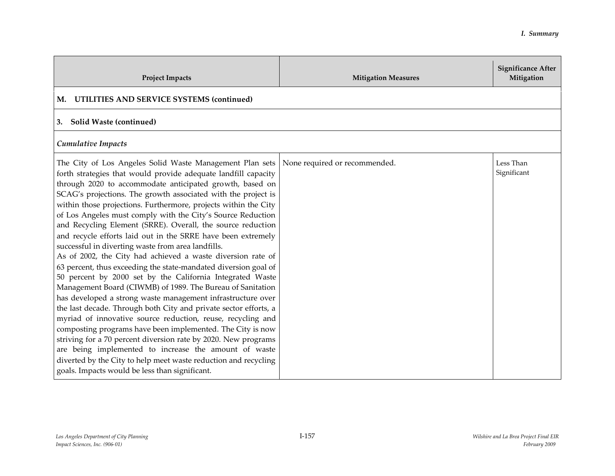| <b>Project Impacts</b>                                                                                                                                                                                                                                                                                                                                                                                                                                                                                                                                                                                                                                                                                                                                                                                                                                                                                                                                                                                                                                                                                                                                                                                                                                                                                                                                      | <b>Mitigation Measures</b>    | <b>Significance After</b><br>Mitigation |
|-------------------------------------------------------------------------------------------------------------------------------------------------------------------------------------------------------------------------------------------------------------------------------------------------------------------------------------------------------------------------------------------------------------------------------------------------------------------------------------------------------------------------------------------------------------------------------------------------------------------------------------------------------------------------------------------------------------------------------------------------------------------------------------------------------------------------------------------------------------------------------------------------------------------------------------------------------------------------------------------------------------------------------------------------------------------------------------------------------------------------------------------------------------------------------------------------------------------------------------------------------------------------------------------------------------------------------------------------------------|-------------------------------|-----------------------------------------|
| UTILITIES AND SERVICE SYSTEMS (continued)<br>M.                                                                                                                                                                                                                                                                                                                                                                                                                                                                                                                                                                                                                                                                                                                                                                                                                                                                                                                                                                                                                                                                                                                                                                                                                                                                                                             |                               |                                         |
| Solid Waste (continued)<br>3.                                                                                                                                                                                                                                                                                                                                                                                                                                                                                                                                                                                                                                                                                                                                                                                                                                                                                                                                                                                                                                                                                                                                                                                                                                                                                                                               |                               |                                         |
| <b>Cumulative Impacts</b>                                                                                                                                                                                                                                                                                                                                                                                                                                                                                                                                                                                                                                                                                                                                                                                                                                                                                                                                                                                                                                                                                                                                                                                                                                                                                                                                   |                               |                                         |
| The City of Los Angeles Solid Waste Management Plan sets<br>forth strategies that would provide adequate landfill capacity<br>through 2020 to accommodate anticipated growth, based on<br>SCAG's projections. The growth associated with the project is<br>within those projections. Furthermore, projects within the City<br>of Los Angeles must comply with the City's Source Reduction<br>and Recycling Element (SRRE). Overall, the source reduction<br>and recycle efforts laid out in the SRRE have been extremely<br>successful in diverting waste from area landfills.<br>As of 2002, the City had achieved a waste diversion rate of<br>63 percent, thus exceeding the state-mandated diversion goal of<br>50 percent by 2000 set by the California Integrated Waste<br>Management Board (CIWMB) of 1989. The Bureau of Sanitation<br>has developed a strong waste management infrastructure over<br>the last decade. Through both City and private sector efforts, a<br>myriad of innovative source reduction, reuse, recycling and<br>composting programs have been implemented. The City is now<br>striving for a 70 percent diversion rate by 2020. New programs<br>are being implemented to increase the amount of waste<br>diverted by the City to help meet waste reduction and recycling<br>goals. Impacts would be less than significant. | None required or recommended. | Less Than<br>Significant                |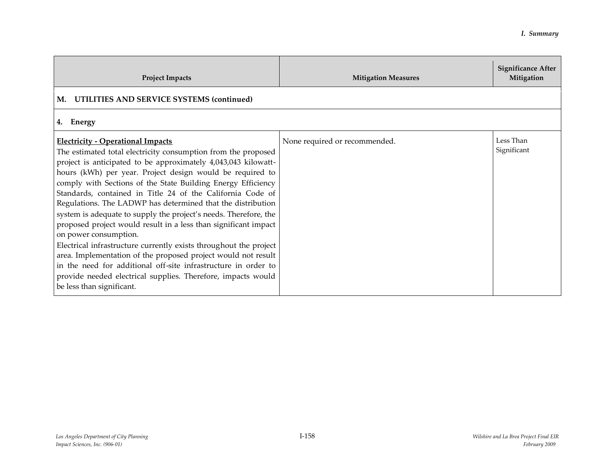| <b>Project Impacts</b>                                                                                                                                                                                                                                                                                                                                                                                                                                                                                                                                                                                                                                                                                                                                                                                                                                                                                     | <b>Mitigation Measures</b>    | <b>Significance After</b><br>Mitigation |
|------------------------------------------------------------------------------------------------------------------------------------------------------------------------------------------------------------------------------------------------------------------------------------------------------------------------------------------------------------------------------------------------------------------------------------------------------------------------------------------------------------------------------------------------------------------------------------------------------------------------------------------------------------------------------------------------------------------------------------------------------------------------------------------------------------------------------------------------------------------------------------------------------------|-------------------------------|-----------------------------------------|
| M. UTILITIES AND SERVICE SYSTEMS (continued)                                                                                                                                                                                                                                                                                                                                                                                                                                                                                                                                                                                                                                                                                                                                                                                                                                                               |                               |                                         |
| 4. Energy                                                                                                                                                                                                                                                                                                                                                                                                                                                                                                                                                                                                                                                                                                                                                                                                                                                                                                  |                               |                                         |
| <b>Electricity - Operational Impacts</b><br>The estimated total electricity consumption from the proposed<br>project is anticipated to be approximately 4,043,043 kilowatt-<br>hours (kWh) per year. Project design would be required to<br>comply with Sections of the State Building Energy Efficiency<br>Standards, contained in Title 24 of the California Code of<br>Regulations. The LADWP has determined that the distribution<br>system is adequate to supply the project's needs. Therefore, the<br>proposed project would result in a less than significant impact<br>on power consumption.<br>Electrical infrastructure currently exists throughout the project<br>area. Implementation of the proposed project would not result<br>in the need for additional off-site infrastructure in order to<br>provide needed electrical supplies. Therefore, impacts would<br>be less than significant. | None required or recommended. | Less Than<br>Significant                |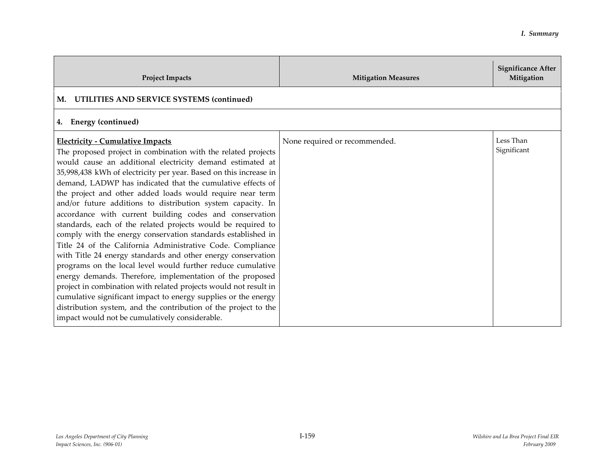| <b>Project Impacts</b>                                                                                                                                                                                                                                                                                                                                                                                                                                                                                                                                                                                                                                                                                                                                                                                                                                                                                                                                                                                                                                                                                                                               | <b>Mitigation Measures</b>    | <b>Significance After</b><br>Mitigation |
|------------------------------------------------------------------------------------------------------------------------------------------------------------------------------------------------------------------------------------------------------------------------------------------------------------------------------------------------------------------------------------------------------------------------------------------------------------------------------------------------------------------------------------------------------------------------------------------------------------------------------------------------------------------------------------------------------------------------------------------------------------------------------------------------------------------------------------------------------------------------------------------------------------------------------------------------------------------------------------------------------------------------------------------------------------------------------------------------------------------------------------------------------|-------------------------------|-----------------------------------------|
| UTILITIES AND SERVICE SYSTEMS (continued)<br>М.                                                                                                                                                                                                                                                                                                                                                                                                                                                                                                                                                                                                                                                                                                                                                                                                                                                                                                                                                                                                                                                                                                      |                               |                                         |
| <b>Energy (continued)</b><br>4.                                                                                                                                                                                                                                                                                                                                                                                                                                                                                                                                                                                                                                                                                                                                                                                                                                                                                                                                                                                                                                                                                                                      |                               |                                         |
| <b>Electricity - Cumulative Impacts</b><br>The proposed project in combination with the related projects<br>would cause an additional electricity demand estimated at<br>35,998,438 kWh of electricity per year. Based on this increase in<br>demand, LADWP has indicated that the cumulative effects of<br>the project and other added loads would require near term<br>and/or future additions to distribution system capacity. In<br>accordance with current building codes and conservation<br>standards, each of the related projects would be required to<br>comply with the energy conservation standards established in<br>Title 24 of the California Administrative Code. Compliance<br>with Title 24 energy standards and other energy conservation<br>programs on the local level would further reduce cumulative<br>energy demands. Therefore, implementation of the proposed<br>project in combination with related projects would not result in<br>cumulative significant impact to energy supplies or the energy<br>distribution system, and the contribution of the project to the<br>impact would not be cumulatively considerable. | None required or recommended. | Less Than<br>Significant                |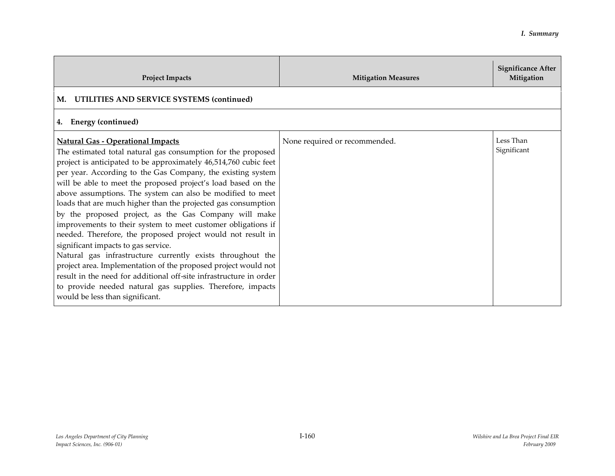| <b>Project Impacts</b>                                                                                                                                                                                                                                                                                                                                                                                                                                                                                                                                                                                                                                                                                                                                                                                                                                                                                                                                                            | <b>Mitigation Measures</b>    | <b>Significance After</b><br>Mitigation |
|-----------------------------------------------------------------------------------------------------------------------------------------------------------------------------------------------------------------------------------------------------------------------------------------------------------------------------------------------------------------------------------------------------------------------------------------------------------------------------------------------------------------------------------------------------------------------------------------------------------------------------------------------------------------------------------------------------------------------------------------------------------------------------------------------------------------------------------------------------------------------------------------------------------------------------------------------------------------------------------|-------------------------------|-----------------------------------------|
| UTILITIES AND SERVICE SYSTEMS (continued)<br>М.                                                                                                                                                                                                                                                                                                                                                                                                                                                                                                                                                                                                                                                                                                                                                                                                                                                                                                                                   |                               |                                         |
| 4. Energy (continued)                                                                                                                                                                                                                                                                                                                                                                                                                                                                                                                                                                                                                                                                                                                                                                                                                                                                                                                                                             |                               |                                         |
| <b>Natural Gas - Operational Impacts</b><br>The estimated total natural gas consumption for the proposed<br>project is anticipated to be approximately 46,514,760 cubic feet<br>per year. According to the Gas Company, the existing system<br>will be able to meet the proposed project's load based on the<br>above assumptions. The system can also be modified to meet<br>loads that are much higher than the projected gas consumption<br>by the proposed project, as the Gas Company will make<br>improvements to their system to meet customer obligations if<br>needed. Therefore, the proposed project would not result in<br>significant impacts to gas service.<br>Natural gas infrastructure currently exists throughout the<br>project area. Implementation of the proposed project would not<br>result in the need for additional off-site infrastructure in order<br>to provide needed natural gas supplies. Therefore, impacts<br>would be less than significant. | None required or recommended. | Less Than<br>Significant                |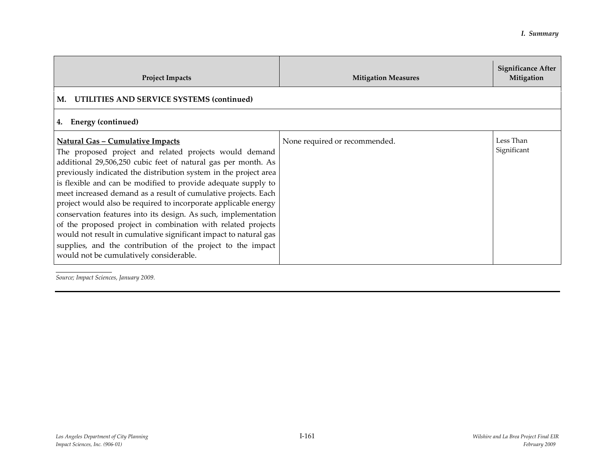| <b>Project Impacts</b>                                                                                                                                                                                                                                                                                                                                                                                                                                                                                                                                                                                                                                                                                                                                        | <b>Mitigation Measures</b>    | <b>Significance After</b><br>Mitigation |
|---------------------------------------------------------------------------------------------------------------------------------------------------------------------------------------------------------------------------------------------------------------------------------------------------------------------------------------------------------------------------------------------------------------------------------------------------------------------------------------------------------------------------------------------------------------------------------------------------------------------------------------------------------------------------------------------------------------------------------------------------------------|-------------------------------|-----------------------------------------|
| M. UTILITIES AND SERVICE SYSTEMS (continued)                                                                                                                                                                                                                                                                                                                                                                                                                                                                                                                                                                                                                                                                                                                  |                               |                                         |
| Energy (continued)<br>4.                                                                                                                                                                                                                                                                                                                                                                                                                                                                                                                                                                                                                                                                                                                                      |                               |                                         |
| <u> Natural Gas - Cumulative Impacts</u><br>The proposed project and related projects would demand<br>additional 29,506,250 cubic feet of natural gas per month. As<br>previously indicated the distribution system in the project area<br>is flexible and can be modified to provide adequate supply to<br>meet increased demand as a result of cumulative projects. Each<br>project would also be required to incorporate applicable energy<br>conservation features into its design. As such, implementation<br>of the proposed project in combination with related projects<br>would not result in cumulative significant impact to natural gas<br>supplies, and the contribution of the project to the impact<br>would not be cumulatively considerable. | None required or recommended. | Less Than<br>Significant                |

*Source; Impact Sciences, January 2009.*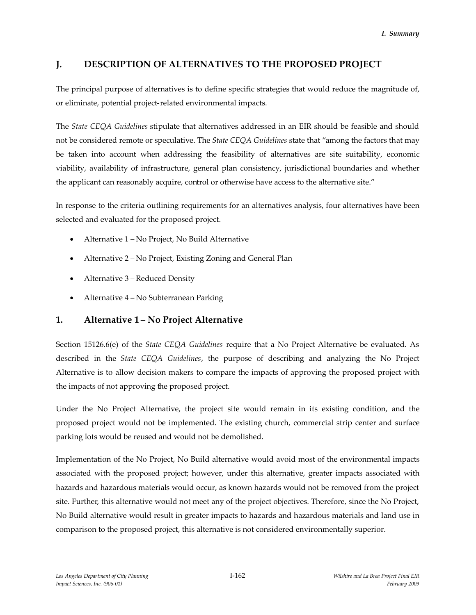# **J. DESCRIPTION OF ALTERNATIVES TO THE PROPOSED PROJECT**

The principal purpose of alternatives is to define specific strategies that would reduce the magnitude of, or eliminate, potential project-related environmental impacts.

The *State CEQA Guidelines* stipulate that alternatives addressed in an EIR should be feasible and should not be considered remote or speculative. The *State CEQA Guidelines* state that "among the factors that may be taken into account when addressing the feasibility of alternatives are site suitability, economic viability, availability of infrastructure, general plan consistency, jurisdictional boundaries and whether the applicant can reasonably acquire, control or otherwise have access to the alternative site."

In response to the criteria outlining requirements for an alternatives analysis, four alternatives have been selected and evaluated for the proposed project.

- Alternative 1 No Project, No Build Alternative
- Alternative 2 No Project, Existing Zoning and General Plan
- Alternative 3 Reduced Density
- Alternative 4 No Subterranean Parking

# **1. Alternative 1 – No Project Alternative**

Section 15126.6(e) of the *State CEQA Guidelines* require that a No Project Alternative be evaluated. As described in the *State CEQA Guidelines*, the purpose of describing and analyzing the No Project Alternative is to allow decision makers to compare the impacts of approving the proposed project with the impacts of not approving the proposed project.

Under the No Project Alternative, the project site would remain in its existing condition, and the proposed project would not be implemented. The existing church, commercial strip center and surface parking lots would be reused and would not be demolished.

Implementation of the No Project, No Build alternative would avoid most of the environmental impacts associated with the proposed project; however, under this alternative, greater impacts associated with hazards and hazardous materials would occur, as known hazards would not be removed from the project site. Further, this alternative would not meet any of the project objectives. Therefore, since the No Project, No Build alternative would result in greater impacts to hazards and hazardous materials and land use in comparison to the proposed project, this alternative is not considered environmentally superior.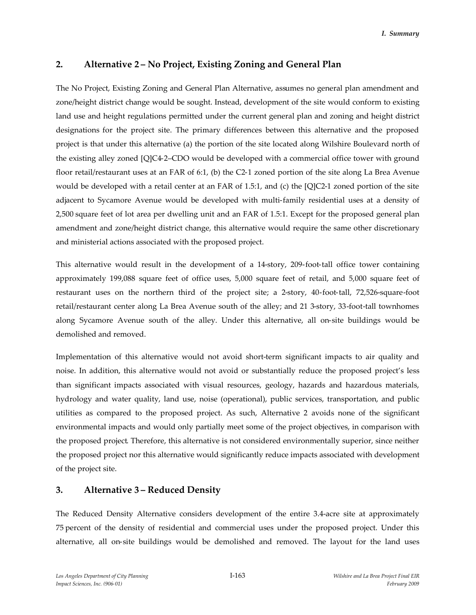# **2. Alternative 2 – No Project, Existing Zoning and General Plan**

The No Project, Existing Zoning and General Plan Alternative, assumes no general plan amendment and zone/height district change would be sought. Instead, development of the site would conform to existing land use and height regulations permitted under the current general plan and zoning and height district designations for the project site. The primary differences between this alternative and the proposed project is that under this alternative (a) the portion of the site located along Wilshire Boulevard north of the existing alley zoned [Q]C4-2–CDO would be developed with a commercial office tower with ground floor retail/restaurant uses at an FAR of 6:1, (b) the C2-1 zoned portion of the site along La Brea Avenue would be developed with a retail center at an FAR of 1.5:1, and (c) the [Q]C2-1 zoned portion of the site adjacent to Sycamore Avenue would be developed with multi-family residential uses at a density of 2,500 square feet of lot area per dwelling unit and an FAR of 1.5:1. Except for the proposed general plan amendment and zone/height district change, this alternative would require the same other discretionary and ministerial actions associated with the proposed project.

This alternative would result in the development of a 14-story, 209-foot-tall office tower containing approximately 199,088 square feet of office uses, 5,000 square feet of retail, and 5,000 square feet of restaurant uses on the northern third of the project site; a 2-story, 40-foot-tall, 72,526-square-foot retail/restaurant center along La Brea Avenue south of the alley; and 21 3-story, 33-foot-tall townhomes along Sycamore Avenue south of the alley. Under this alternative, all on-site buildings would be demolished and removed.

Implementation of this alternative would not avoid short-term significant impacts to air quality and noise. In addition, this alternative would not avoid or substantially reduce the proposed project's less than significant impacts associated with visual resources, geology, hazards and hazardous materials, hydrology and water quality, land use, noise (operational), public services, transportation, and public utilities as compared to the proposed project. As such, Alternative 2 avoids none of the significant environmental impacts and would only partially meet some of the project objectives, in comparison with the proposed project. Therefore, this alternative is not considered environmentally superior, since neither the proposed project nor this alternative would significantly reduce impacts associated with development of the project site.

## **3. Alternative 3 – Reduced Density**

The Reduced Density Alternative considers development of the entire 3.4-acre site at approximately 75 percent of the density of residential and commercial uses under the proposed project. Under this alternative, all on-site buildings would be demolished and removed. The layout for the land uses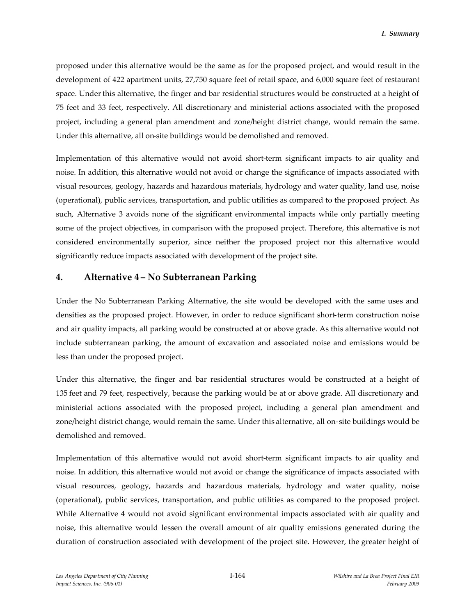proposed under this alternative would be the same as for the proposed project, and would result in the development of 422 apartment units, 27,750 square feet of retail space, and 6,000 square feet of restaurant space. Under this alternative, the finger and bar residential structures would be constructed at a height of 75 feet and 33 feet, respectively. All discretionary and ministerial actions associated with the proposed project, including a general plan amendment and zone/height district change, would remain the same. Under this alternative, all on-site buildings would be demolished and removed.

Implementation of this alternative would not avoid short-term significant impacts to air quality and noise. In addition, this alternative would not avoid or change the significance of impacts associated with visual resources, geology, hazards and hazardous materials, hydrology and water quality, land use, noise (operational), public services, transportation, and public utilities as compared to the proposed project. As such, Alternative 3 avoids none of the significant environmental impacts while only partially meeting some of the project objectives, in comparison with the proposed project. Therefore, this alternative is not considered environmentally superior, since neither the proposed project nor this alternative would significantly reduce impacts associated with development of the project site.

## **4. Alternative 4 – No Subterranean Parking**

Under the No Subterranean Parking Alternative, the site would be developed with the same uses and densities as the proposed project. However, in order to reduce significant short-term construction noise and air quality impacts, all parking would be constructed at or above grade. As this alternative would not include subterranean parking, the amount of excavation and associated noise and emissions would be less than under the proposed project.

Under this alternative, the finger and bar residential structures would be constructed at a height of 135 feet and 79 feet, respectively, because the parking would be at or above grade. All discretionary and ministerial actions associated with the proposed project, including a general plan amendment and zone/height district change, would remain the same. Under this alternative, all on-site buildings would be demolished and removed.

Implementation of this alternative would not avoid short-term significant impacts to air quality and noise. In addition, this alternative would not avoid or change the significance of impacts associated with visual resources, geology, hazards and hazardous materials, hydrology and water quality, noise (operational), public services, transportation, and public utilities as compared to the proposed project. While Alternative 4 would not avoid significant environmental impacts associated with air quality and noise, this alternative would lessen the overall amount of air quality emissions generated during the duration of construction associated with development of the project site. However, the greater height of